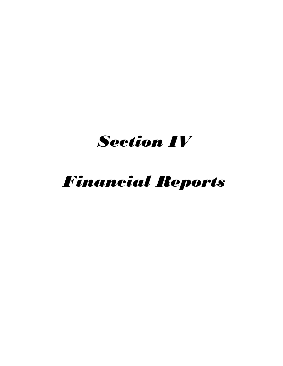## *Section IV*

# *Financial Reports*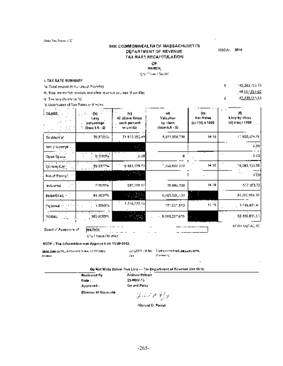State This Form (CC)

#### THE COMMONWEALTH OF MASSACHUSETI'S DEPARTMENT OF REVENUE TAX RATE RECAPITULATION

FISCAI, 2014

\$

Ń.

#### OF.

**MATICK** 

Cry <sup>em</sup>over? Deader

#### **I. TAX RATE SUMMARY**

fa. Yotal amount to hor aroul (from Fe).

lb, Tolal estimated repelais and other revenue sources (fibio-life)

in Takley (la minus 3).

13. Distribution of Tax Rates and testes

| . (b)<br>$\cdot$ .<br>l. my<br>pgregatago<br>$($ leen t $A - 5)$<br>۰. | (c).<br>PC above fimes<br>uach percent<br>la col·lui | 녜<br>Valustion<br>by class<br>$( {\tt InomLA}: 5)$ | (o).<br><b>Lax Hateu</b><br>(c) / (d) x 1000 | ١ŋ<br>Lovy by chiss<br>(d) = (u) / 1000 |
|------------------------------------------------------------------------|------------------------------------------------------|----------------------------------------------------|----------------------------------------------|-----------------------------------------|
| 76.9723%                                                               | 71 973 350 49                                        | 5,075,958,730                                      | 1419                                         | 71926,374.76                            |
|                                                                        | $2.5 - 1.5$<br>$\cdot$                               |                                                    |                                              | 0.001                                   |
| ia ataokal                                                             | ္ေဘး                                                 | Û                                                  |                                              | e cá                                    |
| 20.5377%                                                               | 19 283, 175-72                                       | 1,359,882,270                                      | 1410                                         | 19,283,133.59                           |
|                                                                        | ويقتلني                                              |                                                    |                                              | s'col                                   |
| 0.5537%                                                                | 517,358,521                                          | 35,4H5,100                                         | 14 18                                        | 517 353.72]                             |
| 93.1637%                                                               | 医磷酸                                                  | 0,483,520,500                                      | ×,                                           | 31,720,854.50                           |
| 1.336354                                                               | 17:5,777.49                                          | 121.001.510                                        | 14.18                                        | $-1.715,801.41$                         |
| 1000000                                                                | <b>MARK</b>                                          | - 6,589,227,610.                                   | ×                                            | 93-496.695.61                           |
|                                                                        |                                                      |                                                    |                                              |                                         |

Board of Assessore of

 $\mathbb{R}^2$  . The contract of Cty / Town / U strict

#### NOTE: The information was Approved on 11/20/2013.

**NATICK** 

**SEAR ENGINEERS CONTROLS IN THE CONTROL** 8914067

condition (1982). Contractors (Inspiration Leagues Pro- $\partial^2 \Phi^{\mu\nu} \Phi^{\mu\nu} \Psi^{\nu\nu} \Psi^{\nu\nu}$ Den i

#### On Not Write Below This Line --- For Department of Revenue Dae Grity

Androw Netson

20-NOV-13

 $\overline{a}$ 

Roylewoul Ry Date: Approved: **Cirector of Accounts** 

Gerard Patry  $2 - 50$  My

(Gorand D. Perry)

142,003,756.53

02.435.065.53

146,657,091.00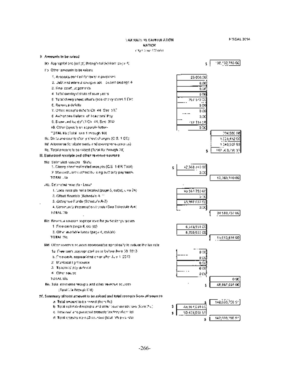## **LAX RATE RECAPTION ATION NATICK**

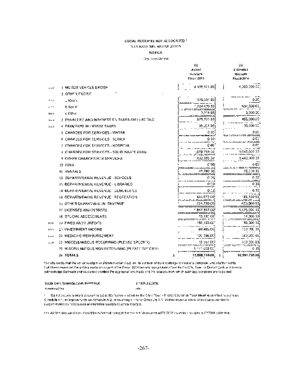#### LOCAL RECEIPTS NOT ALLOCATED \* TAX BATE RECALLING ALLOW

#### **NATION**

Objectives/COMMON

|                           |                                                   |    | 42                 |   | ψĭ                  |
|---------------------------|---------------------------------------------------|----|--------------------|---|---------------------|
|                           |                                                   |    | Actupl<br>16:00:00 |   | Enlimed<br>Arcadh   |
|                           |                                                   |    | Fisco 2013         |   | Floral 2014         |
|                           |                                                   |    |                    |   |                     |
| -->                       | 1. MC FOR VEH OLE EXCISE                          |    | 4.339,174.05       |   | 4,022,000 .         |
|                           | а отняк пхоже                                     |    |                    |   |                     |
|                           | u Medisi                                          |    | 025,037.00         |   | oх                  |
|                           | lt Roolm                                          |    | 1,224,470,00       |   | 997,000 CC          |
| ᄄᄄ                        | e Other                                           |    | 3,218 D.T          |   | 1000 X              |
| $\mathbf{u} = \mathbf{v}$ | J. PENALTIES AND INTERFST CN TAXES AND EXCISES.   |    | 879,700 B.T        |   | 455,000.00          |
| 112                       | 4. PAYMENTS IN LIFILOS TAXES.                     |    | 35.KI RI           |   | 35,000.50           |
|                           | S. CHARGES FOR EERVICES - WATER.                  |    | ଓ ୦୦               |   | a co                |
|                           | a charoes for slrycls -sevair                     |    | Q 333              |   | a c:                |
|                           | ) ICMARGES FOR SERVICES - HOSPITAL                |    | C 00               |   | a co                |
|                           | 3. CHARGES FOR SERVICES - SOLID WAS TOTERED       |    |                    |   | 1,053,000.00        |
|                           | A JOTHER CHARGES HOR SERVICES.                    |    | 492.336.33         |   | 1,463,000 33        |
|                           | M FEES                                            |    | e par              |   | a gu                |
|                           | EL RENTALS                                        |    | 49,780.00          |   | 69,000 BB           |
|                           | 12 DEPARTMENTAL REVÉNUÉ - SOPOCES                 |    | e to:              |   | 0.33                |
|                           | IN OEPAR (MENIAL REVENUE - L'ORARIES)             |    | o coi              |   | כב ס                |
|                           | 34 IULPART VENSAL REVENUE I CEMETER ES            |    | 0.10               |   | כת ס                |
|                           | IS OFPARTMENTAL RINENUE I REGREATION.             |    | 184273.00          |   | (ES 730 03          |
|                           | 15. Orače Diamasymi-Xcal Bevenue                  |    | CS1,735 CC         |   | 653, <b>30</b> 0.93 |
|                           | 10 LICENSES AND PERMITS                           |    | 847.947 CC         |   | 1,475,500.00        |
|                           | 18. SPECIAL ASSESSMENTS                           |    | SS 13              |   | 14 DOG DU)          |
| ==>                       | TA FINES AND HORFEP'S                             |    | : 52. 105.CC       |   | 95,000.00           |
| 出力性                       | I) INVESTMENT INCOME                              |    | B9 495.063         |   | 150.000.00          |
|                           | 2) MEDICA DIREIMBURSEMENT                         |    | סם,שפס מצוי        |   | 700.CCC 00.         |
| - - 2                     | 22 MASCELLANGOVS REGURRING (PLEASE SPECIFIK).     |    | 193 I CO           |   | 100 CCC 60)         |
|                           | 2) MEGGELLANDQUŞ NQNAUDISERING (PLEASE SILICIEY). |    | 1 177 802 O.       |   | cю                  |
|                           | <b>A TOTALS</b>                                   | 5. | 13,688,759.00      | 3 | \$0,591.759.00      |

Fileneby cardly that the actuative deposite shown in extensivity are. In the following knowledge conect and complete area (futbor cardly Cut thave enamized the unbig modularities (unbig 1984) and 2014 has also recognitation (smith) that Co. Taxe in District Cenk and browly adcrowiedge that such entres correct virefiect the approprations made and the sources kervivineh such appropriations are to be melli

| እንደደበር እንዲያመለስ የሚያስከት አካልባቸው እና | 17:329-1111730 |
|---------------------------------|----------------|
| Attual escrice                  | والودر         |

the Dainst Statuse (edeligis in columns (a) at (b) "Naiwe elected by the City ( Town) District Council of Town Meeting as offset replaces any Sitedule Art, energiese funds on Schubble Ar2, principlizing to stylen Schedule A.S. Veiden dependiction dien complete the support-manuels " decreases of entimated receiptal blackes receipts."

are Wallen deputerent monshaud being of variability suggest in the annual exclusion of DY 2017 months and the second of 222014 institutional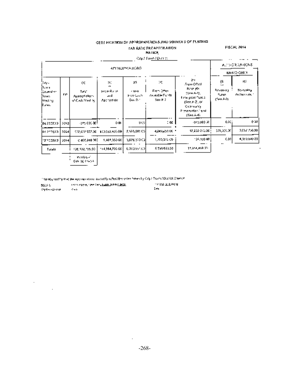## CERT FICATION OF APPROPRIATIONS AND SOURCES OF FUNDING. **FAX RATE RECAPTERATION**

## **HAINTH**

#### **FISCAL 2014**

| 12.IM |  |
|-------|--|
|       |  |

**City J. Parametric Country** 

|                                                                     |      |                                                   |                                              |                                      | Olly Howe (Den of                              |                                                                                                                                     |                                               |                                            |
|---------------------------------------------------------------------|------|---------------------------------------------------|----------------------------------------------|--------------------------------------|------------------------------------------------|-------------------------------------------------------------------------------------------------------------------------------------|-----------------------------------------------|--------------------------------------------|
|                                                                     |      |                                                   |                                              | APPROSPERTIONS                       |                                                |                                                                                                                                     |                                               | ALTEOR 2A (ICNS)<br>MINO ONLY              |
| lbas.<br>ilyws.<br>iliovana se<br>:1emai<br>Mading.<br><b>Duran</b> | FY.  | О,<br>Tura'<br>Aparopriations<br>of Cada Vaul, Ya | 90<br>46<br>FrancRaise.<br>4:11<br>Aportante | :ሮት<br>41000<br>Free Cooff<br>Sei Se | 98<br>Frem Other<br>Avanable ForMal<br>Sao H 7 | ĝΠ<br>Frem Of Sol<br>For pre-<br>(2) HEARTY,<br>4 nie prize Futica.<br>See A-L. or<br>Colemants<br>Preservation 1 und<br>(Sen A-4). | 쑢<br>Forwate mail<br>Fungs<br>$(2\pi n\,A/3)$ | 152<br>Bo-contra<br><b>Analiser and Co</b> |
| (04.23.5013)                                                        | 2013 | ors coded!                                        | oœ                                           | 9K%                                  | :∝                                             | -375,000-00                                                                                                                         | esti                                          | 660                                        |
| los 219013.                                                         | 5014 |                                                   | 172,078.507.00 110.080.405.00                | 2,585,681,00                         | 4,049,651 00 -                                 | 12,230-272.00                                                                                                                       | 378,000.00                                    | 3,067,756.00                               |
| 101122013                                                           | 2054 | 0.468,840.00\$                                    | 1,481,330,00                                 | 3,678,970 Col                        | 1,250,032.001                                  | 109,100.00                                                                                                                          | c.or-l<br>$\overline{\phantom{a}}$            | 4,180,000,001                              |
| Tatala                                                              |      | 101,502,755,00                                    | 14,564,733.00                                | 6.313.951.02                         | 5.299.681.00                                   | 15,954,408.05                                                                                                                       |                                               |                                            |
|                                                                     |      | <b>Walkgal</b>                                    |                                              |                                      |                                                |                                                                                                                                     |                                               |                                            |

 $\left[ \begin{array}{c} \cos\theta\left( \phi\right) \phi\left( \phi\right) \\ \frac{\cos\theta\left( \phi\right) }{\sin\theta\left( \phi\right) } \end{array} \right]$ 

 $\label{eq:2.1} \frac{d\mathbf{r}}{d\mathbf{r}} = \frac{1}{2\pi\epsilon_0} \frac{d\mathbf{r}}{d\mathbf{r}}.$ 

Thereby contry that see eye rapid open councilly reflect the value intensity Coyo Town / Danisd Council

| 555.63   | 1980 Yangi umumi yang kalendar 2009. ISBN | 1918-0-1209-51 |
|----------|-------------------------------------------|----------------|
| マッケヘッシング | Crain St                                  | Sekal          |

 $\sim$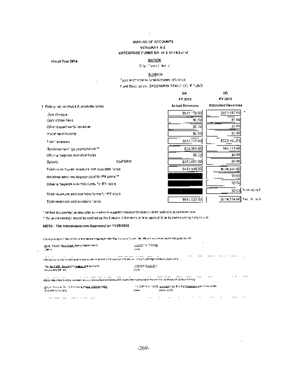#### BURINAU OF ACCOUNTS. **SCHEDRULE A/2** EMTERPRISE FUNUS CH 44 \$ 53 F1/2 of all

 $\cdot$ 

#### Fiscal Year 2014

#### **NATION** Cay of event Detrict

### $A-2[1S]$

## Figure is entirely so tendistations reference

Sund Oescription : SASSAMON TRACE (X) FIFUND

|                                                  |                | 桺<br>FY 2013    | (b)<br>FY 2014            |
|--------------------------------------------------|----------------|-----------------|---------------------------|
| 1. Exterptise vovenuos & available tundo.        |                | Actual Revonous | <b>Eatimated Revenues</b> |
| Daoi cheageal                                    |                | ss/z 172.00     | \$520,55,00               |
| Connection Peas.                                 |                | \$0.00          | sc oal                    |
| Other degardments' revenue.                      |                | SC 09           | 50 M                      |
| tryclar now income.                              |                | \$0,00          | 50 OO                     |
| Гоја: гвиврова,                                  |                | \$672,177.00    | \$529,165,00              |
| Relational curricitys appropriated **            |                | 833.364.00      | \$45,971,00               |
| Office a temperso avariable fonds.               |                | SC.00           | 50001                     |
| Зросту,                                          | <b>SUPSOIY</b> | \$315,000.00    | so oak                    |
| Total correct year revenues and available funds. |                | \$919,538.00    | 8:74,399.00               |
| Hetainsa easy has appropriated for PY costs **   |                |                 | 30 OO                     |
| Other eigenprise available tunds for PY, costs.  |                |                 | ରେବନ୍ଧା                   |
| Total revenues and available funds for PY 03510. |                |                 | SQ CON TO 19949-917       |
| Total revenues and available funcs.              |                | \$915.533.005   | \$574,734.00 Pet U. 469   |

1 Welten decumentation should be according to imagent resteases (decreases of est might) to actual non-reco-

11 Retained comings, should be certified by 219 European of Appennis or or to appropriation by form maching Coby (Alance

#### NOTE: The Information was Approved on 11/20/2013.

l.

Dentisyon's) to the among annotation approach that to over Justice in Infinite the Character of Apply 1973.

| SEEK FARM, TEST CARL HWW, MORTERLIT<br><b>Service</b>                                                                                                        | <u>in dia 2002 menjadi ketua</u> n<br>See in                                                                                                     |          |   |     |
|--------------------------------------------------------------------------------------------------------------------------------------------------------------|--------------------------------------------------------------------------------------------------------------------------------------------------|----------|---|-----|
| ٠<br>$\cdots$<br>tingnay out to the custodian minimum and when the Part 1 online (1) 1 to later two orbits have been versely adjustments.                    |                                                                                                                                                  | $\cdots$ |   |     |
| ANG ISLANDI KATANYA NGKALISA SA CASA<br>Stagare Registration                                                                                                 | <b>AND REPORT OF A STATE OF A</b><br>state.                                                                                                      |          |   |     |
| <br><br>We hander they had the modules terms distance have not become act an excession plane when the art this can folio distant in a financial control only |                                                                                                                                                  |          | . |     |
| (Angle Stray and Complete Hamilton) <u>(Plane) 公路通信</u> 金属 <u>化</u><br>Provide Arrestor C                                                                    | innen (engelser) in der den finden <u>und den finden und der gestieden gegenschappen und der geschichten und die</u> m<br>1460 Kild<br>Circle 19 |          |   |     |
|                                                                                                                                                              | $\cdots$                                                                                                                                         | $\sim$   | . | . . |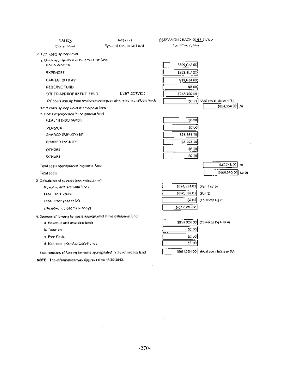| NATION.                                                                | A-2(131).                                                                  | SADDAMON TRACE G <u>OLL</u> ! UND |                                         |
|------------------------------------------------------------------------|----------------------------------------------------------------------------|-----------------------------------|-----------------------------------------|
| City of Friend                                                         | Types of Core prise float f                                                | Fuert Fassur, cent                |                                         |
| 2. Tuth, casta as orderation                                           |                                                                            |                                   |                                         |
| a, Qoslstaj, Joycand in the critershot fand<br>SALA WADES              |                                                                            | \$305,077.00                      |                                         |
| <b>EXPENSES</b>                                                        |                                                                            | 5293.497.CK                       |                                         |
| CARIAL CULLAY                                                          |                                                                            | \$15,000.00                       |                                         |
| RESERVE FUIID                                                          |                                                                            | 30 M                              |                                         |
| OTHER APPROP IN ENT. FUSD.                                             | DERT SERVICE                                                               | 5245,160 CO                       |                                         |
|                                                                        | PY costs aborap trees relatived earnings or alms, enterplaistifuble funds. |                                   | 50-01 (Mustleman) chates 176)           |
| Terra costs appropriated in emergeso fund-                             |                                                                            |                                   | \$854,354.201 24                        |
| S. Costs poprogriphed in the general final                             |                                                                            |                                   |                                         |
| HEALTH INSURANCE.                                                      |                                                                            | 50 O.T                            |                                         |
| <b>PENSICK</b>                                                         |                                                                            | 80.UJ                             |                                         |
| SPARCO EMPLOYEES                                                       |                                                                            | \$24.004 TO                       |                                         |
| <b>SHARED FACE ITY</b>                                                 |                                                                            | \$7,262.00                        |                                         |
| OTHER <sub>2</sub>                                                     |                                                                            | 8 <u>0.20</u>                     |                                         |
| <b>OTHERS</b>                                                          |                                                                            | SG 30)                            |                                         |
| Total casts appropriated in general fund                               |                                                                            |                                   | \$20,048.00<br>÷ш                       |
| <b>Total costs</b>                                                     |                                                                            |                                   | \$669,589.33<br>20126                   |
| 2. Dataulation of subsidy (por widioctic w).                           |                                                                            |                                   |                                         |
| Rover as and available funcs.                                          |                                                                            | \$574,334.00                      | ther a with                             |
| <b>Bess. Total cashs</b>                                               |                                                                            | \$990,580.00                      | 29 m 21                                 |
| <b>Cass . Prior year defiel</b>                                        |                                                                            | \$2.00                            | (To Recop Mg 2)                         |
| (Negethic represents subdiant                                          |                                                                            | \$-312,246.00                     |                                         |
| 4. Gauroes of funding for busis eppropriated in the enterprise fund.   |                                                                            |                                   |                                         |
| al Soverula or diaval able lunds.                                      |                                                                            |                                   | \$854,324,00 (75,4ecapity 4.16 m)       |
| b. Toxarien:                                                           |                                                                            | \$0.00                            |                                         |
| o, Free Cashi                                                          |                                                                            | \$0.00                            |                                         |
| d. Nan-anin' priso Avalizate Funds                                     |                                                                            | \$2.00                            |                                         |
| total searces of funding for costs appropriated in the entarctise lund |                                                                            |                                   | \$851,334.00 (IMsual equations part 29) |

NOTE: The information was Approved on 11/20/2013.

 $\sim$   $\sim$ 

÷,

 $\mathcal{L}_{\mathrm{max}}$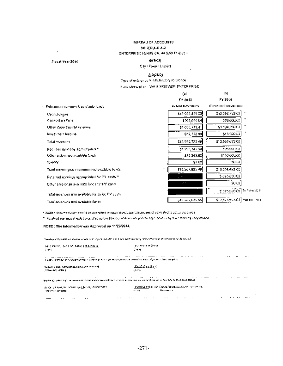#### **BUREAU OF ACCOUNTS** SCHEDULE A-2 ZN TERPRISITI-CNDS CH, 44 S.50 F1/2 of al-

#### **Piscal Year 2016**

 $\sim$ 

#### **SATICK** City / Town / Dispict

#### $A_{2}212ND_{3}$

 $\overline{a}$ 

Type of enterprise fund/statutory reference

Field Dycorption. WATER/SEWER ENTERPRISE.

|                                                    | OГ                         | 間                            |
|----------------------------------------------------|----------------------------|------------------------------|
|                                                    | FY 2013                    | FY 2014                      |
| t, Ento,poso revençes Alavariablo !uada.           | <b>Achial Heyenges</b>     | <b>Csturated Ravensue</b>    |
| Usor clyngos.                                      | \$12.023.829.03            | \$12,392,753.00              |
| Connection For E                                   | 5209,844 M                 | \$76,000.00                  |
| Other depictments revenue                          | \$1,630,171.41             | \$1:04,300.00                |
| Investment location                                | $$-2,773,90$               | 515-320-001                  |
| Total myenties.                                    | \$13,936,720.60            | \$11,552,653.00              |
| Retained estraigs spateariated **                  | 31.291,743.90              | 393,000 00                   |
| Other enterposo available funds.                   | \$39,369.00                | si kapauko                   |
| Saccity.                                           | \$0. DQ)                   | 50 GB                        |
| Total current year on rotated and uvailable lunds. | 515,287,835.60<br>۰        | \$13,708,653.00              |
| Retained estimage appropriated for PY, costs **    | <b>The Contract (1989)</b> | 1075,000,00                  |
| Caher enterprise available funds for PY cants.     | $\cdot$ .                  | 30 CG                        |
| intas revenues ano avaitable for Js for PM costs.  |                            | \$175,000.00 Tu Recur p; \$  |
| Total sevenues und available funds.                | \$15,267,835,46            | \$12,425,853.00 Partner halz |

"William Stoumentation chat PEDs outmitted to rapped undecannot interactive to the Pacifical Country revolution

\*\* Retained earnings should be conflict by the Director of Arms interpret ongerspructurity www.mecters.il ory counsil

#### NOTE: The information was Approved on 11/20-2013.

Thereby as the second second countries of provided in the U.S.A. to Depart (in the U.S. and a city of a support of the second

| Date: Pierre, Irvin Cart, Nation 2006 (244 St.)<br>F 452.                                                               | 计字 法公司 医甲状腺肿<br>79.HL                                                                                                                                                                                                                                        |
|-------------------------------------------------------------------------------------------------------------------------|--------------------------------------------------------------------------------------------------------------------------------------------------------------------------------------------------------------------------------------------------------------|
| <br>ী ১৯৬৯ বৰ্তমান ইত্ৰাণৰ প্ৰয়োগত প্ৰথমৰ আৰু মাজত (এইএই এই বিষয়া) আৰু স্বাভাৱ ২০০০ চনত তেওঁকে সময়তো এক ব্যৱসায়লৈ য | .<br>. .<br>$\cdots$                                                                                                                                                                                                                                         |
| What's H. Capital Company and Market Method and Control<br>, The Law Road, Little A. J.                                 | TERMINIST<br><b>ALC: NO</b>                                                                                                                                                                                                                                  |
| ٠<br>Wytwryg ytart yn caraunaidd 1962 a ddyn farsydd born ymdyn ei ynwng per y cygol sacu tu Caer Chuin Parfeinia BMAC. | $\cdots$<br>$\sim$<br>                                                                                                                                                                                                                                       |
| . A way the special control security of News, 1991 PRP 5422.<br>Total of American                                       | THE COLLEGE TO A REPORT OF CONTINUES IN A REPORT OF THE REPORT OF A REPORT OF THE REPORT OF A REPORT OF A REPORT OF A REPORT OF A REPORT OF A REPORT OF A REPORT OF A REPORT OF A REPORT OF A REPORT OF A REPORT OF A REPORT O<br>Content L<br>all'ade'<br>٠ |
| $\cdots$<br>$\cdots$<br><br>$\cdots$                                                                                    | $\cdots$<br>.                                                                                                                                                                                                                                                |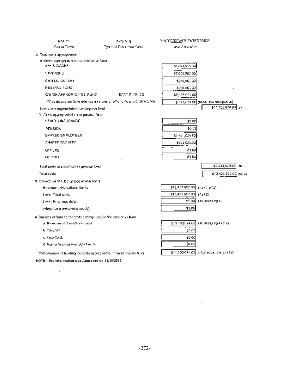| NATION                                                                   | A-2;2500)                                                               | WAYCE/SEWER ENTERPAISE                         |
|--------------------------------------------------------------------------|-------------------------------------------------------------------------|------------------------------------------------|
| City or Turret                                                           | <b>Types of Entraymed Pand</b>                                          | und Obecopton                                  |
| 2. Total costs appropriated                                              |                                                                         |                                                |
| al Cests appropriated in the enterprise Circu<br>SA: 8 WACES             |                                                                         | \$1,820,955.00                                 |
| скасмага                                                                 |                                                                         | \$7,000,200.00                                 |
| CAPITAL OUTLAIN                                                          |                                                                         | \$240,000 00                                   |
| <b>FRAGANE PUMP</b>                                                      |                                                                         | 8230.000 00                                    |
| C'Hrox APPROP IS ENY. FGAD.                                              | <b>CEST SORVICE</b>                                                     | \$2,535,011.00                                 |
|                                                                          | PY costs approp tions retained earn-agsic romais unterplusatible (under | \$1375,000.00 (Mastrick) (000 p.45 06)         |
| Futal costs expropriated in enterpose final.                             |                                                                         | \$11,100,074.00<br>Zн                          |
| b. Costs appropriated in the general fand.                               |                                                                         |                                                |
| : J-ALI I: GINSURANCE                                                    |                                                                         | 50.00                                          |
| <b>PENSICN</b>                                                           |                                                                         | \$0.00                                         |
| SPARED EMPLOYEES                                                         |                                                                         | \$1.421,554.00                                 |
| SHAGED FAC UTY.                                                          |                                                                         | \$932,025.30                                   |
| 011 LRZ                                                                  |                                                                         | $\overline{\phantom{a}}$<br>$\cdot$ .<br>59.00 |
| от ачка.                                                                 |                                                                         | 80.00                                          |
| Fotol costs appropriated in general fund.                                |                                                                         | \$2.523,579.00 26                              |
| Total costs                                                              |                                                                         | \$13,423 553 03 28125                          |
| 3. Color-Cribis of subclay (see inclinicians).                           |                                                                         |                                                |
| Revenue und available funds.                                             |                                                                         | \$13,423,653,00]<br>(Fax) 1 to 15).            |
| Loss, Total easic.                                                       |                                                                         | \$13,423,653,00)<br>(7412)                     |
| Loss : Paul real detect                                                  |                                                                         | 契예<br>(To Recap Pp 2)                          |
| (Neguško acore sents autoski).                                           |                                                                         | 40.0.                                          |
| 4. Sources of landing for costs appropriated in the enterprise fund      |                                                                         |                                                |
| A. Reversion and weathline found.                                        |                                                                         | \$11,100,074.00<br>i la Recap Polé (přie).     |
| E. Tailution.                                                            |                                                                         | se aa                                          |
| c. Frao Cashi                                                            |                                                                         | \$8.00                                         |
| d. Nun-enterprise Available the Ms.                                      |                                                                         | \$0.00                                         |
| Total sources of funding for costs appropriated in the orientalise Alha. |                                                                         | \$11,100,074.00 (Museque (als. pan.2a).        |

NOTE: The Information was Approved on 11/20/2013.

 $\sim 100$  km  $^{-1}$ 

 $\sim 100$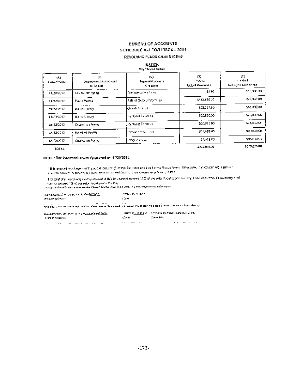## **BUREAU OF ACCOUNTS** SCHEDULE A-3 FOR FISCAL 2014

## REVOLVING FUNDS CH.44 S \$15H2

|                     |                                         | NATICK<br>Cily / Tewn   Detailed  |                                   |                                      |
|---------------------|-----------------------------------------|-----------------------------------|-----------------------------------|--------------------------------------|
| 95.<br>Date of Vole | 비<br>Department Authorskill<br>te Sømul | 19)<br>Type of Receipts<br>Спечан | 19).<br>$-2011$<br>Aclus Resenact | ņФ.<br>177014<br>Reported Authorised |
| 14/20/2010          | Coursal on Aplica                       | Tzar sportation fizires.          | 30 CC                             | 116,000:00                           |
| 04/2020/02          | <b>Public Works</b>                     | Sale of Surgius Vonicies.         | 3133,8817                         | \$40,000,000                         |
| 54232013            | Mores Editority                         | lOvanovni Litux.                  | \$93,057.00                       | \$65,000,00                          |
| 14236047            | Morse Elisany                           | Swelst of Facult 63.              | \$50,F20.00                       | \$23,000.00                          |
| 04:23/2013          | <b>Concilian Agent</b>                  | . Rental of Parol Lex.            | 100,971,001                       | \$15,000.00                          |
| 04/20/2013          | Roard of Health                         | Immaterial and                    | 飲む555 00                          | \$4,000,000                          |
| 04/20/2017          | Council on Aprila.                      | Programs Ferral                   | \$7,518.00                        | 595 じメバン                             |
| <b>TOTAL</b>        |                                         |                                   | 4239.019.00                       | 5275,972.00                          |

TOTAL

#### NOTE: The information was Approved on 11/20/2010.

 $\sim$ 

18ths arison) high agreement page 4, column (5 of the Case cost and the Ferma Recup Some Stim arrow due column (c) is grown in plan the amount in column (c). Indecended docume blobal for the increase avoy being costed.

The telation of all considers locating unbound of this top comment women (10% of the poles food years the loop of the discussion of the line of the line of the line of the line of the line of the line of the line of the li currict action of 1% of the brick fucht years the levy-

 $\cdot$ 

 $\cdot$ 

computed and hand a research to the process of the label behalf a plant with more than the company

| <u>ለፈልስ ይደለር ድምስ ወቅር ባልነት የአማራሮችንን ፡፡</u> | 计数据数据 医精神性 |
|-------------------------------------------|------------|
| Proporting City (and                      | 12050      |

 $\sim$   $\sim$   $\sim$   $\sim$   $\sim$   $\sim$   $\sim$ .<br>We lively the use will responsible above we relieve release them it to be daily to be the first to be a home those

| <u> Juska Dansky, Dr. Marry Han Make William (* 2420. )</u> |     |          |  |  |  |  |        |  | - [10/22/21 <u>2-12-12</u> ] 이 - 통 <i>스타스트레스 최대 리조에 201</i> 2년 12세계 12:00 Set PW - |     |  |
|-------------------------------------------------------------|-----|----------|--|--|--|--|--------|--|------------------------------------------------------------------------------------|-----|--|
| (Ferrer of Aristotopic)                                     |     |          |  |  |  |  | - Områ |  | Company (na la tam                                                                 |     |  |
|                                                             | . . | $\cdots$ |  |  |  |  |        |  |                                                                                    | . . |  |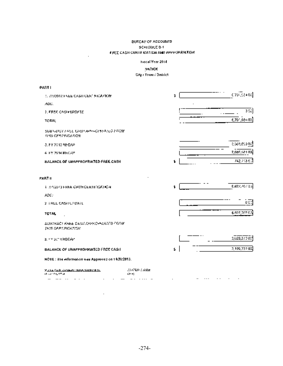#### **BUREAU OF ACCOUNTS** SCREDULE 8-1 FREE CASH CERTIFICATION AND APPROPRIATION.

 $\cdot$ 

**PARTI** 

#### Fescal Year 2014

## NATION.

## **Gify / Town / District**

| 1. WUQDIZ FAEE CASH CER" SHOA FION                                              |                               | 2  | 0791,08400]   |
|---------------------------------------------------------------------------------|-------------------------------|----|---------------|
| AQU.                                                                            |                               |    |               |
| 2. FREE CASH UPDATE                                                             |                               |    | J∷            |
| <b>TOTAL</b>                                                                    |                               |    | 6,791,684 00] |
| SUBTRACT FREE CASP APPROPERATED FROM<br>THIS CERTIFICATION.                     |                               |    |               |
| 3. FY 2013 RECAP                                                                |                               |    | 3,589,890.00  |
| 4-FY 2614 RECAS                                                                 |                               |    | 2,685,681.02) |
| <b>BALANCE OF URAPPROPRIATED FREE CASH</b>                                      |                               | ٤. | 742,703 B.Č   |
| PART II                                                                         |                               |    |               |
| 3 INVESTIGATE CASH CERTIFICATION                                                |                               | ٤. | E,BZ7,707-32. |
| ADC:                                                                            |                               |    |               |
| 2. FREE CASH UPDATE                                                             |                               |    | ect           |
| TOTAL                                                                           |                               |    | 6,827,707.03) |
| SUBTRACT FHEE CASH APPROPERATED FROM<br>THIS GEREPORTER.                        |                               |    |               |
| at it you're RECAPT                                                             |                               |    | 2,029,273.00  |
| BALANCE OF UNAPPROPRIATED FREE CASH                                             |                               | ż. | 3,199,337.02) |
| NOTE: The efformation was Approved on 11:20:2013.                               |                               |    |               |
| <u> Muria Carli - Companie - Israël, 200 Brit de Sol</u><br>player of exploring | 250720723222<br><b>Change</b> |    |               |

والتواصيل ووالمواسي المنادي المتنادي المتعدد وسائلها والتنادي المنادي والمستنسر

 $\sim 10^{-10}$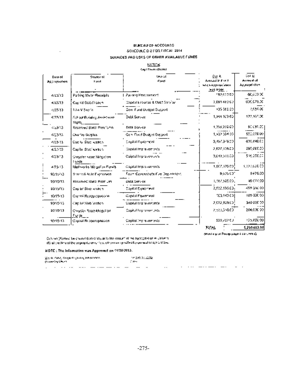#### **BUREAU OF ACCOUNTS** SCHEDULE 0-21/OR FISCAL 2014 SUURCES AND USES OF OTHER AVAILABLE FUNOS.

#### **KATION**

|                         |                                       | Cap I Tram (Oldido)             |                                                                       |                                                      |
|-------------------------|---------------------------------------|---------------------------------|-----------------------------------------------------------------------|------------------------------------------------------|
| Date of<br>Арскорнајова | Source of<br>hard                     | <b>UNA OF</b><br>Fjurd          | Sel A<br>Amount in front.<br>wild a Approjection.<br><u>mas madel</u> | Col B<br><b>Across Mich.</b><br><b>Appropriation</b> |
| 4/23/10                 | Parking Meter Receipts                | Pacong Perchanners              | 192,673.00                                                            | 60,600 00                                            |
| 4/23/13                 | Cap tal Stab Pragent                  | Copital Expanse & Oebt Sarvice  | 3,091,483,60                                                          | 606.070.00                                           |
| 4/27/13                 | 1.Lo V Societ                         | Son, Pund Budget Suggest        | K19 560.00                                                            | 1,684.00                                             |
| 4/23/13                 | School Buridian Anxietname<br>Repla   | Debl Service                    | 1,344.103.05                                                          | 122,167.00                                           |
| 4223013                 | Reserved Bodd Preintums.              | Debi Sonice                     | 1,358,398.00                                                          | 90 CB1.001                                           |
| 4/23/15                 | Ovariay Surplus,                      | Gen. Food Budget Sottport       | 1,402,394.00                                                          | 500,000 De                                           |
| 4/23/13                 | Capital Stabilization                 | Copilal Equipment               | 3,497,979.00                                                          | 630,840.00                                           |
| 4/23/13                 | Capital Statification                 | Capital Improvements.           | 2,827,105.00                                                          | 295,000.00                                           |
| 4/23/13                 | Grinysfer, Koac Natigation.<br>! unds | Caiptal Impravements            | <b>J,149,510.00</b>                                                   | 516,200.00                                           |
| 4.20-13                 | Mathworks Mitgulion Fonds.            | Copilal Impreventoris           | 1,907,920.00                                                          | 1,127,600.05                                         |
| 10/16/13                | Breedvill Aule Exponsion.             | Four Geneenbate Fire Department | 9,625.00°                                                             | 9625.00                                              |
| 10/15/13                | Reserved Base Premium                 | Debt Service                    | 1,787,525.00,                                                         | 16 077.90                                            |
| \$0/15/15               | Сар ви Stae чейсті                    | Capital Equipment               | 2,632.150.00;                                                         | 459.350.00                                           |
| 10/15/13                | Comtai Relaggi spirasme.              | Gapilal Equitorient             | (00.143.00)                                                           | 109 000 00                                           |
| 10/15/13                | Capital Stab Station                  | Capital Ingrevements.           | 2,072,929.00)                                                         | 340,000.00                                           |
| \$0,1563                | Chrysler Roge Margell an<br>Fords     | Capital Improvements.           | 2,533,330.00                                                          | 200.000.93]                                          |
| 10/15/13                | Capital Bridgerepressor               | Capital (mprovements)           | 220,702 CU                                                            | 125,000,00                                           |

(Mex) e graf Poezp pago a columnió)

5,299.653.00

**TQT-L** 

Control (A) easy be charter than or equal to the lentuari of the appropriation in Column. (B) allow thru of the popopiturion unit suptimowan specified by conceal or special that

#### HOTE: The Information was Approved on 11/20/2013.

| (Associated United |   | 2011 Mr. Callely, Congris Virginiana, Mandalescano |                            |  |  | 700 BWD DELENE<br>of area. |          |     |   |  |   |   |          |  |
|--------------------|---|----------------------------------------------------|----------------------------|--|--|----------------------------|----------|-----|---|--|---|---|----------|--|
|                    | . | .                                                  | ----- - ----- ------ - --- |  |  |                            | $\cdots$ | . . | . |  | . | . | $\cdots$ |  |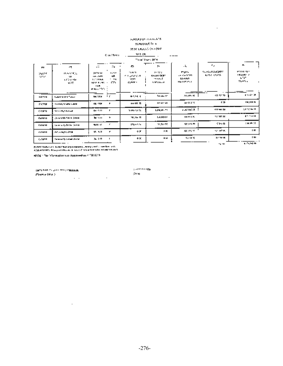#### suggerous accounts. SCHLOSER OF A

 $\sim 10^{-10}$ 

#### DESPITORAÇÃO (DAS CRAF

|                               |                                         |                                                                                        | Cray Town                    | 941 CR.                                 |                                              |                                                    |                                            |                                                         |
|-------------------------------|-----------------------------------------|----------------------------------------------------------------------------------------|------------------------------|-----------------------------------------|----------------------------------------------|----------------------------------------------------|--------------------------------------------|---------------------------------------------------------|
|                               |                                         |                                                                                        |                              |                                         | TRICHT YOUR CRATH.                           |                                                    |                                            |                                                         |
| w                             | cτ.                                     | $\cdot$ ::                                                                             | 79.                          | C.                                      | э.                                           | $\ddot{a}$                                         | ٠r.                                        | r.                                                      |
| <b>SALET</b><br><b>SIMPLE</b> | <b>IN SAMPLE</b><br>м.<br>エノシシンウト<br>w. | DATE OF<br>1251-0145<br><b>THE SAMUE</b><br><b>NATURE AND</b><br><b>ILM</b><br>医肠切除术 人 | 19,524<br>٠ch<br>* 39<br>CZ. | m wm<br>٠<br>せきしかれのサ<br>1000<br>45600 = | a krena<br>roces (XM)<br>mens F<br>1.9724.54 | <b>PASSA</b><br>en des SCPT.<br>5600000<br>トロナビアリー | <b>SEMINORIAGENT</b><br><b>Kitte elsis</b> | <b>FERRIT 12.1</b><br><b>TELLING A</b><br>LDP.<br>かんけいし |
| 116253                        | <b>Yukov M-R14 fishon</b>               | particle for the                                                                       |                              | 41,185,6                                | for any of                                   | <b>AGAIN IS</b>                                    | 91.9130                                    | <b>KIND 12: 24:</b>                                     |
| 154759                        | Convert Contract 2000                   | 01:504                                                                                 | ٠                            | <b>BH 900 30</b>                        | 114,007,00                                   | ner 6 5 %                                          | 6.00                                       | 124,000 %                                               |
| CAND.                         | <b>Central Republican</b>               | 041511                                                                                 | п.                           | a martir (c)                            | KP4.45.37                                    | austratin i                                        | 431,541,20                                 | 法代理经                                                    |
| dager (p.                     | Do secreto Santa Grana.                 | ‱na m                                                                                  | <b>L</b>                     | NEW 2012                                | 1,4,000.07                                   | 121 942 75                                         | 100107-002                                 | <b>Alle For Tal</b>                                     |
| <b>DOOR NI</b>                | Sales or cyclinder Demokr               | 94, 95, 17,                                                                            | ×.                           | <b>IPROVA NO</b>                        | 120,150.20                                   | 121,175,776                                        | <b>SIM6</b>                                | <b>Controller 14</b>                                    |
| 650913                        | Minimula (1980-1990)                    | 96, 500                                                                                | r                            | 0 X                                     | 225.                                         | 400,997 97                                         | rentation.                                 | <b>ER</b>                                               |
| 6.0913                        | Commercial Served Market                | <b>Sec 5.12</b>                                                                        | ٠                            | ÷×.                                     | 1,500                                        | 电压光                                                | 37.00 ME                                   | <b>EMP</b>                                              |
|                               |                                         |                                                                                        |                              |                                         |                                              |                                                    | ng me                                      | <b>ALTA LIFE</b>                                        |

pi Nacional California de Santana de Castellana de Santana.<br>Applacemento de Participa de Sustancia de Santana estado de Sant

WINE : The Information was Approved on 11/10/2015

 $\Delta \mathbf{p} \mathbf{q}$  and  $\mathbf{q} \in \mathcal{Q}$  is a set of stationary (Fourte of  $6x$  )  $\sim$   $\sim$ and the contract

 $\sim 10^{-11}$ 

 $\mu$  and  $\sigma$  and  $\sigma$  and  $\langle \mathsf{D}\mathsf{P}\mathsf{q} \rangle$  .

 $\mathcal{L}^{\text{max}}$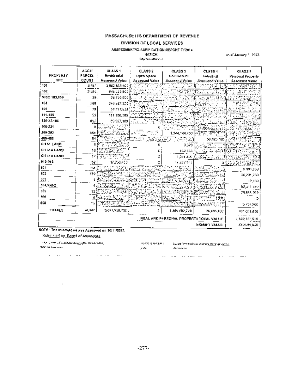#### MASSACHUSE ITS DEPARTMENT OF REVENUE

#### DIVISION OF LOCAL SERVICES.

#### ASSESSMENTICLASSIFICATION REPORT FY2014

#### **NATICK Destrumentance**

on of Jacosey 1, 2013.

|               | ACCTF  | CLASS 1               | CLASS 2        | <b>CLASS 3</b>                         | <b>CLASS 4</b>                | <b>GLASS 5</b>                  |
|---------------|--------|-----------------------|----------------|----------------------------------------|-------------------------------|---------------------------------|
| PROPERTY      | PARCEL | Residential           | Open Space     | Commercial                             | Industrial                    | Personal Property               |
| <b>IYPE</b>   | COUNT  | <b>Азенчниј Valua</b> | Assessed Value | Assossed Value                         | Asaussed Value                | <b>Assessed Value</b>           |
| 121           | 打,配件。  | 3,862,853,400         |                |                                        |                               |                                 |
| 102           | 250C.  | 645 625, BGD          |                |                                        |                               |                                 |
| MISC 103,169  | 39,    | 28425,900             |                |                                        |                               |                                 |
| 104           | 168    | 249.982.300           |                |                                        |                               |                                 |
| 105           | 79     | 32,577,600            |                |                                        |                               |                                 |
| 111-125       | 50     | 151,308,000           |                |                                        |                               |                                 |
| 110-22.100    | 657    | 69 937, 109           |                |                                        |                               |                                 |
| 200-231       | ο      |                       |                |                                        |                               |                                 |
| 340-293       | 552    |                       |                | 1,044,144,400                          |                               |                                 |
| 400.462       | 54     |                       |                |                                        | 36,485,495                    |                                 |
| CH61 LAND     |        |                       |                | 3.320.                                 | $\frac{1}{2}$<br>$\mathbf{r}$ |                                 |
| CH 61A LAMO   | 18     |                       |                | 102 535                                | Note of<br>-53                |                                 |
| CH 61B LAND   | 17     | ÷.<br>÷Ъ.             |                | 1,054,400                              |                               |                                 |
| 912-043       | 52     | 17,750,420            |                | 14,677.213                             |                               | $\mathcal{L}$ and $\mathcal{L}$ |
| 541           | 284    |                       |                |                                        |                               | 9.085,660                       |
| 502           | 739    |                       |                |                                        |                               | 26, 201, 250                    |
| 5CJ           |        |                       |                |                                        |                               | 15,850                          |
| 504,550-2     |        |                       |                |                                        |                               | ---<br>52,311,650               |
| 505           |        |                       |                |                                        |                               | 29,668,203                      |
| 506           |        |                       |                |                                        |                               |                                 |
| 408           |        |                       |                |                                        |                               | 3.734.200                       |
| <b>TOTALS</b> | 64,047 | 5,071,958,730         |                | 1,359 682,270                          | 26,485,500                    | 121.001,650                     |
|               |        |                       |                | REAL AND PHRSONAL PROPERTY TOTAL VALUE |                               | 0,503,377,510                   |
|               |        |                       |                |                                        | EXEMPT VALUE                  | 560,049,600                     |

Sub<u>minler, by Floar</u>d of Asses<u>sors</u>

 $\sim 10^{-11}$ 

 $\epsilon$  An Direction Fig. Basis (Fig.2) (06, 50) 447-6470 ( (March Assesses)

 $\alpha$  , and the contract of the contract of the contract of  $\alpha$ 

 $\mathcal{P}^{\text{N}}(\mathbf{0},\mathbf{0})$  . The  $\mathcal{P}^{\text{N}}(\mathbf{0})$ 

 $16475121051811$  =  $-3\sqrt{94}$  (PMP)  $0.04103$  m and  $-3\sqrt{25}$  and  $-3\sqrt{25}$ -Connector

المسار سندرج والمراري الشبي ستدعد المسار شدار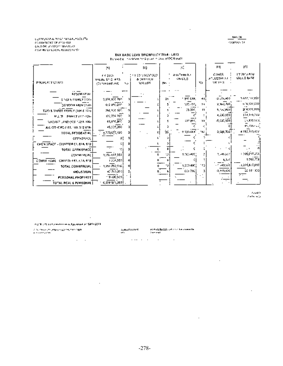COMPUSIVE ALTHRED HANSALPODERTAL **CONVENTION OF RESPONSE** CALS ON DEPERT REPORTER COMPANIER LOCAL ASSESSMENTS.

#### TAX BASE LEVY SROWTH (Y 2014 - LA13) Reverds: Involved to System house of DOR (Ad)

 $\cdot$ 

|                                                                 | 39.                                               | 12)                                                             | м.                              |       | μц                                     | 湖                             |
|-----------------------------------------------------------------|---------------------------------------------------|-----------------------------------------------------------------|---------------------------------|-------|----------------------------------------|-------------------------------|
| PROPERTY CLASS.                                                 | 68.2010.<br>VALUL 5Y C 455<br>(CommoduAs).<br>No. | <b>FY SSIZ REMSED</b><br><b>&amp; CARL LIGHT</b><br><b>MUSS</b> | akaTemuN).<br>194101.5<br>No. - | N5.   | <b>CINER</b><br>AOLUSTUL AT<br>VALUE 3 | 1Y 2010 ASM<br>WALLE RAFE     |
| <b>RESIDENTIAL</b><br>SINGLIA PAMEN (101)                       | 1,576,970,700                                     |                                                                 | ' 917 CCH.                      | 441   | $-2.15,000$                            | 3,672,117,832                 |
| <b>CONDOM RAUM (1989)</b>                                       | 612-850,000                                       |                                                                 | 533.755,                        | 51    | 2,340,420                              | 614,507,000                   |
| TWO & THREE FAMILY (SOM & SOVE<br>MILLITE FAMILY (1994)256      | 256,970,107-<br>123,774.2001                      |                                                                 | 76 369.                         | н     | 5,52,000<br>4,230,900                  | 204,570,800<br>124,995,704    |
| NACANT JAND (100-152 N 106).                                    | 61,076,BOT                                        |                                                                 | <b>137,000</b>                  | 55    | -5,037,900                             | сказува,                      |
| ALL OTHERS (103, 109, 072-978)<br>TOTAL RESIDENT-AU             | 45,009,000<br>$-4.779.077.490$                    |                                                                 | a zapiska"<br>ż.                | - 167 | 0,606,700 l                            | 45,705 (122)<br>4,780,110,422 |
| <b>CPFRSPACE</b>                                                | ο!                                                |                                                                 |                                 |       |                                        |                               |
| KMEN SPACE - CHAPTER 65, 61A 410.<br>TOTAL GPEN SPACE.          |                                                   |                                                                 |                                 |       |                                        |                               |
| COMMERCIAL                                                      | 1,295 615,551                                     |                                                                 | 1009400<br>w,                   |       | 3,745,207<br>电双向                       | 1000107358<br>100023          |
| <b>COMMERCIAL</b><br>CRAPTER 4 61, 614, 418<br>TOTAL COMMERCIAL | 1226,552<br>1,201,296,116                         |                                                                 | 1,209,400                       | 1421  | и с народе                             | .1,201,617,010                |
| <b>CHOUSTAINE</b>                                               | 42.713,000                                        |                                                                 | 001700                          |       | 4,469,400                              | 56 M 909<br>77                |
| PERSONAL PHOPENTY<br>TOTAL REAL & PENSONAL                      | 19400,520<br>6,228,971,080                        |                                                                 |                                 |       |                                        |                               |

Aven  $\mathcal{E} \in \mathcal{E}$  to  $\mathcal{M}(\mathcal{G})$ 

 $\cdot$ 

**Contract** 

 $\sim 10^{-11}$ 

 $\blacksquare$ 

and the control

 $\sim$ 

AGOE : Floret constrer in a Apparent of 1011/2013.

 $\label{eq:2.1} \begin{split} &\mathcal{L}(\mathcal{M})\leq \mathcal{L}(\mathcal{M})\leq \mathcal{L}(\mathcal{M})\leq \mathcal{L}(\mathcal{M})\leq \mathcal{L}(\mathcal{M})\leq \mathcal{L}(\mathcal{M})\leq \mathcal{L}(\mathcal{M})\leq \mathcal{L}(\mathcal{M})\leq \mathcal{L}(\mathcal{M})\leq \mathcal{L}(\mathcal{M})\leq \mathcal{L}(\mathcal{M})\leq \mathcal{L}(\mathcal{M})\leq \mathcal{L}(\mathcal{M})\leq \mathcal{L}(\mathcal{$ 

 $-278-$ 

and the contract of the contract

 $-$  441.08  $$ converte to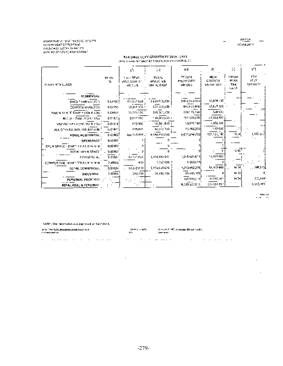COMMUNATION OF WASSED AND 275<br>Demokration of Political<br>Daniel Alon LOCA (2014)<br>Someth Of LOCAL Assessment

#### **BATCA**  $\overline{\phantom{0}}$ **CONGRESS**

 $\overline{\phantom{0}}$ 

#### TAX DASE LEVY GROWTH FY 2014 - 1 A11 ploten seem net alor for 9 years in cash of DOR audit.

|                                    |            |                          | 54.                           | Ш                   | Æ                           | н                                | Ŀ١            |
|------------------------------------|------------|--------------------------|-------------------------------|---------------------|-----------------------------|----------------------------------|---------------|
|                                    |            | ψħ.                      |                               |                     |                             |                                  |               |
|                                    | RI VA      | that - REWS              | TO ME                         | FY 2014.            | <b>MAG</b>                  | <b>LONGER</b><br><b>YI</b> 1,531 | D.S.<br>TEM.  |
| PROPERTY CLASS.                    | M.         | ADA, SIMLAT<br>WCL 25    | anna: Eb<br>val il ease       | PROKISED<br>We ded. | <b>CROWTH</b><br>va: uen pr | TAC                              | sterent       |
|                                    |            |                          |                               |                     |                             | م رهي.                           |               |
| RESIDENTIAL                        |            |                          |                               |                     |                             |                                  |               |
| SINGLE FAMILY (101)                | pecasi     | id ngun wal              | 0.639.076,300.                | 3882,503,500        | 07,898 (09                  |                                  |               |
| CONTIDUS MORAGE                    | 0.02156    | 10,251-570-5             | 627,728,600 F                 | 845,645,800         | 97, BBT 009                 |                                  |               |
| TAGEN 1119 F. FAME Y (104 & 106) 1 | CONST      | 31,775 (DC <sup>.)</sup> | $276\,\overline{36}\,7,730$ . | 2767.70390          | 638.400                     |                                  |               |
| M.C. LL - 7 AN 17 (11) 1757        | 0016/01    | 2,071.600                | 100,000,000 m                 | 165.000,000         | 11,223,400                  |                                  |               |
| VACANCULANO (CRIMA ALCOH)          | 0.01216    | 475,900                  | ku, 56rijepa (f.              | 52037.500           | 5,456,300                   |                                  |               |
| ALL OTHERS (193, 198, 812 OM) *    | up-671)    | reaged                   | 46,532,733                    | 43.106,300]         | 112,000                     |                                  |               |
| <b>FORAL ALSESSHTML.</b>           | 0.629025   | Louisva por Li           | 4,530,455,610                 | 5,015,059.700]      | 101,190,180                 | M.M                              | 1,557,257     |
| <b>OPENSPACE</b>                   | 0.00000    |                          |                               |                     |                             |                                  |               |
| DACH SPACE - DIMONER M, CLAIG 'B'  | 0.00000    |                          |                               |                     |                             |                                  |               |
| TOTAL DRUN SPACE                   | 0.00000    |                          |                               |                     |                             | ८०ऍ                              |               |
| <b>COMULÍAS AL</b>                 | $0.0702 -$ | 10/28/1992               | 1,000,502.015                 | 1,015,621,011       | 16,817,600                  |                                  |               |
| COMMERCIAL - CHAPPER ME CREATED    | 30002      | 430                      | 3,520,050.1                   | 12623.50            |                             |                                  |               |
| <b>TOTAL COMMERCIAL</b>            | 0.01026    | 13,282,030               | 1,7% (0.0 L) 0.               | 1,210,052,270)      | 54,100,600                  | 14.04                            | $\sim$ 78,000 |
| <b>INCUSTRIA</b>                   | 3.009561   | 040,200                  | 08,486,500 i                  | 03485190            |                             | 14.26                            |               |
| PERSONAL PROPERTY                  |            |                          |                               | 121 001,110)        | 16,952,161                  | 14.24                            | 200,000       |
| <b>TOTAL REAL &amp; PERSONAL</b>   |            |                          |                               | 6,189,027,510       | 124,555,597                 |                                  | 2,022,089.    |

 $\sim 200$  MeV  $_{\odot}$ 

 $\sim$ 

 $\sim$ 

#### NSTS's Shirinformation was Approved on 16(1996)3.

| ante freguesia de la capación de la freguesia de<br>an mana matanggal dan s |  |  |  |  |  |  |  | riana de la caractera |  | Provident Principal and Dealer College<br>1000 |  |  |  |  |  |  |  |
|-----------------------------------------------------------------------------|--|--|--|--|--|--|--|-----------------------|--|------------------------------------------------|--|--|--|--|--|--|--|
| $\sim$                                                                      |  |  |  |  |  |  |  |                       |  |                                                |  |  |  |  |  |  |  |

 $\sim$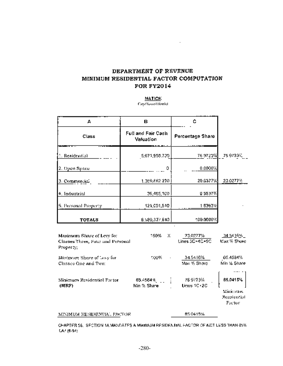## DEPARTMENT OF REVENUE MINIMUM RESIDENTIAL FACTOR COMPUTATION **FOR FY2014**

 $\epsilon$ 

#### **NATICK**

Cay/Towe/District

| А                                                                          | в                                     | c                          |                                                  |
|----------------------------------------------------------------------------|---------------------------------------|----------------------------|--------------------------------------------------|
| Class                                                                      | Full and Fair Cash.<br>Valuation      | Percontage Sharo           |                                                  |
| 1. Realdential                                                             | 5,071,958.730                         | 76 97 23%                  | 75 97235,                                        |
| 2. Open Space                                                              | о                                     | 0.0000%                    |                                                  |
| 3. Commercial                                                              | 1.369,882.270                         | 20.6377%                   | 23.0277%                                         |
| 4. Industrial                                                              | 36,485,100.                           | U 5537%                    |                                                  |
| 5. Personal Property                                                       | 121,001,510                           | 1 6363%                    |                                                  |
| <b>TOTALS</b>                                                              | 6,589,327,610                         | $100.0000\%$               |                                                  |
| Maximum Share of Levy for<br>Classes Three, Four and Personal<br>Property; | 150%<br>x                             | 23,0277%<br>Lines 3C+4C+5C | $34.5416\%$<br>Max % Share                       |
| Minimum Share of Lovy for<br>Classes One and Two:                          | 100%.                                 | 34.5416%<br>Max % Share    | 65.4584%<br>Min % Share                          |
| Minimum Residential Factor<br>(MRF)                                        | $65.4584\%$ . $\vdots$<br>Min % Share | 76 9723%<br>Lines 1C+2C    | 85.0415%<br>Minimation<br>Restrientjal<br>Factor |
| MINIMUM RESIDENTIAL PACTOR                                                 |                                       | 85.0415%                   |                                                  |

CHAPTER 58. SECTION 1A MANDATES A MINIMUM RESIDENTIAL FACTOR OF NOT LESS THAN 85%. LA/ (5-94)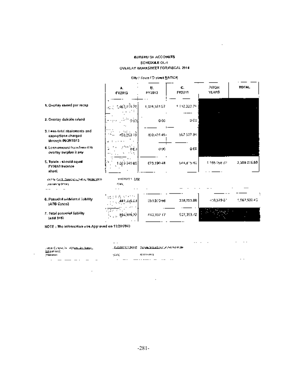#### **BUREAU OF ACCOUNTS** SCHEDULE OL:1 OVERLAY WORKSHEET FOR PISCAL 2014.

 $\cdot$ 

|                                                                           | А.<br>FY2011               | 肽.<br>FY2012 | G.<br>FY2311        | 281016<br><b>YEARS</b> | <b>TOTAL</b> |
|---------------------------------------------------------------------------|----------------------------|--------------|---------------------|------------------------|--------------|
| 1. Overlay raised por recap-                                              | ့ အားငိုက်<br>据定           | 1,528,581.97 | 1 1 1 2 3 2 3 2 4 1 |                        |              |
| 2. Overlay duficile ralgodi                                               | in deel                    | 000          | b ĉe                |                        |              |
| 3. I eas-fold: abaloments and<br>exemptions charged<br>through 06/36/2013 | 453.369.36<br>٠.           | 409,601.45+  | 562 507 84          |                        |              |
| 4. Less-ansonni francferond la<br>overlay swrpkes it any.                 | IFC)                       | σœ           | 0.00                |                        |              |
| 5. Totale - should could<br>FY2013 balance<br>nhool                       | 100994108                  | 675,190.4R   | 544,815,40          | 1.195.258.02           | 3,388,216,88 |
| ብት ያሳት <u>የብት በመከፍ</u> ት ይህ አንድ የአማርኛ የአማርኛ ምሳ<br>yazkuning Offsetji      | 1942/2012 1: 2,015<br>CH4. |              |                     |                        |              |
| 6. Peropilal additional Sability<br>(ATG Casss)                           | 設定者の合計<br>[441, 266.05]    | 360.830.66   | 309,755.88          | 418,579.81             | 1,567,537.40 |
| 7. Fotal potential liobility.<br>(add 3+6)                                | alian<br>$ -$ 894,895,22   | 640,332.17   | 907, 193, 72        |                        |              |

## City / Town (O steet NATIOR)

NOTE: The information was Approved on 11/20/2040.

 $\cdot$ 

 $|4003+6\rangle$ 

l,

| ાજાદર ઉત્તરાખ્યા આવેલા વા <u>ર્તમાલા કોઇ નિષ્ટકર</u> ના | .            | , <u>სახვის საქართველო სახვადა კა</u> სახეთ თათ |  |  | .   |
|---------------------------------------------------------|--------------|-------------------------------------------------|--|--|-----|
| 恐怖性がない<br>39 MHZ 11 2011                                | <b>SCAND</b> | A'6Y E 09 31                                    |  |  |     |
| $\cdots$<br><br>$$<br><br>                              | .            | .<br>$$<br>. .<br>.                             |  |  | . . |

 $\ddot{\phantom{0}}$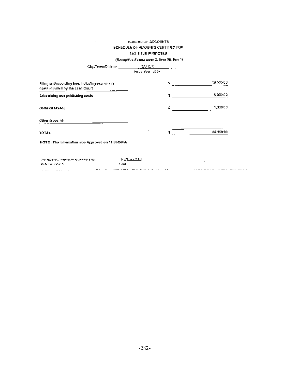#### **SCREAD OF ACCOUNTS** SCHEDULE OF AMOUNTS CERTIFIED FOR TAX TITLE PURPOSES

 $\cdot$ 

#### (Recep@ro Forma page 2, NenvPB, line 1).

| City',TewniDistrict                                                                  | NATION.           |           |
|--------------------------------------------------------------------------------------|-------------------|-----------|
|                                                                                      | Fiscal Year 12034 |           |
| Filing and recording toos including examinarie.<br>costs regulard by the Land Court. | Ŝ.                | 1930000   |
| Advertising and pulkishing costs.                                                    | \$                | 5,000.00  |
| Cortifical Marketin                                                                  | \$                | 1,000.00  |
| Cithar (spec.b)                                                                      |                   |           |
| YOYAL                                                                                | s                 | 25,000.00 |
| HOTE: The information was Approved on 11/20/2013.                                    |                   |           |
| (The University Transmission) and each BRUS,                                         | rik azarın azara  | ٠         |

**Collective parameters**  $\mathbb{Z}^n$  and  $\mathbb{Z}^n$ المتاريخ والمستمسح والمستحدث  $\mathcal{L}_{\text{max}} = \{1, 2, \ldots, 2, 1, 2, \ldots\}$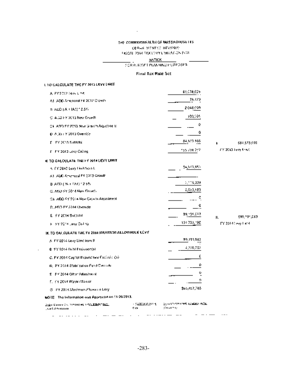#### THE COMMONWEALTH OF MASSAGHUSE ITS. OFPER MENTOR HEVENUE. UISCAL 2014 7AX CEVY LIMBA (ICA PORT)

## **NATION**

 $\sim 100$  km  $^{-1}$ 

#### SCR 6.60SFT PLANNING PLRPOSES  $\sim$

#### Final Tax Rale Set

#### I. TO CALCULATE THE FY 2015 LEVY LIMIT.

| A. FY 2012 Few Line                                                         |                        | 85,078,025                                                           |                    |
|-----------------------------------------------------------------------------|------------------------|----------------------------------------------------------------------|--------------------|
| A1: ADD Answerd FY 2012 Crowl's                                             |                        | 24,723.                                                              |                    |
| 3. ADD J.A. (1A1) 12.5%                                                     |                        | 2040.099                                                             |                    |
| C. ADD FY 2013 New Growth.                                                  |                        | 930,001                                                              |                    |
| CT, AGED FY 2013 New Grovin Adjustment                                      |                        | c                                                                    |                    |
| $0.5$ $\mu$ $\mu$ $\epsilon$ $\theta$ 2013 Override                         |                        | ٥                                                                    |                    |
| \$1. PY 2013 Sabielta                                                       |                        | 84,523,555                                                           | \$84,573,959       |
| di - F.Y. 2010 Lovy Colors,                                                 |                        | 155734.257                                                           | FY 2013 Tevy 1997. |
| 4 TO CALCULATE THE FY 2014 LEVY LIMIT                                       |                        |                                                                      |                    |
| A. FY 2012 Lavy List State L.                                               |                        | 94,573,553                                                           |                    |
| A1, ADD Amenged FY 2013 Growth                                              |                        |                                                                      |                    |
| B-AIND ( W.F FA1) 12.5%                                                     |                        | 2,514,009                                                            |                    |
| C. ADD FY 2014 New Groat's                                                  |                        | 2,563,189                                                            |                    |
| ⊙∎, ADD AY 2014 New Groven Aqustreent,                                      |                        | c                                                                    |                    |
| D. ADD EY 2014 Cherude                                                      |                        | Ĝ                                                                    |                    |
| E FY 2014 Suitsial                                                          |                        | 89, 191, 083                                                         | 595, 91, 063<br>μ, |
| H. HY 2014 Levy Culling                                                     |                        | 134 733,190                                                          | FY 2014 (explicit) |
| IN, TO CALCULATE THE FY 2014 MAXIMUM ALLOWABLE LEVY                         |                        |                                                                      |                    |
| A IFY 2014 Levy Limit from III                                              |                        | 99,195,082                                                           |                    |
| <b>Q</b> FY 2014 Bubl Exclusion(s)                                          |                        | 4,276,702                                                            |                    |
| C. FY 2014 Capital Expunditure Exclusion(b).                                |                        | ¢                                                                    |                    |
| 0), EY 2014 Stabilization Fund Cincode.                                     |                        | ٥                                                                    |                    |
| E - FY 2014 Office Adjustment                                               |                        | ٥                                                                    |                    |
| F. FY 2014 Ways / Sower                                                     |                        | ο                                                                    |                    |
| G - PY 2014 Maximum Alkawad 6 Levy                                          |                        | \$55,487,785                                                         |                    |
| NOTE: The Information was Approved on 11-20/2013.                           |                        |                                                                      |                    |
| ያ <u>ነው</u> » ይወለል። ወደ ጥምናቀበቀበ እንደአ <u>ልወረዋና የዘፈር</u><br>Tuesdich Annoyatan | - 522221219 14<br>C de | g gayan nasar basad, <u>ta balas</u> ting <u>As</u> u<br>té caracter |                    |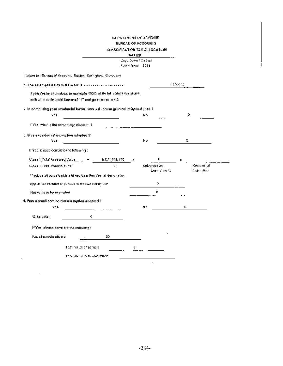#### CLEAR IMENT OF REVENUE. **BUREAU OF ACCOUNTS CLASSIFICATION TAX ALLOCATION ALAXION**

÷

| Retain to : Cureau of Accounts, Baston, Soningford, Vilasceptin,<br>1. The establed Residential Factor is accommodation of the<br>If you dealer each class to monitary 200% of its full values (as share,<br>fedia this neekdord) [actor of "1" and go to quastion 3.<br>$2$ in computing your residential factor, was a discount granted to Open Space $7$<br>Vost<br>If Yes, what is the betochlage discount 7<br>3. Was a residuative comption adapted ?"<br>Yos<br>Il Yes, e case compieto the following :<br>Class 1 Yotal Assessed Value<br>$\sim$<br>5,071,968,730<br>IJ.<br>Class 1 Total Parcel Count 1<br><sup>s e</sup> nclude all parcels with a Mixed-Lise Resident al designation.<br>Applicable number of particle to receive exemption | City / Town / Cistocl<br>Fiscal Year 2014 | No<br>No.<br>Sulected Res. | c            | 1.000100<br>x<br>х |              |
|--------------------------------------------------------------------------------------------------------------------------------------------------------------------------------------------------------------------------------------------------------------------------------------------------------------------------------------------------------------------------------------------------------------------------------------------------------------------------------------------------------------------------------------------------------------------------------------------------------------------------------------------------------------------------------------------------------------------------------------------------------|-------------------------------------------|----------------------------|--------------|--------------------|--------------|
|                                                                                                                                                                                                                                                                                                                                                                                                                                                                                                                                                                                                                                                                                                                                                        |                                           |                            |              |                    |              |
|                                                                                                                                                                                                                                                                                                                                                                                                                                                                                                                                                                                                                                                                                                                                                        |                                           |                            |              |                    |              |
|                                                                                                                                                                                                                                                                                                                                                                                                                                                                                                                                                                                                                                                                                                                                                        |                                           |                            |              |                    |              |
|                                                                                                                                                                                                                                                                                                                                                                                                                                                                                                                                                                                                                                                                                                                                                        |                                           |                            |              |                    |              |
|                                                                                                                                                                                                                                                                                                                                                                                                                                                                                                                                                                                                                                                                                                                                                        |                                           |                            |              |                    |              |
|                                                                                                                                                                                                                                                                                                                                                                                                                                                                                                                                                                                                                                                                                                                                                        |                                           |                            |              |                    |              |
|                                                                                                                                                                                                                                                                                                                                                                                                                                                                                                                                                                                                                                                                                                                                                        |                                           |                            |              |                    |              |
|                                                                                                                                                                                                                                                                                                                                                                                                                                                                                                                                                                                                                                                                                                                                                        |                                           |                            |              |                    |              |
|                                                                                                                                                                                                                                                                                                                                                                                                                                                                                                                                                                                                                                                                                                                                                        |                                           |                            |              |                    |              |
|                                                                                                                                                                                                                                                                                                                                                                                                                                                                                                                                                                                                                                                                                                                                                        |                                           |                            |              |                    |              |
|                                                                                                                                                                                                                                                                                                                                                                                                                                                                                                                                                                                                                                                                                                                                                        |                                           |                            |              |                    |              |
|                                                                                                                                                                                                                                                                                                                                                                                                                                                                                                                                                                                                                                                                                                                                                        |                                           |                            |              |                    |              |
|                                                                                                                                                                                                                                                                                                                                                                                                                                                                                                                                                                                                                                                                                                                                                        |                                           |                            |              |                    | Residențiali |
|                                                                                                                                                                                                                                                                                                                                                                                                                                                                                                                                                                                                                                                                                                                                                        |                                           |                            | Exercytion & |                    | Exemption.   |
|                                                                                                                                                                                                                                                                                                                                                                                                                                                                                                                                                                                                                                                                                                                                                        |                                           |                            | c            |                    |              |
| Net value to be easingled.                                                                                                                                                                                                                                                                                                                                                                                                                                                                                                                                                                                                                                                                                                                             |                                           |                            |              |                    |              |
| 4. Was a small cominectal examples adopted ?                                                                                                                                                                                                                                                                                                                                                                                                                                                                                                                                                                                                                                                                                                           |                                           |                            |              |                    |              |
| Yes                                                                                                                                                                                                                                                                                                                                                                                                                                                                                                                                                                                                                                                                                                                                                    |                                           | No.                        |              | х.                 |              |
| e.<br>% Sulacted                                                                                                                                                                                                                                                                                                                                                                                                                                                                                                                                                                                                                                                                                                                                       |                                           |                            |              |                    |              |
| lf Yos, aleava came are two to keying ;                                                                                                                                                                                                                                                                                                                                                                                                                                                                                                                                                                                                                                                                                                                |                                           |                            |              |                    |              |
| No. of carcols eligible<br>35,                                                                                                                                                                                                                                                                                                                                                                                                                                                                                                                                                                                                                                                                                                                         |                                           |                            |              |                    |              |
| 1 dialiwa de ci parceis.                                                                                                                                                                                                                                                                                                                                                                                                                                                                                                                                                                                                                                                                                                                               |                                           |                            |              |                    |              |
| Fotal value to be coornated                                                                                                                                                                                                                                                                                                                                                                                                                                                                                                                                                                                                                                                                                                                            |                                           |                            |              |                    |              |

 $\sim$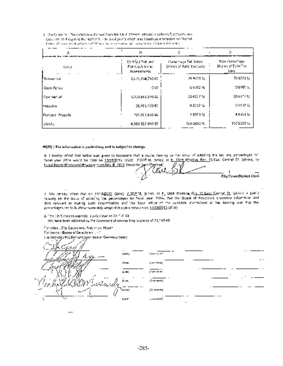5. The following information was derived from the TART 19-april adicate to celumn Dip Montflution. (assumes to 4 day is to the right of 9 in the 4 day goint) which result from your selected resident of Conce (Process and although of Millers being on security of the experience of channel for note).

|                        | 當                                                            |                                                           |                                                 |
|------------------------|--------------------------------------------------------------|-----------------------------------------------------------|-------------------------------------------------|
| 12055<br>$\cdot$ .<br> | Certified Sultanet<br>Fair Cash Vinici<br><b>Assessments</b> | <b>Transacture Full Value</b><br>Shores of Told' Tax Levy | Now Poleccage.<br>Shares of Total Tax.<br>Lung. |
| i Resular∵zii          | 5,021,258,750.00                                             | 25.9723.ts                                                | 709721%                                         |
| l Open Sprach          | e cel                                                        | G 0000 %                                                  | 0.0005.50                                       |
| l Commettati           | 5,359,882,270.00                                             | 20.637%                                                   | 20 63 1757                                      |
| Industria              | 38,486,109.00.                                               | 0.5037%                                                   | 9時37 弘                                          |
| Persona Proporty       | 121,001,510.00                                               | 1,8303.12                                                 | 1836359                                         |
| ISOTAL.                | 6,589 327 610 00                                             | TO 2002 %                                                 | $150000\%$                                      |

#### NOTE: The information is probabilities and is subject to change.

G. I horony affest that notice was given to taxpayers that a pucke (resimp on the issue of addating the tax levy perceatinges to: Soonliyeer 2014 would be held on 11/19/2012 (date). 7.00 PM, (lime), of 3: Elon Manling Roy 13 Sec Central St. (alcool, by head Noten Moremeal Nowspaper conNov # 2012 (describe type Stigstica)

 $\mathbf{I}$ City/Town Dictrict Clock

.. .

 $\cdot$  .

( We hereby shest that on 1948.2012 (date). LOSPN, 9 nm, at F2 Dich Moeing Roll 12 Last Central Et (plan) a poole ricialing on the Issue of acobility the percentages for fiscal year. 2014, that the Board of Assocrots areaentos information and data relevant to making such determination and the fiscal efficial of the idealable aboundance at the hundred and that the percentages, set foll), above with titly acopted in public session on 10/18/2013 (d110).

B. The CA Siercess caprelly, a calculated as 31 118-49.

We have been informed by the Assessors of excess lawy capacity of 31,119.49.

For cities , City Gouric lors, Aldoman, Mayor Foctowers : Goara of Selectines (Unit For districts, refulder Sat Committee or Commissioners **Stereo and** ioek. a Corta

parament ulae) **Story for Ast** jůзн, (StateMQ 6590 (Demography içer. **AND CANOT**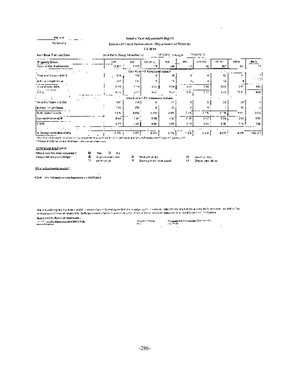| <b>MATICK</b>                                |                                                          |             | Intoxim Year Aticastosart Jog 54    |                    |      |                 |                 |                 |             |
|----------------------------------------------|----------------------------------------------------------|-------------|-------------------------------------|--------------------|------|-----------------|-----------------|-----------------|-------------|
| Packleatly                                   | Direction of the of American control of Control Control. |             |                                     |                    |      |                 |                 |                 |             |
|                                              |                                                          |             | 07.20M                              |                    |      |                 |                 |                 |             |
| Non-line Trencod Opta.                       | Azie Raim Study Thea Parist                              |             |                                     | MP-2011, 1996-2011 |      | יש המינוע בייתר |                 |                 |             |
| Property Class<br>Concent Year I ed Parrels. | 129<br>1,403                                             | 107<br>2485 | 100. Pl 51<br>79                    | 104<br>sdd.        | MS.  | 651.112<br>ᄔ    | 108.130<br>45.5 | 300 a<br>XX.    | 40000<br>14 |
|                                              |                                                          |             | Use Prior FY Assossed Values.       |                    |      |                 | ٠               |                 |             |
| This side can be \$1000                      | a:v                                                      | 154         |                                     | м                  |      |                 | s:              |                 |             |
| المنطق والوروجان المنافي                     | 247                                                      | 150         | в.                                  | м.                 |      |                 | 56              |                 |             |
| n va ahaan ASR                               | CAX.                                                     | <b>C-14</b> | الملاقة                             | S ON I             | مر و | 295             | 0.56            | $\cdots$<br>597 | 6.91        |
| るなし                                          | n m                                                      | art.        | الداحة                              | うとんく               | 5511 | 212             | 599             | 75.Z°           | DOC         |
|                                              |                                                          |             | .<br>Und Current PY Assessme Values |                    |      |                 |                 |                 |             |
| <sup>6</sup> Ferdi Juni Salen o Stado        | 340                                                      | 254         | c.                                  | 77                 |      |                 | 55              | 59.             |             |
| # Arma Cshigih Sales                         | f to                                                     | לו          | ۰                                   | ıź                 |      |                 |                 | IG.             |             |
| i S. At. Sales Varscha                       | 765.                                                     | 61%         | c ew                                | 2.0%               | 235  | 778             | e m             | 525             | 55%         |
| Consul Machin AZ IR                          | ون ق                                                     | 7,86        | ट ट्य                               | 120                | cк.  | 957             | 0 Su            | 29H             | や女          |
| lc on                                        | 514                                                      | эπ          | 0 OC                                | 414                | ۰.,  | تموز            | 000             | 2 IG F          | 204.        |
| $\cdots$                                     |                                                          | ٠           |                                     |                    |      | $\cdots$        |                 |                 |             |
| jia Onunga sulik diaw 458%.                  | 6 ISBN 9                                                 | 16%         | 0.021                               | 634                | 计变换字 | 长城市             | QCM 1           | 44%             | -16500      |

 $\epsilon$ 

Vegas d'Obene la raia d'adriger : l'est un el colen solo.

Commercial & Indigency

| Military projections, blower adjusted V. | EJ Y-11           |  |                                     |                     |
|------------------------------------------|-------------------|--|-------------------------------------|---------------------|
| Wadjaa keel diid yoo ahanga rii          | 28 ⊙носимира, она |  | ⊇l Hemysteriouks                    | Mill Market Studies |
|                                          | () quranongu      |  | الجنوم فتوحد تتواجه وعائمتنا المستك | - Jeang Andrew Ho   |

 $\cdot$ 

60 m +2lastrecela Gradate).

8010 The Stewarten was Approved an 1607/2012

The Countring Will for Fire and Click that of participate for the Copyrights is successibly that the Computer Summer Computer of the Participate of the Participate of the Participate of the Participate of the Participate o

| <b>SALLE LES LA MOST DE UNITERES</b> |                     |                                     |  |
|--------------------------------------|---------------------|-------------------------------------|--|
| トー・ピー コンチン がわか たいかかん 2009 ダクセ 風      | <b>ASSISTENTIAL</b> | 11. SEARCH ROLL ESTATE TOP THE PRO- |  |
| work's Lywar                         | 79 H                | and the state.                      |  |
|                                      |                     |                                     |  |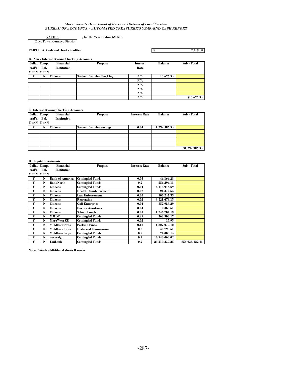#### *Massachusetts Department of Revenue Division of Local Services BUREAU OF ACCOUNTS - AUTOMATED TREASURER'S YEAR-END CASH REPORT*

#### **, for the Year Ending 6/30/13** NATICK

(City, Town, County, District)

#### **PART I: A. Cash and checks in office**

## \$ 2,419.00

#### **B. Non - Interest Bearing Checking Accounts**

| Collat Comp.  |   | Financial          | <b>Purpose</b>                   | <b>Interest</b> | <b>Balance</b> | Sub - Total |
|---------------|---|--------------------|----------------------------------|-----------------|----------------|-------------|
| eral'd Bal.   |   | <b>Institution</b> |                                  | Rate            |                |             |
| Y or N Y or N |   |                    |                                  |                 |                |             |
| Y             | N | <b>Citizens</b>    | <b>Student Activity Checking</b> | N/A             | 13,676.54      |             |
|               |   |                    |                                  | N/A             |                |             |
|               |   |                    |                                  | N/A             |                |             |
|               |   |                    |                                  | N/A             |                |             |
|               |   |                    |                                  | N/A             |                |             |
|               |   |                    |                                  | N/A             |                | \$13,676.54 |

#### **C. Interest Bearing Checking Accounts**

| Collat Comp.<br>eral'd Bal. |   | Financial<br><b>Institution</b> | <b>Purpose</b>                  | <b>Interest Rate</b> | <b>Balance</b> | Sub - Total    |
|-----------------------------|---|---------------------------------|---------------------------------|----------------------|----------------|----------------|
| Y or N Y or N               |   |                                 |                                 |                      |                |                |
| Y                           | N | <b>Citizens</b>                 | <b>Student Activity Savings</b> | 0.04                 | 1,732,585.54   |                |
|                             |   |                                 |                                 |                      |                |                |
|                             |   |                                 |                                 |                      |                |                |
|                             |   |                                 |                                 |                      |                |                |
|                             |   |                                 |                                 |                      |                |                |
|                             |   |                                 |                                 |                      |                | \$1,732,585.54 |

### **D. Liquid Investments**

|               | Collat Comp. | <b>Financial</b>       | <b>Purpose</b>               | <b>Interest Rate</b> | <b>Balance</b> | Sub - Total     |
|---------------|--------------|------------------------|------------------------------|----------------------|----------------|-----------------|
| eral'd        | Bal.         | <b>Institution</b>     |                              |                      |                |                 |
| Y or N Y or N |              |                        |                              |                      |                |                 |
| Y             | N            | <b>Bank of America</b> | <b>Comingled Funds</b>       | 0.05                 | 44, 164. 23    |                 |
| Y             | N            | <b>BankNorth</b>       | <b>Comingled Funds</b>       | 0.2                  | 554,294.11     |                 |
| Y             | N            | <b>Citizens</b>        | <b>Comingled Funds</b>       | 0.04                 | 8,118,916.69   |                 |
| Y             | N            | <b>Citizens</b>        | <b>Health Reimbursement</b>  | 0.02                 | 24,372.65      |                 |
| Y             | N            | <b>Citizens</b>        | <b>Law Enforcement</b>       | 0.02                 | 106,247.33     |                 |
| Y             | N            | <b>Citizens</b>        | <b>Recreation</b>            | 0.02                 | 3,321,673.15   |                 |
| Y             | N            | <b>Citizens</b>        | <b>Golf Enterprise</b>       | 0.04                 | 857,983.29     |                 |
| Y             | N            | <b>Citizens</b>        | <b>Energy Assistance</b>     | 0.04                 | 2,365.61       |                 |
| Y             | N            | <b>Citizens</b>        | <b>School Lunch</b>          | 0.01                 | 1,246,704.19   |                 |
| Y             | N            | <b>MMDT</b>            | <b>Comingled Funds</b>       | 0.29                 | 568,908.17     |                 |
| Y             | N            | MeroWest CU            | <b>Comingled Funds</b>       | 0.02                 | 15.95          |                 |
| Y             | N            | <b>Middlesex Svgs</b>  | <b>Parking Fines</b>         | 0.12                 | 1,827,079.12   |                 |
| Y             | N            | <b>Middlesex Svgs</b>  | <b>Historical Commission</b> | 0.2                  | 40,795.51      |                 |
| Y             | N            | <b>Middlesex Svgs</b>  | <b>Comingled Funds</b>       | 0.2                  | 74,000.14      |                 |
| Y             | N            | Sovereign              | <b>Comingled Funds</b>       | 0.4                  | 10,940,068.02  |                 |
| Y             | N            | <b>Unibank</b>         | <b>Comingled Funds</b>       | 0.2                  | 29,210,839.25  | \$56,938,427.41 |

**Note: Attach addititional sheets if needed.**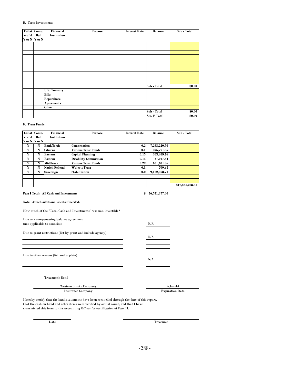#### **E. Term Investments**

| Collat Comp.<br>eral'd Bal. | Financial<br>Institution | <b>Purpose</b> | <b>Interest Rate</b> | <b>Balance</b> | Sub - Total |
|-----------------------------|--------------------------|----------------|----------------------|----------------|-------------|
| Y or N Y or N               |                          |                |                      |                |             |
|                             |                          |                |                      |                |             |
|                             |                          |                |                      |                |             |
|                             |                          |                |                      |                |             |
|                             |                          |                |                      |                |             |
|                             |                          |                |                      |                |             |
|                             |                          |                |                      |                |             |
|                             |                          |                |                      |                |             |
|                             |                          |                |                      |                |             |
|                             |                          |                |                      |                |             |
|                             |                          |                |                      |                |             |
|                             |                          |                |                      | Sub - Total    | \$0.00      |
|                             | <b>U.S. Treasury</b>     |                |                      |                |             |
|                             | <b>Bills</b>             |                |                      |                |             |
|                             | Repurchase               |                |                      |                |             |
|                             | <b>Agreements</b>        |                |                      |                |             |
|                             | <b>Other</b>             |                |                      |                |             |
|                             |                          |                |                      | Sub - Total    | \$0.00      |
|                             |                          |                |                      | Sec. E Total   | \$0.00      |

#### **F. Trust Funds**

| Collat Comp.  |      | Financial             | <b>Purpose</b>               | <b>Interest Rate</b> | <b>Balance</b> | Sub - Total     |
|---------------|------|-----------------------|------------------------------|----------------------|----------------|-----------------|
| eral'd        | Bal. | <b>Institution</b>    |                              |                      |                |                 |
| Y or N Y or N |      |                       |                              |                      |                |                 |
| Y             | N    | <b>BankNorth</b>      | <b>Conservation</b>          | 0.2 <sub>l</sub>     | 7,283,220.56   |                 |
| Y             | N    | <b>Citizens</b>       | Various Trust Funds          | 0.1                  | 395,771.35     |                 |
| Y             | N    | Eastern               | <b>Capital Planning</b>      | 0.15                 | 303,489.76     |                 |
| Y             | N    | Eastern               | <b>Disability Commission</b> | 0.15                 | 37,017.64      |                 |
| Y             | N    | <b>Middlesex</b>      | <b>Various Trust Funds</b>   | 0.22                 | 681,681.06     |                 |
| Y             | N    | <b>Natick Federal</b> | <b>Walcott Trust</b>         | 0.1                  | 709.43         |                 |
| Y             | N    | Sovereign             | <b>Stabilization</b>         | 0.2                  | 9,162,378.71   |                 |
|               |      |                       |                              |                      |                |                 |
|               |      |                       |                              |                      |                |                 |
|               |      |                       |                              |                      |                | \$17,864,268.51 |

#### **Part I Total: All Cash and Investments \$ 76,551,377.00**

#### **Note: Attach additional sheets if needed.**

| How much of the "Total Cash and Investments" was non-investible? |  |
|------------------------------------------------------------------|--|
|------------------------------------------------------------------|--|

| Due to a compensating balance agreement                      |                        |  |
|--------------------------------------------------------------|------------------------|--|
| (not applicable to counties)                                 | N/A                    |  |
| Due to grant restrictions (list by grant and include agency) | N/A                    |  |
| Due to other reasons (list and explain)                      | N/A                    |  |
| <b>Treasurer's Bond</b>                                      |                        |  |
| <b>Western Surety Company</b>                                | $9 - Jan-14$           |  |
| <b>Insurance Company</b>                                     | <b>Expiration Date</b> |  |

Insurance Company

I hereby certify that the bank statements have been reconciled through the date of this report, that the cash on hand and other items were verified by actual count, and that I have transmitted this form to the Accounting Officer for certification of Part II.

Date Treasurer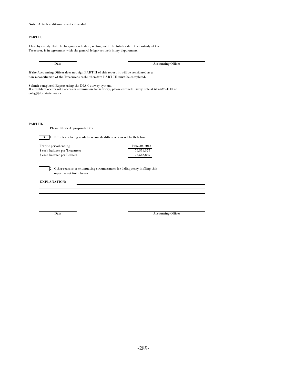Note: Attach additional sheets if needed.

#### **PART II.**

I hereby certify that the foregoing schedule, setting forth the total cash in the custody of the Treasurer, is in agreement with the general ledger controls in my department.

If the Accounting Officer does not sign PART II of this report, it will be considered as a non-reconciliation of the Treasurer's cash; therefore PART III must be completed. **PART III. X** 1. Efforts are being made to reconcile differences as set forth below. For the period ending June 30, 2013<br>  $\frac{3}{2}$  Seash balance per Treasurer:  $\frac{76,551,377}{2}$  $%$  cash balance per Treasurer: \$ cash balance per Ledger: 76,542,835 2. Other reasons or extenuating circumstances for delinquency in filing this report as set forth below. EXPLANATION: Date Accounting Officer Please Check Appropriate Box Submit completed Report using the DLS Gateway system. If a problem occurs with access or submission to Gateway, please contact: Gerry Cole at 617-626-4110 or coleg@dor.state.ma.us

Date Accounting Officer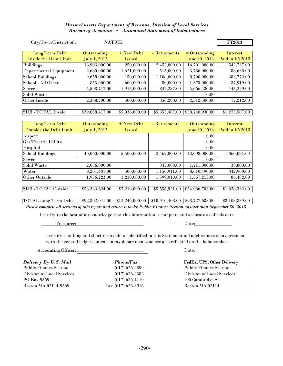#### *Massachusetts Department of Revenue, Division of Local Services Bureau of Accounts ~ Automated Statement of Indebtedness*

| City/Town/District of:    | <b>NATICK</b>   |                |                |                 | <b>FY2013</b>  |
|---------------------------|-----------------|----------------|----------------|-----------------|----------------|
|                           |                 |                |                |                 |                |
| <b>Long Term Debt</b>     | Outstanding     | $+$ New Debt   | - Retirements  | $=$ Outstanding | Interest       |
| Inside the Debt Limit     | July 1, 2012    | <b>Issued</b>  |                | June 30, 2013   | Paid in FY2013 |
| <b>Buildings</b>          | 18,903,000.00   | 250,000.00     | 2,452,000.00   | 16,701,000.00   | 542,737.00     |
| Departmental Equipment    | 2,680,000.00    | 1,621,000.00   | 515,000.00     | 3,786,000.00    | 88,638.00      |
| <b>School Buildings</b>   | 9,658,000.00    | 150,000.00     | 1,108,000.00   | 8,700,000.00    | 383,772.00     |
| School - All Other        | 855,000.00      | 600,000.00     | 80,000.00      | 1,375,000.00    | 37,919.00      |
| Sewer                     | 4,593,717.00    | 1,915,000.00   | 842,287.00     | 5,666,430.00    | 145,229.00     |
| Solid Waste               |                 |                |                | 0.00            |                |
| Other Inside              | 2,368,700.00    | 500,000.00     | 356,200.00     | 2,512,500.00    | 77,212.00      |
|                           |                 |                |                |                 |                |
| <b>SUB</b> - TOTAL Inside | \$39,058,417.00 | \$5,036,000.00 | \$5,353,487.00 | \$38,740,930.00 | \$1,275,507.00 |
|                           |                 |                |                |                 |                |
| <b>Long Term Debt</b>     | Outstanding     | $+$ New Debt   | - Retirements  | $=$ Outstanding | Interest       |

| <b>TOUS TETTH DENT</b>        | <b>Outstanding</b> | TICM DEDL       | - псигополо     | $-$ vuistanumg  | 111 to 1 05 t  |
|-------------------------------|--------------------|-----------------|-----------------|-----------------|----------------|
| <b>Outside the Debt Limit</b> | July 1, 2012       | <b>Issued</b>   |                 | June 30, 2013   | Paid in FY2013 |
| Airport                       |                    |                 |                 | 0.00            |                |
| <b>Gas/Electric Utility</b>   |                    |                 |                 | 0.00            |                |
| Hospital                      |                    |                 |                 | 0.00            |                |
| <b>School Buildings</b>       | 40,060,000.00      | 5,500,000.00    | 2,462,000.00    | 43,098,000.00   | 1,360,081.00   |
| Sewer                         |                    |                 |                 | 0.00            |                |
| Solid Waste                   | 2,056,000.00       |                 | 345,000.00      | 1.711.000.00    | 38,800.00      |
| Water                         | 9,261,401.00       | 500,000.00      | 1,150,911.00    | 8,610,490.00    | 342,969.00     |
| Other Outside                 | 1,956,223.00       | 1,210,000.00    | 1,599,010.00    | 1,567,213.00    | 86,482.00      |
|                               |                    |                 |                 |                 |                |
| <b>SUB</b> - TOTAL Outside    | \$53,333,624.00    | \$7,210,000.00  | \$5,556,921.00  | \$54,986,703.00 | \$1,828,332.00 |
|                               |                    |                 |                 |                 |                |
| <b>TOTAL Long Term Debt</b>   | \$92,392,041.00    | \$12,246,000.00 | \$10,910,408.00 | \$93,727,633.00 | \$3,103,839.00 |

*Please complete all sections of this report and return it to the Public Finance Section no later than September 30, 2013.*

I certify to the best of my knowledge that this information is complete and accurate as of this date.

Treasurer: Date: Date:

I certify that long and short term debt as identified in this Statement of Indebtedness is in agreement with the general ledger controls in my department and are also reflected on the balance sheet.

Accounting Officer: Date: Date:

| Delivery By U.S. Mail         | <b>Phone/Fax</b>     | FedEx, UPS, Other Delivery    |
|-------------------------------|----------------------|-------------------------------|
| <b>Public Finance Section</b> | $(617)$ 626-2399     | <b>Public Finance Section</b> |
| Division of Local Services    | $(617)$ 626-2382     | Division of Local Services    |
| PO Box 9569                   | $(617) 626 - 4110$   | 100 Cambridge St.             |
| <b>Boston MA 02114-9569</b>   | Fax $(617)$ 626-3916 | Boston MA 02114               |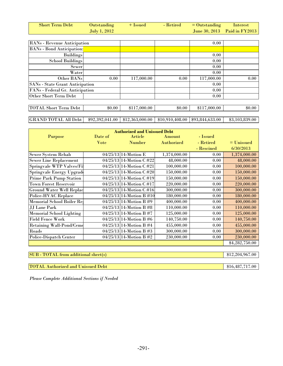| <b>Short Term Debt</b> | Outstanding         | $+$ 1ssued | $\blacktriangleright$ Retired = Outstanding Interest |                                  |
|------------------------|---------------------|------------|------------------------------------------------------|----------------------------------|
|                        | <b>July 1, 2012</b> |            |                                                      | June 30, $2013$ Paid in $FY2013$ |

| RANs - Revenue Anticipation            |        |              |        | 0.00         |        |
|----------------------------------------|--------|--------------|--------|--------------|--------|
| <b>BANs</b> - Bond Anticipation:       |        |              |        |              |        |
| <b>Buildings</b>                       |        |              |        | 0.00         |        |
| <b>School Buildings</b>                |        |              |        | 0.00         |        |
| Sewer                                  |        |              |        | 0.00         |        |
| Water                                  |        |              |        | 0.00         |        |
| Other BANs                             | 0.00   | 117,000.00   | 0.00   | 117,000.00   | 0.00   |
| <b>SANs</b> - State Grant Anticipation |        |              |        | 0.00         |        |
| FANs - Federal Gr. Anticipation        |        |              |        | 0.00         |        |
| Other Short Term Debt                  |        |              |        | 0.00         |        |
|                                        |        |              |        |              |        |
| TOTAL Short Term Debt                  | \$0.00 | \$117,000.00 | \$0.00 | \$117,000.00 | \$0.00 |

## GRAND TOTAL All Debt | \$92,392,041.00 | \$12,363,000.00 | \$10,910,408.00 | \$93,844,633.00 | \$3,103,839.00

| <b>Authorized and Unissued Debt</b> |             |                           |              |            |                |  |
|-------------------------------------|-------------|---------------------------|--------------|------------|----------------|--|
| <b>Purpose</b>                      | Date of     | Article                   | Amount       | - Issued   |                |  |
|                                     | <b>Vote</b> | <b>Number</b>             | Authorized   | - Retired  | $=$ Unissued   |  |
|                                     |             |                           |              | - Rescined | 6/30/2013      |  |
| Sewer System Rehab                  |             | 04/25/13 14-Motion E      | 1,374,000.00 | 0.00       | 1,374,000.00   |  |
| <b>Sewer Line Replacement</b>       |             | 04/25/13 14-Motion C #22  | 48,000.00    | 0.00       | 48,000.00      |  |
| Springvale WTP Valves/Fil           |             | 04/25/13 14-Motion C #21  | 100,000.00   | 0.00       | 100,000.00     |  |
| Springvale Energy Upgrade           |             | 04/25/13 14-Motion C #20  | 150,000.00   | 0.00       | 150,000.00     |  |
| <b>Prime Park Pump Station</b>      |             | 04/25/13 14-Motion C #19  | 150,000.00   | 0.00       | 150,000.00     |  |
| <b>Town Forest Reservoir</b>        |             | 04/25/13 14-Motion C #17  | 220,000.00   | 0.00       | 220,000.00     |  |
| Ground Water Well Replac            |             | 04/25/13 14-Motion C #16  | 300,000.00   | 0.00       | 300,000.00     |  |
| Police-HVAC Replace                 |             | 04/25/13 14-Motion B #10  | 180,000.00   | 0.00       | 180,000.00     |  |
| Memorial School Boiler Rep          |             | $04/25/13$ 14-Motion B #9 | 400,000.00   | 0.00       | 400,000.00     |  |
| <b>JJ</b> Lane Park                 |             | 04/25/13 14-Motion B #8   | 110,000.00   | 0.00       | 110,000.00     |  |
| <b>Memorial School Lighting</b>     |             | $04/25/13$ 14-Motion B #7 | 125,000.00   | 0.00       | 125,000.00     |  |
| <b>Field Fence Work</b>             |             | 04/25/13 14-Motion B #6   | 140,750.00   | 0.00       | 140,750.00     |  |
| <b>Retaining Wall-Pond/Ceme</b>     |             | $04/25/13$ 14-Motion B #4 | 455,000.00   | 0.00       | 455,000.00     |  |
| Roads                               |             | $04/25/13$ 14-Motion B #3 | 300,000.00   | 0.00       | 300,000.00     |  |
| Police-Dispatch Center              |             | 04/25/13 14-Motion B #2   | 230,000.00   | 0.00       | 230,000.00     |  |
|                                     |             |                           |              |            | \$4,282,750.00 |  |

SUB - TOTAL from additional sheet(s) \$12,204,967.00

TOTAL Authorized and Unissued Debt \$16,487,717.00

*Please Complete Additional Sections if Needed*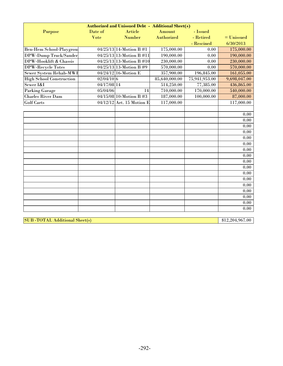|                                 | <b>Authorized and Unissued Debt - Additional Sheet(s)</b> |                             |               |               |              |  |  |
|---------------------------------|-----------------------------------------------------------|-----------------------------|---------------|---------------|--------------|--|--|
| Purpose                         | Date of                                                   | Article                     | Amount        | - Issued      |              |  |  |
|                                 | <b>Vote</b>                                               | <b>Number</b>               | Authorized    | - Retired     | $=$ Unissued |  |  |
|                                 |                                                           |                             |               | - Rescined    | 6/30/2013    |  |  |
| <b>Ben-Hem School-Playgrous</b> |                                                           | $04/25/13$ 14-Motion B #1   | 175,000.00    | 0.00          | 175,000.00   |  |  |
| DPW-Dump Truck/Sander           |                                                           | $04/25/13$ 13-Motion B #11  | 190,000.00    | 0.00          | 190,000.00   |  |  |
| DPW-Hooklift & Chassis          |                                                           | $04/25/13$ 13-Motion B #10  | 230,000.00    | 0.00          | 230,000.00   |  |  |
| <b>DPW-Recycle Totes</b>        |                                                           | $04/25/13$ 13-Motion B #9   | 570,000.00    | 0.00          | 570,000.00   |  |  |
| Sewer System Rehab-MWI          |                                                           | $04/24/12$ 16-Motion E      | 357,900.00    | 196,845.00    | 161,055.00   |  |  |
| <b>High School Construction</b> | $02/04/10$ 6                                              |                             | 85,640,000.00 | 75,941,953.00 | 9,698,047.00 |  |  |
| Sewer I&I                       | 04/17/08 14                                               |                             | 514,250.00    | 77,385.00     | 436,865.00   |  |  |
| <b>Parking Garage</b>           | 05/04/06                                                  | 14                          | 710,000.00    | 170,000.00    | 540,000.00   |  |  |
| <b>Charles River Dam</b>        |                                                           | 04/15/08 10-Motion B #3     | 187,000.00    | 100,000.00    | 87,000.00    |  |  |
| <b>Golf Carts</b>               |                                                           | $04/12/12$ Art. 15 Motion E | 117,000.00    |               | 117,000.00   |  |  |
|                                 |                                                           |                             |               |               |              |  |  |
|                                 |                                                           |                             |               |               | 0.00         |  |  |
|                                 |                                                           |                             |               |               | 0.00         |  |  |
|                                 |                                                           |                             |               |               | 0.00         |  |  |
|                                 |                                                           |                             |               |               | 0.00         |  |  |
|                                 |                                                           |                             |               |               | 0.00         |  |  |
|                                 |                                                           |                             |               |               | 0.00         |  |  |
|                                 |                                                           |                             |               |               | 0.00         |  |  |
|                                 |                                                           |                             |               |               | 0.00         |  |  |
|                                 |                                                           |                             |               |               | 0.00         |  |  |
|                                 |                                                           |                             |               |               | 0.00         |  |  |
|                                 |                                                           |                             |               |               | 0.00         |  |  |
|                                 |                                                           |                             |               |               | 0.00         |  |  |
|                                 |                                                           |                             |               |               | 0.00         |  |  |
|                                 |                                                           |                             |               |               | 0.00         |  |  |
|                                 |                                                           |                             |               |               | 0.00         |  |  |
|                                 |                                                           |                             |               |               | 0.00         |  |  |
|                                 |                                                           |                             |               |               | 0.00         |  |  |

SUB -TOTAL Additional Sheet(s) \$12,204,967.00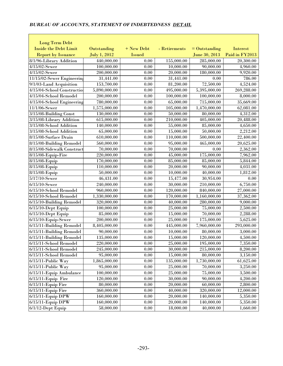| Long Term Debt                                     |                          |               |                        |                          |                      |
|----------------------------------------------------|--------------------------|---------------|------------------------|--------------------------|----------------------|
| <b>Inside the Debt Limit</b>                       | Outstanding              | + New Debt    | - Retirements          | $=$ Outstanding          | <b>Interest</b>      |
| <b>Report by Issuance</b>                          | July 1, 2012             | <b>Issued</b> |                        | June 30, 2013            | Paid in FY2013       |
| 8/1/96-Library Addition                            | 440,000.00               | 0.00          | 155,000.00             | 285,000.00               | 20,300.00            |
| $4/15/02$ -Sewer                                   | 100,000.00               | 0.00          | 10,000.00              | 90,000.00                | 4,960.00             |
| $4/15/02$ -Sewer                                   | 200,000.00               | 0.00          | 20,000.00              | 180,000.00               | 9,920.00             |
| 11/15/02-Sewer Engineering                         | 31,441.00                | 0.00          | 31,441.00              | 0.00                     | 786.00               |
| 9/1/03-Land Acquisition                            | 153,700.00               | 0.00          | 81,200.00              | $\overline{72,500.00}$   | 4,524.00             |
| 4/15/04-School Constructio                         | 5,890,000.00             | 0.00          | 495,000.00             | 5,395,000.00             | 269,288.00           |
| 4/15/04-School Remodel                             | 200,000.00               | 0.00          | 100,000.00             | 100,000.00               | 8,000.00             |
| 4/15/04-School Engineering                         | 780,000.00               | 0.00          | 65,000.00              | 715,000.00               | 35,669.00            |
| 11/1/06-Sewer                                      | 1,575,000.00             | 0.00          | 105,000.00             | 1,470,000.00             | 62,081.00            |
| 3/15/08-Building Const                             | 130,000.00               | 0.00          | 50,000.00              | 80,000.00                | 4,312.00             |
| 3/15/08-Library Addition                           | 615,000.00               | 0.00          | 210,000.00             | 405,000.00               | 20,488.00            |
| 3/15/08-School Addition                            | 140,000.00               | 0.00          | 55,000.00              | 85,000.00                | 4,650.00             |
| 3/15/08-School Addition                            | 65,000.00                | 0.00          | 15,000.00              | 50,000.00                | 2,212.00             |
| 8/15/08-Surface Drain                              | 610,000.00               | 0.00          | 110,000.00             | 500,000.00               | 22,400.00            |
| 8/15/08-Building Remodel                           | 560,000.00               | 0.00          | 95,000.00              | 465,000.00               | 20,625.00            |
| 8/15/08-Sidewalk Construct                         | 70,000.00                | 0.00          | $\overline{70},000.00$ | 0.00                     | 2,362.00             |
| 8/15/08-Equip-Fire                                 | 220,000.00               | 0.00          | 45,000.00              | 175,000.00               | 7,962.00             |
| 8/15/08-Equip                                      | 170,000.00               | $0.00\,$      | 85,000.00              | 85,000.00                | 5,844.00             |
| 8/15/08-Equip                                      | 110,000.00               | 0.00          | 20,000.00              | 90,000.00                | 4,031.00             |
| 8/15/08-Equip                                      | 50,000.00                | 0.00          | 10,000.00              | 40,000.00                | 1,812.00             |
| $5/17/10$ -Sewer                                   | 46,431.00                | 0.00          | 15,477.00              | 30,954.00                | 0.00                 |
| $6/15/10$ -Sewer                                   | 240,000.00               | $0.00\,$      | 30,000.00              | 210,000.00               | 6,750.00             |
| 6/15/10-School Remodel                             | 960,000.00               | 0.00          | 120,000.00             | 840,000.00               | 27,000.00            |
| 6/15/10-School Remodel                             | 1,330,000.00             | 0.00          | 170,000.00             | 1,160,000.00             | 37,362.00            |
| 6/15/10-Building Remodel                           | 320,000.00               | 0.00          | 40,000.00              | 280,000.00               | 9,000.00             |
| $6/15/10$ -Dept Equip                              | 100,000.00               | $0.00\,$      | 25,000.00              | 75,000.00                | 2,500.00             |
| $6/15/10$ -Dept Equip                              | 85,000.00                | 0.00          | 15,000.00              | 70,000.00                | 2,288.00             |
| $6/15/10$ -Equip-Sewer                             | 200,000.00               | 0.00          | 25,000.00              | 175,000.00               | 5,625.00             |
| $\overline{6/15}/11$ -Building Remodel             | 8,405,000.00             | 0.00          | 445,000.00             | 7,960,000.00             | 293,000.00           |
| 6/15/11-Building Remodel                           | 90,000.00                | 0.00          | 10,000.00              | 80,000.00                | 3,000.00             |
| 6/15/11-Building Remodel<br>6/15/11-School Remodel | 135,000.00<br>220,000.00 | 0.00<br>0.00  | 15,000.00              | 120,000.00               | 4,500.00             |
| 6/15/11-School Remodel                             | 245,000.00               |               | 25,000.00<br>30,000.00 | 195,000.00<br>215,000.00 | 7,350.00             |
| 6/15/11-School Remodel                             | 95,000.00                | 0.00<br>0.00  | 15,000.00              | 80,000.00                | 8,200.00<br>3,150.00 |
| $6/15/11$ -Public Way                              | 1,865,000.00             | 0.00          | 135,000.00             | 1,730,000.00             | 61,625.00            |
| $6/15/11$ -Public Way                              | 95,000.00                | 0.00          | 25,000.00              | 70,000.00                | 3,250.00             |
| 6/15/11-Equip Ambulance                            | 100,000.00               | 0.00          | 25,000.00              | 75,000.00                | 3,500.00             |
| $6/15/11$ -Equip Fire                              | 120,000.00               | 0.00          | 30,000.00              | 90,000.00                | 4,200.00             |
| $6/15/11$ -Equip Fire                              | 80,000.00                | 0.00          | 20,000.00              | 60,000.00                | 2,800.00             |
| $6/15/11$ -Equip Fire                              | 360,000.00               | 0.00          | 40,000.00              | 320,000.00               | 12,000.00            |
| $6/15/11$ -Equip DPW                               | 160,000.00               | 0.00          | 20,000.00              | 140,000.00               | 5,350.00             |
| $6/15/11$ -Equip DPW                               | 160,000.00               | 0.00          | 20,000.00              | 140,000.00               | 5,350.00             |
| $6/1/12$ -Dept Equip                               | 58,000.00                | 0.00          | 18,000.00              | 40,000.00                | 1,660.00             |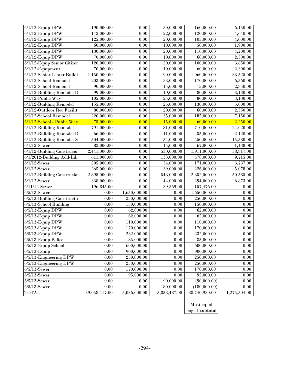| $\overline{6/1}/12$ -Equip DPW | 190,000.00    | 0.00         | 30,000.00    | 160,000.00    | 6,150.00     |  |
|--------------------------------|---------------|--------------|--------------|---------------|--------------|--|
| $6/1/12$ -Equip DPW            | 142,000.00    | 0.00         | 22,000.00    | 120,000.00    | 4,640.00     |  |
| $6/1/12$ -Equip DPW            | 125,000.00    | $0.00\,$     | 20,000.00    | 105,000.00    | 4,000.00     |  |
| $6/1/12$ -Equip DPW            | 60,000.00     | 0.00         | 10,000.00    | 50,000.00     | 1,900.00     |  |
| $6/1/12$ -Equip DPW            | 130,000.00    | $0.00\,$     | 20,000.00    | 110,000.00    | 4,200.00     |  |
| $6/1/12$ -Equip DPW            | 70,000.00     | 0.00         | 10,000.00    | 60,000.00     | 2,300.00     |  |
| 6/1/12-Equip Senior Citizen    | 120,000.00    | $0.00\,$     | 20,000.00    | 100,000.00    | 3,850.00     |  |
| $6/1/12$ -Equipment            | 70,000.00     | $0.00\,$     | 10,000.00    | 60,000.00     | 2,300.00     |  |
| 6/1/12-Senior Center Buildi    | 1,150,000.00  | 0.00         | 90,000.00    | 1,060,000.00  | 33,525.00    |  |
| 6/1/12-School Remodel          | 203,000.00    | 0.00         | 33,000.00    | 170,000.00    | 6,560.00     |  |
| $6/1/12$ -School Remodel       | 90,000.00     | 0.00         | 15,000.00    | 75,000.00     | 2,850.00     |  |
| 6/1/12-Building Remodel D      | 99,000.00     | $0.00\,$     | 19,000.00    | 80,000.00     | 3,130.00     |  |
| $6/1/12$ -Public Way           | 105,000.00    | $0.00\,$     | 25,000.00    | 80,000.00     | 3,100.00     |  |
| 6/1/12-Building Remodel        | 155,000.00    | 0.00         | 25,000.00    | 130,000.00    | 5,000.00     |  |
| 6/1/12-Outdoor Rec Facilit     | 80,000.00     | $0.00\,$     | 20,000.00    | 60,000.00     | 2,350.00     |  |
| 6/1/12-School Remodel          | 220,000.00    | 0.00         | 35,000.00    | 185,000.00    | 7,150.00     |  |
| 6/1/12-School - Public Way     | 75,000.00     | 0.00         | 15,000.00    | 60,000.00     | 2,250.00     |  |
| 6/1/12-Building Remodel        | 791,000.00    | 0.00         | 81,000.00    | 710,000.00    | 24,620.00    |  |
| 6/1/12-Building Remodel D      | 66,000.00     | 0.00         | 11,000.00    | 55,000.00     | 2,120.00     |  |
| 6/1/12-Building Remodel-S      | 504,000.00    | 0.00         | 54,000.00    | 450,000.00    | 15,580.00    |  |
| $6/1/12$ -Sewer                | 82,000.00     | $0.00\,$     | 15,000.00    | 67,000.00     | 1,438.00     |  |
| 6/1/12-Building Construcion    | 2,441,000.00  | $0.00\,$     | 530,000.00   | 1,911,000.00  | 38,817.00    |  |
| 6/1/2012-Building Add-Lib      | 611,000.00    | $0.00\,$     | 133,000.00   | 478,000.00    | 9,715.00     |  |
| $6/1/12$ -Sewer                | 205,000.00    | 0.00         | 34,000.00    | 171,000.00    | 3,737.00     |  |
| $6/1/12$ -Sewer                | 265,000.00    | 0.00         | 39,000.00    | 226,000.00    | 5,078.00     |  |
| 6/1/12-Building Construcion    | 2,895,000.00  | $0.00\,$     | 543,000.00   | 2,352,000.00  | 50,585.00    |  |
| $6/1/12$ -Sewer                | 338,000.00    | 0.00         | 44,000.00    | 294,000.00    | 6,873.00     |  |
| $6/11/12$ -Sewer               | 196,845.00    | 0.00         | 39,369.00    | 157,476.00    | 0.00         |  |
| $6/5/13$ -Sewer                | $0.00\,$      | 1,650,000.00 | 0.00         | 1,650,000.00  | $0.00\,$     |  |
| 6/5/13-Building Constructio    | 0.00          | 250,000.00   | 0.00         | 250,000.00    | 0.00         |  |
| 6/5/13-School Building         | $0.00\,$      | 150,000.00   | 0.00         | 150,000.00    | 0.00         |  |
| $6/5/13$ -Equip DPW            | $0.00\,$      | 62,000.00    | 0.00         | 62,000.00     | $0.00\,$     |  |
| $6/5/13$ -Equip DPW            | $0.00\,$      | 62,000.00    | $0.00\,$     | 62,000.00     | 0.00         |  |
| $6/5/13$ -Equip DPW            | $0.00\,$      | 110,000.00   | 0.00         | 110,000.00    | 0.00         |  |
| $6/5/13$ -Equip DPW            | $0.00\,$      | 170,000.00   | 0.00         | 170,000.00    | 0.00         |  |
| $6/5/13$ -Equip DPW            | 0.00          | 232,000.00   | 0.00         | 232,000.00    | 0.00         |  |
| 6/5/13-Equip Police            | 0.00          | 85,000.00    | 0.00         | 85,000.00     | 0.00         |  |
| 6/5/13-Equip School            | $0.00\,$      | 600,000.00   | 0.00         | 600,000.00    | 0.00         |  |
| $6/5/13$ -Equip                | 0.00          | 900,000.00   | 0.00         | 900,000.00    | 0.00         |  |
| $6/5/13$ -Engineering DPW      | 0.00          | 250,000.00   | 0.00         | 250,000.00    | 0.00         |  |
| $6/5/13$ -Engineering DPW      | $0.00\,$      | 250,000.00   | 0.00         | 250,000.00    | 0.00         |  |
| $6/5/13$ -Sewer                | 0.00          | 170,000.00   | 0.00         | 170,000.00    | 0.00         |  |
| $6/5/13$ -Sewer                | 0.00          | 95,000.00    | 0.00         | 95,000.00     | 0.00         |  |
| $6/5/13$ -Sewer                | 0.00          | 0.00         | 90,000.00    | (90,000.00)   | 0.00         |  |
| $6/5/13$ -Sewer                | 0.00          | 0.00         | 180,000.00   | (180,000.00)  | 0.00         |  |
| <b>TOTAL</b>                   | 39,058,417.00 | 5,036,000.00 | 5,353,487.00 | 38,740,930.00 | 1,275,504.00 |  |
|                                |               |              |              |               |              |  |

Must equal page 1 subtotal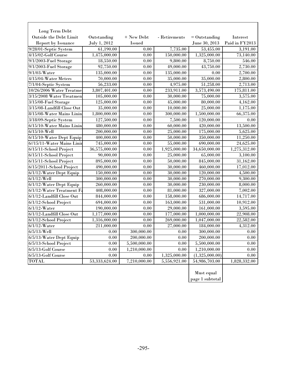| Long Term Debt               |               |               |                        |                         |                       |
|------------------------------|---------------|---------------|------------------------|-------------------------|-----------------------|
| Outside the Debt Limit       | Outstanding   | + New Debt    | - Retirements          | $=$ Outstanding         | Interest              |
| <b>Report by Issuance</b>    | July 1, 2012  | <b>Issued</b> |                        | June 30, 2013           | Paid in FY2013        |
| 9/28/01-Septic System        | 61,190.00     | 0.00          | 7,735.00               | 53,455.00               | 3,191.00              |
| 4/15/02-Golf Course          | 1,475,000.00  | 0.00          | 150,000.00             | 1,325,000.00            | 73,140.00             |
| 9/1/2003-Fuel Storage        | 18,550.00     | 0.00          | 9,800.00               | 8,750.00                | 546.00                |
| $9/1/2003$ -Fuel Storage     | 92,750.00     | 0.00          | 49,000.00              | 43,750.00               | 2,730.00              |
| $9/1/03$ -Water              | 135,000.00    | $0.00\,$      | 135,000.00             | 0.00                    | 2,700.00              |
| $4/15/04$ -Water Meters      | 70,000.00     | 0.00          | 35,000.00              | 35,000.00               | 2,800.00              |
| 7/1/04-Septic System         | 56,233.00     | 0.00          | 4,975.00               | 51,258.00               | 2,713.00              |
| 10/26/2006 Water Treatme     | 3,807,401.00  | 0.00          | 233,911.00             | 3,573,490.00            | 175,811.00            |
| 3/15/2008 Water Treatmen     | 105,000.00    | 0.00          | 30,000.00              | 75,000.00               | 3,575.00              |
| 3/15/08-Fuel Storage         | 125,000.00    | 0.00          | 45,000.00              | 80,000.00               | 4,162.00              |
| 3/15/08-Landfill Close Out   | 35,000.00     | 0.00          | 10,000.00              | 25,000.00               | 1,175.00              |
| 8/15/08-Water Mains Linin    | 1,800,000.00  | 0.00          | 300,000.00             | 1,500,000.00            | 66,375.00             |
| 3/18/09-Septic System        | 127,500.00    | 0.00          | 7,500.00               | 120,000.00              | 0.00                  |
| 6/15/10-Water Mains Linin    | 480,000.00    | 0.00          | $\overline{60,000.00}$ | 420,000.00              | 13,500.00             |
| $6/15/10$ -Well              | 200,000.00    | 0.00          | 25,000.00              | 175,000.00              | 5,625.00              |
| 6/15/10-Water Dept Equip     | 400,000.00    | 0.00          | 50,000.00              | 350,000.00              | 11,250.00             |
| 6//15/11-Water Mains Linir   | 745,000.00    | 0.00          | 55,000.00              | 690,000.00              | 24,625.00             |
| 6/15/11-School Project       | 36,575,000.00 | 0.00          | 1,925,000.00           | 34,650,000.00           | 1,275,312.00          |
| 6/15/11-School Project       | 90,000.00     | 0.00          | 25,000.00              | 65,000.00               | 3,100.00              |
| 6/15/11-School Project       | 895,000.00    | 0.00          | 50,000.00              | 845,000.00              | 31,162.00             |
| 6/15/2011-School Project     | 490,000.00    | 0.00          | 30,000.00              | $\overline{460,}000.00$ | 17,012.00             |
| 6/1/12-Water Dept Equip      | 150,000.00    | 0.00          | 30,000.00              | 120,000.00              | 4,500.00              |
| $6/1/12$ -Well               | 300,000.00    | 0.00          | 30,000.00              | 270,000.00              | $\overline{9,300.00}$ |
| 6/1/12-Water Dept Equip      | 260,000.00    | 0.00          | 30,000.00              | 230,000.00              | 8,000.00              |
| $6/1/12$ -Water Treatment Fa | 408,000.00    | $0.00\,$      | 81,000.00              | 327,000.00              | 7,002.00              |
| 6/1/12-Landfill Close Out    | 844,000.00    | 0.00          | 158,000.00             | 686,000.00              | 14,717.00             |
| $6/1/12$ -School Project     | 694,000.00    | 0.00          | 163,000.00             | 531,000.00              | 10,912.00             |
| $6/1/12$ -Water              | 190,000.00    | 0.00          | 29,000.00              | 161,000.00              | 3,595.00              |
| $6/1/12$ -Landfill Close Out | 1,177,000.00  | 0.00          | 177,000.00             | 1,000,000.00            | 22,908.00             |
| $6/1/12$ -School Project     | 1,316,000.00  | 0.00          | 269,000.00             | 1,047,000.00            | 22,582.00             |
| $6/1/12$ -Water              | 211,000.00    | 0.00          | 27,000.00              | 184,000.00              | 4,312.00              |
| $6/5/13$ -Well               | 0.00          | 300,000.00    | 0.00                   | 300,000.00              | 0.00                  |
| 6/5/13-Water Dept Equip      | 0.00          | 200,000.00    | 0.00                   | 200,000.00              | 0.00                  |
| $6/5/13$ -School Project     | 0.00          | 5,500,000.00  | $0.00\,$               | 5,500,000.00            | 0.00                  |
| 6/5/13-Golf Course           | 0.00          | 1,210,000.00  | 0.00                   | 1,210,000.00            | 0.00                  |
| 6/5/13-Golf Course           | 0.00          | 0.00          | 1,325,000.00           | (1,325,000.00)          | 0.00                  |
| <b>TOTAL</b>                 | 53,333,624.00 | 7,210,000.00  | 5,556,921.00           | 54,986,703.00           | 1,828,332.00          |

Must equal page 1 subtotal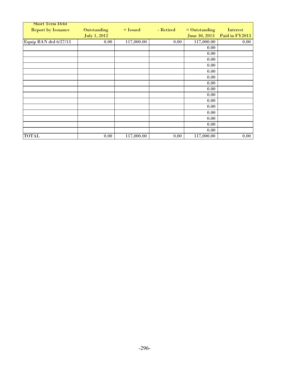| <b>Short Term Debt</b>    |              |            |           |                 |                |
|---------------------------|--------------|------------|-----------|-----------------|----------------|
| <b>Report by Issuance</b> | Outstanding  | + Issued   | - Retired | $=$ Outstanding | Interest       |
|                           | July 1, 2012 |            |           | June 30, 2013   | Paid in FY2013 |
| Equip BAN dtd 6/27/13     | 0.00         | 117,000.00 | 0.00      | 117,000.00      | 0.00           |
|                           |              |            |           | 0.00            |                |
|                           |              |            |           | 0.00            |                |
|                           |              |            |           | 0.00            |                |
|                           |              |            |           | 0.00            |                |
|                           |              |            |           | 0.00            |                |
|                           |              |            |           | 0.00            |                |
|                           |              |            |           | 0.00            |                |
|                           |              |            |           | 0.00            |                |
|                           |              |            |           | 0.00            |                |
|                           |              |            |           | 0.00            |                |
|                           |              |            |           | 0.00            |                |
|                           |              |            |           | 0.00            |                |
|                           |              |            |           | 0.00            |                |
|                           |              |            |           | 0.00            |                |
|                           |              |            |           | 0.00            |                |
| <b>TOTAL</b>              | 0.00         | 117,000.00 | 0.00      | 117,000.00      | 0.00           |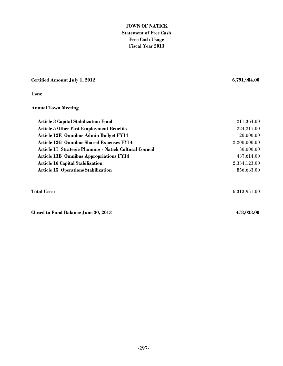## **TOWN OF NATICK Statement of Free Cash Free Cash Usage Fiscal Year 2013**

## **Certified Amount July 1, 2012 6,791,984.00**

**Uses:**

### **Annual Town Meeting**

| <b>Article 3 Capital Stabilization Fund</b>             | 211,364.00   |
|---------------------------------------------------------|--------------|
| <b>Article 5 Other Post Employment Benefits</b>         | 224,217.00   |
| Article 12E Omnibus Admin Budget FY14                   | 20,000.00    |
| <b>Article 12G Omnibus Shared Expenses FY14</b>         | 2,200,000.00 |
| Article 17 Strategic Planning - Natick Cultural Council | 30,000.00    |
| <b>Article 13B Omnibus Appropriations FY14</b>          | 437,614.00   |
| <b>Article 16 Capital Stabilization</b>                 | 2,334,123.00 |
| <b>Article 15 Operations Stabilization</b>              | 856,633.00   |
|                                                         |              |

**Closed to Fund Balance June 30, 2013 478,033.00**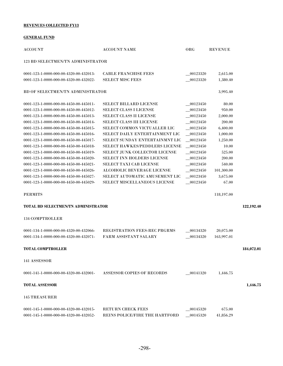#### **REVENUES COLLECTED FY13**

#### **GENERAL FUND**

| <b>ACCOUNT</b>                             | <b>ACCOUNT NAME</b>                  | ORG                                | <b>REVENUE</b> |            |
|--------------------------------------------|--------------------------------------|------------------------------------|----------------|------------|
| <b>123 BD SELECTMEN/TN ADMINISTRATOR</b>   |                                      |                                    |                |            |
| 0001-123-1-0000-000-00-4320-00-432013-     | <b>CABLE FRANCHISE FEES</b>          | 00123320                           | 2,615.00       |            |
| 0001-123-1-0000-000-00-4320-00-432022-     | <b>SELECT MISC FEES</b>              | 00123320                           | 1,380.40       |            |
| BD OF SELECTMEN/TN ADMINISTRATOR           |                                      |                                    | 3,995.40       |            |
| 0001-123-1-0000-000-00-4450-00-445011-     | <b>SELECT BILLARD LICENSE</b>        | $-00123450$                        | 80.00          |            |
| 0001-123-1-0000-000-00-4450-00-445012-     | <b>SELECT CLASS I LICENSE</b>        | $-00123450$                        | 950.00         |            |
| 0001-123-1-0000-000-00-4450-00-445013-     | <b>SELECT CLASS II LICENSE</b>       | 00123450                           | 2,000.00       |            |
| 0001-123-1-0000-000-00-4450-00-445014-     | <b>SELECT CLASS III LICENSE</b>      | $-00123450$                        | 200.00         |            |
| 0001-123-1-0000-000-00-4450-00-445015-     | SELECT COMMON VICTUALLER LIC         | $-00123450$                        | 6,400.00       |            |
| 0001-123-1-0000-000-00-4450-00-445016-     | SELECT DAILY ENTERTAINMENT LIC       | $-00123450$                        | 1,000.00       |            |
| 0001-123-1-0000-000-00-4450-00-445017-     | SELECT SUNDAY ENTERTAINMNT LIC       | $-00123450$                        | 1,250.00       |            |
| 0001-123-1-0000-000-00-4450-00-445018-     | SELECT HAWKES/PEDDLERS LICENSE       | $\hphantom{0}\hphantom{0}00123450$ | 10.00          |            |
| 0001-123-1-0000-000-00-4450-00-445019-     | <b>SELECT JUNK COLLECTOR LICENSE</b> | $\hphantom{0}\hphantom{0}00123450$ | 525.00         |            |
| 0001-123-1-0000-000-00-4450-00-445020-     | <b>SELECT INN HOLDERS LICENSE</b>    | 00123450                           | 200.00         |            |
| 0001-123-1-0000-000-00-4450-00-445021-     | <b>SELECT TAXI CAB LICENSE</b>       | $-00123450$                        | 540.00         |            |
| 0001-123-1-0000-000-00-4450-00-445026-     | ALCOHOLIC BEVERAGE LICENSE           | 00123450                           | 101,300.00     |            |
| 0001-123-1-0000-000-00-4450-00-445027-     | SELECT AUTOMATIC AMUSEMENT LIC       | $-00123450$                        | 3.675.00       |            |
| 0001-123-1-0000-000-00-4450-00-445029-     | SELECT MISCELLANEOUS LICENSE         | 00123450                           | 67.00          |            |
| <b>PERMITS</b>                             |                                      |                                    | 118,197.00     |            |
| <b>TOTAL BD SELECTMEN/TN ADMINISTRATOR</b> |                                      |                                    |                | 122,192.40 |
| <b>134 COMPTROLLER</b>                     |                                      |                                    |                |            |
| 0001-134-1-0000-000-00-4320-00-432066-     | <b>REGISTRATION FEES-REC PRGRMS</b>  | 00134320                           | 20,075.00      |            |
| 0001-134-1-0000-000-00-4320-00-432071-     | FARM ASSISTANT SALARY                | $-00134320$                        | 163,997.01     |            |
| <b>TOTAL COMPTROLLER</b>                   |                                      |                                    |                | 184,072.01 |
| 141 ASSESSOR                               |                                      |                                    |                |            |
| 0001-141-1-0000-000-00-4320-00-432001-     | <b>ASSESSOR COPIES OF RECORDS</b>    | 00141320                           | 1,446.75       |            |
| <b>TOTAL ASSESSOR</b>                      |                                      |                                    |                | 1,446.75   |
| <b>145 TREASURER</b>                       |                                      |                                    |                |            |
| 0001-145-1-0000-000-00-4320-00-432015-     | <b>RETURN CHECK FEES</b>             | 00145320                           | 675.00         |            |
| 0001-145-1-0000-000-00-4320-00-432052-     | REINS POLICE/FIRE THE HARTFORD       | 00145320                           | 41,856.29      |            |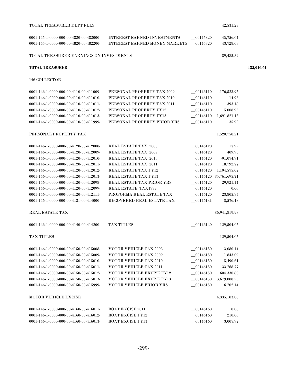| <b>TOTAL TREASURER DEPT FEES</b>        |                                      |             | 42,531.29                 |            |
|-----------------------------------------|--------------------------------------|-------------|---------------------------|------------|
| 0001-145-1-0000-000-00-4820-00-482000-  | <b>INTEREST EARNED INVESTMENTS</b>   | 00145820    | 45,756.64                 |            |
| 0001-145-1-0000-000-00-4820-00-482200-  | <b>INTEREST EARNED MONEY MARKETS</b> | 00145820    | 43,728.68                 |            |
| TOTAL TREASURER EARNINGS ON INVESTMENTS |                                      |             | 89,485.32                 |            |
| <b>TOTAL TREASURER</b>                  |                                      |             |                           | 132,016.61 |
| 146 COLLECTOR                           |                                      |             |                           |            |
| 0001-146-1-0000-000-00-4110-00-411009-  | PERSONAL PROPERTY TAX 2009           | 00146110    | $-176,523.95$             |            |
| 0001-146-1-0000-000-00-4110-00-411010-  | PERSONAL PROPERTY TAX 2010           | 00146110    | 14.96                     |            |
| 0001-146-1-0000-000-00-4110-00-411011-  | PERSONAL PROPERTY TAX 2011           | 00146110    | 393.18                    |            |
| 0001-146-1-0000-000-00-4110-00-411012-  | PERSONAL PROPERTY FY12               | $-00146110$ | 5,008.95                  |            |
| 0001-146-1-0000-000-00-4110-00-411013-  | PERSONAL PROPERTY FY13               | $-00146110$ | 1,691,821.15              |            |
| 0001-146-1-0000-000-00-4110-00-411999-  | PERSONAL PROPERTY PRIOR YRS          | 00146110    | 35.92                     |            |
| PERSONAL PROPERTY TAX                   |                                      |             | 1,520,750.21              |            |
| 0001-146-1-0000-000-00-4120-00-412008-  | <b>REAL ESTATE TAX 2008</b>          | 00146120    | 117.92                    |            |
| 0001-146-1-0000-000-00-4120-00-412009-  | <b>REAL ESTATE TAX 2009</b>          | $-00146120$ | 409.95                    |            |
| 0001-146-1-0000-000-00-4120-00-412010-  | <b>REAL ESTATE TAX 2010</b>          | 00146120    | $-91,074.91$              |            |
| 0001-146-1-0000-000-00-4120-00-412011-  | REAL ESTATE TAX 2011                 | _00146120   | 18,792.77                 |            |
| 0001-146-1-0000-000-00-4120-00-412012-  | <b>REAL ESTATE TAX FY12</b>          | $-00146120$ | 1,194,575.07              |            |
| 0001-146-1-0000-000-00-4120-00-412013-  | <b>REAL ESTATE TAX FY13</b>          |             | $-00146120$ 85,761,695.71 |            |
| 0001-146-1-0000-000-00-4120-00-412098-  | REAL ESTATE TAX PRIOR YRS            | $-00146120$ | 29,921.14                 |            |
| 0001-146-1-0000-000-00-4120-00-412099-  | <b>REAL ESTATE TAX1999</b>           | 00146120    | 0.00                      |            |
| 0001-146-1-0000-000-00-4120-00-412111-  | PROFORMA REAL ESTATE TAX             | $-00146120$ | 23,805.85                 |            |
| 0001-146-1-0000-000-00-4131-00-414000-  | RECOVERED REAL ESTATE TAX            | $-00146131$ | 3,576.48                  |            |
| REAL ESTATE TAX                         |                                      |             | 86,941,819.98             |            |
| 0001-146-1-0000-000-00-4140-00-414200-  | <b>TAX TITLES</b>                    | 00146140    | 129,504.05                |            |
| TAX TITLES                              |                                      |             | 129,504.05                |            |
| 0001-146-1-0000-000-00-4150-00-415008-  | <b>MOTOR VEHICLE TAX 2008</b>        | 00146150    | 3,080.14                  |            |
| 0001-146-1-0000-000-00-4150-00-415009-  | <b>MOTOR VEHICLE TAX 2009</b>        | $-00146150$ | 1.843.09                  |            |
| 0001-146-1-0000-000-00-4150-00-415010-  | <b>MOTOR VEHICLE TAX 2010</b>        | $-00146150$ | 5,490.61                  |            |
| 0001-146-1-0000-000-00-4150-00-415011-  | <b>MOTOR VEHICLE TAX 2011</b>        | 00146150    | 33,768.77                 |            |
| 0001-146-1-0000-000-00-4150-00-415012-  | <b>MOTOR VEHICLE EXCISE FY12</b>     | 00146150    | 604,330.80                |            |
| 0001-146-1-0000-000-00-4150-00-415013-  | <b>MOTOR VEHICLE EXCISE FY13</b>     | $-00146150$ | 3,679,888.25              |            |
| 0001-146-1-0000-000-00-4150-00-415999-  | <b>MOTOR VEHICLE PRIOR YRS</b>       | 00146150    | 6,702.14                  |            |
| <b>MOTOR VEHICLE EXCISE</b>             |                                      |             | 4,335,103.80              |            |
| 0001-146-1-0000-000-00-4160-00-416011-  | <b>BOAT EXCISE 2011</b>              | 00146160    | 0.00                      |            |
| 0001-146-1-0000-000-00-4160-00-416012-  | <b>BOAT EXCISE FY12</b>              | 00146160    | 210.00                    |            |
| 0001-146-1-0000-000-00-4160-00-416013-  | <b>BOAT EXCISE FY13</b>              | 00146160    | 3,007.97                  |            |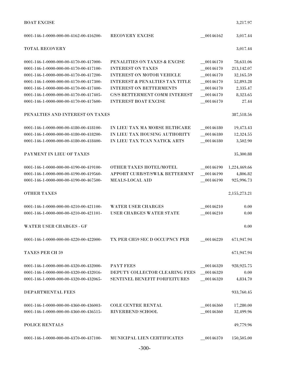| <b>BOAT EXCISE</b>                                                                                                                                                   |                                                                                                                                              |                                                       | 3,217.97                                   |
|----------------------------------------------------------------------------------------------------------------------------------------------------------------------|----------------------------------------------------------------------------------------------------------------------------------------------|-------------------------------------------------------|--------------------------------------------|
| 0001-146-1-0000-000-00-4162-00-416200-                                                                                                                               | <b>RECOVERY EXCISE</b>                                                                                                                       | 00146162                                              | 3,017.44                                   |
| <b>TOTAL RECOVERY</b>                                                                                                                                                |                                                                                                                                              |                                                       | 3,017.44                                   |
| 0001-146-1-0000-000-00-4170-00-417000-<br>0001-146-1-0000-000-00-4170-00-417100-<br>0001-146-1-0000-000-00-4170-00-417200-                                           | PENALITIES ON TAXES & EXCISE<br><b>INTEREST ON TAXES</b><br><b>INTEREST ON MOTOR VEHICLE</b>                                                 | $\textcolor{blue}{00146170}$<br>00146170<br>00146170  | 78,631.06<br>213,142.07<br>32,165.59       |
| 0001-146-1-0000-000-00-4170-00-417300-<br>0001-146-1-0000-000-00-4170-00-417400-<br>0001-146-1-0000-000-00-4170-00-417405-<br>0001-146-1-0000-000-00-4170-00-417600- | <b>INTEREST &amp; PENALTIES TAX TITLE</b><br><b>INTEREST ON BETTERMENTS</b><br>C/S/S BETTERMENT COMM INTEREST<br><b>INTEREST BOAT EXCISE</b> | 00146170<br>$-00146170$<br>$-00146170$<br>$-00146170$ | 52,893.28<br>2,335.47<br>8,323.65<br>27.44 |
| PENALTIES AND INTEREST ON TAXES                                                                                                                                      |                                                                                                                                              |                                                       | 387,518.56                                 |
| 0001-146-1-0000-000-00-4180-00-418100-<br>0001-146-1-0000-000-00-4180-00-418200-<br>0001-146-1-0000-000-00-4180-00-418400-                                           | IN LIEU TAX MA MORSE HLTHCARE<br>IN LIEU TAX HOUSING AUTHORITY<br>IN LIEU TAX TCAN NATICK ARTS                                               | 00146180<br>00146180<br>$-00146180$                   | 19,473.43<br>12,324.55<br>3,502.90         |
| PAYMENT IN LIEU OF TAXES                                                                                                                                             |                                                                                                                                              |                                                       | 35,300.88                                  |
| 0001-146-1-0000-000-00-4190-00-419100-<br>0001-146-1-0000-000-00-4190-00-419560-<br>0001-146-1-0000-000-00-4190-00-467500-                                           | OTHER TAXES HOTEL/MOTEL<br>APPORT CURB/ST/SWLK BETTERMNT<br><b>MEALS-LOCAL AID</b>                                                           | 00146190<br>00146190<br>$-00146190$                   | 1,224,469.66<br>4,806.82<br>925,996.73     |
| <b>OTHER TAXES</b>                                                                                                                                                   |                                                                                                                                              |                                                       | 2,155,273.21                               |
| 0001-146-1-0000-000-00-4210-00-421100-<br>0001-146-1-0000-000-00-4210-00-421101-                                                                                     | <b>WATER USER CHARGES</b><br><b>USER CHARGES WATER STATE</b>                                                                                 | 00146210<br>00146210                                  | 0.00<br>0.00                               |
| WATER USER CHARGES - GF                                                                                                                                              |                                                                                                                                              |                                                       | 0.00                                       |
| 0001-146-1-0000-000-00-4220-00-422000-                                                                                                                               | TX PER CH59 SEC D OCCUPNCY PER                                                                                                               | 00146220                                              | 671,947.94                                 |
| <b>TAXES PER CH 59</b>                                                                                                                                               |                                                                                                                                              |                                                       | 671,947.94                                 |
| 0001-146-1-0000-000-00-4320-00-432000-<br>0001-146-1-0000-000-00-4320-00-432016-<br>0001-146-1-0000-000-00-4320-00-432065-                                           | <b>PAYT FEES</b><br>DEPUTY COLLECTOR CLEARING FEES<br>SENTINEL BENEFIT FORFEITURES                                                           | 00146320<br>$-00146320$<br>$\_00146320$               | 928,925.75<br>0.00<br>4,834.70             |
| DEPARTMENTAL FEES                                                                                                                                                    |                                                                                                                                              |                                                       | 933,760.45                                 |
| 0001-146-1-0000-000-00-4360-00-436003-<br>0001-146-1-0000-000-00-4360-00-436515-                                                                                     | <b>COLE CENTRE RENTAL</b><br><b>RIVERBEND SCHOOL</b>                                                                                         | 00146360<br>$-00146360$                               | 17,280.00<br>32,499.96                     |
| POLICE RENTALS                                                                                                                                                       |                                                                                                                                              |                                                       | 49,779.96                                  |
| 0001-146-1-0000-000-00-4370-00-437100-                                                                                                                               | MUNICIPAL LIEN CERTIFICATES                                                                                                                  | 00146370                                              | 150,505.00                                 |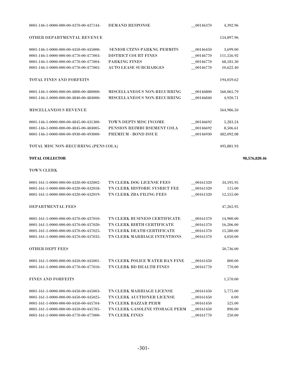| <b>TOTAL COLLECTOR</b>                 |                                    |                                    |            | 98.576.820.46 |
|----------------------------------------|------------------------------------|------------------------------------|------------|---------------|
| TOTAL MISC NON-RECURRING (PENS COLA)   |                                    |                                    | 495,881.93 |               |
| 0001-146-1-0000-000-00-4930-00-493000- | PREMIUM - BOND ISSUE               | 00146930                           | 482,092.08 |               |
| 0001-146-1-0000-000-00-4845-00-484005- | PENSION REIMBURSEMENT COLA         | 00146692                           | 8,506.61   |               |
| 0001-146-1-0000-000-00-4845-00-431300- | <b>TOWN DEPTS MISC INCOME</b>      | 00146692                           | 5,283.24   |               |
| <b>MISCELLANEOUS REVENUE</b>           |                                    |                                    | 564,986.50 |               |
| 0001-146-1-0000-000-00-4840-00-484000- | <b>MISCELLANEOUS NON-RECURRING</b> | $\hphantom{0}\hphantom{0}00146840$ | 4,920.71   |               |
| 0001-146-1-0000-000-00-4800-00-480000- | <b>MISCELLANEOUS NON-RECURRING</b> | $\hphantom{0}\hphantom{0}00146800$ | 560,065.79 |               |
| TOTAL FINES AND FORFEITS               |                                    |                                    | 194,059.62 |               |
| 0001-146-1-0000-000-00-4770-00-477005- | <b>AUTO LEASE SURCHARGES</b>       | 00146770                           | 10,622.40  |               |
| 0001-146-1-0000-000-00-4770-00-477004- | <b>PARKING FINES</b>               | 00146770                           | 68,181.30  |               |
| 0001-146-1-0000-000-00-4770-00-477003- | DISTRICT COURT FINES               | 00146770                           | 111,556.92 |               |
| 0001-146-1-0000-000-00-4450-00-445000- | <b>SENIOR CTZNS PARKNG PERMITS</b> | 00146450                           | 3,699.00   |               |
| OTHER DEPARTMENTAL REVENUE             |                                    |                                    | 154,897.96 |               |
| 0001-146-1-0000-000-00-4370-00-437144- | <b>DEMAND RESPONSE</b>             | 00146370                           | 4,392.96   |               |

# TOWN CLERK

| 0001-161-1-0000-000-00-4320-00-432002- | TN CLERK DOG LICENSE FEES      | 00161320 | 34,595.95 |
|----------------------------------------|--------------------------------|----------|-----------|
| 0001-161-1-0000-000-00-4320-00-432018- | TN CLERK HISTORIC SYSRICT FEE  | 00161320 | 115.00    |
| 0001-161-1-0000-000-00-4320-00-432019- | TN CLERK ZBA FILING FEES       | 00161320 | 12,555.00 |
|                                        |                                |          |           |
| <b>DEPARTMENTAL FEES</b>               |                                |          | 47,265.95 |
|                                        |                                |          |           |
| 0001-161-1-0000-000-00-4370-00-437010- | TN CLERK BUSINESS CERTIFICATE  | 00161370 | 14,900.00 |
| 0001-161-1-0000-000-00-4370-00-437020- | TN CLERK BIRTH CERTIFICATE     | 00161370 | 16,206.00 |
| 0001-161-1-0000-000-00-4370-00-437025- | TN CLERK DEATH CERTIFICATE     | 00161370 | 15,580.00 |
| 0001-161-1-0000-000-00-4370-00-437035- | TN CLERK MARRIAGE INTENTIONS   | 00161370 | 4,050.00  |
|                                        |                                |          |           |
| <b>OTHER DEPT FEES</b>                 |                                |          | 50,736.00 |
|                                        |                                |          |           |
| 0001-161-1-0000-000-00-4450-00-445001- | TN CLERK POLICE WATER BAN FINE | 00161450 | 800.00    |
| 0001-161-1-0000-000-00-4770-00-477010- | TN CLERK BD HEALTH FINES       | 00161770 | 770.00    |
|                                        |                                |          |           |
| <b>FINES AND FORFEITS</b>              |                                |          | 1,570.00  |
|                                        |                                |          |           |
| 0001-161-1-0000-000-00-4450-00-445003- | TN CLERK MARRIAGE LICENSE      | 00161450 | 5,775.00  |
| 0001-161-1-0000-000-00-4450-00-445025- | TN CLERK AUCTIONER LICENSE     | 00161450 | 0.00      |
| 0001-161-1-0000-000-00-4450-00-445704- | TN CLERK BAZZAR PERM           | 00161450 | 525.00    |
| 0001-161-1-0000-000-00-4450-00-445705- | TN CLERK GASOLINE STORAGE PERM | 00161450 | 890.00    |
| 0001-161-1-0000-000-00-4770-00-477000- | <b>TN CLERK FINES</b>          | 00161770 | 250.00    |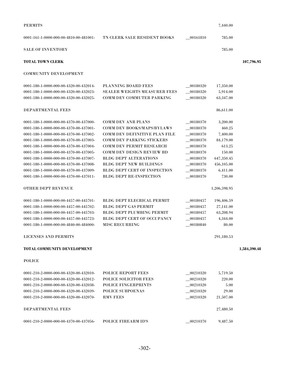| <b>PERMITS</b>                                            |                                      |             | 7,440.00     |              |
|-----------------------------------------------------------|--------------------------------------|-------------|--------------|--------------|
| $0001 - 161 - 1 - 0000 - 000 - 00 - 4810 - 00 - 481001 -$ | TN CLERK SALE RESIDENT BOOKS         | $-00161810$ | 785.00       |              |
| <b>SALE OF INVENTORY</b>                                  |                                      |             | 785.00       |              |
| <b>TOTAL TOWN CLERK</b>                                   |                                      |             |              | 107,796.95   |
| <b>COMMUNITY DEVELOPMENT</b>                              |                                      |             |              |              |
| 0001-180-1-0000-000-00-4320-00-432014-                    | <b>PLANNING BOARD FEES</b>           | 00180320    | 17,350.00    |              |
| 0001-180-1-0000-000-00-4320-00-432023-                    | <b>SEALER WEIGHTS MEASURER FEES</b>  | 00180320    | 5,914.00     |              |
| 0001-180-1-0000-000-00-4320-00-432025-                    | <b>COMM DEV COMMUTER PARKING</b>     | 00180320    | 63,347.00    |              |
| DEPARTMENTAL FEES                                         |                                      |             | 86,611.00    |              |
| 0001-180-1-0000-000-00-4370-00-437000-                    | <b>COMM DEV ANR PLANS</b>            | $-00180370$ | 3,200.00     |              |
| 0001-180-1-0000-000-00-4370-00-437001-                    | COMM DEV BOOKS/MAPS/BYLAWS           | 00180370    | 460.25       |              |
| 0001-180-1-0000-000-00-4370-00-437002-                    | <b>COMM DEV DEFINITIVE PLAN FILE</b> | 00180370    | 7,400.00     |              |
| 0001-180-1-0000-000-00-4370-00-437003-                    | <b>COMM DEV PARKING STICKERS</b>     | $-00180370$ | 84,179.00    |              |
| 0001-180-1-0000-000-00-4370-00-437004-                    | <b>COMM DEV PERMIT RESEARCH</b>      | $-00180370$ | 613.25       |              |
| 0001-180-1-0000-000-00-4370-00-437005-                    | <b>COMM DEV DESIGN REVIEW BD</b>     | 00180370    | 150.00       |              |
| 0001-180-1-0000-000-00-4370-00-437007-                    | <b>BLDG DEPT ALTERATIONS</b>         | 00180370    | 647,350.45   |              |
| 0001-180-1-0000-000-00-4370-00-437008-                    | <b>BLDG DEPT NEW BUILDINGS</b>       | 00180370    | 456,105.00   |              |
| 0001-180-1-0000-000-00-4370-00-437009-                    | <b>BLDG DEPT CERT OF INSPECTION</b>  | 00180370    | 6,411.00     |              |
| 0001-180-1-0000-000-00-4370-00-437011-                    | <b>BLDG DEPT RE-INSPECTION</b>       | 00180370    | 730.00       |              |
| <b>OTHER DEPT REVENUE</b>                                 |                                      |             | 1,206,598.95 |              |
| 0001-180-1-0000-000-00-4457-00-445701-                    | <b>BLDG DEPT ELECRICAL PERMIT</b>    | 00180457    | 196,406.59   |              |
| 0001-180-1-0000-000-00-4457-00-445702-                    | <b>BLDG DEPT GAS PERMIT</b>          | 00180457    | 27,141.00    |              |
| 0001-180-1-0000-000-00-4457-00-445703-                    | <b>BLDG DEPT PLUMBING PERMIT</b>     | 00180457    | 63,208.94    |              |
| 0001-180-1-0000-000-00-4457-00-445723-                    | BLDG DEPT CERT OF OCCUPANCY          | 00180457    | 4,344.00     |              |
| 0001-180-1-0000-000-00-4840-00-484000-                    | <b>MISC RECURRING</b>                | 00180840    | 80.00        |              |
| <b>LICENSES AND PERMITS</b>                               |                                      |             | 291,180.53   |              |
| <b>TOTAL COMMUNITY DEVELOPMENT</b>                        |                                      |             |              | 1,584,390.48 |
| <b>POLICE</b>                                             |                                      |             |              |              |
| $0001-210-2-0000-000-00-4320-00-432010-$                  | <b>POLICE REPORT FEES</b>            | 00210320    | 5,719.50     |              |
| 0001-210-2-0000-000-00-4320-00-432012-                    | <b>POLICE SOLICITOR FEES</b>         | 00210320    | 220.00       |              |
| 0001-210-2-0000-000-00-4320-00-432038-                    | <b>POLICE FINGERPRINTS</b>           | 00210320    | 5.00         |              |
| 0001-210-2-0000-000-00-4320-00-432039-                    | <b>POLICE SUBPOENAS</b>              | $-00210320$ | 29.00        |              |
| 0001-210-2-0000-000-00-4320-00-432070-                    | <b>RMV FEES</b>                      | 00210320    | 21,507.00    |              |
| DEPARTMENTAL FEES                                         |                                      |             | 27,480.50    |              |
| 0001-210-2-0000-000-00-4370-00-437056-                    | <b>POLICE FIREARM ID'S</b>           | 00210370    | 9,487.50     |              |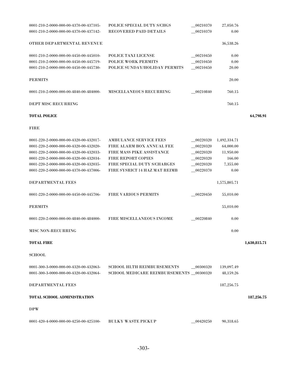| 0001-210-2-0000-000-00-4370-00-437105-                    | POLICE SPECIAL DUTY S/CHGS     | 00210370 | 27,050.76 |  |
|-----------------------------------------------------------|--------------------------------|----------|-----------|--|
| 0001-210-2-0000-000-00-4370-00-437142-                    | <b>RECOVERED PAID DETAILS</b>  | 00210370 | 0.00      |  |
| OTHER DEPARTMENTAL REVENUE                                |                                |          | 36,538.26 |  |
| $0001 - 210 - 2 - 0000 - 000 - 00 - 4450 - 00 - 445010 -$ | POLICE TAXI LICENSE            | 00210450 | 0.00      |  |
| 0001-210-2-0000-000-00-4450-00-445719-                    | POLICE WORK PERMITS            | 00210450 | 0.00      |  |
| 0001-210-2-0000-000-00-4450-00-445730-                    | POLICE SUNDAY/HOLIDAY PERMITS  | 00210450 | 20.00     |  |
| <b>PERMITS</b>                                            |                                |          | 20.00     |  |
| $0001 - 210 - 2 - 0000 - 000 - 00 - 4840 - 00 - 484000 -$ | <b>MISCELLANEOUS RECURRING</b> | 00210840 | 760.15    |  |
| DEPT MISC RECURRING                                       |                                |          | 760.15    |  |
|                                                           |                                |          |           |  |

# **TOTAL POLICE 64,798.91**

FIRE

| 0001-220-2-0000-000-00-4320-00-432017-                    | <b>AMBULANCE SERVICE FEES</b>           | 00220320 | 1,492,334.71 |              |
|-----------------------------------------------------------|-----------------------------------------|----------|--------------|--------------|
| 0001-220-2-0000-000-00-4320-00-432020-                    | FIRE ALARM BOX ANNUAL FEE               | 00220320 | 64,000.00    |              |
| 0001-220-2-0000-000-00-4320-00-432033-                    | <b>FIRE MASS PIKE ASSISTANCE</b>        | 00220320 | 11,950.00    |              |
| 0001-220-2-0000-000-00-4320-00-432034-                    | <b>FIRE REPORT COPIES</b>               | 00220320 | 166.00       |              |
| 0001-220-2-0000-000-00-4320-00-432035-                    | FIRE SPECIAL DUTY S/CHARGES             | 00220320 | 7,355.00     |              |
| 0001-220-2-0000-000-00-4370-00-437006-                    | FIRE SYSRICT 14 HAZ MAT REIMB           | 00220370 | 0.00         |              |
| <b>DEPARTMENTAL FEES</b>                                  |                                         |          | 1,575,805.71 |              |
| 0001-220-2-0000-000-00-4450-00-445706-                    | <b>FIRE VARIOUS PERMITS</b>             | 00220450 | 55,010.00    |              |
| <b>PERMITS</b>                                            |                                         |          | 55,010.00    |              |
| $0001 - 220 - 2 - 0000 - 000 - 00 - 4840 - 00 - 484000 -$ | <b>FIRE MISCELLANEOUS INCOME</b>        | 00220840 | 0.00         |              |
| <b>MISC NON-RECURRING</b>                                 |                                         |          | 0.00         |              |
| <b>TOTAL FIRE</b>                                         |                                         |          |              | 1,630,815.71 |
| <b>SCHOOL</b>                                             |                                         |          |              |              |
| 0001-300-3-0000-000-00-4320-00-432063-                    | <b>SCHOOL HLTH REIMBURSEMENTS</b>       | 00300320 | 139,097.49   |              |
| 0001-300-3-0000-000-00-4320-00-432064-                    | SCHOOL MEDICARE REIMBURSEMENTS 00300320 |          | 48,159.26    |              |
|                                                           |                                         |          |              |              |
| <b>DEPARTMENTAL FEES</b>                                  |                                         |          | 187,256.75   |              |
|                                                           |                                         |          |              |              |

# **TOTAL SCHOOL ADMINISTRATION 187,256.75**

DPW

0001-420-4-0000-000-00-4250-00-425100- BULKY WASTE PICKUP \_\_00420250 90,318.65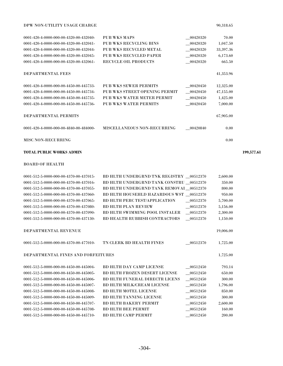| DPW NON-UTILITY USAGE CHARGE | 90.318.65 |
|------------------------------|-----------|
|                              |           |

| 0001-420-4-0000-000-00-4320-00-432040- | PUB WKS MAPS                       | 00420320 | 70.00       |
|----------------------------------------|------------------------------------|----------|-------------|
| 0001-420-4-0000-000-00-4320-00-432041- | <b>PUB WKS RECYCLING BINS</b>      | 00420320 | 1,047.50    |
| 0001-420-4-0000-000-00-4320-00-432044- | PUB WKS RECYCLED METAL             | 00420320 | 33, 397. 36 |
| 0001-420-4-0000-000-00-4320-00-432045- | PUB WKS RECYCLED PAPER             | 00420320 | 6,173.60    |
| 0001-420-4-0000-000-00-4320-00-432061- | <b>RECYCLE OIL PRODUCTS</b>        | 00420320 | 665.50      |
|                                        |                                    |          |             |
| DEPARTMENTAL FEES                      |                                    |          | 41,353.96   |
|                                        |                                    |          |             |
| 0001-420-4-0000-000-00-4450-00-445733- | PUB WKS SEWER PERMITS              | 00420450 | 12,325.00   |
| 0001-420-4-0000-000-00-4450-00-445734- | PUB WKS STREET OPENING PERMIT      | 00420450 | 47,155.00   |
| 0001-420-4-0000-000-00-4450-00-445735- | PUB WKS WATER METER PERMIT         | 00420450 | 1,425.00    |
| 0001-420-4-0000-000-00-4450-00-445736- | PUB WKS WATER PERMITS              | 00420450 | 7,000.00    |
|                                        |                                    |          |             |
| DEPARTMENTAL PERMITS                   |                                    |          | 67,905.00   |
|                                        |                                    |          |             |
| 0001-420-4-0000-000-00-4840-00-484000- | <b>MISCELLANEOUS NON-RECURRING</b> | 00420840 | 0.00        |
|                                        |                                    |          |             |
| <b>MISC NON-RECURRING</b>              |                                    |          | 0.00        |
|                                        |                                    |          |             |

# **TOTAL PUBLIC WORKS ADMIN 199,577.61**

BOARD OF HEALTH

| 0001-512-5-0000-000-00-4370-00-437015- | BD HLTH UNDERGRND TNK REGISTRY 00512370 |          | 2,600.00  |
|----------------------------------------|-----------------------------------------|----------|-----------|
| 0001-512-5-0000-000-00-4370-00-437016- | BD HLTH UNDERGRND TANK CONSTRU 00512370 |          | 350.00    |
| 0001-512-5-0000-000-00-4370-00-437055- | BD HLTH UNDERGRND TANK REMOVAI 00512370 |          | 800.00    |
| 0001-512-5-0000-000-00-4370-00-437060- | BD HLTH HOUSEHLD HAZARDOUS WST 00512370 |          | 950.00    |
| 0001-512-5-0000-000-00-4370-00-437065- | <b>BD HLTH PERC TEST/APPLICATION</b>    | 00512370 | 5,700.00  |
| 0001-512-5-0000-000-00-4370-00-437080- | <b>BD HLTH PLAN REVIEW</b>              | 00512370 | 5,156.00  |
| 0001-512-5-0000-000-00-4370-00-437090- | <b>BD HLTH SWIMMING POOL INSTALER</b>   | 00512370 | 2,300.00  |
| 0001-512-5-0000-000-00-4370-00-437130- | <b>BD HEALTH RUBBISH CONTRACTORS</b>    | 00512370 | 1,150.00  |
| DEPARTMENTAL REVENUE                   |                                         |          | 19,006.00 |
| 0001-512-5-0000-000-00-4370-00-477010- | TN CLERK BD HEALTH FINES                | 00512370 | 1,725.00  |
| DEPARTMENTAL FINES AND FORFEITURES     |                                         |          | 1,725.00  |
| 0001-512-5-0000-000-00-4450-00-445004- | <b>BD HLTH DAY CAMP LICENSE</b>         | 00512450 | 793.14    |
| 0001-512-5-0000-000-00-4450-00-445005- | <b>BD HLTH FROZEN DESERT LICENSE</b>    | 00512450 | 650.00    |
| 0001-512-5-0000-000-00-4450-00-445006- | <b>BD HLTH FUNERAL DIRECTR LICENS</b>   | 00512450 | 300.00    |
| 0001-512-5-0000-000-00-4450-00-445007- | <b>BD HLTH MILK/CREAM LICENSE</b>       | 00512450 | 1,796.00  |
| 0001-512-5-0000-000-00-4450-00-445008- | <b>BD HLTH MOTEL LICENSE</b>            | 00512450 | 850.00    |
| 0001-512-5-0000-000-00-4450-00-445009- | <b>BD HLTH TANNING LICENSE</b>          | 00512450 | 300.00    |
| 0001-512-5-0000-000-00-4450-00-445707- | <b>BD HLTH BAKERY PERMIT</b>            | 00512450 | 2,600.00  |
| 0001-512-5-0000-000-00-4450-00-445708- | <b>BD HLTH BEE PERMIT</b>               | 00512450 | 160.00    |
| 0001-512-5-0000-000-00-4450-00-445710- | <b>BD HLTH CAMP PERMIT</b>              | 00512450 | 200.00    |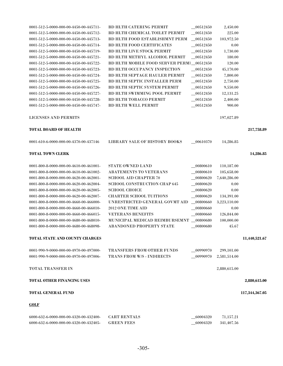| 0001-512-5-0000-000-00-4450-00-445711- | <b>BD HLTH CATERING PERMIT</b>            | 00512450    | 2,450.00     |                |
|----------------------------------------|-------------------------------------------|-------------|--------------|----------------|
| 0001-512-5-0000-000-00-4450-00-445712- | <b>BD HLTH CHEMICAL TOILET PERMIT</b>     | 00512450    | 225.00       |                |
| 0001-512-5-0000-000-00-4450-00-445713- | BD HLTH FOOD ESTABLISHMNT PERM            | 00512450    | 103,972.50   |                |
| 0001-512-5-0000-000-00-4450-00-445714- | <b>BD HLTH FOOD CERTIFICATES</b>          | 00512450    | 0.00         |                |
| 0001-512-5-0000-000-00-4450-00-445719- | <b>BD HLTH LIVE STOCK PERMIT</b>          | 00512450    | 1,730.00     |                |
| 0001-512-5-0000-000-00-4450-00-445721- | BD HLTH METHYL ALCOHOL PERMIT             | 00512450    | 180.00       |                |
| 0001-512-5-0000-000-00-4450-00-445722- | BD HLTH MOBILE FOOD SERVER PERMI_00512450 |             | 120.00       |                |
| 0001-512-5-0000-000-00-4450-00-445723- | <b>BD HLTH OCCUPANCY INSPECTION</b>       | 00512450    | 45,170.00    |                |
| 0001-512-5-0000-000-00-4450-00-445724- | <b>BD HLTH SEPTAGE HAULER PERMIT</b>      | $-00512450$ | 7,800.00     |                |
| 0001-512-5-0000-000-00-4450-00-445725- | BD HLTH SEPTIC INSTALLER PERM             | $-00512450$ | 2,750.00     |                |
| 0001-512-5-0000-000-00-4450-00-445726- | BD HLTH SEPTIC SYSTEM PERMIT              | $-00512450$ | 9,550.00     |                |
| 0001-512-5-0000-000-00-4450-00-445727- | BD HLTH SWIMMING POOL PERMIT              | $-00512450$ | 12,131.25    |                |
| 0001-512-5-0000-000-00-4450-00-445728- | <b>BD HLTH TOBACCO PERMIT</b>             | $-00512450$ | 2,400.00     |                |
| 0001-512-5-0000-000-00-4450-00-445747- | <b>BD HLTH WELL PERMIT</b>                | $-00512450$ | 900.00       |                |
| <b>LICENSES AND PERMITS</b>            |                                           |             | 197,027.89   |                |
| TOTAL BOARD OF HEALTH                  |                                           |             |              | 217,758.89     |
| 0001-610-6-0000-000-00-4370-00-437146  | LIBRARY SALE OF HISTORY BOOKS             | $-00610370$ | 14,286.85    |                |
| <b>TOTAL TOWN CLERK</b>                |                                           |             |              | 14,286.85      |
|                                        |                                           |             |              |                |
| 0001-800-8-0000-000-00-4610-00-461001- | <b>STATE OWNED LAND</b>                   | 00800610    | 110,187.00   |                |
| 0001-800-8-0000-000-00-4610-00-461002- | <b>ABATEMENTS TO VETERANS</b>             | 00800610    | 105,658.00   |                |
| 0001-800-8-0000-000-00-4620-00-462001- | <b>SCHOOL AID CHAPTER 70</b>              | 00800620    | 7,640,286.00 |                |
| 0001-800-8-0000-000-00-4620-00-462004- | <b>SCHOOL CONSTRUCTION CHAP 645</b>       | $-00800620$ | 0.00         |                |
| 0001-800-8-0000-000-00-4620-00-462005- | <b>SCHOOL CHOICE</b>                      | 00800620    | 0.00         |                |
| 0001-800-8-0000-000-00-4620-00-462007- | <b>CHARTER SCHOOL TUITIONS</b>            | 00800620    | 134,391.00   |                |
| 0001-800-8-0000-000-00-4660-00-466000- | UNRESTRICTED GENERAL GOVMT AID            | 00800660    | 3,223,110.00 |                |
| 0001-800-8-0000-000-00-4660-00-466010- | 2012 ONE TIME AID                         | 00800660    | 0.00         |                |
| 0001-800-8-0000-000-00-4660-00-466015- | <b>VETERANS BENEFITS</b>                  | 00800660    | 126,844.00   |                |
| 0001-800-8-0000-000-00-4680-00-468010- | MUNICIPAL MEDICAD REIMBURSEMNT 00800680   |             | 100,000.00   |                |
| 0001-800-8-0000-000-00-4680-00-468098- | <b>ABANDONED PROPERTY STATE</b>           | $-00800680$ | 45.67        |                |
| TOTAL STATE AND COUNTY CHARGES         |                                           |             |              | 11,440,521.67  |
|                                        |                                           |             |              |                |
| 0001-990-9-0000-000-00-4970-00-497000- | TRANSFERS FROM OTHER FUNDS                | 00990970    | 299,101.00   |                |
| 0001-990-9-0000-000-00-4970-00-497006- | TRANS FROM W/S - INDIRECTS                | 00990970    | 2,581,514.00 |                |
| <b>TOTAL TRANSFER IN</b>               |                                           |             | 2,880,615.00 |                |
| <b>TOTAL OTHER FINANCING USES</b>      |                                           |             |              | 2,880,615.00   |
| <b>TOTAL GENERAL FUND</b>              |                                           |             |              | 117,344,367.05 |
| <b>GOLF</b>                            |                                           |             |              |                |
| 6000-632-6-0000-000-00-4320-00-432400- | <b>CART RENTALS</b>                       | 60004320    | 71,157.21    |                |
| 6000-632-6-0000-000-00-4320-00-432405- | <b>GREEN FEES</b>                         | 60004320    | 341,407.56   |                |
|                                        |                                           |             |              |                |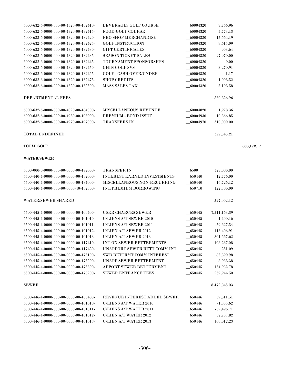| 6000-632-6-0000-000-00-4320-00-432410- | <b>BEVERAGES GOLF COURSE</b>  | 60004320 | 9,766.96     |
|----------------------------------------|-------------------------------|----------|--------------|
| 6000-632-6-0000-000-00-4320-00-432415- | <b>FOOD-GOLF COURSE</b>       | 60004320 | 5,773.13     |
| 6000-632-6-0000-000-00-4320-00-432420- | <b>PRO SHOP MERCHANDISE</b>   | 60004320 | 15,664.19    |
| 6000-632-6-0000-000-00-4320-00-432425- | <b>GOLF INSTRUCTION</b>       | 60004320 | 8,615.09     |
| 6000-632-6-0000-000-00-4320-00-432430- | <b>GIFT CERTIFICATES</b>      | 60004320 | 903.64       |
| 6000-632-6-0000-000-00-4320-00-432435- | <b>SEASON TICKET SALES</b>    | 60004320 | 97,970.00    |
| 6000-632-6-0000-000-00-4320-00-432445- | <b>TOURNAMENT SPONSORSHPS</b> | 60004320 | 0.00         |
| 6000-632-6-0000-000-00-4320-00-432450- | <b>GHIN GOLF SVS</b>          | 60004320 | 3,270.91     |
| 6000-632-6-0000-000-00-4320-00-432465- | <b>GOLF - CASH OVER/UNDER</b> | 60004320 | 1.17         |
| 6000-632-6-0000-000-00-4320-00-432475- | <b>SHOP CREDITS</b>           | 60004320 | 1,098.52     |
| 6000-632-6-0000-000-00-4320-00-432500- | <b>MASS SALES TAX</b>         | 60004320 | 5,198.58     |
|                                        |                               |          |              |
| <b>DEPARTMENTAL FEES</b>               |                               |          | 560,826.96   |
|                                        |                               |          |              |
| 6000-632-6-0000-000-00-4820-00-484000- | <b>MISCELLANEOUS REVENUE</b>  | 60004820 | 1,978.36     |
| 6000-632-6-0000-000-00-4930-00-493000- | PREMIUM - BOND ISSUE          | 60004930 | 10,366.85    |
| 6000-632-6-0000-000-00-4970-00-497000- | <b>TRANSFERS IN</b>           | 60004970 | 310,000.00   |
|                                        |                               |          |              |
| <b>TOTAL UNDEFINED</b>                 |                               |          | 322, 345. 21 |

# **TOTAL GOLF 883,172.17**

#### **WATER/SEWER**

6500-000-0-0000-000-00-0000-00-497000- TRANSFER IN \_\_6500 375,000.00 6500-440-4-0000-000-00-0000-00-482000- INTEREST EARNED INVESTMENTS \_\_650440 12,776.00 6500-440-4-0000-000-00-0000-00-484000- MISCELLANEOUS NON-RECURRING \_\_650440 16,726.12 6500-440-4-0000-000-00-0000-40-482300- INT/PREMIUM BORROWING \_\_650710 122,500.00 WATER/SEWER SHARED 527,002.12 6500-445-4-0000-000-00-0000-00-400400- USER CHARGES SEWER \_\_650445 7,511,163.39 6500-445-4-0000-000-00-0000-00-401010- U/LIENS A/T SEWER 2010 \_\_650445 -1,490.16 6500-445-4-0000-000-00-0000-00-401011- U/LIENS A/T SEWER 2011 \_\_650445 -59,627.54 6500-445-4-0000-000-00-0000-00-401012- U/LIEN A/T SEWER 2012 \_\_650445 113,406.91 6500-445-4-0000-000-00-0000-00-401013- U/LIEN A/T SEWER 2013 \_\_650445 301,667.62 6500-445-4-0000-000-00-0000-00-417410- INT ON SEWER BETTERMENTS \_\_650445 108,267.08 6500-445-4-0000-000-00-0000-00-417420- UNAPPORT SEWER BETT COMM INT \_\_650445 251.09 6500-445-4-0000-000-00-0000-00-475100- SWR BETTRMT COMM INTEREST \_\_650445 85,390.98 6500-445-4-0000-000-00-0000-00-475200- UNAPP SEWER BETTERMENT \_\_650445 8,938.38 6500-445-4-0000-000-00-0000-00-475300- APPORT SEWER BETTERMENT \_\_650445 134,932.78 6500-445-4-0000-000-00-000-00-478200- SEWER ENTRANCE FEES 650445 650445 269.944.50 SEWER 8,472,845.03 6500-446-4-0000-000-00-0000-00-400403- REVENUE INTEREST ADDED SEWER \_\_650446 39,511.51 6500-446-4-0000-000-00-0000-00-401010- U/LIENS A/T WATER 2010 \_\_650446 -1,353.62 6500-446-4-0000-000-00-0000-00-401011- U/LIENS A/T WATER 2011 \_\_650446 -32,496.71 6500-446-4-0000-000-00-0000-00-401012- U/LIEN A/T WATER 2012 \_\_650446 57,757.82 6500-446-4-0000-000-00-0000-00-401013- U/LIEN A/T WATER 2013 \_\_650446 160,012.23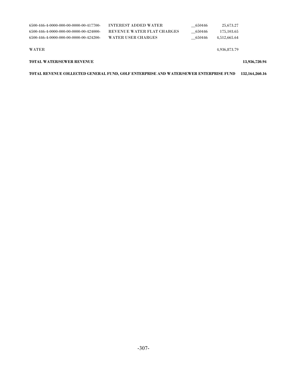| <b>TOTAL WATER/SEWER REVENUE</b>         |                             |        |              | 13,936,720.94 |
|------------------------------------------|-----------------------------|--------|--------------|---------------|
| <b>WATER</b>                             |                             |        | 4.936.873.79 |               |
| $6500-446-4-0000-000-00-0000-00-424200-$ | WATER USER CHARGES          | 650446 | 4.512.665.64 |               |
| $6500-446-4-0000-000-00-0000-00-424000-$ | REVENUE WATER FLAT CHARGES  | 650446 | 175, 103, 65 |               |
| $6500-446-4-0000-000-00-0000-00-417700-$ | <b>INTEREST ADDED WATER</b> | 650446 | 25.673.27    |               |

| TOTAL REVENUE COLLECTED GENERAL FUND. GOLF ENTERPRISE AND WATER/SEWER ENTERPRISE FUND       132.164.260.16 |  |  |
|------------------------------------------------------------------------------------------------------------|--|--|
|                                                                                                            |  |  |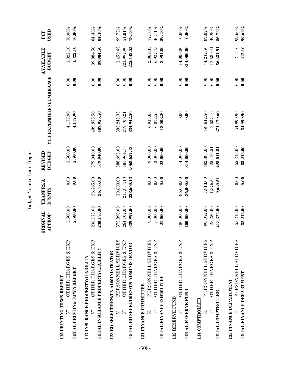|                                                                                                                                   | ORIGINAL<br>PPROP<br>◀                 | <b>TRANFRS/A</b><br><b>PJSMTS</b>     | REVISED<br><b>BUDGET</b>                 | YTD EXPENDEIENCUMBRANCE                |                                    | <b>AVAILABLE</b><br>BUDGET           | USED<br>PCT                   |
|-----------------------------------------------------------------------------------------------------------------------------------|----------------------------------------|---------------------------------------|------------------------------------------|----------------------------------------|------------------------------------|--------------------------------------|-------------------------------|
| <b>OTHER CHARGES &amp; EXP</b><br>TOTAL PRINTING TOWN REPORT<br><b>LI5 PRINTING TOWN REPORT</b><br>57                             | 5,500.00<br>5,500.00                   | 0.00<br>0.00                          | 5,500.00<br>5,500.00                     | 4,177.90<br>4,177.90                   | 0.00<br>$\mathbf{0.00}$            | 1,322.10<br>1,322.10                 | 76.00%<br>$76.00\%$           |
| <b>OTHER CHARGES &amp; EXP</b><br>TOTAL INSURANCE PROPERTY/LIABILITY<br><b>117 INSURANCE PROPERTY/LIABILITY</b><br>57             | 238,175.00<br>238,175.00               | 26,765.00<br>26,765.00                | 579,940.00<br>579,940.00                 | 489,955.50<br>489,955.50               | 0.00<br>0.00                       | 89,984.50<br>89,984.50               | 84.48%<br>84.48%              |
| PERSONNELL SERVICES<br>OTHER CHARGES & EXP<br>TOTAL BD SELECTMEN/TN ADMINISTRATOR<br>123 BD SELECTMEN/TN ADMINISTRATOR<br>57<br>5 | 575,890.00<br>264,107.00<br>839,997.00 | 10,803.00<br>217,857.13<br>228,660.13 | 586,693.00<br>481,964.13<br>1,068,657.13 | 585,242.35<br>834,942.56<br>249,700.21 | 0.00<br>$0.00\,$<br>$\frac{8}{10}$ | 225,443.55<br>1,450.65<br>223,992.90 | 99.75%<br>$51.81\%$<br>78.13% |
| PERSONNELL SERVICES<br>OTHER CHARGES & EXP<br>TOTAL FINANCE COMMITTEE<br>131 FINANCE COMMITTEE<br>57<br>5                         | 9,000.00<br>13,000.00<br>22,000.00     | 0.00<br>0.00<br>0.00                  | 9,000.00<br>13,000.00<br>22,000.00       | 6,935.65<br>6,072.55<br>13,008.20      | 0.00<br>0.00<br>$\frac{8}{10}$     | 2,064.35<br>6,927.45<br>8,991.80     | 77.10%<br>46.71%<br>59.13%    |
| OTHER CHARGES & EXP<br>TOTAL RESERVE FUND<br>132 RESERVE FUND<br>57                                                               | 400,000.00<br>400,000.00               | $-86,000.00$<br>$-36,000.00$          | 314,000.00<br>314,000.00                 | 0.00<br>$\frac{8}{3}$                  | 0.00<br>$\frac{8}{10}$             | 314,000.00<br>314,000.00             | $0.00\%$<br>$0.00\%$          |
| PERSONNELL SERVICES<br>OTHER CHARGES & EXP<br>TOTAL COMPTROLLER<br>134 COMPTROLLER<br>57<br>5                                     | 395,072.00<br>23,250.00<br>418,322.00  | 7,813.00<br>.,876.51<br>9,689.51      | 402,885.00<br>25,126.51<br>428,011.51    | 358,642.50<br>12,537.10<br>371,179.60  | 0.00<br>0.00<br>$\rm _{0.00}$      | 44,242.50<br>56,831.91<br>12,589.41  | 89.02%<br>49.90%<br>86.72%    |
| PERSONNELL SERVICES<br>TOTAL FINANCE DEPARTMENT<br>35 FINANCE DEPARTMENT<br>51                                                    | 55,212.00<br>55,212.00                 | 0.00<br>0.00                          | 55,212.00<br>55,212.00                   | 54,999.90<br>54,999.90                 | 0.00<br>0.00                       | 212.10<br>212.10                     | 99.60%<br>99.62%              |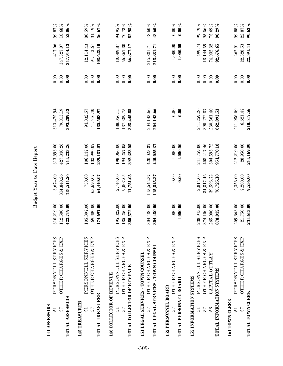| TOTAL ASSESSORS<br>141 ASSESSORS<br>57<br>5                            | <b>OTHER CHARGES &amp; EXP</b><br>PERSONNELL SERVICES                                                      | 310,219.00<br>112,500.00<br>422,719.00               | 3,674.00<br>314,840.26<br>318,514.26            | 313,893.00<br>427,340.26<br>741,233.26               | 313,475.94<br>79,813.19<br>393,289.13                | 0.00<br>0.00<br>$\frac{8}{10}$         | 417.06<br>347,944.13<br>347,527.07            | 99.87%<br>18.68%<br>53.06%              |
|------------------------------------------------------------------------|------------------------------------------------------------------------------------------------------------|------------------------------------------------------|-------------------------------------------------|------------------------------------------------------|------------------------------------------------------|----------------------------------------|-----------------------------------------------|-----------------------------------------|
| TOTAL TREASURER<br>145 TREASURER<br>57<br>5                            | PERSONNELL SERVICES<br>OTHER CHARGES & EXP                                                                 | 105,397.00<br>174,697.00<br>69,300.00                | 750.00<br>63,690.07<br>64,440.07                | 106,147.00<br>239,137.07<br>132,990.07               | 135,508.97<br>94,032.57<br>41,476.40                 | 0.00<br>0.00<br>$\frac{8}{10}$         | 12,114.43<br>103,628.10<br>91,513.67          | 88.59%<br>31.19%<br>56.67%              |
| TOTAL COLLECTOR OF REVENUE<br>146 COLLECTOR OF REVENUE<br>57<br>5      | PERSONNELL SERVICES<br><b>OTHER CHARGES &amp; EXP</b>                                                      | 195,322.00<br>185,250.00<br>380,572.00               | 2,744.00<br>9,007.05<br>11,751.05               | 198,066.00<br>194,257.05<br>392,323.05               | 188,056.13<br>137,389.75<br>325,445.88               | 0.00<br>0.00<br>$\frac{8}{10}$         | 10,009.87<br>56,867.30<br>66,877.17           | 94.95%<br>70.73%<br>82.95%              |
| 57                                                                     | <b>OTHER CHARGES &amp; EXP</b><br>TOTAL LEGAL SERVICES - TOWN COUNSEL<br>151 LEGAL SERVICES - TOWN COUNSEL | 304,480.00<br>304,480.00                             | 115,545.37<br>115,545.37                        | 420,025.37<br>420,025.37                             | 204,143.66<br>204,143.66                             | 0.00<br>0.00                           | 215,881.71<br>215,881.71                      | 48.60%<br>48.60%                        |
| <b>TOTAL PERSONNEL BOARD</b><br>152 PERSONNEL BOARD<br>57              | <b>OTHER CHARGES &amp; EXP</b>                                                                             | 1,000.00<br>1,000.00                                 | 0.00<br>$\frac{8}{10}$                          | 1,000.00<br>1,000.00                                 | 0.00<br>$\frac{8}{10}$                               | 0.00<br>$\frac{8}{10}$                 | 1,000.00<br>1,000.00                          | $0.00\%$<br>$0.00\%$                    |
| TOTAL INFORMATION SYSTEMS<br>155 INFORMATION SYSTEMS<br>58<br>57<br>51 | PERSONNELL SERVICES<br>OTHER CHARGES & EXP<br>CAPITAL OUTLAY                                               | 238,945.00<br>374,100.00<br>265,000.00<br>878,045.00 | 2,814.00<br>34,317.46<br>39,593.72<br>76,725.18 | 241,759.00<br>408,417.46<br>954,770.18<br>304,593.72 | 241,259.26<br>862,093.53<br>390,272.87<br>230,561.40 | 0.00<br>0.00<br>0.00<br>$\frac{8}{10}$ | 499.74<br>18,144.59<br>92,676.65<br>74.032.32 | 99.79%<br>95.56%<br>75.69%<br>$90.29\%$ |
| TOTAL TOWN CLERK<br>161 TOWN CLERK<br>57<br>5                          | PERSONNELL SERVICES<br>OTHER CHARGES & EXP                                                                 | 209,863.00<br>21,750.00<br>231,613.00                | 2,356.00<br>7,200.000<br>9,556.00               | 212,219.00<br>28,950.00<br>241,169.00                | 218,577.56<br>211,956.09<br>6,621.47                 | 0.00<br>0.00<br>0.00                   | 22,328.53<br>22,591.44<br>262.91              | 99.88%<br>22.87%<br>$90.63\%$           |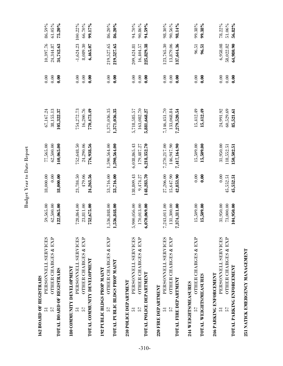| 162 BOARD OF REGISTRARS<br>57<br>51                                | PERSONNELL SERVICES<br>OTHER CHARGES & EXP                      | 59,565.00<br>62,500.00                         | 18,000.00<br>0.00                    | 77,565.00<br>62,500.00                     | 67,167.24<br>38,155.13                     | 0.00<br>0.00                             | 10,397.76<br>24,344.87                | 86.59%<br>61.05%           |
|--------------------------------------------------------------------|-----------------------------------------------------------------|------------------------------------------------|--------------------------------------|--------------------------------------------|--------------------------------------------|------------------------------------------|---------------------------------------|----------------------------|
| TOTAL BOARD OF REGISTRARS                                          |                                                                 | 122,065.00                                     | 18,000.00                            | 140,065.00                                 | 105,322.37                                 | 0.00                                     | 34,742.63                             | 75.20%                     |
| 180 COMMUNITY DEVELOPMENT<br>51                                    | PERSONNELL SERVICES                                             | 728,864.00                                     | 23,784.50                            | 752,648.50                                 | 754.272.73                                 | 0.00                                     | $-1,624.23$                           | 100.22%                    |
| 57                                                                 | <b>OTHER CHARGES &amp; EXP</b><br>TOTAL COMMUNITY DEVELOPMENT   | 23,811.00<br>752,675.00                        | 479.06<br>24,263.56                  | 24,290.06<br>776,938.56                    | 16,200.76<br>770,473.49                    | 0.00<br>$\frac{8}{10}$                   | 8,089.30<br>6,465.07                  | 66.70%<br>99.17%           |
| 192 PUBLIC BLDGS PROP MAINT<br>57                                  | <b>OTHER CHARGES &amp; EXP</b><br>TOTAL PUBLIC BLDGS PROP MAINT | 536,848.00<br>,536,848.00                      | 53,716.00<br>53,716.00               | 1,590,564.00<br>1,590,564.00               | 1,371,036.35<br>1,371,036.35               | 0.00<br>$\frac{8}{10}$                   | 219,527.65<br>219,527.65              | 86.20%<br>$86.20\%$        |
| <b>TOTAL POLICE DEPARTMENT</b><br>210 POLICE DEPARTMENT<br>57<br>5 | PERSONNELL SERVICES<br><b>OTHER CHARGES &amp; EXP</b>           | ,900,056.00<br>170,013.00<br>6,070,069.00<br>ທ | 138,809.43<br>148,283.70<br>9,474.27 | 6,038,865.43<br>6,218,352.70<br>179,487.27 | 163,082.70<br>5,718,585.57<br>5,881,668.27 | 0.00<br>0.00<br>$\mathbf{0.00}$          | 225,829.38<br>16,404.57<br>209,424.81 | 94.70%<br>90.86%<br>94.59% |
| TOTAL FIRE DEPARTMENT<br>220 FIRE DEPARTMENT<br>57<br>5            | PERSONNELL SERVICES<br><b>OTHER CHARGES &amp; EXP</b>           | 243,011.00<br>131,300.00<br>7,374,311.00<br>Ŀ, | 27,206.00<br>15,647.90<br>42,853.90  | 7,270,217.00<br>146,947.90<br>7,417,164.90 | 7,146,451.70<br>133,068.84<br>7,279,520.54 | 0.00<br>0.00<br>$\widetilde{\mathbf{S}}$ | 123,765.30<br>13,879.06<br>137,644.36 | 98.30%<br>90.56%<br>98.14% |
| <b>TOTAL WEIGHTS/MEASURES</b><br>244 WEIGHTS/MEASURES<br>57        | <b>OTHER CHARGES &amp; EXP</b>                                  | 15,509.00<br>15,509.00                         | 0.00<br>$\frac{8}{10}$               | 15,509.00<br>15,509.00                     | 15,412.49<br>15,412.49                     | 0.00<br>$\frac{8}{10}$                   | 96.51<br>96.51                        | 99.38%<br>99.38%           |
| TOTAL PARKING ENFORCEMENT<br>246 PARKING ENFORCEMENT<br>57<br>5    | PERSONNELL SERVICES<br><b>OTHER CHARGES &amp; EXP</b>           | 31,950.00<br>73,000.00<br>104,950.00           | 0.00<br>45,552.51<br>45,552.51       | 31,950.00<br>118,552.51<br>150,502.51      | 24,991.92<br>60,529.69<br>85,521.61        | 0.00<br>0.00<br>$\frac{8}{10}$           | 6,958.08<br>64,980.90<br>58,022.82    | 78.22%<br>51.06%<br>56.82% |

Budget Year to Date Report

Budget Year to Date Report

251 NATICK EMERGENCY MANAGEMENT **251 NATICK EMERGENCY MANAGEMENT**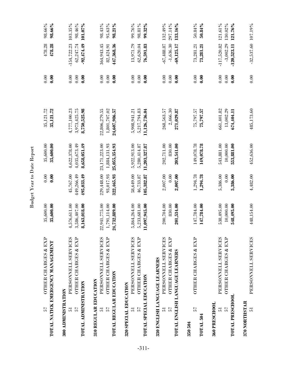| 57                                                           | <b>OTHER CHARGES &amp; EXP</b><br>TOTAL NATICK EMERGENCY MANAGEMENT                                            | 35,600.00<br>35,600.00                         | 0.00<br>$\frac{8}{10}$                | 35,600.00<br>35,600.00                         | 35,121.72<br>35,121.72                         | 0.00<br>$\frac{8}{10}$         | 478.28<br>478.28                              |  |
|--------------------------------------------------------------|----------------------------------------------------------------------------------------------------------------|------------------------------------------------|---------------------------------------|------------------------------------------------|------------------------------------------------|--------------------------------|-----------------------------------------------|--|
| TOTAL ADMINISTRATION<br>300 ADMINISTRATION<br>57<br>51       | PERSONNELL SERVICES<br><b>OTHER CHARGES &amp; EXP</b>                                                          | 4,576,611.00<br>3,586,407.00<br>,163,018.00    | 45,767.00<br>449,266.49<br>495,033.49 | 4,622,378.00<br>4,035,673.49<br>8,658,051.49   | 8,750,525.98<br>4,777,100.23<br>3,973,425.75   | 0.00<br>0.00<br>0.00           | $-92,474.49$<br>$-154,722.23$<br>62.247.74    |  |
| TOTAL REGULAR EDUCATION<br>310 REGULAR EDUCATION<br>57<br>51 | PERSONNELL SERVICES<br>OTHER CHARGES & EXP                                                                     | 22,941,775.00<br>.791, 114.00<br>24,732,889.00 | 229,448.00<br>93,017.93<br>322,465.93 | 23,171,223.00<br>1,884,131.93<br>25,055,354.93 | 22,806,279.55<br>1,801,707.02<br>24,607,986.57 | 0.00<br>0.00<br>0.00           | 447,368.36<br>364,943.45<br>82,424.91         |  |
| TOTAL SPECIAL EDUCATION<br>320 SPECIAL EDUCATION<br>57<br>51 | PERSONNELL SERVICES<br><b>OTHER CHARGES &amp; EXP</b>                                                          | 5,864,264.00<br>5,233,681.00<br>,097,945.00    | 58,649.00<br>46,733.87<br>105,382.87  | 5,922,913.00<br>5,280,414.87<br>11,203,327.87  | 5,217,794.83<br>11,126,736.04<br>5,908,941.21  | 0.00<br>0.00<br>$\frac{6}{10}$ | 13,971.79<br>62,620.04<br>76,591.83           |  |
| 57<br>5                                                      | PERSONNELL SERVICES<br>OTHER CHARGES & EXP<br>TOTAL ENGLISH LANGUAGE LEARNERS<br>330 ENGLISH LANGUAGE LEARNERS | 200,704.00<br>830.00<br>201,534.00             | 2,007.00<br>0.00<br>2,007.00          | 202,711.00<br>830.00<br>203,541.00             | 268,563.57<br>2,466.30<br>271,029.87           | 0.00<br>0.00<br>0.00           | $-67,488.87$<br>$-1,636.30$<br>$-69,125.17$   |  |
| 57<br>TOTAL 504<br>350 504                                   | <b>OTHER CHARGES &amp; EXP</b>                                                                                 | 147,784.00<br>147,784.00                       | 1,294.78<br>1,294.78                  | 149,078.78<br>149,078.78                       | 75,797.57<br>12'161'21                         | 0.00<br>0.00                   | 73,281.21<br>73,281.21                        |  |
| <b>TOTAL PRESCHOOL</b><br>360 PRESCHOOL<br>57<br>5           | PERSONNELL SERVICES<br>OTHER CHARGES & EXP                                                                     | 538,495.00<br>10,000.00<br>548,495.00          | 5,386.00<br>0.00<br>5,386.00          | 543,881.00<br>10.000.00<br>553,881.00          | 661,401.82<br>13,002.29<br>674,404.11          | 0.00<br>0.00<br>$\frac{8}{10}$ | $-3.002.29$<br>$-117,520.82$<br>$-120,523.11$ |  |
| 370 NORTHSTAR<br>51                                          | PERSONNELL SERVICES                                                                                            | 448.154.00                                     | 4.482.00                              | 452,636.00                                     | 485,173.60                                     | 0.00                           | $-32.537.60$ 107.19%                          |  |

Budget Year to Date Report

Budget Year to Date Report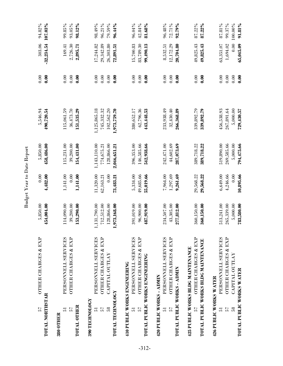| <b>TOTAL NORTHSTAR</b><br>57                                        | OTHER CHARGES & EXP                                                                                          | 454,004.00<br>5,850.00                                 | 0.00<br>4,482.00                            | 5,850.00<br>458,486.00                                   | 5,546.94<br>490,720.54                                   | 0.00<br>0.00                 | $-32,234.54$<br>303.06                           | 94.82%<br>107.03%                     |
|---------------------------------------------------------------------|--------------------------------------------------------------------------------------------------------------|--------------------------------------------------------|---------------------------------------------|----------------------------------------------------------|----------------------------------------------------------|------------------------------|--------------------------------------------------|---------------------------------------|
| TOTAL OTHER<br>57<br>5<br>380 OTHER                                 | PERSONNELL SERVICES<br><b>OTHER CHARGES &amp; EXP</b>                                                        | 114,090.00<br>153,290.00<br>39,200.00                  | 1,141.00<br>0.00<br>1,141.00                | 115,231.00<br>39,200.00<br>154,431.00                    | 115,061.59<br>36,473.70<br>151,535.29                    | 0.00<br>0.00<br>0.00         | 2,726.30<br>169.41<br>2,895.71                   | 99.85%<br>93.05%<br>98.12%            |
| TOTAL TECHNOLOGY<br><b>390 TECHNOLOGY</b><br>58<br>57<br>5          | PERSONNELL SERVICES<br><b>OTHER CHARGES &amp; EXP</b><br>CAPITAL OUTLAY                                      | 712,512.00<br>,131,790.00<br>128,866.00<br>,973,168.00 | 11,320.00<br>0.00<br>62,163.21<br>73,483.21 | 1,143,110.00<br>128,866.00<br>2,046,651.21<br>774,675.21 | 1,125,865.18<br>745,332.32<br>102,562.20<br>1,973,759.70 | 0.00<br>0.00<br>0.00<br>0.00 | 17,244.82<br>29,342.89<br>26,303.80<br>72,891.51 | 98.49%<br>96.21%<br>79.59%<br>96.44%  |
| 57<br>5                                                             | PERSONNELL SERVICES<br>OTHER CHARGES & EXP<br>TOTAL PUBLIC WORKS ENGINEERING<br>410 PUBLIC WORKS ENGINEERING | 391,019.00<br>96,900.00<br>487,919.00                  | 5,334.00<br>49,685.66<br>55,019.66          | 396,353.00<br>146,585.66<br>542,938.66                   | 380,652.17<br>62,796.36<br>443,448.53                    | 0.00<br>0.00<br>0.00         | 15,700.83<br>83,789.30<br>99,490.13              | 96.04%<br>42.84%<br>$81.68\%$         |
| TOTAL PUBLIC WORKS - ADMIN<br>420 PUBLIC WORKS - ADMIN<br>57<br>5   | PERSONNELL SERVICES<br><b>OTHER CHARGES &amp; EXP</b>                                                        | 43,305.00<br>234,507.00<br>277,812.00                  | 7,964.00<br>1,297.69<br>9,261.69            | 44,602.69<br>242,471.00<br>287,073.69                    | 233,938.49<br>32,430.40<br>266,368.89                    | 0.00<br>0.00<br>0.00         | 12,172.29<br>20,704.80<br>8,532.51               | 96.48%<br>72.71%<br>92.79%            |
| 57                                                                  | <b>OTHER CHARGES &amp; EXP</b><br>TOTAL PUBLIC WORKS BLDG MAINTENANCE<br>425 PUBLIC WORKS BLDG MAINTENANCE   | 360,150.00<br>360,150.00                               | 29,568.22<br>29,568.22                      | 389,718.22<br>389.718.22                                 | 339.892.79<br>339,892.79                                 | 0.00<br>0.00                 | 49,825.43<br>49,825.43                           | 87.22%<br>$87.22\%$                   |
| TOTAL PUBLIC WORKS WATER<br>426 PUBLIC WORKS WATER<br>58<br>57<br>5 | PERSONNELL SERVICES<br>OTHER CHARGES & EXP<br>CAPITAL OUTLAY                                                 | 513,241.00<br>265,339.00<br>5,000.00<br>783,580.00     | 4,246.66<br>6.649.00<br>0.00<br>10,895.66   | 269,585.66<br>5,000.00<br>794,475.66<br>519.890.00       | 267,891.64<br>456,538.93<br>5,000.00<br>729,430.57       | 0.00<br>0.00<br>0.00<br>0.00 | 63,351.07<br>1,694.02<br>0.00<br>65.045.09       | 99.37%<br>100.00%<br>91.81%<br>87.81% |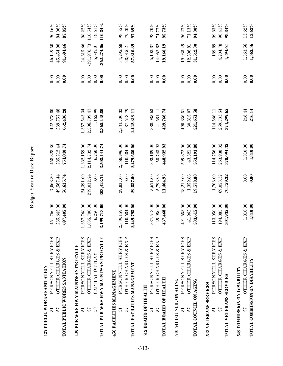| 57<br>5                                                       | PERSONNELL SERVICES<br>OTHER CHARGES & EXP<br>TOTAL PUBLIC WORKS SANTATION<br>427 PUBLIC WORKS SANITATION                                  | 461,760.00<br>235,645.00<br>697,405.00                  | 7,068.30<br>49,567.44<br>56,635.74            | 285,212.44<br>468,828.30<br>754.040.74                   | 422,678.80<br>239,757.48<br>662,436.28                   | 0.00<br>0.00<br>0.00           | 91,604.46<br>46,149.50<br>45,454.96                     | 90.16%<br>84.06%<br>87.85%             |
|---------------------------------------------------------------|--------------------------------------------------------------------------------------------------------------------------------------------|---------------------------------------------------------|-----------------------------------------------|----------------------------------------------------------|----------------------------------------------------------|--------------------------------|---------------------------------------------------------|----------------------------------------|
| 58<br>57<br>5                                                 | TOTAL PUB WKS HWY MAINT/SANT/RECYCLE<br>PERSONNELL SERVICES<br>OTHER CHARGES & EXP<br>429 PUB WKS HWY MAINT/SANT/RECYCLE<br>CAPITAL OUTLAY | ,835,700.00<br>.,357,768.00<br>6,250.00<br>3,199,718.00 | 279,032.74<br>24,391.00<br>303,423.74<br>0.00 | 2,114,732.74<br>1,382,159.00<br>6,250.00<br>3,503,141.74 | 2,506,709.47<br>1,357,543.34<br>1,162.99<br>3,865,415.80 | 0.00<br>0.00<br>0.00<br>0.00   | $-362,274.06$<br>24,615.66<br>$-391,976.73$<br>5,087.01 | 18.61%<br>110.34%<br>98.22%<br>118.54% |
| 450 FACILITIES MANAGEMENT<br>57<br>5                          | PERSONNELL SERVICES<br><b>OTHER CHARGES &amp; EXP</b><br>TOTAL FACILITIES MANAGEMENT                                                       | 2,339,159.00<br>110,634.00<br>2,449,793.00              | 29,837.00<br>$_{0.00}$<br>29,837.00           | 2,368,996.00<br>110,634.00<br>2,479,630.00               | 2,334,700.32<br>87,618.79<br>2,422,319.11                | 0.00<br>0.00<br>$\frac{8}{10}$ | 34,295.68<br>57,310.89<br>23,015.21                     | 98.55%<br>79.20%<br>$97.69\%$          |
| TOTAL BOARD OF HEALTH<br>512 BOARD OF HEALTH<br>57<br>5       | PERSONNELL SERVICES<br>OTHER CHARGES & EXP                                                                                                 | 387,518.00<br>49,950.00<br>437,468.00                   | 5,671.00<br>5,793.93<br>11,464.93             | 393,189.00<br>55,743.93<br>448,932.93                    | 388,085.63<br>429,766.74<br>41,681.11                    | 0.00<br>0.00<br>0.00           | 5,103.37<br>14,062.82<br>19,166.19                      | 98.70%<br>74.77%<br>95.73%             |
| 540 541 COUNCIL ON AGING<br>TOTAL COUNCIL ON AGING<br>57<br>5 | PERSONNELL SERVICES<br><b>OTHER CHARGES &amp; EXP</b>                                                                                      | 491,653.00<br>41,962.00<br>533,615.00                   | 18,219.00<br>1,359.88<br>19,578.88            | 43,321.88<br>509,872.00<br>553,193.88                    | 30,815.07<br>521,651.58<br>490,836.51                    | 0.00<br>0.00<br>$\frac{8}{10}$ | 19,035.49<br>31,542.30<br>12,506.81                     | 96.27%<br>71.13%<br>$94.30\%$          |
| TOTAL VETERANS SERVICES<br>543 VETERANS SERVICES<br>57<br>5   | PERSONNELL SERVICES<br>OTHER CHARGES & EXP                                                                                                 | 113,050.00<br>194,885.00<br>307,935.00                  | 1,706.00<br>69,053.32<br>70,759.32            | 114,756.00<br>263,938.32<br>378,694.32                   | 259,733.54<br>374,299.65<br>114,566.11                   | 0.00<br>0.00<br>$\frac{8}{10}$ | 189.89<br>4,204.78<br>4,394.67                          | 99.83%<br>98.41%<br>98.84%             |
| 57                                                            | OTHER CHARGES & EXP<br><b>TOTAL COMMISSION ON DISABILITY</b><br>549 COMMISSION ON DISABILITY                                               | 1,810.00<br>1,810.00                                    | 0.00<br>$\frac{6}{10}$                        | 1,810.00<br>1,810.00                                     | 246.44<br>246.44                                         | 0.00<br>0.00                   | 1,563.56<br>1,563.56                                    | 13.62%<br>13.62%                       |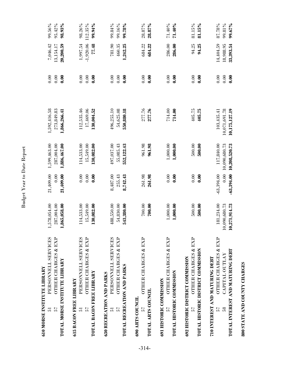| <b>610 MORSE INSTITUTE LIBRARY</b><br>57<br>51                        | PERSONNELL SERVICES<br>OTHER CHARGES & EXP<br><b>TOTAL MORSE INSTITUTE LIBRARY</b>                          | ,578,054.00<br>287,004.00<br>,865,058.00    | 21,409.00<br>0.00<br>21,409.00       | 1,599,463.00<br>287,004.00<br>1,886,467.00   | 1,592,416.58<br>273,849.83<br>1,866,266.41   | 0.00<br>0.00<br>0.00            | 7,046.42<br>20,200.59<br>13,154.17  | 99.56%<br>95.42%<br>98.93%  |
|-----------------------------------------------------------------------|-------------------------------------------------------------------------------------------------------------|---------------------------------------------|--------------------------------------|----------------------------------------------|----------------------------------------------|---------------------------------|-------------------------------------|-----------------------------|
| TOTAL BACON FREE LIBRARY<br><b>615 BACON FREE LIBRARY</b><br>57<br>51 | PERSONNELL SERVICES<br><b>OTHER CHARGES &amp; EXP</b>                                                       | 114,533.00<br>15,549.00<br>130,082.00       | 0.00<br>0.00<br>0.00                 | 15,549.00<br>130,082.00<br>114,533.00        | 112,535.46<br>17,469.06<br>130,004.52        | 0.00<br>0.00<br>$\frac{8}{10}$  | 1,997.54<br>$-1,920.06$<br>34.57    | 98.26%<br>112.35%<br>99.94% |
| TOTAL RECREATION AND PARKS<br>630 RECREATION AND PARKS<br>57<br>51    | PERSONNELL SERVICES<br>OTHER CHARGES & EXP                                                                  | 488,550.00<br>54,830.00<br>543,380.00       | 8,487.00<br>255.43<br>8,742.43       | 497,037.00<br>55,085.43<br>552,122.43        | 496,255.10<br>54,625.08<br>550,880.18        | 0.00<br>0.00<br>$\mathbf{0.00}$ | 781.90<br>1,242.25<br>460.35        | 99.84%<br>99.16%<br>99.78%  |
| TOTAL ARTS COUNCIL<br>690 ARTS COUNCIL<br>57                          | <b>OTHER CHARGES &amp; EXP</b>                                                                              | 700.00<br>700.00                            | 261.98<br>261.98                     | 961.98<br>961.98                             | 277.76<br>277.76                             | 0.00<br>$\mathbf{0.00}$         | 684.22<br>684.22                    | 28.87%<br>28.87%            |
| TOTAL HISTORIC COMMISSION<br>691 HISTORIC COMMISSION<br>57            | <b>OTHER CHARGES &amp; EXP</b>                                                                              | 1,000.00<br>1,000.00                        | 0.00<br>$\frac{6}{10}$               | 1,000.00<br>1,000.00                         | 714.00<br>714.00                             | 0.00<br>$\frac{6}{10}$          | 286.00<br>286.00                    | 71.40%<br>$-40\%$           |
| 57                                                                    | OTHER CHARGES & EXP<br>TOTAL HISTORIC DISTRICT COMMISSION<br>692 HISTORIC DISTRICT COMMISSION               | 500.00<br>500.00                            | 0.00<br>0.00                         | 500.00<br>500.00                             | 405.75<br>405.75                             | 0.00<br>$\mathbf{0.00}$         | 94.25<br>94.25                      | 81.15%<br>81.15%            |
| $\frac{8}{5}$<br>57                                                   | OTHER CHARGES & EXP<br>TOTAL INTEREST AND MATURING DEBT<br>CAPITAL OUTLAY<br>710 INTEREST AND MATURING DEBT | 181,234.00<br>1,090,680.73<br>10,271,914.73 | $-63,394.00$<br>0.00<br>$-63,394.00$ | 10,090,680.73<br>10,208,520.73<br>117,840.00 | 10,071,691.78<br>10,175,127.19<br>103,435.41 | 0.00<br>0.00<br>0.00            | 14,404.59<br>18,988.95<br>33,393.54 | 87.78%<br>99.81%<br>99.67%  |

**800 STATE AND COUNTY CHARGES**

800 STATE AND COUNTY CHARGES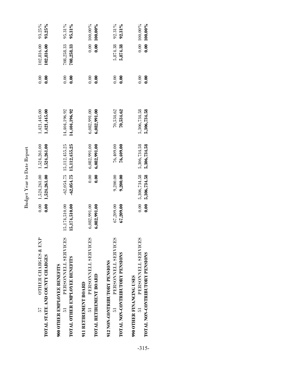| Report<br>J  |  |
|--------------|--|
| ate          |  |
| $\mathbf{c}$ |  |
| ear<br>4     |  |
| udget<br>D   |  |

| OTHER CHARGES & EXP<br>TOTAL STATE AND COUNTY CHARGES<br>57                                           | 0.00                           | $0.00 \quad 1.524.261.00$<br>1,524,261.00 | 1,524,261.00<br>1,524,261.00                             | 1,421,445.00<br>1,421,445.00   | 0.00<br>0.00 | 102,816.00<br>102,816.00 | 93.25%<br>93.25%                |
|-------------------------------------------------------------------------------------------------------|--------------------------------|-------------------------------------------|----------------------------------------------------------|--------------------------------|--------------|--------------------------|---------------------------------|
| PERSONNELL SERVICES<br>TOTAL OTHER EMPLOYEE BENEFITS<br>900 OTHER EMPLOYEE BENEFITS<br>$\overline{a}$ | 15,174,510.00<br>15,174,510.00 |                                           | $-62,054.75$ 15,112,455.25<br>$-62,054.75$ 15,112,455.25 | 14,404,196.92<br>14,404,196.92 | 0.00<br>0.00 | 708,258.33<br>708,258.33 | 95.31%<br>95.31%                |
| PERSONNELL SERVICES<br>TOTAL RETIREMENT BOARD<br>911 RETIREMENT BOARD<br>5                            | 6,082,991.00<br>6,082,991.00   | 0.00<br>0.00                              | 6,082,991.00<br>6,082,991.00                             | 6,082,991.00<br>6,082,991.00   | 0.00<br>0.00 |                          | 0.00 100.00%<br>$0.001000.00\%$ |
| PERSONNELL SERVICES<br>TOTAL NON-CONTRIBUTORY PENSIONS<br>912 NON-CONTRIBUTORY PENSIONS               | 67,209.00<br>67,209.00         | 9,200.00<br>9,200.00                      | 76,409.00<br>76,409.00                                   | 70,534.62<br>70,534.62         | 0.00<br>0.00 | 5,874.38<br>5,874.38     | 92.31%<br>92.31%                |
| PERSONNELL SERVICES<br>TOTAL NON-CONTRIBUTORY PENSIONS<br>990 OTHER FINANCING USES                    | 0.00<br>0.00                   | 5,306,734.58<br>5,306,734.58              | 5,306,734.58<br>5,306,734.58                             | 5,306,734.58<br>5,306,734.58   | 0.00<br>0.00 |                          | 0.00 100.00%<br>$0.00100000\%$  |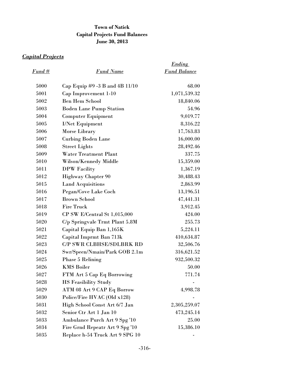# **Town of Natick Capital Projects Fund Balances June 30, 2013**

# *Capital Projects*

|               |                                 | <b>Ending</b>       |
|---------------|---------------------------------|---------------------|
| <u>Fund #</u> | <b>Fund Name</b>                | <b>Fund Balance</b> |
| 5000          | Cap Equip #9 -3 B and 4B 11/10  | 68.00               |
| 5001          | Cap Improvement 1-10            | 1,071,539.32        |
| 5002          | <b>Ben Hem School</b>           | 18,840.06           |
| 5003          | <b>Boden Lane Pump Station</b>  | 54.96               |
| 5004          | <b>Computer Equipment</b>       | 9,019.77            |
| 5005          | <b>I/Net Equipment</b>          | 8,316.22            |
| 5006          | Morse Library                   | 17,763.83           |
| 5007          | <b>Curbing Boden Lane</b>       | 16,000.00           |
| 5008          | <b>Street Lights</b>            | 28,492.46           |
| 5009          | Water Treatment Plant           | 337.75              |
| 5010          | Wilson/Kennedy Middle           | 15,359.00           |
| 5011          | DPW Facility                    | 1,367.19            |
| 5012          | <b>Highway Chapter 90</b>       | 30,488.43           |
| 5015          | <b>Land Acquisitions</b>        | 2,863.99            |
| 5016          | Pegan/Cove Lake Coch            | 13,196.51           |
| 5017          | <b>Brown School</b>             | 47,441.31           |
| 5018          | <b>Fire Truck</b>               | 3,912.45            |
| 5019          | CP SW E/Central St 1,015,000    | 424.00              |
| 5020          | C/p Springvale Trmt Plant 5.8M  | 255.73              |
| 5021          | Capital Equip Ban 1,165K        | 5,224.11            |
| 5022          | Capital Imprmt Ban 713k         | 410,634.87          |
| 5023          | <b>C/P SWR CLBHSE/SDLBRK RD</b> | 32,506.76           |
| 5024          | Swr/Speen/Nmain/Park GOB 2.1m   | 316,621.52          |
| 5025          | <b>Phase 5 Relining</b>         | 932,500.32          |
| 5026          | <b>KMS Boiler</b>               | 50.00               |
| 5027          | FTM Art 5 Cap Eq Borrowing      | 771.74              |
| 5028          | <b>HS Feasibility Study</b>     |                     |
| 5029          | ATM 08 Art 9 CAP Eq Borrow      | 4,998.78            |
| 5030          | Police/Fire HVAC (Old x128)     |                     |
| 5031          | High School Const Art 6/7 Jan   | 2,305,259.07        |
| 5032          | Senior Ctr Art 1 Jan 10         | 473,245.14          |
| 5033          | Ambulance Purch Art 9 Spg '10   | 25.00               |
| 5034          | Fire Grnd Repeatr Art 9 Spg '10 | 15,386.10           |
| 5035          | Replace h-54 Truck Art 9 SPG 10 |                     |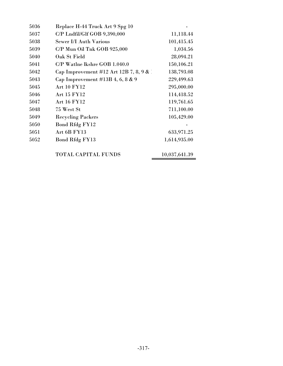| 5036 | Replace H-44 Truck Art 9 Spg 10         |              |
|------|-----------------------------------------|--------------|
| 5037 | C/P Lndfil/Glf GOB 9,390,000            | 11,118.44    |
| 5038 | <b>Sewer I/I Auth Various</b>           | 101,415.45   |
| 5039 | C/P Mun Oil Tnk GOB 925,000             | 1,034.56     |
| 5040 | Oak St Field                            | 28,094.21    |
| 5041 | $C/P$ Watlne lkshre GOB 1.040.0         | 150,106.21   |
| 5042 | Cap Improvement #12 Art 12B 7, 8, 9 & 1 | 138,793.08   |
| 5043 | Cap Improvement $\#13B$ 4, 6, 8 & 9     | 229,499.63   |
| 5045 | <b>Art 10 FY12</b>                      | 295,000.00   |
| 5046 | Art 15 FY12                             | 114,418.52   |
| 5047 | Art 16 FY12                             | 119,761.65   |
| 5048 | 75 West St                              | 711,100.00   |
| 5049 | <b>Recycling Packers</b>                | 105,429.00   |
| 5050 | <b>Bond Rfdg FY12</b>                   |              |
| 5051 | Art 6B FY13                             | 633,971.25   |
| 5052 | <b>Bond Rfdg FY13</b>                   | 1,614,935.00 |
|      |                                         |              |

TOTAL CAPITAL FUNDS 10,037,641.39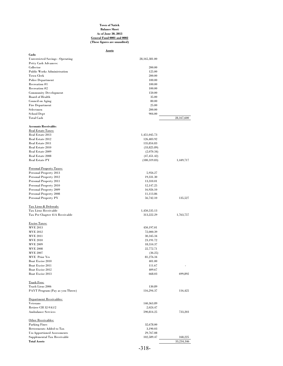#### **Town of Natick Balance Sheet As of June 30, 2013 General Fund 0001 and 0002 (These figures are unaudited)**

| Assets                                           |                            |            |
|--------------------------------------------------|----------------------------|------------|
| Cash:                                            |                            |            |
| <b>Unrestricted Savings - Operating</b>          | 28,165,381.00              |            |
| Petty Cash Advances:<br>Collector                | 200.00                     |            |
| <b>Public Works Administration</b>               | 125.00                     |            |
| <b>Town Clerk</b>                                | 200.00                     |            |
| <b>Police Department</b>                         | 100.00                     |            |
| Recreation #1                                    | 100.00                     |            |
| Recreation #2                                    | 100.00                     |            |
| <b>Community Development</b>                     | 150.00                     |            |
| Board of Health                                  | 35.00                      |            |
| Council on Aging                                 | 80.00                      |            |
| Fire Department<br>Selectmen                     | 25.00<br>200.00            |            |
| <b>School Dept</b>                               | 904.00                     |            |
| <b>Total Cash</b>                                |                            | 28,167,600 |
| <b>Accounts Receivable:</b>                      |                            |            |
| <b>Real Estate Taxes:</b>                        |                            |            |
| Real Estate 2013                                 | 1,451,045.73               |            |
| Real Estate 2012                                 | 126,483.92                 |            |
| Real Estate 2011                                 | 135,854.83                 |            |
| Real Estate 2010<br>Real Estate 2009             | (33,825.89)                |            |
| Real Estate 2008                                 | (2,070.34)<br>(47, 451.42) |            |
| Real Estate PY                                   | (180, 319.83)              | 1,449,717  |
|                                                  |                            |            |
| <b>Personal Property Taxes:</b>                  |                            |            |
| Personal Property 2013                           | 5,956.27                   |            |
| Personal Property 2012                           | 19,331.30                  |            |
| Personal Property 2011                           | 13,310.01                  |            |
| Personal Property 2010                           | 12,147.25                  |            |
| Personal Property 2009<br>Personal Property 2008 | 16,926.10<br>11,113.86     |            |
| Personal Property PY                             | 56,742.10                  | 135,527    |
| Tax Liens & Deferrals:                           |                            |            |
| Tax Liens Receivable                             | 1,450,535.13               |            |
| Tax Per Chapter 41A Receivable                   | 313,222.29                 | 1,763,757  |
| <b>Excise Taxes:</b>                             |                            |            |
| <b>MVE 2013</b>                                  | 450,197.01                 |            |
| <b>MVE 2012</b>                                  | 72,000.39                  |            |
| <b>MVE 2011</b>                                  | 30, 345. 34                |            |
| <b>MVE 2010</b>                                  | 23,191.72                  |            |
| <b>MVE 2009</b>                                  | 18,554.37                  |            |
| <b>MVE 2008</b>                                  | 22,772.71                  |            |
| <b>MVE 2007</b>                                  | (36.25)                    |            |
| MVE Prior Yrs                                    | 81,276.34                  |            |
| Boat Excise 2010                                 | 401.00                     |            |
| Boat Excise 2011                                 | 111.67                     |            |
| Boat Excise 2012                                 | 409.67<br>668.03           | 699,892    |
| Boat Excise 2013                                 |                            |            |
| <b>Trash Fees:</b><br>Trash Liens 2006           | 130.89                     |            |
| PAYT Program (Pay as you Throw)                  | 116,294.37                 | 116,425    |
| Department Receivables:                          |                            |            |
| Veterans                                         | 140,363.89                 |            |
| Retiree CH 32-9A1/2                              | 2,024.47                   |            |
| <b>Ambulance Services</b>                        | 590,814.25                 | 733,203    |
| Other Receivables:                               |                            |            |
| <b>Parking Fines</b>                             | 32,678.00                  |            |
| Betterments Added to Tax                         | 3,190.03                   |            |
| <b>Un-Apportioned Assessments</b>                | 29,767.08                  |            |
| Supplemental Tax Receivable                      | 102,589.47                 | 168,225    |
| <b>Total Assets</b>                              |                            | 33,234,346 |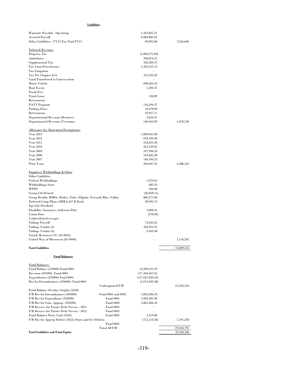# **Liabilities**

| Warrants Payable - Operating                                                               |                                      | 1,452,825.51             |            |
|--------------------------------------------------------------------------------------------|--------------------------------------|--------------------------|------------|
| <b>Accrued Payroll</b>                                                                     |                                      | 6,083,885.62             |            |
| Other Liabilities - FY14 Tax Paid FY13                                                     |                                      | 89,895.00                | 7,626,606  |
| Deferred Revenue:                                                                          |                                      |                          |            |
| <b>Property Tax</b>                                                                        |                                      | (1,802,971.89)           |            |
| Ambulance                                                                                  |                                      | 590,814.25               |            |
| Supplemental Tax                                                                           |                                      | 102,589.47               |            |
| Tax Liens/Foreclosures                                                                     |                                      | 1,450,535.13             |            |
| <b>Tax Litigation</b>                                                                      |                                      | $\overline{\phantom{a}}$ |            |
| Tax Per Chapter 41A                                                                        |                                      | 313,222.29               |            |
| Land Transferred to Conservation                                                           |                                      |                          |            |
| <b>Motor Vehicle</b>                                                                       |                                      | 698,301.63               |            |
| <b>Boat Excise</b><br><b>Trash Fees</b>                                                    |                                      | 1,590.37<br>÷,           |            |
| Trash Liens                                                                                |                                      | 130.89                   |            |
| <b>Betterments</b>                                                                         |                                      |                          |            |
| <b>PAYT</b> Program                                                                        |                                      | 116,294.37               |            |
| <b>Parking Fines</b>                                                                       |                                      | 32,678.00                |            |
| <b>Betterments</b>                                                                         |                                      | 32,957.11                |            |
| Departmental Revenue (Retirees)                                                            |                                      | 2,024.47                 |            |
| Departmental Revenue (Veterans)                                                            |                                      | 140,363.89               | 1,678,530  |
|                                                                                            |                                      |                          |            |
| Allowance for Abatement/Exemptions:                                                        |                                      |                          |            |
| <b>Year 2013</b>                                                                           |                                      | 1,009,941.08             |            |
| <b>Year 2012</b>                                                                           |                                      | 678,190.48               |            |
| <b>Year 2011</b><br><b>Year 2010</b>                                                       |                                      | 544,815.40               |            |
| <b>Year 2009</b>                                                                           |                                      | 412,129.62<br>247,996.53 |            |
| <b>Year 2008</b>                                                                           |                                      | 143,842.28               |            |
| <b>Year 2007</b>                                                                           |                                      | 146,393.23               |            |
| <b>Prior Years</b>                                                                         |                                      | 204,907.16               | 3,388,216  |
|                                                                                            |                                      |                          |            |
| <b>Employee Withholdings &amp; Other</b>                                                   |                                      |                          |            |
| Other Liabilities                                                                          |                                      |                          |            |
| <b>Federal Withholdings</b>                                                                |                                      | 1,079.02<br>683.33       |            |
| Withholdings State<br>MTRS                                                                 |                                      | 366.88                   |            |
| Group Life/Dental                                                                          |                                      | (36,818.15)              |            |
| Group Health; HMOs, Medex, Tufts, Pilgrim, Network Blue, Fallon                            |                                      | 860,577.60               |            |
| Deferred Comp Plans; OBRA,457 & Roth                                                       |                                      | 20,991.12                |            |
| Egr Life Dividend                                                                          |                                      |                          |            |
| Disability Insurance; Jefferson Pilot                                                      |                                      | 3,908.21                 |            |
| <b>Union Dues</b>                                                                          |                                      | (278.00)                 |            |
| Undistributed receipts                                                                     |                                      |                          |            |
| <b>Tailings Payroll</b>                                                                    |                                      | 73,633.22                |            |
| Tailings Vendor (1)                                                                        |                                      | 182,955.95               |            |
| Tailings Vendor (4)                                                                        |                                      | 9,103.30                 |            |
| Natick Metrowest CU (01-9035)                                                              |                                      | ٠                        |            |
| United Way of Metrowest (01-9090)                                                          |                                      |                          | 1,116,202  |
| <b>Total Liabilities</b>                                                                   |                                      |                          | 13,809,554 |
| <b>Fund Balances</b>                                                                       |                                      |                          |            |
| <b>Fund Balances:</b>                                                                      |                                      |                          |            |
| Fund Balance (359000) Fund 0001                                                            |                                      | 14,209,125.39            |            |
| Revenue (391000) Fund 0001                                                                 |                                      | 117,344,467.65           |            |
| Expenditures (393000) Fund 0001                                                            |                                      | (117, 647, 020.23)       |            |
| Res for Encumbrances (394000) Fund 0001                                                    |                                      | (1,673,039.38)           |            |
|                                                                                            | Undesignated F/B                     |                          | 12,233,533 |
| Fund Balance Overlay Surplus (3220)                                                        |                                      |                          |            |
| F/B Res for Encumbrances (394000)                                                          | Fund 0001 and 0002                   | 1,850,206.10             |            |
| F/B Res for Expenditure (352000)                                                           | <b>Fund 0001</b>                     | 3,185,581.00             |            |
| F/B Res for Cont. Approp. (329500)                                                         | <b>Fund 0002</b>                     | 2,865,366.44             |            |
| F/B Reserve for Future Debt Service - 2011                                                 | <b>Fund 0001</b>                     |                          |            |
| F/B Reserve for Future Debt Service - 2012                                                 | <b>Fund 0001</b><br><b>Fund 0001</b> | 2,219.00                 |            |
| Fund Balance Petty Cash (3250)<br>F/B Res for Approp Deficit (3452) (Snow and Ice Deficit) |                                      | (712, 114.58)            | 7,191,258  |
|                                                                                            | <b>Fund 0001</b>                     |                          |            |
|                                                                                            | Total All F/B                        |                          | 19,424,791 |
| <b>Total Liabilities and Fund Equity</b>                                                   |                                      |                          | 33,234,346 |
|                                                                                            |                                      |                          |            |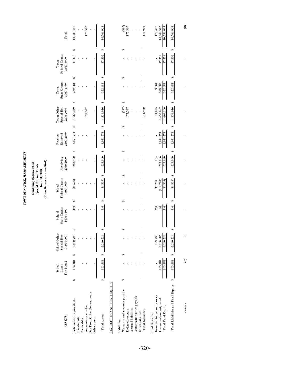TOWN OF NATICK, MASSACHUSETTS **TOWN OF NATICK, MASSACHUSETTS**

# Combining Balance Sheet<br>Special Revenue Funds<br>June 30, 2013<br>(These figures are unaudited) **(These figures are unaudited) Combining Balance Sheet Special Revenue Funds June 30, 2013**

| <b>ASSETS</b>                                                     |   | Fund 0012<br>Lunch<br>School | School Other<br>Special Rev<br>0100-0999 |         | <b>State Grants</b><br>1000-1499<br>School |   | Federal Grants<br>1500-1999<br>School | Revolving<br>2000-2099 | 2100-2199<br>Reserved<br>Receipts |   | Town Other<br>Special Rev<br>2200-2999 | <b>State Grants</b><br>3000-3499<br>Town | Federal Grants<br>3600-3999<br>Town |                  | Total                    |         |
|-------------------------------------------------------------------|---|------------------------------|------------------------------------------|---------|--------------------------------------------|---|---------------------------------------|------------------------|-----------------------------------|---|----------------------------------------|------------------------------------------|-------------------------------------|------------------|--------------------------|---------|
| Cash and cash equivalents<br>Investments                          | ⇎ | 163,384                      | 2,230,723<br>₩                           |         | 340                                        | œ | (84, 539)                             | 223,990                | 3,051,774<br>₩                    | œ | ₩<br>4,662,509                         | œ<br>322,884                             |                                     | œ<br>17,352      | 10,588,417               |         |
| Due From Other Governments<br>Accounts receivable<br>Receivables: |   |                              |                                          |         |                                            |   |                                       |                        |                                   |   | 175,507                                |                                          |                                     |                  |                          | 175,507 |
| Other assets                                                      |   |                              |                                          |         |                                            |   |                                       |                        |                                   |   |                                        |                                          |                                     |                  |                          |         |
| Total Assets                                                      | œ | 163.384                      | 2.230.723<br>œ                           |         | 340                                        | œ | œ<br>(84, 539)                        | 223,990                | 3,051,774<br>œ                    | œ | ⇔<br>4,838,016                         | œ<br>322,884                             |                                     | ¢0<br>17,352     | 10,763,924               |         |
| LIABILITIES AND FUND EOUITY                                       |   |                              |                                          |         |                                            |   |                                       |                        |                                   |   |                                        |                                          |                                     |                  |                          |         |
| Warrants and accounts payable<br>iabilities:                      | œ |                              | œ                                        |         |                                            | œ | œ                                     |                        | œ                                 | œ | œ<br>(597)                             | œ                                        |                                     | œ                |                          | (597)   |
| Accrued liabilities<br>Deferred revenue                           |   |                              |                                          |         |                                            |   |                                       |                        |                                   |   | 175,507                                |                                          |                                     |                  |                          | 175,507 |
| Anticipation notes payable<br>Other liabilities                   |   |                              |                                          |         |                                            |   |                                       |                        |                                   |   |                                        |                                          |                                     |                  |                          |         |
| <b>Total Liabilities</b>                                          |   |                              |                                          |         |                                            |   |                                       |                        |                                   |   | 174,910                                |                                          |                                     |                  |                          | 174,910 |
| Reserved for encumbrances<br><b>Fund Balances:</b>                |   |                              |                                          | 129,738 | 260                                        |   | 35,259                                | 154                    |                                   |   | 11,015                                 | 3,001                                    |                                     |                  |                          | 179,427 |
| Unreserved/undesignated<br>Total Fund Equity                      |   | 163,384<br>163,384           | 2,230,723<br>2,100,985                   |         | 340<br>$\approx$                           |   | (84, 539)<br>(119, 798)               | 223,990<br>223,836     | 3,051,774<br>3,051,774            |   | 4,663,106<br>4,652,092                 | 319,882<br>322,884                       |                                     | 17,352<br>17,352 | 10,589,013<br>10,409,587 |         |
| Total Liabilities and Fund Equity                                 | ¢ | 163,384                      | 2,230,723<br>¢                           |         | 340                                        | œ | œ<br>(84, 539)                        | 223,990                | 3,051,774<br>œ                    | œ | œ<br>4,838,016                         | œ<br>322,884                             |                                     | œ<br>17,352      | 10,763,924               |         |

Variance (0)0 - -- - - - - (0)

 $\hat{\lambda}$ 

 $\hat{\lambda}$ 

 $\circ$ 

 $\odot$ 

Variance

 $\hat{\boldsymbol{\beta}}$ 

 $\odot$ 

 $\tilde{\mathcal{N}}$ 

 $\hat{\boldsymbol{\beta}}$ 

 $\hat{\mathcal{N}}$ 

 $\hat{\mathcal{N}}$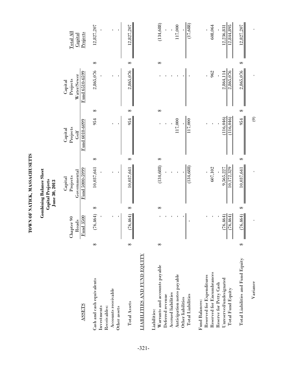TOWN OF NATICK, MASSACHUSETTS **TOWN OF NATICK, MASSACHUSETTS**

# **Combining Balance Sheet**<br>Capital Projects<br>June 30, 2013 **Combining Balance Sheet Capital Projects June 30, 2013**

| <b>ASSETS</b>                                                                                                                                                           |   | Fund 3500<br>Chapter 90<br>Roads |   | Fund 5000-5999<br>Governmental<br>Projects<br>Capital |   | Fund 6010-6099<br>Projects<br>Capital<br>Golf |   | Fund 6510-6599<br>Water/Sewer<br>Projects<br>Capital |   | $\rm Total\ All$<br>Projects<br>Capital |
|-------------------------------------------------------------------------------------------------------------------------------------------------------------------------|---|----------------------------------|---|-------------------------------------------------------|---|-----------------------------------------------|---|------------------------------------------------------|---|-----------------------------------------|
| Cash and cash equivalents<br>Accounts receivable<br>Investments<br>Receivables:<br>Other assets                                                                         | ⇔ | (76, 464)                        | ⇔ | 10,037,641                                            | ⇔ | 954                                           | ⇔ | 2,865,076                                            | ⇔ | 12,827,207                              |
| LIABILITIES AND FUND EQUITY<br>Total Assets                                                                                                                             | ↔ | 76,464)                          | ₩ | 10,037,641                                            | ⇔ | 954                                           | ⇔ | 2,865,076                                            | ₩ | 12,827,207                              |
| Warrants and accounts payable<br>Anticipation notes payable<br>Accrued liabilities<br><b>Total Liabilities</b><br>Deferred revenue<br>Other liabilities<br>Liabilities: | ⇔ |                                  | ⇔ | (134, 688)<br>(134, 688)                              | ⇔ | 117,000<br>117,000                            | ⇔ |                                                      | ⇔ | (17, 688)<br>(134, 688)<br>117,000      |
| Reserved for Encumbrances<br>Reserved for Expenditures<br>Unreserved/undesignated<br>Reserve for Petty Cash<br>Total Fund Equity<br>Fund Balances:                      |   | 76,464)<br>76,464)               |   | 10,172,329<br>607,102<br>9,565,227                    |   | (116,046)<br>$\sqrt{116,046}$                 |   | 2,865,076<br>962<br>2,864,114                        |   | 608,064<br>12,844,895<br>12,236,831     |
| Total Liabilities and Fund Equity<br>Variance                                                                                                                           | ↔ | 76,464)                          | ⇔ | 10,037,641                                            | ⇔ | $\odot$<br>954                                | ⇔ | 2,865,076                                            | ⇔ | 12,827,207                              |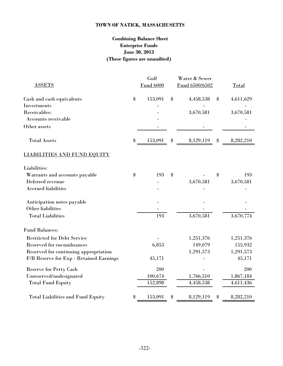# **TOWN OF NATICK, MASSACHUSETTS**

# **Combining Balance Sheet Enterprise Funds June 30, 2013 (These figures are unaudited)**

|                                          | Golf             |                                               | Water & Sewer  |       |           |
|------------------------------------------|------------------|-----------------------------------------------|----------------|-------|-----------|
| <b>ASSETS</b>                            | <b>Fund 6000</b> |                                               | Fund 6500/6502 |       | Total     |
| Cash and cash equivalents                | \$<br>153,091    | \$                                            | 4,458,538      | \$    | 4,611,629 |
| Investments                              |                  |                                               |                |       |           |
| Receivables:                             |                  |                                               | 3,670,581      |       | 3,670,581 |
| Accounts receivable                      |                  |                                               |                |       |           |
| Other assets                             |                  |                                               |                |       |           |
| <b>Total Assets</b>                      | \$<br>153,091    | $\, \, \raisebox{12pt}{$\scriptstyle \circ$}$ | 8,129,119      | $\$\$ | 8,282,210 |
| <b>LIABILITIES AND FUND EQUITY</b>       |                  |                                               |                |       |           |
| Liabilities:                             |                  |                                               |                |       |           |
| Warrants and accounts payable            | \$<br>193        | \$                                            |                | \$    | 193       |
| Deferred revenue                         |                  |                                               | 3,670,581      |       | 3,670,581 |
| <b>Accrued liabilities</b>               |                  |                                               |                |       |           |
| Anticipation notes payable               |                  |                                               |                |       |           |
| Other liabilities                        |                  |                                               |                |       |           |
| <b>Total Liabilities</b>                 | 193              |                                               | 3,670,581      |       | 3,670,774 |
| <b>Fund Balances:</b>                    |                  |                                               |                |       |           |
| <b>Restricted for Debt Service</b>       |                  |                                               | 1,251,376      |       | 1,251,376 |
| Reserved for encumbrances                | 6,853            |                                               | 149,079        |       | 155,932   |
| Reserved for continuing appropriation    |                  |                                               | 1,291,573      |       | 1,291,573 |
| F/B Reserve for Exp - Retained Earnings  | 45,171           |                                               |                |       | 45,171    |
| <b>Reserve for Petty Cash</b>            | 200              |                                               |                |       | 200       |
| Unreserved/undesignated                  | 100,674          |                                               | 1,766,510      |       | 1,867,184 |
| <b>Total Fund Equity</b>                 | 152,898          |                                               | 4,458,538      |       | 4,611,436 |
| <b>Total Liabilities and Fund Equity</b> | \$<br>153,091    | \$                                            | 8,129,119      | $\$\$ | 8,282,210 |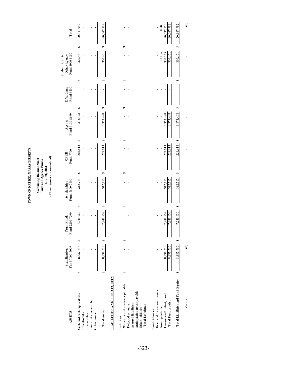TOWN OF NATICK, MASSACHUSETTS **TOWN OF NATICK, MASSACHUSETTS**

# Combining Balance Sheet<br>Trust and Agency Funds<br>June 30, 2013<br>(These figures are unaudited) **(These figures are unaudited) Combining Balance Sheet Trust and Agency Funds June 30, 2013**

| Total                                              | 20,347,982                                                      |                                     | 20,347,982   |                             |              |                                                   |                     |                            |                   |                          |                                             | 10,106        | 20,337,876              | 20,347,982               | 20,347,982                           |
|----------------------------------------------------|-----------------------------------------------------------------|-------------------------------------|--------------|-----------------------------|--------------|---------------------------------------------------|---------------------|----------------------------|-------------------|--------------------------|---------------------------------------------|---------------|-------------------------|--------------------------|--------------------------------------|
|                                                    | ↮                                                               |                                     | ↮            |                             |              | œ                                                 |                     |                            |                   |                          |                                             |               |                         |                          | ↮                                    |
| Fund 8900-8950<br>Student Activity<br>Other Agency | 330,461                                                         |                                     | 330,461      |                             |              |                                                   |                     |                            |                   |                          |                                             | 10,106        | 320,355                 | 330,461                  | 330,461                              |
|                                                    | G                                                               |                                     | œ            |                             |              | ¢٥                                                |                     |                            |                   |                          |                                             |               |                         |                          | G                                    |
| Dfrd Comp<br>Fund 8500                             |                                                                 |                                     |              |                             |              |                                                   |                     |                            |                   |                          |                                             |               |                         |                          |                                      |
|                                                    | ⊕                                                               |                                     | ⊕            |                             |              | ¢٥                                                |                     |                            |                   |                          |                                             |               |                         |                          | ↮                                    |
| Fund 8100-8499<br>Agency                           | 3,373,498                                                       |                                     | 3,373,498    |                             |              |                                                   |                     |                            |                   |                          |                                             |               | 3,373,498               | 3,373,498                | 3,373,498                            |
|                                                    | ↮                                                               |                                     | ↮            |                             |              | ¢٥                                                |                     |                            |                   |                          |                                             |               |                         |                          | ↮                                    |
| Fund 7700<br><b>OPEB</b>                           | 221,613                                                         |                                     | 221,613      |                             |              |                                                   |                     |                            |                   |                          |                                             |               | 221,613                 | 221,613                  | 221,613                              |
|                                                    | ↮                                                               |                                     | œ            |                             |              | ¢٥                                                |                     |                            |                   |                          |                                             |               |                         |                          | ↮                                    |
| Fund 7600-7699<br>Scholarships                     | 342,715                                                         |                                     | 342,715      |                             |              |                                                   |                     |                            |                   |                          |                                             |               | 342,715                 | 342,715                  | 342,715                              |
|                                                    | G                                                               |                                     | œ            |                             |              | ¢٥                                                |                     |                            |                   |                          |                                             |               |                         |                          | ↮                                    |
| Fund 7200-7299<br><b>Trust Funds</b>               | 7,241,959                                                       |                                     | 7,241,959    |                             |              |                                                   |                     |                            |                   |                          |                                             |               | 7,241,959               | 7,241,959                | 7,241,959                            |
|                                                    | ↮                                                               |                                     | ↮            |                             |              | ↮                                                 |                     |                            |                   |                          |                                             |               |                         |                          | ↮                                    |
| Fund 7000-7099<br>Stabilization                    | 8,837,736                                                       |                                     | 8,837,736    |                             |              |                                                   |                     |                            |                   |                          |                                             |               | 8,837,736               | 8,837,736                | 8,837,736                            |
|                                                    | ↮                                                               |                                     | ↮            |                             |              | ₩                                                 |                     |                            |                   |                          |                                             |               |                         |                          |                                      |
| <b>ASSETS</b>                                      | Cash and cash equivalents<br><b>Investments</b><br>Receivables: | Accounts receivable<br>Other assets | Total Assets | LIABILITIES AND FUND EQUITY | Liabilities: | Warrants and accounts payable<br>Deferred revenue | Accrued liabilities | Anticipation notes payable | Other liabilities | <b>Total Liabilities</b> | Reserved for encumbrances<br>Fund Balances: | Nonexpendable | Unreserved/undesignated | <b>Total Fund Equity</b> | Total Liabilities and Fund Equity \$ |

Variance (0) - - - - - - (0)

 $\frac{1}{\sqrt{2}}$ 

 $\hat{\mathcal{N}}$ 

 $\odot$ 

Variance

 $\hat{\Delta}$ 

 $\odot$ 

 $\tilde{\lambda}$ 

 $\hat{\mathcal{N}}$ 

 $\hat{\lambda}$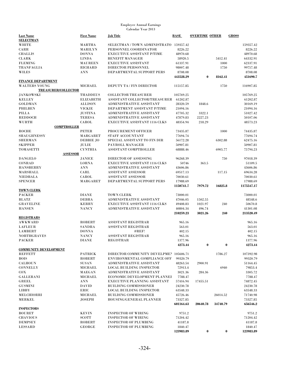| <b>Last Name</b>             | <b>First Name</b> | <b>Job Title</b>                        | BASE      | <b>OVERTIME OTHER</b> |          | <b>GROSS</b> |
|------------------------------|-------------------|-----------------------------------------|-----------|-----------------------|----------|--------------|
| <b>SELECTMAN</b>             |                   |                                         |           |                       |          |              |
| WHITE                        | <b>MARTHA</b>     | SELECTMAN / TOWN ADMINISTRATO 159357.42 |           |                       |          | 159357.42    |
| CARR                         | <b>MARILYN</b>    | PERSONNEL COORDINATOR                   | 8226.22   |                       |          | 8226.22      |
| <b>CHALLIS</b>               | <b>DONNA</b>      | <b>EXECUTIVE ASSISTANT P/TIME</b>       | 48970.68  |                       |          | 48970.68     |
| <b>CLARK</b>                 | <b>LINDA</b>      | <b>BENEFIT MANAGER</b>                  | 58920.5   |                       | 5412.41  | 64332.91     |
| <b>FLEMING</b>               | <b>MAUREEN</b>    | <b>EXECUTIVE ASSISTANT</b>              | 61337.91  |                       | 1000     | 62337.91     |
| TRANFAGLIA                   | <b>RICHARD</b>    | DIRECTOR PERSONNEL                      | 98007.48  |                       | 1750     | 99757.48     |
| <b>WILES</b>                 | <b>ANN</b>        | DEPARTMENTAL SUPPORT PERS               | 8708.08   |                       |          | 8708.08      |
|                              |                   |                                         | 443528.29 | $\bf{0}$              | 8162.41  | 451690.7     |
| <b>FINANCE DEPARTMENT</b>    |                   |                                         |           |                       |          |              |
| <b>WALTERS YOUNG</b>         | MICHAEL           | <b>DEPUTY TA / FIN DIRECTOR</b>         | 115157.85 |                       | 1750     | 116907.85    |
| <b>TREASURER/COLLECTOR</b>   |                   |                                         |           |                       |          |              |
| <b>JANKOWSKI</b>             | <b>THADDEUS</b>   | <b>COLLECTOR TREASURER</b>              | 105769.25 |                       |          | 105769.25    |
| <b>KELLEY</b>                | <b>ELIZABETH</b>  | ASSISTANT COLLECTOR/TREASURER           | 61202.87  |                       |          | 61202.87     |
| <b>GOLDMAN</b>               | <b>ALLISON</b>    | ADMINISTRATIVE ASSISTANT                | 28320.59  | 1848.6                |          | 30169.19     |
| <b>PHILBEN</b>               | <b>VICKIE</b>     | DEPARTMENT ASSISTANT P/TIME             | 21094.16  |                       |          | 21094.16     |
| <b>PILLA</b>                 | <b>JUSTINA</b>    | ADMINISTRATIVE ASSISTANT                | 47705.32  | 3322.1                |          | 51027.42     |
| <b>REDDOCH</b>               | <b>TERESA</b>     | <b>ADMINISTRATIVE ASSISTANT</b>         | 47879.83  | 2227.23               |          | 50107.06     |
| <b>WURTH</b>                 | CAROL             | <b>EXECUTIVE ASSISTANT 1116 CLKS</b>    | 48354.94  | 218.29                |          | 48573.23     |
| <b>COMPTROLLER</b>           |                   |                                         |           |                       |          |              |
| <b>ROCHE</b>                 | <b>PETER</b>      | PROCUREMENT OFFICER                     | 73435.87  |                       | 1000     | 74435.87     |
| <b>SHAUGHNESSY</b>           | <b>MARGARET</b>   | <b>STAFF ACCOUNTANT</b>                 | 77694.74  |                       |          | 77694.74     |
| <b>SHERMAN</b>               | <b>DEBBIE JO</b>  | SPECIAL ASSISTANT TO FIN DIR            | 56172.28  |                       | 6302.88  | 62475.16     |
| <b>SKIPPER</b>               | JULIE             | PAYROLL MANAGER                         | 50907.81  |                       |          | 50907.81     |
| <b>TOMASETTI</b>             | <b>CYNTHIA</b>    | ASSISTANT COMPTROLLER                   | 68888.46  |                       | 6905.77  | 75794.23     |
| <b>ASSESSOR</b>              |                   |                                         |           |                       |          |              |
| <b>DANGELO</b>               | JANICE            | <b>DIRECTOR OF ASSESSING</b>            | 96268.39  |                       | 750      | 97018.39     |
| <b>CONRAD</b>                | <b>LORNA</b>      | <b>EXECUTIVE ASSISTANT 1116 CLKS</b>    | 50746     | 363.5                 |          | 51109.5      |
| <b>HANSBERRY</b>             | <b>ANN</b>        | ADMINISTRATIVE ASSISTANT                | 43606.86  |                       |          | 43606.86     |
| MARSHALL                     | CARL              | <b>ASSISTANT ASSESSOR</b>               | 69517.13  |                       | 117.15   | 69634.28     |
| <b>NIEDBALA</b>              | CAROL             | <b>ASSISTANT ASSESSOR</b>               | 70030.61  |                       |          | 70030.61     |
| <b>SPENCER</b>               | MARGARET          | DEPARTMENTAL SUPPORT PERS               | 17988.69  |                       |          | 17988.69     |
|                              |                   |                                         | 1150741.7 | 7979.72               | 16825.8  | 1175547.17   |
| <b>TOWN CLERK</b>            |                   |                                         |           |                       |          |              |
| <b>PACKER</b>                | <b>DIANE</b>      | <b>TOWN CLERK</b>                       | 73000.01  |                       |          | 73000.01     |
| <b>BLATZ</b>                 | <b>DEBRA</b>      | ADMINISTRATIVE ASSISTANT                | 47046.05  | 1502.55               |          | 48548.6      |
| <b>GRAVELINE</b>             | <b>KERRY</b>      | <b>EXECUTIVE ASSISTANT 1116 CLKS</b>    | 49408.83  | 1021.97               | 240      | 50670.8      |
| <b>HANSEN</b>                | <b>NANCY</b>      | ADMINISTRATIVE ASSISTANT                | 40804.34  | 496.74                |          | 41301.08     |
|                              |                   |                                         | 210259.23 | 3021.26               | 240      | 213520.49    |
| <b>REGISTRARS</b>            |                   |                                         |           |                       |          |              |
| <b>AWKWARD</b>               | ROBERT            | <b>ASSISTANT REGISTRAR</b>              | 965.16    |                       |          | 965.16       |
| <b>LAFLEUR</b>               | <b>SANDRA</b>     | <b>ASSISTANT REGISTRAR</b>              | 563.01    |                       |          | 563.01       |
| <b>LAMBERT</b>               | <b>DONNA</b>      | $\#REF!$                                | 402.15    |                       |          | 402.15       |
| <b>NORTHGRAVES</b>           | <b>NANCY</b>      | <b>ASSISTANT REGISTRAR</b>              | 965.16    |                       |          | 965.16       |
| <b>PACKER</b>                | <b>DIANE</b>      | REGISTRAR                               | 1377.96   |                       |          | 1377.96      |
|                              |                   |                                         | 4273.44   | $\bf{0}$              | $\bf{0}$ | 4273.44      |
| <b>COMMUNITY DEVELOPMENT</b> |                   |                                         |           |                       |          |              |
| <b>REFFETT</b>               | <b>PATRICK</b>    | DIRECTOR COMMUNITY DEVELPMEN 105606.71  |           |                       | 1786.27  | 107392.98    |
| <b>BOIS</b>                  | ROBERT            | ENVIRONMENTAL COMPLIANCE OFF            | 99320.79  |                       |          | 99320.79     |
| <b>CALHOUN</b>               | <b>SUSAN</b>      | <b>ADMINISTRATIVE ASSISTANT</b>         | 48263.54  | 2900.91               |          | 51164.45     |
| <b>CONNELLY</b>              | <b>MICHAEL</b>    | <b>LOCAL BUILDING INSPECTOR</b>         | 72913.4   |                       | 6940     | 79853.4      |
| COX                          | <b>MAEGAN</b>     | <b>ADMINISTRATIVE ASSISTANT</b>         | 3021.36   | 284.36                |          | 3305.72      |
|                              | <b>MICHAEL</b>    | ECONOMIC DEVELOPMENT PLANNEI            |           |                       |          | 7788.47      |
| <b>GALLERANI</b>             |                   |                                         | 7788.47   | 17455.51              |          |              |
| <b>GREEL</b>                 | ANN               | <b>EXECUTIVE PLANNING ASSISTANT</b>     | 57416.94  |                       |          | 74872.45     |
| <b>GUSMINI</b>               | <b>DAVID</b>      | <b>BUILDING COMMISSIONER</b>            | 24230.78  |                       |          | 24230.78     |
| LIBBY                        | ERIC              | <b>LOCAL BUILDING INSPECTOR</b>         | 63548.33  |                       |          | 63548.33     |
| MELCHIORRI                   | <b>MICHAEL</b>    | <b>BUILDING COMMISSIONER</b>            | 45726.46  |                       | 26014.52 | 71740.98     |
| <b>MERKEL</b>                | <b>JOSEPH</b>     | <b>HOUSING/GENERAL PLANNER</b>          | 73327.85  |                       |          | 73327.85     |
|                              |                   |                                         | 601164.63 | 20640.78              | 34740.79 | 656546.2     |
| <b>INSPECTORS</b>            |                   |                                         |           |                       |          |              |
| <b>BOURET</b>                | <b>KEVIN</b>      | <b>INSPECTOR OF WIRING</b>              | 9751.2    |                       |          | 9751.2       |
| <b>CHAVIOUS</b>              | <b>SCOTT</b>      | <b>INSPECTOR OF WIRING</b>              | 71204.42  |                       |          | 71204.42     |
| <b>DEMPSEY</b>               | ROBERT            | <b>INSPECTOR OF PLUMBING</b>            | 41187.8   |                       |          | 41187.8      |
| <b>LESSARD</b>               | <b>GEORGE</b>     | <b>INSPECTOR OF PLUMBING</b>            | 1840.47   |                       |          | 1840.47      |
|                              |                   |                                         | 123983.89 | $\bf{0}$              | $\bf{0}$ | 123983.89    |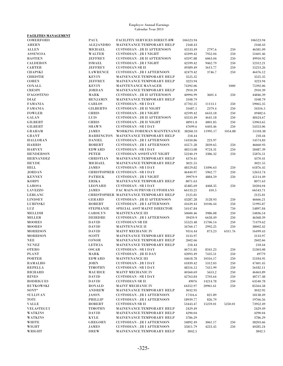| <b>FACILITIES MANAGEMENT</b>     |                                  |                                                                 |                      |                    |            |                      |
|----------------------------------|----------------------------------|-----------------------------------------------------------------|----------------------|--------------------|------------|----------------------|
| COMERFORD                        | PAUL                             | <b>FACILITIY SERVICES DIRECT-BW</b>                             | 106523.94            |                    |            | 106523.94            |
| <b>AHERN</b>                     | <b>ALEJANDRO</b>                 | MAINENANCE TEMPORARY HELP                                       | 2168.43              |                    |            | 2168.43              |
| <b>ALLEN</b>                     | <b>MICHAEL</b>                   | <b>CUSTODIAN - JR II AFTERNOON</b>                              | 43533.49             | 2797.6             | 250        | 46581.09             |
| <b>ASSENCOA</b>                  | <b>WALTER</b>                    | <b>CUSTODIAN - JR I NIGHT</b>                                   | 43399.42             | 7952.04            | 250        | 51601.46             |
| <b>BASTIEN</b>                   | <b>JEFFREY</b>                   | <b>CUSTODIAN - JR II AFTERNOON</b>                              | 43597.88             | 6063.04            | 250        | 49910.92             |
| <b>CALDERON</b>                  | <b>ISMAEL</b>                    | <b>CUSTODIAN - JR I NIGHT</b>                                   | 42599.42             | 9462.79            | 250        | 52312.21             |
| <b>CARTER</b>                    | <b>JEFFREY</b>                   | <b>CUSTODIAN SR II</b>                                          | 49389.49             | 5613.77            | 250        | 55253.26             |
| <b>CHAPSKI</b>                   | <b>LAWRENCE</b>                  | <b>CUSTODIAN - JR I AFTERNOON</b>                               | 42479.42             | 3746.7             | 250        | 46476.12             |
| <b>CHRISTIE</b>                  | <b>KEVIN</b>                     | MAINENANCE TEMPORARY HELP                                       | 3525.35              |                    |            | 3525.35              |
| <b>COHEN</b>                     | <b>JEFFREY</b>                   | MAINENANCE TEMPORARY HELP                                       | 3223.94              |                    |            | 3223.94              |
| COXALL                           | <b>KEVIN</b>                     | MAINTENANCE MANAGER                                             | 74392.06             |                    | 1000       | 75392.06             |
| <b>CRESPI</b><br>D'AGOSTINO      | <b>JORDAN</b>                    | <b>MAINENANCE TEMPORARY HELP</b>                                | 2910.39              |                    |            | 2910.39              |
| DIAZ                             | <b>MARK</b>                      | <b>CUSTODIAN - JR II AFTERNOON</b><br>MAINENANCE TEMPORARY HELP | 40994.99             | 3601.4             | 250        | 44846.39<br>3108.79  |
| <b>FAMANIA</b>                   | <b>BENJAMIN</b><br><b>CARLOS</b> | <b>CUSTODIAN - SR I DAY</b>                                     | 3108.79              |                    | 250        |                      |
| <b>FAMANIA</b>                   | <b>GILBERTO</b>                  | <b>CUSTODIAN - JR II NIGHT</b>                                  | 47702.25<br>31687.1  | 11113.1<br>2379.4  | 250        | 59065.35<br>34316.5  |
| <b>FOWLER</b>                    | <b>CHRIS</b>                     | <b>CUSTODIAN - JR I NIGHT</b>                                   | 42599.42             | 6633.18            | 250        | 49482.6              |
| <b>GALAN</b>                     | LUIS                             | <b>CUSTODIAN - JR II AFTERNOON</b>                              | 43533.49             | 4641.18            | 250        | 48424.67             |
| <b>GILBERT</b>                   | <b>CHRIS</b>                     | <b>CUSTODIAN - JR II NIGHT</b>                                  | 48911.8              | 4801.85            | 250        | 53963.65             |
| <b>GILBERT</b>                   | <b>SHAWN</b>                     | <b>CUSTODIAN - SRIDAY</b>                                       | 47699.6              | 6403.46            | 250        | 54353.06             |
| GRAHAM                           | JAMES                            | WORKING FOREMAN MAINTENANCE                                     | 38268.33             | 11995.17           | 1054.88    | 51318.38             |
| <b>GRANT</b>                     | <b>BARRINGTON</b>                | MAINENANCE TEMPORARY HELP                                       | 218.44               |                    |            | 218.44               |
| <b>HALLORAN</b>                  | <b>DANIEL</b>                    | <b>CUSTODIAN - JR I AFTERNOON</b>                               | 14350.86             | 223.97             |            | 14574.83             |
| <b>HARRIS</b>                    | <b>ROBERT</b>                    | <b>CUSTODIAN - JR I AFTERNOON</b>                               | 43571.28             | 2839.65            | 250        | 46660.93             |
| <b>HARVEY</b>                    | <b>EDWARD</b>                    | <b>CUSTODIAN - SR I DAY</b>                                     | 48513.08             | 9724.31            | 250        | 58487.39             |
| <b>HENDERSON</b>                 | <b>PETER</b>                     | <b>CUSTODIAN ASSISTANT NIGHT</b>                                | 52240.19             | 3386.32            | 250        | 55876.51             |
| <b>HERNANDEZ</b>                 | <b>CHRISTIAN</b>                 | MAINENANCE TEMPORARY HELP                                       | 4370.41              |                    |            | 4370.41              |
| <b>HEYDE</b>                     | <b>MICHAEL</b>                   | MAINENANCE TEMPORARY HELP                                       | 3021.55              |                    |            | 3021.55              |
| <b>HILL</b>                      | <b>JAMES</b>                     | <b>CUSTODIAN - SRIDAY</b>                                       | 48129.82             | 13496.63           | 250        | 61876.45             |
| <b>JORDAN</b>                    |                                  | CHRISTOPHER CUSTODIAN - SR I DAY                                | 46440.97             | 5962.77            | 250        | 52653.74             |
| <b>KENNEY</b>                    | <b>PATRICK</b>                   | <b>CUSTODIAN - JR I NIGHT</b>                                   | 39979.9              | 4884.59            | 250        | 45114.49             |
| KORPI                            | <b>ERIKA</b>                     | MAINENANCE TEMPORARY HELP                                       | 8071.63              |                    |            | 8071.63              |
| <b>LAROSA</b>                    | <b>LEONARD</b>                   | <b>CUSTODIAN - SR I DAY</b>                                     | 45485.69             | 4468.35            | 250        | 50204.04             |
| <b>LAVEZZO</b>                   | <b>JAMES</b>                     | FAC MAIN-SUPRVSR CUSTODIANS                                     | 66133.21             | 410.5              |            | 66543.71             |
| <b>LEBLANC</b>                   |                                  | CHRISTOPHER MAINENANCE TEMPORARY HELP                           | 2125.81              |                    |            | 2125.81              |
| <b>LINDSEY</b>                   | <b>GERARD</b>                    | <b>CUSTODIAN - JR II AFTERNOON</b>                              | 43287.28             | 3128.93            | 250        | 46666.21             |
| <b>LUBINSKI</b>                  | <b>ROBERT</b>                    | <b>CUSTODIAN - JR I AFTERNOON</b>                               | 41639.43             | 10106.44           | 250        | 51995.87             |
| LUZ                              | <b>STEPHANIE</b>                 | SPECIAL ASST MAINT DIRECTOR                                     | 54147.84             |                    | 750        | 54897.84             |
| <b>MELLISH</b>                   | <b>CAROLYN</b>                   | <b>MAINTENANCE III</b>                                          | 50600.46             | 3986.08            | 250        | 54836.54             |
| <b>MILLER</b>                    | <b>DEIRDRE</b>                   | <b>CUSTODIAN - JR I AFTERNOON</b>                               | 39459.9              | 6658.49            | 250        | 46368.39             |
| <b>MOORES</b>                    | <b>DAVID</b>                     | <b>CUSTODIAN SR III</b>                                         | 55523.48             | 15706.14           | 250        | 71479.62             |
| <b>MOORES</b>                    | <b>DAVID</b>                     | MAINTENANCE II                                                  | 34760.17             | 2992.25            | 250        | 38002.42             |
| <b>MORRISON</b>                  | <b>DAVID</b>                     | MAINT MECHANIC IV                                               | 9314.44              | 873.23             | 6311.76    | 16499.43             |
| <b>MORRISON</b>                  | <b>SCOTT</b>                     | MAINENANCE TEMPORARY HELP                                       | 3133.97              |                    |            | 3133.97              |
| $\operatorname{\mathbf{NEE}}$    | CONOR                            | MAINENANCE TEMPORARY HELP                                       | 2602.66              |                    |            | 2602.66              |
| <b>NUNEZ</b>                     | <b>LETICIA</b>                   | MAINENANCE TEMPORARY HELP                                       | 218.44               |                    |            | 218.44               |
| <b>OTERO</b>                     | <b>OSCAR</b>                     | <b>CUSTODIAN - SR I DAY</b>                                     | 46711.85             | 8341.23            | 250        | 55303.08             |
| PLANT                            | MARK<br><b>EDWARD</b>            | <b>CUSTODIAN - JR II DAY</b>                                    | 42093.49             | 7435.51            | 250        | 49779                |
| <b>PORTER</b>                    |                                  | <b>MAINTENANCE III</b>                                          | 44618.78             | 10316.17           | 250        | 55184.95             |
| <b>RAMALHO</b><br><b>REPELLA</b> | JOHN<br><b>TIMOTHY</b>           | <b>CUSTODIAN - JR I DAY</b><br><b>CUSTODIAN - SR I DAY</b>      | 41839.42<br>48516.12 | 5312.03<br>7415.99 | 250<br>250 | 47401.45<br>56182.11 |
| <b>RICHARD</b>                   | <b>MAURICE</b>                   | <b>MAINT MECHANIC IV</b>                                        | 40560.69             | 5653.2             | 250        | 46463.89             |
| <b>RINES</b>                     | <b>DAVID</b>                     | <b>CUSTODIAN - SR I DAY</b>                                     | 42763.84             | 5703.64            | 250        | 48717.48             |
| <b>RODRIGUES</b>                 | <b>DAVID</b>                     | <b>CUSTODIAN SR II</b>                                          | 49076                | 14214.78           | 250        | 63540.78             |
| <b>RUTKOWSKI</b>                 | <b>RONALD</b>                    | <b>MAINT MECHANIC IV</b>                                        | 64352.97             | 20961.61           | 250        | 85564.58             |
| SONT*                            | ${\bf ANDREW}$                   | MAINENANCE TEMPORARY HELP                                       | 3032.95              |                    |            | 3032.95              |
| <b>SULLIVAN</b>                  | <b>JASON</b>                     | <b>CUSTODIAN - JR I AFTERNOON</b>                               | 17316.6              | 821.89             |            | 18138.49             |
| TOTI                             | PHILLIP                          | <b>CUSTODIAN - JR I AFTERNOON</b>                               | 18939.77             | 826.79             |            | 19766.56             |
| <b>VALLE</b>                     | <b>ROBERT</b>                    | <b>CUSTODIAN SR II</b>                                          | 53443.47             | 15259.01           | 5250.01    | 73952.49             |
| <b>VELASTEGUI</b>                | <b>TIMOTHY</b>                   | MAINENANCE TEMPORARY HELP                                       | 2429.49              |                    |            | 2429.49              |
| <b>WATKINS</b>                   | <b>DAVID</b>                     | <b>MAINENANCE TEMPORARY HELP</b>                                | 4290.04              |                    |            | 4290.04              |
| <b>WATKINS</b>                   | KYLE                             | MAINENANCE TEMPORARY HELP                                       | 3786.29              |                    |            | 3786.29              |
| <b>WHITE</b>                     | GREGORY                          | <b>CUSTODIAN - JR I AFTERNOON</b>                               | 34892.49             | 3061.17            | 250        | 38203.66             |
| WIGHT                            | JAMES                            | <b>CUSTODIAN - JR I AFTERNOON</b>                               | 35811.79             | 4223.45            | 250        | 40285.24             |
| WRIGHT                           | <b>DREW</b>                      | MAINENANCE TEMPORARY HELP                                       | 3842.5               |                    |            | 3842.5               |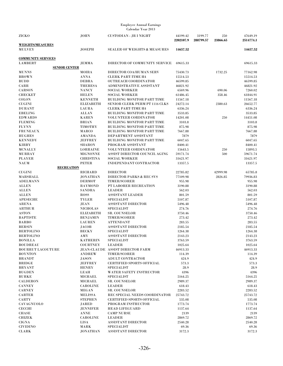| <b>ZICKO</b>                    | <b>JOHN</b>                      | <b>CUSTODIAN - JR I NIGHT</b>                             | 44199.42             | 3199.77   | 250      | 47649.19             |
|---------------------------------|----------------------------------|-----------------------------------------------------------|----------------------|-----------|----------|----------------------|
|                                 |                                  |                                                           | 2202107.9            | 288799.57 | 23866.65 | 2514774.1            |
| <b>WEIGHTS/MEASURES</b>         |                                  |                                                           |                      |           |          |                      |
| <b>MULVEY</b>                   | <b>JOSEPH</b>                    | <b>SEALER OF WEIGHTS &amp; MEASURES</b>                   | 14657.52             |           |          | 14657.52             |
| <b>COMMUNITY SERVICES</b>       |                                  |                                                           |                      |           |          |                      |
| <b>LAMBERT</b>                  | JEMMA                            | DIRECTOR OF COMMUNITY SERVICE                             | 69615.33             |           |          | 69615.33             |
| <b>SENIOR CENTER</b>            |                                  |                                                           |                      |           |          |                      |
| <b>MUNNS</b>                    | MOIRA                            | DIRECTOR COA/HUMAN SERV                                   | 75430.73             |           | 1732.25  | 77162.98             |
| <b>BROWN</b>                    | <b>ANNA</b>                      | <b>CLERK PART-TIME H4</b>                                 | 15514.53             |           |          | 15514.53             |
| <b>BUDD</b>                     | <b>DEBRA</b>                     | <b>OUTREACH COORDINATOR</b>                               | 46599.85             |           |          | 46599.85             |
| CARR                            | <b>THERESA</b>                   | ADMINISTRATIVE ASSISTANT                                  | 46821.92             |           |          | 46821.92             |
| <b>CARSON</b>                   | <b>NANCY</b>                     | <b>SOCIAL WORKER</b>                                      | 6569.96              |           | 690.06   | 7260.02              |
| <b>CHECKET</b><br><b>COLON</b>  | <b>HELEN</b><br><b>KENNETH</b>   | <b>SOCIAL WORKER</b><br><b>BUILDING MONITOR PART TIME</b> | 61486.45<br>11567.18 |           | 358.46   | 61844.91<br>11567.18 |
| <b>CUGINI</b>                   | <b>ELIZABETH</b>                 | SENIOR CLERK PERM PT 1116 CLKS                            | 24272.14             |           | 2380.63  | 26652.77             |
| <b>DURANT</b>                   | LAURA                            | <b>CLERK PART-TIME H4</b>                                 | 6336.24              |           |          | 6336.24              |
| <b>EBELING</b>                  | ALLAN                            | BUILDING MONITOR PART TIME                                | 3533.85              |           |          | 3533.85              |
| <b>EDWARDS</b>                  | <b>KAREN</b>                     | <b>VOLUNTEER CORDINATOR</b>                               | 14201.08             |           | 250      | 14451.08             |
| <b>FLEMING</b>                  | <b>BRIAN</b>                     | BUILDING MONITOR PART TIME                                | 3103.8               |           |          | 3103.8               |
| <b>FLYNN</b>                    | <b>TIMOTHY</b>                   | <b>BUILDING MONITOR PART TIME</b>                         | 875.98               |           |          | 875.98               |
| <b>FRUNEAUX</b>                 | <b>MARCO</b>                     | <b>BUILDING MONITOR PART TIME</b>                         | 7667.88              |           |          | 7667.88              |
| <b>HUGHES</b>                   | <b>AMANDA</b>                    | DEPARTMENT ASSISTANT                                      | 7879                 |           |          | 7879                 |
| <b>KENNEDY</b>                  | <b>JEFFREY</b>                   | BUILDING MONITOR PART TIME                                | 6047.65              |           |          | 6047.65              |
| <b>KIRBY</b><br><b>MCNALLY</b>  | <b>SHARON</b><br><b>LORRAINE</b> | PROGRAM ASSISTANT<br><b>VOLUNTEER CORDINATOR</b>          | 8400.41<br>15643.5   |           | 250      | 8400.41<br>15893.5   |
| <b>MURRAY</b>                   | <b>MIGNONNE</b>                  | ASSIST DIRECTOR COUNCIL AGING                             | 59171.74             |           | 500      | 59671.74             |
| <b>PLAYER</b>                   | <b>CHRISTINA</b>                 | <b>SOCIAL WORKER</b>                                      | 31621.97             |           |          | 31621.97             |
| <b>NAUM</b>                     | <b>PETER</b>                     | <b>INDEPENDANT CONTRACTOR</b>                             | 13357.5              |           |          | 13357.5              |
| <b>RECREATION</b>               |                                  |                                                           |                      |           |          |                      |
| <b>CUGINI</b>                   | <b>RICHARD</b>                   | <b>DIRECTOR</b>                                           | 22785.82             |           | 42999.98 | 65785.8              |
| MARSHALL                        | <b>JONATHAN</b>                  | <b>DIRECTOR PARKS &amp; REC SVS</b>                       | 77109.98             |           | 2826.85  | 79936.83             |
| <b>ADELMANN</b>                 | <b>DERMOT</b>                    | <b>TIMER/SCORER</b>                                       | 955.98               |           |          | 955.98               |
| <b>ALLEN</b>                    | <b>RAYMOND</b>                   | PT LABORER RECREATION                                     | 3190.88              |           |          | 3190.88              |
| <b>ALLEN</b>                    | <b>SANDRA</b>                    | <b>LEADER</b>                                             | 562.03               |           |          | 562.03               |
| <b>ALLEN</b>                    | ROSS                             | <b>ASSISTANT LEADER</b>                                   | 801.59               |           |          | 801.59               |
| <b>APESECHE</b><br><b>ARENA</b> | <b>TYLER</b><br><b>JEAN</b>      | <b>SPECIALIST</b><br><b>ASSISTANT DIRECTOR</b>            | 5107.87<br>5496.48   |           |          | 5107.87<br>5496.48   |
| <b>ARTHUR</b>                   | <b>NICHOLAS</b>                  | <b>SPECIALIST</b>                                         | 274.76               |           |          | 274.76               |
| <b>ASTON</b>                    | <b>ELIZABETH</b>                 | <b>SR. COUNSELOR</b>                                      | 3750.46              |           |          | 3750.46              |
| <b>BAPTISTE</b>                 | <b>BENJAMIN</b>                  | TIMER/SCORER                                              | 273.42               |           |          | 273.42               |
| <b>BARBO</b>                    | <b>LAUREN</b>                    | <b>ATTENDANT</b>                                          | 283.55               |           |          | 283.55               |
| <b>BERSIN</b>                   | JACOB                            | <b>ASSISTANT DIRECTOR</b>                                 | 2185.54              |           |          | 2185.54              |
| <b>BERTOLINO</b>                | <b>BECKY</b>                     | <b>SPECIALIST</b>                                         | 1264.38              |           |          | 1264.38              |
| <b>BERTOLINO</b>                | AMY                              | <b>ASSISTANT DIRECTOR</b>                                 | 2143.23              |           |          | 2143.23              |
| <b>BONILLA</b>                  | <b>KATHERIN</b>                  | SPECIALIST                                                | 3763.59              |           |          | 3763.59              |
| <b>BOUDREAU</b>                 | <b>COURTNEY</b>                  | <b>LEADER</b>                                             | 1025.64              |           |          | 1025.64              |
| <b>BOURRUT LACOUTURE</b>        |                                  | <b>JEAN-CLAUDE ASSIST DIRECTOR FARM</b>                   | 46913.33             |           |          | 46913.33             |
| <b>BOYNTON</b>                  | <b>ANDREW</b>                    | <b>TIMER/SCORER</b>                                       | 114.39               |           |          | 114.39               |
| <b>BRANDT</b>                   | JASON                            | <b>ADULT CONTRACTOR</b>                                   | 424.9<br>573.3       |           |          | 424.9                |
| <b>BRIDGE</b><br><b>BRYANT</b>  | <b>JEFFREY</b><br><b>HENRY</b>   | <b>CERTIFIED SPORTS OFFICIAL</b><br><b>SPECIALIST</b>     | 28.9                 |           |          | 573.3<br>28.9        |
| <b>BUGDEN</b>                   | LEAH                             | WATER SAFETY INSTRUCTOR                                   | 4396                 |           |          | 4396                 |
| <b>BURKE</b>                    | <b>MICHAEL</b>                   | <b>SPECIALIST</b>                                         | 5164.25              |           |          | 5164.25              |
| <b>CALDERON</b>                 | <b>MICHAEL</b>                   | <b>SR. COUNSELOR</b>                                      | 2989.37              |           |          | 2989.37              |
| <b>CANNEY</b>                   | <b>CAROLINE</b>                  | <b>LEADER</b>                                             | 618.43               |           |          | 618.43               |
| <b>CARNEY</b>                   | <b>MEGAN</b>                     | <b>SR. COUNSELOR</b>                                      | 2283.52              |           |          | 2283.52              |
| <b>CARTER</b>                   | <b>MELISSA</b>                   | REC SPECIAL NEEDS COORDINATOR                             | 25743.72             |           |          | 25743.72             |
| <b>CARTY</b>                    | <b>STEPHEN</b>                   | <b>CERTIFIED SPORTS OFFICIAL</b>                          | 535.08               |           |          | 535.08               |
| CAVAGNUOLO                      | <b>JARED</b>                     | PROGRAM INSTRUCTOR                                        | 1773.74              |           |          | 1773.74              |
| <b>CECCHI</b>                   | <b>JENNIFER</b>                  | <b>HEAD LIFEGUARD</b>                                     | 1137.64              |           |          | 1137.64              |
| <b>CHASE</b>                    | ANNE                             | <b>CAMP NURSE</b>                                         | 2139                 |           |          | 2139                 |
| <b>CHIZEK</b>                   | <b>CAROLINE</b>                  | <b>LEADER</b>                                             | 2869.72              |           |          | 2869.72              |
| <b>CIGNA</b>                    | LISA                             | <b>ASSISTANT DIRECTOR</b>                                 | 2540.28              |           |          | 2540.28              |
| <b>CIVIDINO</b><br><b>CLARK</b> | MARK<br>JONATHAN                 | <b>SPECIALIST</b><br><b>ASSISTANT DIRECTOR</b>            | 69.36<br>3172.3      |           |          | 69.36<br>3172.3      |
|                                 |                                  |                                                           |                      |           |          |                      |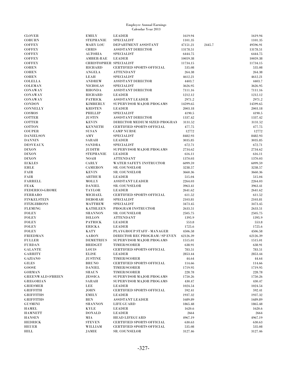|                                     |                                 | <b>Employee Annual Earnings</b>               |                   |        |                   |
|-------------------------------------|---------------------------------|-----------------------------------------------|-------------------|--------|-------------------|
|                                     |                                 | Calendar Year 2013                            |                   |        |                   |
| <b>CLOVER</b>                       | <b>EMILY</b>                    | <b>LEADER</b>                                 | 1619.94           |        | 1619.94           |
| <b>COBURN</b>                       | <b>STEPHANIE</b>                | <b>SPECIALIST</b>                             | 1101.35           |        | 1101.35           |
| <b>COFFEY</b>                       | <b>MARY LOU</b>                 | DEPARTMENT ASSISTANT                          | 47151.21          | 2445.7 | 49596.91          |
| <b>COFFEY</b>                       | <b>CHRIS</b>                    | <b>ASSISTANT DIRECTOR</b>                     | 13178.51          |        | 13178.51          |
| <b>COFFEY</b>                       | <b>ALTORIA</b>                  | <b>SPECIALIST</b>                             | 6444.75           |        | 6444.75           |
| <b>COFFEY</b>                       | AMBER-RAE                       | <b>LEADER</b>                                 | 10059.38          |        | 10059.38          |
| <b>COFFEY</b>                       | <b>CHRISTOPHER SPECIALIST</b>   |                                               | 11734.15          |        | 11734.15          |
| <b>COHEN</b>                        | RICHARD                         | <b>CERTIFIED SPORTS OFFICIAL</b>              | 535.08            |        | 535.08            |
| <b>COHEN</b><br><b>COHEN</b>        | <b>ANGELA</b><br><b>LEAH</b>    | <b>ATTENDANT</b><br><b>SPECIALIST</b>         | 264.38<br>4612.21 |        | 264.38<br>4612.21 |
| <b>COLELLA</b>                      | <b>ANDREW</b>                   | <b>ASSISTANT DIRECTOR</b>                     | 4403.7            |        | 4403.7            |
| <b>COLEMAN</b>                      | <b>NICHOLAS</b>                 | <b>SPECIALIST</b>                             | 3626.95           |        | 3626.95           |
| CONAWAY                             | <b>RHONDA</b>                   | <b>ASSISTANT DIRECTOR</b>                     | 7111.16           |        | 7111.16           |
| CONAWAY                             | RICHARD                         | <b>LEADER</b>                                 | 1212.12           |        | 1212.12           |
| CONAWAY                             | <b>PATRICK</b>                  | <b>ASSISTANT LEADER</b>                       | 2971.2            |        | 2971.2            |
| <b>CONDON</b>                       | <b>KIMBERLY</b>                 | SUPERVISOR MAJOR PROGAMS                      | 14599.65          |        | 14599.65          |
| <b>CONNELLY</b>                     | <b>KRISTEN</b>                  | <b>LEADER</b>                                 | 2003.18           |        | 2003.18           |
| COSMOS                              | <b>PHILLIP</b>                  | <b>SPECIALIST</b>                             | 4190.5            |        | 4190.5            |
| <b>COTTER</b>                       | JUSTIN                          | <b>ASSISTANT DIRECTOR</b>                     | 1337.42           |        | 1337.42           |
| <b>COTTER</b>                       | <b>KEVIN</b>                    | DIRECTOR MEDIUM SIZED PROGRAM                 | 3131.52           |        | 3131.52           |
| <b>COTTON</b>                       | <b>KENNETH</b>                  | <b>CERTIFIED SPORTS OFFICIAL</b>              | 477.75            |        | 477.75            |
| <b>COUPER</b>                       | SUSAN                           | <b>CAMP NURSE</b>                             | 12772             |        | 12772             |
| <b>DANIELSON</b>                    | AMY                             | <b>SPECIALIST</b>                             | 8482.93           |        | 8482.93           |
| <b>DANNIN</b>                       | <b>SARAH</b>                    | <b>LEADER</b>                                 | 3035.85           |        | 3035.85           |
| <b>DESVEAUX</b><br><b>DIXON</b>     | <b>SANDRA</b><br><b>JUDITH</b>  | <b>SPECIALIST</b><br>SUPERVISOR MAJOR PROGAMS | 672.71<br>2734.62 |        | 672.71<br>2734.62 |
| <b>DIXON</b>                        | <b>STEPHANIE</b>                | <b>LEADER</b>                                 | 616.11            |        | 616.11            |
| <b>DIXON</b>                        | NOAH                            | <b>ATTENDANT</b>                              | 1370.03           |        | 1370.03           |
| <b>ECKLES</b>                       | CARLY                           | WATER SAFETY INSTRUCTOR                       | 6099.59           |        | 6099.59           |
| <b>EHLE</b>                         | <b>CAMERON</b>                  | <b>SR. COUNSELOR</b>                          | 3238.57           |        | 3238.57           |
| <b>FAIR</b>                         | <b>KEVIN</b>                    | <b>SR. COUNSELOR</b>                          | 3660.36           |        | 3660.36           |
| <b>FAIR</b>                         | <b>ARTHUR</b>                   | <b>LEADER</b>                                 | 515.04            |        | 515.04            |
| <b>FARRELL</b>                      | MOLLY                           | <b>ASSISTANT LEADER</b>                       | 2264.03           |        | 2264.03           |
| <b>FEAK</b>                         | <b>DANIEL</b>                   | <b>SR. COUNSELOR</b>                          | 3963.41           |        | 3963.41           |
| FEDERICO-GROME                      | <b>TAYLOR</b>                   | <b>LEADER</b>                                 | 2641.62           |        | 2641.62           |
| <b>FERRARO</b>                      | <b>MICHAEL</b>                  | <b>CERTIFIED SPORTS OFFICIAL</b>              | 611.52            |        | 611.52            |
| <b>FINKELSTEIN</b>                  | <b>DEBORAH</b>                  | <b>SPECIALIST</b>                             | 2103.81           |        | 2103.81           |
| <b>FITZGIBBONS</b>                  | <b>MATTHEW</b>                  | <b>SPECIALIST</b>                             | 3473.45           |        | 3473.45           |
| <b>FLEMING</b>                      | <b>KATHLEEN</b>                 | PROGRAM INSTRUCTOR                            | 2633.51           |        | 2633.51           |
| <b>FOLEY</b><br><b>FOLEY</b>        | <b>SHANNON</b><br><b>DILLON</b> | <b>SR. COUNSELOR</b><br><b>ATTENDANT</b>      | 2505.75<br>1395.9 |        | 2505.75<br>1395.9 |
| <b>FOLEY</b>                        | <b>PATRICK</b>                  | <b>LEADER</b>                                 | 553.8             |        | 553.8             |
| <b>FOLEY</b>                        | <b>ERICKA</b>                   | <b>LEADER</b>                                 | 1725.6            |        | 1725.6            |
| <b>FOLEY</b>                        | KATY                            | PLAYGROUP STAFF - MANAGER                     | 4506.58           |        | 4506.58           |
| <b>FRIEDMAN</b>                     | <b>AARON</b>                    | DIRECTOR REC PROGRAM / SP EVEN                | 62126.39          |        | 62126.39          |
| <b>FULLER</b>                       | <b>DEMETRIUS</b>                | SUPERVISOR MAJOR PROGAMS                      | 1515.01           |        | 1515.01           |
| <b>FURDAN</b>                       | <b>BRIDGET</b>                  | <b>TIMER/SCORER</b>                           | 638.91            |        | 638.91            |
| <b>GALANTE</b>                      | <b>LOUIS</b>                    | <b>CERTIFIED SPORTS OFFICIAL</b>              | 783.51            |        | 783.51            |
| GARRITY                             | <b>ELISE</b>                    | <b>LEADER</b>                                 | 2853.44           |        | 2853.44           |
| <b>GAZIANO</b>                      | <b>JUSTINE</b>                  | <b>TIMER/SCORER</b>                           | 44.64             |        | 44.64             |
| <b>GILES</b>                        | <b>BRUNO</b>                    | <b>CERTIFIED SPORTS OFFICIAL</b>              | 114.66            |        | 114.66            |
| GOOSE                               | <b>DANIEL</b>                   | TIMER/SCORER                                  | 1719.95           |        | 1719.95           |
| <b>GORMAN</b>                       | <b>SHAUN</b>                    | <b>TIMER/SCORER</b>                           | 228.78            |        | 228.78            |
| <b>GREENWALD O'BRIEN</b>            | <b>JESSICA</b>                  | SUPERVISOR MAJOR PROGAMS                      | 1750.26           |        | 1750.26           |
| <b>GREGORIAN</b><br><b>GRIESMER</b> | SARAH<br>LEE                    | SUPERVISOR MAJOR PROGAMS<br><b>LEADER</b>     | 430.47<br>1024.54 |        | 430.47<br>1024.54 |
| <b>GRIFFITH</b>                     | <b>JOHN</b>                     | <b>CERTIFIED SPORTS OFFICIAL</b>              | 592.41            |        | 592.41            |
| <b>GRIFFITHS</b>                    | <b>EMILY</b>                    | <b>LEADER</b>                                 | 1937.32           |        | 1937.32           |
| <b>GRIFFITHS</b>                    | <b>BEN</b>                      | <b>ASSISTANT LEADER</b>                       | 1689.89           |        | 1689.89           |
| <b>GUSMINI</b>                      | <b>SHANNON</b>                  | LIFE GUARD                                    | 1865.48           |        | 1865.48           |
| <b>HAMEL</b>                        | KYLE                            | <b>LEADER</b>                                 | 1620.6            |        | 1620.6            |
| <b>HAMNETT</b>                      | <b>DONALD</b>                   | <b>LEADER</b>                                 | 2664              |        | 2664              |
| <b>HANSEN</b>                       | MIA                             | <b>HEAD LIFEGUARD</b>                         | 4967.19           |        | 4967.19           |
| <b>HEDRICK</b>                      | <b>STEVEN</b>                   | <b>CERTIFIED SPORTS OFFICIAL</b>              | 630.63            |        | 630.63            |
| <b>HEUER</b>                        | WILLIAM                         | <b>CERTIFIED SPORTS OFFICIAL</b>              | 535.08            |        | 535.08            |
| <b>HILL</b>                         | JAMIE                           | <b>SR. COUNSELOR</b>                          | 3127.46           |        | 3127.46           |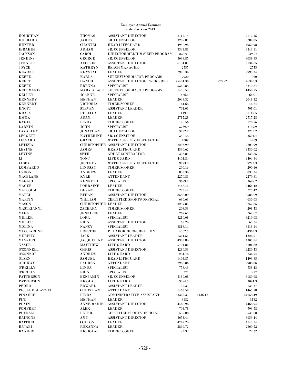| <b>HOURIHAN</b>  | <b>THOMAS</b>             | <b>ASSISTANT DIRECTOR</b>        | 2112.15  |         |        | 2112.15           |
|------------------|---------------------------|----------------------------------|----------|---------|--------|-------------------|
| HUBBARD          | <b>JAMES</b>              | <b>SR. COUNSELOR</b>             | 3289.85  |         |        | 3289.85           |
| <b>HUNTER</b>    | <b>CHANTEL</b>            | <b>HEAD LIFEGUARD</b>            | 4950.98  |         |        | 4950.98           |
| IBRAHIM          | <b>ADHAM</b>              | <b>SR. COUNSELOR</b>             | 3343.81  |         |        | 3343.81           |
| <b>JACKSON</b>   | CAROL                     | DIRECTOR MEDIUM SIZED PROGRAM    | 839.97   |         |        | 839.97            |
| JENKINS          | <b>GEORGE</b>             | <b>SR. COUNSELOR</b>             | 3038.85  |         |        | 3038.85           |
| JENNETT          | <b>ALLISON</b>            | <b>ASSISTANT DIRECTOR</b>        | 6134.05  |         |        | 6134.05           |
| JOYCE            | <b>KATHRYN</b>            | <b>BEACH MANAGER</b>             | 2755     |         |        | 2755              |
| KEARNS           | <b>KRYSTAL</b>            | <b>LEADER</b>                    | 2990.34  |         |        | 2990.34           |
| <b>KEEFE</b>     | KARLA                     | SUPERVISOR MAJOR PROGAMS         | 7920     |         |        | 7920              |
| KEEFE            | <b>DANIEL</b>             | ASSISTANT DIRECTOR PARKS/REC     | 75404.38 |         | 973.92 | 76378.3           |
| <b>KEEFE</b>     | <b>BRENNA</b>             | <b>SPECIALIST</b>                | 5340.84  |         |        | 5340.84           |
| KELEMANIK        | <b>MARY GRACE</b>         | SUPERVISOR MAJOR PROGAMS         | 1458.55  |         |        | 1458.55           |
| KELLEY           | <b>JOANNE</b>             | <b>SPECIALIST</b>                | 666.1    |         |        | 666.1             |
| KENNEDY          | <b>MEGHAN</b>             | <b>LEADER</b>                    | 2048.32  |         |        | 2048.32           |
| <b>KENNEDY</b>   | <b>VICTORIA</b>           | TIMER/SCORER                     | 44.64    |         |        |                   |
|                  |                           |                                  | 791.01   |         |        | 44.64             |
| KNOTT            | <b>STEVEN</b>             | <b>ASSISTANT LEADER</b>          |          |         |        | 791.01            |
| KRASA            | <b>REBECCA</b>            | <b>LEADER</b>                    | 1119.5   |         |        | 1119.5            |
| KWOK             | $\bf{ADAM}$               | <b>LEADER</b>                    | 2717.28  |         |        | 2717.28           |
| KYGER            | <b>LINDY</b>              | TIMER/SCORER                     | 178.56   |         |        | 178.56            |
| LARKIN           | <b>JOHN</b>               | <b>SPECIALIST</b>                | 3739.9   |         |        | 3739.9            |
| LAVALLEY         | <b>JONATHAN</b>           | <b>SR. COUNSELOR</b>             | 3252.2   |         |        | 3252.2            |
| LEGGETT          | <b>KATHERINE</b>          | <b>SR. COUNSELOR</b>             | 3501.4   |         |        | 3501.4            |
| LESSARD          | <b>GRACE</b>              | <b>WATER SAFETY INSTRUCTOR</b>   | 4209     |         |        | 4209              |
| LETIZIA          |                           | CHRISTOPHER ASSISTANT DIRECTOR   | 2203.99  |         |        | 2203.99           |
| LEVINE           | JAMES                     | <b>HEAD LIFEGUARD</b>            | 4330.62  |         |        | 4330.62           |
| <b>LEVINE</b>    | <b>SETH</b>               | ADULT CONTRACTOR                 | 333.85   |         |        | 333.85            |
| LI               | <b>TONG</b>               | LIFE GUARD                       | 4404.84  |         |        | 4404.84           |
| LIBBY            | <b>JEFFREY</b>            | <b>WATER SAFETY INSTRUCTOR</b>   | 9273.3   |         |        | 9273.3            |
| LOMBARDO         | <b>LINDSAY</b>            | TIMER/SCORER                     | 290.16   |         |        | 290.16            |
| LYDON            | <b>ANDREW</b>             | <b>LEADER</b>                    | 835.34   |         |        | 835.34            |
| MACBLANE         | <b>KYLE</b>               | <b>ATTENDANT</b>                 | 2279.81  |         |        | 2279.81           |
| <b>MAGARIE</b>   | <b>KENNETH</b>            | <b>SPECIALIST</b>                | 3699.2   |         |        | 3699.2            |
| MAGEE            | <b>LORRAINE</b>           | <b>LEADER</b>                    | 2466.42  |         |        | 2466.42           |
| MALCOLM          | <b>DEVAN</b>              | <b>TIMER/SCORER</b>              | 273.42   |         |        | 273.42            |
| MAPEL            | <b>ETHAN</b>              | <b>ASSISTANT DIRECTOR</b>        | 8588.09  |         |        | 8588.09           |
| MARTIN           | WILLIAM                   | <b>CERTIFIED SPORTS OFFICIAL</b> | 630.63   |         |        | 630.63            |
| MASON            | <b>CHRISTOPHER LEADER</b> |                                  | 3257.85  |         |        | 3257.85           |
| MASTRIANNI       | ZACHARY                   | TIMER/SCORER                     | 298.53   |         |        | 298.53            |
|                  |                           |                                  |          |         |        |                   |
| MEGA             | <b>JENNIFER</b>           | <b>LEADER</b>                    | 267.67   |         |        | 267.67<br>3219.08 |
| MILLER           | LORA                      | <b>SPECIALIST</b>                | 3219.08  |         |        |                   |
| MILLER           | <b>ERIN</b>               | <b>ASSISTANT DIRECTOR</b>        | 65.24    |         |        | 65.24             |
| MOLINA           | <b>NANCY</b>              | <b>SPECIALIST</b>                | 8818.14  |         |        | 8818.14           |
| MUCCIARONE       | <b>PRESTON</b>            | PT LABORER RECREATION            | 4362.3   |         |        | 4362.3            |
| MURPHY           | <b>JACK</b>               | <b>ASSISTANT LEADER</b>          | 1324.51  |         |        | 1324.51           |
| <b>MUSKOPF</b>   |                           | JACQUELINE ASSISTANT DIRECTOR    | 4305.84  |         |        | 4305.84           |
| NASER            | <b>MATTHEW</b>            | <b>LIFE GUARD</b>                | 5701.82  |         |        | 5701.82           |
| <b>O'CONNELL</b> | <b>CHRIS</b>              | <b>ASSISTANT DIRECTOR</b>        | 4289.53  |         |        | 4289.53           |
| O'CONNOR         | <b>ANDREW</b>             | <b>LIFE GUARD</b>                | 234.74   |         |        | 234.74            |
| $0\mathrm{LSEN}$ | SAMUEL                    | <b>HEAD LIFEGUARD</b>            | 1493.85  |         |        | 1493.85           |
| ORDWAY           | <b>LAUREN</b>             | <b>ATTENDANT</b>                 | 2988.86  |         |        | 2988.86           |
| 0'REILLY         | <b>LINDA</b>              | <b>SPECIALIST</b>                | 758.43   |         |        | 758.43            |
| 0'REILLY         | <b>ERIN</b>               | <b>SPECIALIST</b>                | 277      |         |        | 277               |
| PATTERSON        | <b>BENJAMIN</b>           | <b>SR. COUNSELOR</b>             | 3189.68  |         |        | 3189.68           |
| PATTERSON        | <b>NICOLAS</b>            | LIFE GUARD                       | 3094.3   |         |        | 3094.3            |
| PEDRO            | <b>EDWARD</b>             | <b>ASSISTANT LEADER</b>          | 135.37   |         |        | 135.37            |
| PICCARDI-HASWELL | <b>CHRISTIAN</b>          | <b>ATTENDANT</b>                 | 1463.58  |         |        | 1463.58           |
| PINAULT          | <b>LINDA</b>              | ADMINISTRATIVE ASSISTANT         | 53322.37 | 1436.12 |        | 54758.49          |
| PINI             | <b>MEGHAN</b>             | <b>LEADER</b>                    | 3182     |         |        | 3182              |
| PLAIN            | <b>ANNE-MARIE</b>         | <b>ASSISTANT DIRECTOR</b>        | 4468.94  |         |        | 4468.94           |
| POMFRET          | ALEX                      | <b>LEADER</b>                    | 793.78   |         |        | 793.78            |
| PUTNAM           | PETER                     | <b>CERTIFIED SPORTS OFFICIAL</b> | 535.08   |         |        | 535.08            |
| RAINONE          | AMY                       | <b>ASSISTANT DIRECTOR</b>        | 3653.44  |         |        | 3653.44           |
| RAITHEL          | <b>COLTON</b>             | <b>LEADER</b>                    | 4745.24  |         |        | 4745.24           |
| RAJABI           | <b>ROXANNA</b>            | <b>LEADER</b>                    | 2869.72  |         |        | 2869.72           |
| RANIERI          | <b>NICHOLAS</b>           | <b>TIMER/SCORER</b>              | 22.32    |         |        | 22.32             |
|                  |                           |                                  |          |         |        |                   |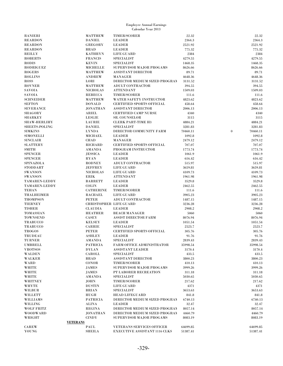| <b>RANIERI</b>       | <b>MATTHEW</b>                | <b>TIMER/SCORER</b>                  | 22.32    | 22.32        |
|----------------------|-------------------------------|--------------------------------------|----------|--------------|
| <b>REARDON</b>       | <b>DANIEL</b>                 | <b>LEADER</b>                        | 2364.3   | 2364.3       |
| <b>REARDON</b>       | GREGORY                       | <b>LEADER</b>                        | 2521.92  | 2521.92      |
| <b>REARDON</b>       | <b>BRAD</b>                   | <b>LEADER</b>                        | 775.32   | 775.32       |
| <b>REILLY</b>        | <b>KATHRYN</b>                | LIFE GUARD                           | 2384     | 2384         |
| <b>ROBERTS</b>       | <b>FRANCIS</b>                | <b>SPECIALIST</b>                    | 4279.55  | 4279.55      |
| <b>RODIS</b>         | <b>KEVIN</b>                  | <b>SPECIALIST</b>                    | 1468.35  | 1468.35      |
| <b>RODRIGUEZ</b>     | <b>MICHELLE</b>               | SUPERVISOR MAJOR PROGAMS             | 8626.66  | 8626.66      |
| <b>ROGERS</b>        | <b>MATTHEW</b>                | <b>ASSISTANT DIRECTOR</b>            | 89.71    | 89.71        |
| <b>ROLLINS</b>       | <b>ANDREW</b>                 | <b>MANAGER</b>                       | 4648.36  | 4648.36      |
| <b>ROSS</b>          | LORI                          | DIRECTOR MEDIUM SIZED PROGRAM        | 3131.52  | 3131.52      |
| <b>ROVNER</b>        | <b>MATTHEW</b>                | <b>ADULT CONTRACTOR</b>              | 394.55   | 394.55       |
| <b>SAVOIA</b>        | <b>NICHOLAS</b>               | <b>ATTENDANT</b>                     | 1509.03  | 1509.03      |
| <b>SAVOIA</b>        | <b>REBECCA</b>                | <b>TIMER/SCORER</b>                  | 111.6    | 111.6        |
| <b>SCHNEIDER</b>     | <b>MATTHEW</b>                | <b>WATER SAFETY INSTRUCTOR</b>       | 4823.62  | 4823.62      |
| <b>SEFTON</b>        | <b>DONALD</b>                 | <b>CERTIFIED SPORTS OFFICIAL</b>     | 458.64   | 458.64       |
| <b>SEVERANCE</b>     | JONATHAN                      | <b>ASSISTANT DIRECTOR</b>            | 2006.13  | 2006.13      |
| SHAGORY              | ARIEL                         | <b>CERTIFIED CAMP NURSE</b>          | 4340     | 4340         |
| <b>SHARKEY</b>       | <b>LESLIE</b>                 | <b>SR. COUNSELOR</b>                 | 3115     | 3115         |
| <b>SHAW-HERLIHY</b>  | <b>LAURIE</b>                 | <b>CLERK PART-TIME H3</b>            | 4884.21  | 4884.21      |
| SHEETS-POLING        | <b>DANIEL</b>                 | <b>SPECIALIST</b>                    | 3281.83  | 3281.83      |
|                      |                               |                                      |          | $\mathbf{0}$ |
| <b>SIMKINS</b>       | <b>LYNDA</b>                  | DIRECTOR COMMUNITY FARM              | 70460.11 | 70460.11     |
| <b>SIMONELLI</b>     | MICHAEL                       | <b>LEADER</b>                        | 1092.8   | 1092.8       |
| <b>SINCLAIR</b>      | <b>CHAD</b>                   | <b>MANAGER</b>                       | 2479.12  | 2479.12      |
| <b>SLATTERY</b>      | RICHARD                       | <b>CERTIFIED SPORTS OFFICIAL</b>     | 707.07   | 707.07       |
| <b>SMITH</b>         | AMANDA                        | PROGRAM INSTRUCTOR                   | 1773.74  | 1773.74      |
| <b>SPENCER</b>       | <b>JESSICA</b>                | <b>LEADER</b>                        | 1061.9   | 1061.9       |
| <b>SPENCER</b>       | <b>RYAN</b>                   | <b>LEADER</b>                        | 616.42   | 616.42       |
| SPINAZOLA            | <b>RODNEY</b>                 | <b>ADULT CONTRACTOR</b>              | 515.97   | 515.97       |
| STODDART             | <b>JEFFREY</b>                | LIFE GUARD                           | 3659.81  | 3659.81      |
| <b>SWANSON</b>       | <b>NICHOLAS</b>               | LIFE GUARD                           | 4109.73  | 4109.73      |
| <b>SWANSON</b>       | <b>ERIK</b>                   | <b>ATTENDANT</b>                     | 1961.98  | 1961.98      |
| <b>TAMAREN-LEDDY</b> | <b>BARRETT</b>                | <b>LEADER</b>                        | 3529.8   | 3529.8       |
| TAMAREN-LEDDY        | <b>COLIN</b>                  | <b>LEADER</b>                        | 2462.55  | 2462.55      |
| <b>TEHAN</b>         | <b>CATHERINE</b>              | <b>TIMER/SCORER</b>                  | 111.6    | 111.6        |
| <b>THALHEIMER</b>    | <b>RACHAEL</b>                | LIFE GUARD                           | 3905.23  | 3905.23      |
| <b>THOMPSON</b>      | <b>PETER</b>                  | <b>ADULT CONTRACTOR</b>              | 1487.15  | 1487.15      |
| <b>TIERNEY</b>       | <b>CHRISTOPHER LIFE GUARD</b> |                                      | 3236.28  | 3236.28      |
| <b>TISHER</b>        | <b>CLAUDIA</b>                | <b>LEADER</b>                        | 2908.2   | 2908.2       |
| <b>TOMASSIAN</b>     | <b>HEATHER</b>                | <b>BEACH MANAGER</b>                 | 5060     | 5060         |
| <b>TOWNSEND</b>      | <b>CASEY</b>                  | <b>ASSIST DIRECTOR FARM</b>          | 8076.94  | 8076.94      |
| <b>TRABUCCO</b>      | <b>KELSEY</b>                 | <b>LEADER</b>                        | 1051.54  | 1051.54      |
| <b>TRABUCCO</b>      | <b>CARRIE</b>                 | <b>SPECIALIST</b>                    | 2523.7   | 2523.7       |
| <b>TROGOS</b>        | <b>PETER</b>                  | <b>CERTIFIED SPORTS OFFICIAL</b>     | 305.76   | 305.76       |
| <b>TRUDEAU</b>       | <b>ASHLEY</b>                 | <b>LEADER</b>                        | 91.76    | 91.76        |
| <b>TURNER</b>        | $\operatorname{AMANDA}$       | <b>SPECIALIST</b>                    | 2839.43  | 2839.43      |
| <b>UMBRELL</b>       | <b>PATRICIA</b>               | <b>FARM OFFICE ADMINISTRATOR</b>     | 35998.54 | 35998.54     |
| <b>VROTSOS</b>       | <b>DYLAN</b>                  | <b>ASSISTANT LEADER</b>              | 3170.4   | 3170.4       |
| <b>WALDEN</b>        | CAROLL                        | <b>SPECIALIST</b>                    | 433.5    | 433.5        |
| <b>WALKER</b>        | <b>BRAD</b>                   | <b>ASSISTANT DIRECTOR</b>            | 3800.23  | 3800.23      |
| WARD                 | <b>CONOR</b>                  | <b>TIMER/SCORER</b>                  | 410.13   | 410.13       |
| <b>WHITE</b>         | <b>JAMES</b>                  | SUPERVISOR MAJOR PROGAMS             | 3999.26  | 3999.26      |
| WHITE                | JAMES                         | PT LABORER RECREATION                | 311.18   | 311.18       |
| <b>WHITE</b>         | <b>AMANDA</b>                 | SPECIALIST                           | 5030.65  | 5030.65      |
| <b>WHITNEY</b>       | <b>JOHN</b>                   | <b>TIMER/SCORER</b>                  | 217.62   | 217.62       |
| <b>WHYTE</b>         | <b>DUSTIN</b>                 | <b>LIFE GUARD</b>                    | 4371     | 4371         |
| WILBUR               | <b>BRIAN</b>                  | <b>SPECIALIST</b>                    | 3653.63  | 3653.63      |
| <b>WILLETT</b>       | <b>HUGH</b>                   | <b>HEAD LIFEGUARD</b>                | 841.8    | 841.8        |
| WILLIAMS             | <b>PATRICIA</b>               | DIRECTOR MEDIUM SIZED PROGRAM        | 6740.13  | 6740.13      |
| WILLING              | <b>ALINA</b>                  | <b>LEADER</b>                        | 32.47    | 32.47        |
| <b>WOLF FRITZ</b>    | <b>REGINA</b>                 | DIRECTOR MEDIUM SIZED PROGRAM        | 8057.14  | 8057.14      |
| WOODWARD             | JONATHAN                      | DIRECTOR MEDIUM SIZED PROGRAM        | 4460.79  | 4460.79      |
| WRIGHT               | <b>CINDY</b>                  | SUPERVISOR MAJOR PROGAMS             | 8083.19  | 8083.19      |
|                      | <b>VETERANS</b>               |                                      |          |              |
| <b>CAREW</b>         | PAUL                          | <b>VETERANS SERVICES OFFICER</b>     | 64699.85 | 64699.85     |
|                      |                               |                                      |          |              |
| YOUNG                | <b>SHEILA</b>                 | <b>EXECUTIVE ASSISTANT 1116 CLKS</b> | 51387.41 | 51387.41     |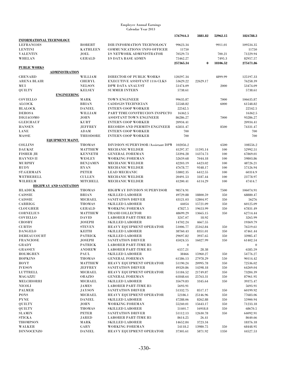|                                  |                               |                                                         | 1767944.3           | 3881.82          | 52962.15 | 1824788.3           |
|----------------------------------|-------------------------------|---------------------------------------------------------|---------------------|------------------|----------|---------------------|
| INFORMATIONAL TECHNOLOGY         |                               |                                                         |                     |                  |          |                     |
| <b>LEFRANCOIS</b>                | <b>ROBERT</b>                 | DIR INFORMATION TECHNOLOGY                              | 99623.34            |                  | 9911.01  | 109534.35           |
| <b>LENTINI</b>                   | <b>KATHLEEN</b>               | <b>COMMUNICATIONS/INFO OFFICER</b>                      | 11750               |                  |          | 11750               |
| <b>VALENTIN</b>                  | JOEL                          | I/S NETWORK ADMINISTRATOR                               | 70529.73            |                  | 700.21   | 71229.94            |
| WHELAN                           | <b>GERALD</b>                 | I/S DATA BASE ADMIN                                     | 75462.27            |                  | 7495.3   | 82957.57            |
|                                  |                               |                                                         | 257365.34           | $\mathbf{0}$     | 18106.52 | 275471.86           |
| <u>PUBLIC WORKS</u>              |                               |                                                         |                     |                  |          |                     |
| <b>ADMINISTRATION</b>            |                               |                                                         |                     |                  |          |                     |
| <b>CHENARD</b>                   | WILLIAM                       | <b>DIRECTOR OF PUBLIC WORKS</b>                         | 120297.34           |                  | 4899.99  | 125197.33           |
| ARENA BLAIR                      | <b>CHERYL</b>                 | <b>EXECUTIVE ASSISTANT 1116 CLKS</b>                    | 53629.22            | 22629.17         |          | 76258.39            |
| MUI                              | <b>NELSON</b>                 | DPW DATA ANALYST                                        | 51474.09            |                  | 2000     | 53474.09            |
| QUILTY                           | <b>KELSEY</b>                 | <b>SUMMER INTERN</b>                                    | 5738.61             |                  |          | 5738.61             |
|                                  | <b>ENGINEERING</b>            |                                                         |                     |                  |          |                     |
| <b>COVIELLO</b>                  | MARK<br><b>BRIAN</b>          | <b>TOWN ENGINEER</b>                                    | 99635.87            |                  | 7000     | 106635.87           |
| <b>ALCOCK</b><br><b>BLALOCK</b>  | <b>DANIEL</b>                 | <b>CADD/GIS TECHNICIAN</b><br><b>INTERN COOP WORKER</b> | 55548.82<br>22542.5 |                  | 6000     | 61548.82<br>22542.5 |
| <b>DEROSA</b>                    | WILLIAM                       | PART TIME CONSTRUCION INSPECTO                          | 16362.5             |                  |          | 16362.5             |
| <b>DIGIACOMO</b>                 | <b>JOHN</b>                   | <b>ASSISTANT TOWN ENGINEER</b>                          | 86286.27            |                  | 7000     | 93286.27            |
| <b>GLEICHAUF</b>                 | KURT                          | <b>INTERN COOP WORKER</b>                               | 20934.41            |                  |          | 20934.41            |
| <b>HANSEN</b>                    | <b>JEFFREY</b>                | RECORDS AND PERMITS ENGINEER                            | 65831.47            |                  | 8500     | 74331.47            |
| <b>LANE</b>                      | ADAM                          | <b>INTERN COOP WORKER</b>                               | 700                 |                  |          | 700                 |
| MASSE                            | <b>THEODORE</b>               | <b>INTERN COOP WORKER</b>                               | 700                 |                  |          | 700                 |
| <b>EQUIPMENT MAINT.</b>          |                               |                                                         |                     |                  |          |                     |
| <b>COLLINS</b>                   | <b>THOMAS</b>                 | DIVISION SUPERVISOR / Assistant DPW                     | 102056.2            |                  | 6500     | 108556.2            |
| <b>DAUKSZ</b>                    | <b>MATTHEW</b>                | <b>MECHANIC WELDER</b>                                  | 41297.37            | 11595.14         | 100      | 52992.51            |
| <b>FISHER JR</b>                 | <b>KENNETH</b>                | <b>GENERAL FOREMAN</b>                                  | 53394.28            | 14374.73         | 100      | 67869.01            |
| <b>HAYNES II</b>                 | <b>WESLEY</b>                 | <b>WORKING FOREMAN</b>                                  | 52659.68            | 7044.18          | 100      | 59803.86            |
| <b>MURPHY</b>                    | <b>BENJAMIN</b>               | <b>MECHANIC WELDER</b>                                  | 42203.19            | 6423.02          | 100      | 48726.21            |
| <b>RUDY</b>                      | <b>RYAN</b>                   | <b>MECHANIC WELDER</b>                                  | 47678.77            | 9348.17          | 100      | 57126.94            |
| <b>ST.GERMAIN</b>                | <b>PETER</b>                  | <b>LEAD MECHANIC</b>                                    | 53802.35            | 6412.55          | 100      | 60314.9             |
| WETHERELL                        | <b>CULLEN</b>                 | <b>MECHANIC WELDER</b>                                  | 20491.53            | 3187.44          | 100      | 23778.97            |
| WILHELM                          | <b>MITCHELL</b>               | <b>MECHANIC WELDER</b>                                  | 41200.41            | 6114.29          | 100      | 47414.7             |
| HIGHWAY AND SANITATION           |                               |                                                         |                     |                  |          |                     |
| <b>HLADICK</b>                   | <b>THOMAS</b>                 | <b>HIGHWAY DIVISION SUPERVISOR</b>                      | 98574.91            |                  | 7500     | 106074.91           |
| <b>CAISSIE</b>                   | <b>BRIAN</b>                  | <b>SKILLED LABORER</b>                                  | 49729.88            | 18800.59         | 350      | 68880.47            |
| <b>CAISSIE</b>                   | <b>MICHAEL</b>                | <b>SANITATION DRIVER</b>                                | 43121.03            | 12804.97         | 350      | 56276               |
| CARRIGG                          | <b>THOMAS</b>                 | <b>SKILLED LABORER</b>                                  | 44054               | 15721.09         | 350      | 60125.09            |
| <b>CLOUGHER</b>                  | <b>GERALD</b>                 | <b>WORKING FOREMAN</b>                                  | 47827.5             | 19653.99         | 350      | 67831.49            |
| <b>CORNELIUS</b>                 | <b>MATTHEW</b>                | <b>TRASH COLLECTOR</b>                                  | 48699.29            | 13665.15         | 350      | 62714.44            |
| <b>COVIELLO</b><br><b>CROSBY</b> | <b>DAVID</b><br><b>JOSEPH</b> | <b>LABORER PART-TIME H3</b><br><b>SKILLED LABORER</b>   | 3247.07<br>14702.24 | 18.92<br>4667.55 |          | 3265.99<br>19369.79 |
| <b>CURTIS</b>                    | <b>STEVEN</b>                 | HEAVY EQUIPMENT OPERATOR                                | 51006.77            | 25162.84         | 350      | 76519.61            |
| <b>DANGELO</b>                   | <b>KEITH</b>                  | <b>SKILLED LABORER</b>                                  | 38760.43            | 8351.01          | 350      | 47461.44            |
| <b>DEBEAUCOURT</b>               | <b>PATRICK</b>                | <b>SKILLED LABORER</b>                                  | 29697.82            | 3937.65          | 350      | 33985.47            |
| <b>FRANCIOSE</b>                 | <b>JOSEPH</b>                 | SANITATION DRIVER                                       | 45024.55            | 16027.99         | $350\,$  | 61402.54            |
| <b>GRADY</b>                     | <b>PATRICK</b>                | <b>LABORER PART-TIME H3</b>                             | $\boldsymbol{0}$    |                  |          | $\bf{0}$            |
| <b>GRASSEY</b>                   | <b>ANDREW</b>                 | <b>LABORER PART-TIME H3</b>                             | 6557.21             | 28.38            |          | 6585.59             |
| <b>HOLMGREN</b>                  | PAUL                          | <b>SKILLED LABORER</b>                                  | 38466               | 15960.27         | 350      | 54776.27            |
| <b>HOPKINS</b>                   | <b>THOMAS</b>                 | <b>GENERAL FOREMAN</b>                                  | 61586.13            | 27978.29         | 550      | 90114.42            |
| <b>HOYT</b>                      | <b>MATTHEW</b>                | HEAVY EQUIPMENT OPERATOR                                | 51190.24            | 20995.78         | 350      | 72536.02            |
| <b>IVESON</b>                    | <b>JEFFREY</b>                | <b>SANITATION DRIVER</b>                                | 49320.86            | 14598.18         | 350      | 64269.04            |
| LUTTRELL                         | <b>MICHAEL</b>                | HEAVY EQUIPMENT OPERATOR                                | 51184.52            | 21749.87         | 350      | 73284.39            |
| MAGAZZU                          | <b>ORAZIO</b>                 | <b>GENERAL FOREMAN</b>                                  | 61848.64            | 25763.31         | 350      | 87961.95            |
| MELCHIORRI                       | <b>MICHAEL</b>                | <b>SKILLED LABORER</b>                                  | 35679.83            | 3345.64          | 350      | 39375.47            |
| NICOLI                           | JAMES                         | <b>LABORER PART-TIME H3</b>                             | 5693.91             |                  |          | 5693.91             |
| <b>PALMER</b>                    | <b>JAYSON</b>                 | <b>SANITATION DRIVER</b>                                | 51332.75            | 8517.17          | 350      | 60199.92            |
| <b>PONS</b>                      | MICHAEL                       | HEAVY EQUIPMENT OPERATOR                                | 52186.1             | 25146.96         | 350      | 77683.06            |
| ${\bf P YNE}$                    | <b>DANIEL</b>                 | <b>SKILLED LABORER</b>                                  | 47288.06            | 8262.88          | 350      | 55900.94            |
| <b>QUILTY</b>                    | <b>JOHN</b>                   | <b>WORKING FOREMAN</b>                                  | 55240.01            | 15643.17         | 350      | 71233.18            |
| QUILTY                           | THOMAS                        | <b>SKILLED LABORER</b>                                  | 51401.7             | 16918.8          | 350      | 68670.5             |
| <b>SLAMIN</b>                    | <b>PETER</b>                  | <b>SANITATION DRIVER</b>                                | 51112.13            | 12630.78         | 350      | 64092.91            |
| STICKA                           | JARED                         | <b>LABORER PART-TIME H3</b>                             | 8614.25             | 26.41            |          | 8640.66             |
| THOMPSON                         | MARK                          | <b>SKILLED LABORER</b>                                  | 14652.84            | 3723.34          |          | 18376.18            |
| WALKER                           | GARY                          | <b>WORKING FOREMAN</b>                                  | 54118.2             | 13980.75         | 350      | 68448.95            |
| <b>DINNOCENZO</b>                | <b>DANIEL</b>                 | HEAVY EQUIPMENT OPERATOR                                | 37305.61            | 5871.92          | 1350     | 44527.53            |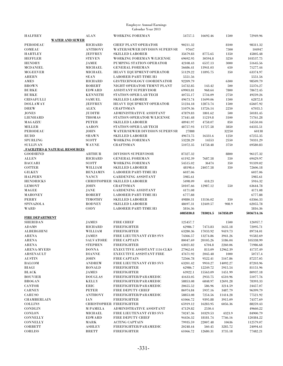| <b>HALFREY</b>            |                                  | <b>ALAN</b>                   | <b>WORKING FOREMAN</b>                                              | 54757.5              | 16692.46           | 1500               | 72949.96             |
|---------------------------|----------------------------------|-------------------------------|---------------------------------------------------------------------|----------------------|--------------------|--------------------|----------------------|
| <b>PERODEAU</b>           | <b>WATER AND SEWER</b>           | <b>RICHARD</b>                |                                                                     | 90211.32             |                    |                    |                      |
| COMEAU                    |                                  | <b>ANTHONY</b>                | <b>CHIEF PLANT OPERATOR</b><br><b>WATER/SEWER DIVISION SUPERVSR</b> | 97647                |                    | 8100<br>7300       | 98311.32<br>104947   |
| <b>HARTLEY</b>            |                                  | <b>JEFFREY</b>                | <b>SKILLED LABORER</b>                                              | 35679.83             | 8775.65            | 1350               | 45805.48             |
| <b>HEFFLER</b>            |                                  | <b>STEVEN</b>                 | WORKING FOREMAN W/LICENSE                                           | 69692.95             | 30594.8            | 3250               | 103537.75            |
| <b>HENDRY</b>             |                                  | JAMIE                         | PUMPING STATION OPERATOR                                            | 42108.43             | 6537.13            | 3000               | 51645.56             |
| <b>MCDANIEL</b>           |                                  | <b>MICHAEL</b>                | <b>GENERAL FOREMAN</b>                                              | 56686.41             | 13941.03           | 650                | 71277.44             |
| <b>MCGEEVER</b>           |                                  | MICHAEL                       | HEAVY EQUIPMENT OPERATOR                                            | 51129.22             | 11895.75           | 350                | 63374.97             |
| <b>AHERN</b>              |                                  | <b>SEAN</b>                   | <b>LABORER PART-TIME H3</b>                                         | 5551.56              |                    |                    | 5551.56              |
| AMES                      |                                  | RICHARD                       | <b>GIS/TECHNOLOGY COORDINATOR</b>                                   | 92209.79             |                    | 6300               | 98509.79             |
| <b>BROWN</b>              |                                  | ROBERT                        | NIGHT OPERATOR TRMNT PLANT                                          | 54732.85             | 143.42             | 500                | 55376.27             |
| <b>BURKE</b>              |                                  | <b>EDWARD</b>                 | <b>ASSISTANT SUPERVISOR</b>                                         | 69903.81             | 968.64             | 7800               | 78672.45             |
| <b>BURKE</b>              |                                  | <b>KENNETH</b>                | <b>STATION OPER LAB TECH</b>                                        | 40755.17             | 5734.09            | 2750               | 49239.26             |
| <b>CRISAFULLI</b>         |                                  | <b>SAMUEL</b>                 | <b>SKILLED LABORER</b>                                              | 49673.74             | 11699.06           | 1500               | 62872.8              |
| <b>DOLLAWAY</b>           |                                  | <b>JEFFREY</b>                | HEAVY EQUIPMENT OPERATOR                                            | 51234.18             | 12873.74           | 1500               | 65607.92             |
| <b>DREW</b>               |                                  | <b>ALEX</b>                   | <b>CRAFTSMAN</b>                                                    | 51079.36             | 13726.14           | 2250               | 67055.5              |
| <b>JONES</b>              |                                  | <b>JUDITH</b>                 | ADMINISTRATIVE ASSISTANT                                            | 47879.83             | 1801.62            | 500                | 50181.45             |
| <b>LIENHARD</b>           |                                  | <b>THOMAS</b>                 | STATION OPERATOR W/LICENSE                                          | 57441.48             | 11219.8            | 3100               | 71761.28             |
| MAGAZZU                   |                                  | <b>PETER</b>                  | <b>SKILLED LABORER</b>                                              | 48941.97             | 4758.07            | 850                | 54550.04             |
| <b>MILLER</b>             |                                  | <b>AARON</b>                  | <b>STATION OPER LAB TECH</b>                                        | 48757.93             | 11727.58           | 3850               | 64335.51             |
| <b>PERODEAU</b>           |                                  | <b>JOHN</b>                   | <b>WATER/SEWER DIVISION SUPERVSR</b>                                | 27888                |                    | 32250              | 60138                |
| <b>RUDD</b>               |                                  | <b>SHAWN</b>                  | <b>SKILLED LABORER</b>                                              | 49673.75             | 16331.6            | 1250               | 67255.35             |
| <b>SPURLING</b>           |                                  | SCOTT                         | <b>WORKING FOREMAN</b>                                              | 53228.29             | 14553              | 2550               | 70331.29             |
| <b>SULLIVAN</b>           |                                  | <b>WAYNE</b>                  | <b>CRAFTSMAN</b>                                                    | 51072.35             | 14758.48           | 3750               | 69580.83             |
|                           | , FACILITIES & NATURAL RESOURCES |                               |                                                                     |                      |                    |                    |                      |
| <b>GOODHIND</b>           |                                  | <b>ARTHUR</b>                 | <b>DIVISION SUPERVISOR</b>                                          | 87327.32             |                    | 8800               | 96127.32             |
| <b>ALLEN</b>              |                                  | <b>RICHARD</b>                | <b>GENERAL FOREMAN</b>                                              | 61192.39             | 7687.58            | 550                | 69429.97             |
| <b>BACCARI</b>            |                                  | <b>SCOTT</b>                  | <b>WORKING FOREMAN</b>                                              | 54515.02             | 36474              | 350                | 91339.02             |
| <b>COTTER</b>             |                                  | WILLIAM                       | <b>SKILLED LABORER</b>                                              | 48198.6              | 24057.58           | 350                | 72606.18             |
| <b>GILKEY</b>             |                                  | <b>BENJAMIN</b>               | <b>LABORER PART-TIME H3</b>                                         | 6037.06              |                    |                    | 6037.06              |
| <b>HALPERN</b>            |                                  | <b>NANCY</b>                  | <b>GARDENING ASSISTANT</b>                                          | 5985.61              |                    |                    | 5985.61              |
| <b>HENDRICKS</b>          |                                  |                               | <b>CHRISTOPHER SKILLED LABORER</b>                                  | 5498.09              | 418.23             |                    | 5916.32              |
| <b>LEMONT</b>             |                                  | <b>JOHN</b>                   | <b>CRAFTSMAN</b>                                                    | 50107.66             | 12987.12           | 550                | 63644.78             |
| MAGEE                     |                                  | <b>JANE</b>                   | <b>GARDENING ASSISTANT</b>                                          | 4171.08              |                    |                    | 4171.08              |
| <b>MAHONEY</b>            |                                  | ROBERT                        | <b>LABORER PART-TIME H3</b>                                         | 6777.88              |                    |                    | 6777.88              |
| PERRY                     |                                  | <b>TIMOTHY</b>                | <b>SKILLED LABORER</b>                                              | 49880.31             | 13136.02           | 350                | 63366.33             |
| SPINAZOLA                 |                                  | <b>RODNEY</b>                 | <b>SKILLED LABORER</b>                                              | 48697.31             | 12449.57           | 908.9              | 62055.78             |
| WARD                      |                                  | CODY                          | <b>LABORER PART-TIME H3</b>                                         | 5816.36              |                    |                    | 5816.36              |
|                           |                                  |                               |                                                                     | 4085830.8            | 783024.5           | 167858.89          | 5036714.16           |
| <b>FIRE DEPARTMENT</b>    |                                  |                               |                                                                     |                      |                    |                    |                      |
| <b>SHERIDAN</b>           |                                  | <b>JAMES</b>                  | <b>FIRE CHIEF</b>                                                   | 125457.7             |                    | 1500               | 126957.7             |
| <b>ADAMS</b>              |                                  | <b>RICHARD</b>                | <b>FIREFIGHTER</b>                                                  | 62986.7              | 7473.83            | 1635.18            | 72095.71             |
| <b>ALBERGHINI</b>         |                                  | WILLIAM                       | <b>FIREFIGHTER</b>                                                  | 63280.36             | 17033.92           | 9419.73            | 89734.01             |
| <b>ARENA</b>              |                                  | <b>JAMES</b>                  | FIRE LIEUTENANT 4YRS SVS                                            | 74366.57             | 13274.86           | 3941.26            | 91582.69             |
| <b>ARENA</b>              |                                  | SALVATORE                     | FIRE CAPTAIN                                                        | 80047.69             | 20105.26           | 5186.04            | 105338.99            |
| <b>ARENA</b>              |                                  | <b>STEPHEN</b>                |                                                                     |                      |                    | 2260.06            | 71986.68             |
|                           |                                  |                               |                                                                     |                      |                    |                    |                      |
|                           |                                  |                               | <b>FIREFIGHTER</b>                                                  | 63021.82             | 6704.8             |                    |                      |
| <b>ARENA-MYERS</b>        |                                  | <b>DONNA</b>                  | <b>EXECUTIVE ASSISTANT 1116 CLKS</b>                                | 27962.01             | 813.09             | 12962.39           | 41737.49             |
| <b>ARSENAULT</b>          |                                  | <b>DIANNE</b>                 | <b>EXECUTIVE ASSISTANT FIRE</b>                                     | 47671.92             | 2045.48            | 1000               | 50717.4              |
| <b>AUSTIN</b>             |                                  | JOHN                          | <b>FIRE CAPTAIN</b>                                                 | 72566.78             | 9522.41            | 5167.86            | 87257.05             |
| <b>BALCOM</b>             |                                  | <b>ANDREW</b>                 | FIRE LIEUTENANT 4YRS SVS                                            | 63201.42             | 9910.27            | 14092.27           | 87203.96             |
| BIAGI                     |                                  | <b>RONALD</b>                 | <b>FIREFIGHTER</b>                                                  | 62986.7              | 12249.72           | 5915.54            | 81151.96             |
| <b>BLACK</b>              |                                  | <b>JAMES</b>                  | <b>FIREFIGHTER</b>                                                  | 63922.1              | 15563.09           | 1451.99            | 80937.18             |
| <b>BOUVIER</b>            |                                  | <b>DOUGLAS</b>                | FIREFIGHTER/PARAMEDIC                                               | 41633.05             | 2933.75            | 6510.96            | 51077.76             |
| <b>BROGAN</b>             |                                  | <b>KELLY</b>                  | FIREFIGHTER/PARAMEDIC                                               | 58853.08             | 6848.97            | 12691.28           | 78393.33             |
| <b>CANTOR</b>             |                                  | ERIC                          | FIREFIGHTER/PARAMEDIC                                               | 20655.52             | 586.96             | 3214.59            | 24457.07             |
| <b>CARNEY</b>             |                                  | <b>PETER</b>                  | FIRE DEPUTY CHIEF                                                   | 86974.84             | 5937.16            | 3487.79            | 96399.79             |
| CARUSO                    |                                  | <b>ANTHONY</b>                | FIREFIGHTER/PARAMEDIC                                               | 58853.08             | 7254.56            | 11414.28           | 77521.92             |
| <b>CHAMBERLAIN</b>        |                                  | IAN                           | <b>FIREFIGHTER</b>                                                  | 61066.72             | 9395.88            | 3915.09            | 74377.69             |
| <b>COLLINS</b>            |                                  |                               | <b>CHRISTOPHER FIREFIGHTER</b>                                      | 65919.12             | 16283.95           | 6056.36            | 88259.43             |
| <b>CONDLIN</b>            |                                  | <b>M PAMELA</b>               | ADMINISTRATIVE ASSISTANT                                            | 47129.82             | 2530.4             |                    | 49660.22             |
| <b>CONLON</b>             |                                  | <b>MICHAEL</b>                | <b>FIRE LIEUTENANT 4YRS SVS</b>                                     | 70247.36             | 10329.53           | 4323.9             | 84900.79             |
| <b>CONNELLY</b>           |                                  | <b>EDWARD</b>                 | FIRE DEPUTY CHIEF                                                   | 94456.32             | 18181.74           | 7746.16            | 120384.22            |
| <b>CONNELLY</b>           |                                  | MARK                          | <b>ACTING CAPTAIN</b>                                               | 79935.59             | 22007.48           | 10636              | 112579.07            |
| <b>CORBETT</b><br>CORLISS |                                  | <b>ASHLEY</b><br><b>BRETT</b> | FIREFIGHTER/PARAMEDIC<br><b>FIREFIGHTER</b>                         | 20248.44<br>61066.72 | 560.45<br>12680.31 | 3285.72<br>3735.18 | 24094.61<br>77482.21 |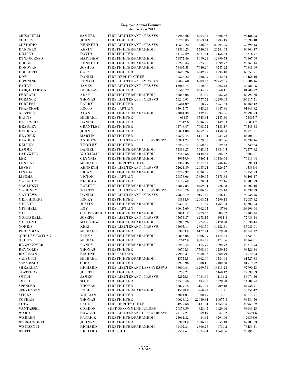|                                  |                                  | Calendar Year 2013                                     |                      |                     |                     |                      |
|----------------------------------|----------------------------------|--------------------------------------------------------|----------------------|---------------------|---------------------|----------------------|
| CRISAFULLI                       | <b>SAMUEL</b>                    | FIRE LIEUTENANT 4YRS SVS                               | 67985.66             | 8994.31             | 15506.56            | 92486.53             |
| <b>CURLEY</b>                    | <b>JOHN</b>                      | <b>FIREFIGHTER</b>                                     | 62736.85             | 9563.44             | 3794.19             | 76094.48             |
| CUSTODIO                         | <b>KENNETH</b>                   | FIRE LIEUTENANT 4YRS SVS                               | 18548.22             | 636.96              | 20204.95            | 39390.13             |
| <b>DANGELO</b><br><b>DICICCO</b> | <b>KEVIN</b>                     | FIREFIGHTER/PARAMEDIC<br><b>FIREFIGHTER</b>            | 61319.23             | 8740.61             | 20744.63            | 90804.47             |
|                                  | <b>DAVID</b>                     |                                                        | 61139.69             | 8021.54             | 7155.54<br>12890.55 | 76316.77             |
| <b>D'INNOCENZO</b><br>DODGE      | <b>MATTHEW</b><br><b>KENNETH</b> | FIREFIGHTER/PARAMEDIC<br>FIREFIGHTER/PARAMEDIC         | 58877.86             | 8099.28<br>225.98   | 2892.72             | 79867.69             |
| <b>DONOVAN</b>                   | <b>JOSHUA</b>                    | FIREFIGHTER/PARAMEDIC                                  | 20248.44<br>53465.58 | 7640.29             | 9735.22             | 23367.14<br>70841.09 |
| <b>DOUCETTE</b>                  | GARY                             | <b>FIREFIGHTER</b>                                     | 61620.26             | 4642.27             | 1995.18             | 68257.71             |
| $_{\rm{DOW}}$                    | <b>DANIEL</b>                    | FIRE DEPUTY CHIEF                                      | 92526.22             | 12687.9             | 13242.34            | 118456.46            |
| <b>DOWNING</b>                   | <b>RONALD</b>                    | FIRE LIEUTENANT 4YRS SVS                               | 75049.68             | 16083.63            | 22752.85            | 113886.16            |
| <b>FAHEY</b>                     | <b>JAMES</b>                     | FIRE LIEUTENANT 4YRS SVS                               | 13066.74             | 1910.88             | 14803.43            | 29781.05             |
| <b>FARQUHARSON</b>               | <b>DOUGLAS</b>                   | <b>FIREFIGHTER</b>                                     | 66595.72             | 9644.89             | 5660.11             | 81900.72             |
| FERRARI                          | ADAM                             | FIREFIGHTER/PARAMEDIC                                  | 58853.08             | 8610.5              | 13533.78            | 80997.36             |
| <b>FORANCE</b>                   | THOMAS                           | <b>FIRE LIEUTENANT 4YRS SVS</b>                        | 76240.91             | 17577.72            | 12299.08            | 106117.71            |
| <b>FORREST</b>                   | <b>BARRY</b>                     | <b>FIREFIGHTER</b>                                     | 65384.09             | 11818.79            | 6957.54             | 84160.42             |
| <b>FRANCIOSE</b>                 | ROCCO                            | <b>FIRE CAPTAIN</b>                                    | 87047.75             | 848.21              | 3947.86             | 91843.82             |
| GENTILE                          | <b>ALAN</b>                      | FIREFIGHTER/PARAMEDIC                                  | 23064.32             | 432.45              | 3294.96             | 26791.73             |
| HAIGIS                           | <b>MICHAEL</b>                   | <b>FIREFIGHTER</b>                                     | 68185                | 3545.34             | 2135.36             | 73865.7              |
| <b>HARTWELL</b>                  | <b>DANIEL</b>                    | <b>FIREFIGHTER</b>                                     | 67512.6              | 3096.27             | 5442.83             | 76051.7              |
| <b>HEADLEY</b>                   | <b>GRANTLEY</b>                  | <b>FIREFIGHTER</b>                                     | 63748.47             | 7668.72             | 5131.19             | 76548.38             |
| HERRING                          | <b>JOHN</b>                      | <b>FIREFIGHTER</b>                                     | 66074.88             | 16252.09            | 11450.54            | 93777.51             |
| <b>HLADICK</b>                   | <b>MARTIN</b>                    | <b>FIREFIGHTER</b>                                     | 65599.44             | 16171.84            | 4934.73             | 86706.01             |
| <b>HLADICK</b>                   | <b>ANDREW</b>                    | FIRE LIEUTENANT LESS 4YRS SVS                          | 68921.25             | 13829.55            | 2587.36             | 85338.16             |
| <b>KELLEY</b>                    | TIMOTHY                          | <b>FIREFIGHTER</b>                                     | 62259.75             | 5050.55             | 3029.33             | 70339.63             |
| LAMME                            | <b>DANIEL</b>                    | FIREFIGHTER/PARAMEDIC                                  | 53383.25             | 5648.07             | 13346.5             | 72377.82             |
| LATAWIEC                         | WOJCIECH                         | FIREFIGHTER/PARAMEDIC                                  | 53465.58             | 12142.41            | 9995.22             | 75603.21             |
| LEE                              | <b>GLYNNIS</b>                   | FIREFIGHTER/PARAMEDIC                                  | 59959.9              | 5567.4              | 10586.64            | 76113.94             |
| LENTINI                          | <b>MICHAEL</b>                   | <b>FIRE DEPUTY CHIEF</b>                               | 93327.36             | 12517.61            | 7746.16             | 113591.13            |
| LEVEY                            | <b>KENNETH</b>                   | FIRE LIEUTENANT 4YRS SVS                               | 72621.39             | 12985.24            | 9726.77             | 95333.4              |
| <b>LINTON</b>                    | <b>BRIAN</b>                     | FIREFIGHTER/PARAMEDIC                                  | 63749.92             | 9890.39             | 5511.22             | 79151.53             |
| LIPOMA                           | <b>VICTOR</b>                    | <b>FIRE CAPTAIN</b>                                    | 76378.66             | 15850.67            | 7178.84             | 99408.17             |
| MABARDY                          | <b>NICHOLAS</b>                  | <b>FIREFIGHTER</b>                                     | 61139.69             | 17020.84            | 15627.46            | 93787.99             |
| MAGLIOZZI<br>MAHONEY             | <b>ROBERT</b>                    | FIREFIGHTER/PARAMEDIC<br>FIRE LIEUTENANT LESS 4YRS SVS | 62817.84             | 8459.34<br>9586.69  | 8926.28             | 80203.46<br>88338.59 |
| <b>MATHEWS</b>                   | WALTER<br><b>DANIEL</b>          | <b>FIRE LIEUTENANT 4YRS SVS</b>                        | 73476.76<br>77835.19 | 9157.45             | 5275.14<br>3546.11  | 90538.75             |
| MELCHIORRI                       | <b>ROCKY</b>                     | <b>FIREFIGHTER</b>                                     | 63833.9              | 12963.74            | 5290.18             | 82087.82             |
| MELLOR                           | <b>JUSTIN</b>                    | FIREFIGHTER/PARAMEDIC                                  | 50330.41             | 7211.59             | 11761.03            | 69303.03             |
| MITCHELL                         | ROY                              | <b>FIRE CAPTAIN</b>                                    | 80047.69             | 17362.95            | 5786                | 103196.64            |
| MIX                              |                                  | CHRISTOPHER FIREFIGHTER/PARAMEDIC                      | 53094.19             | 5723.63             | 13285.32            | 72103.14             |
| MORTARELLI                       | <b>JOSEPH</b>                    | FIRE LIEUTENANT 4YRS SVS                               | 67673.87             | 6278.17             | 3981.3              | 77933.34             |
| MULLEN II                        | <b>MATTHEW</b>                   | FIREFIGHTER/PARAMEDIC                                  | 58913.26             | 2246.9              | 9478.28             | 70638.44             |
| <b>NORRIS</b>                    | <b>KERI</b>                      | FIRE LIEUTENANT 4YRS SVS                               | 68095.14             | 2803.56             | 14182.31            | 85081.01             |
| PERRYMAN                         | <b>MICHAEL</b>                   | <b>FIREFIGHTER</b>                                     | 63833.9              | 16127.94            | 5279.28             | 85241.12             |
| QUIGLEY-BOYLAN                   | $\operatorname{TANYA}$           | FIREFIGHTER/PARAMEDIC                                  | 60853.08             | 2306.89             | 11175.64            | 74335.61             |
| QUILTY                           | <b>MICHAEL</b>                   | <b>FIREFIGHTER</b>                                     | 67612.9              | 9384.75             | 8171.36             | 85169.01             |
| <b>REASONOVER</b>                | <b>RANDY</b>                     | FIREFIGHTER/PARAMEDIC                                  | 20248.44             | 174.77              | 2892.72             | 23315.93             |
| <b>REYNOLDS</b>                  | <b>THOMAS</b>                    | <b>FIREFIGHTER</b>                                     | 66768.3              | 17508.36            | 9250.18             | 93526.84             |
| ROTHMAN                          | <b>EUGENE</b>                    | <b>FIRE CAPTAIN</b>                                    | 77946.31             | 19260.93            | 17362.79            | 114570.03            |
| SALVUCCI                         | <b>MICHAEL</b>                   | FIREFIGHTER/PARAMEDIC                                  | 45778.8              | 6362.09             | 9584.94             | 61725.83             |
| SANSOSSIO                        | CIRO                             | <b>FIREFIGHTER</b>                                     | 58930.96             | 5888.18             | 17100.38            | 81919.52             |
| SHEARLEY                         | <b>RICHARD</b>                   | FIRE LIEUTENANT LESS 4YRS SVS                          | 68609.44             | 16269.51            | 13111.28            | 97990.23             |
| SLATTERY                         | <b>JOSEPH</b>                    | <b>FIREFIGHTER</b>                                     | 6232.27              |                     | 16460.42            | 22692.69             |
| SMITH                            | JAMES                            | <b>FIRE LIEUTENANT 4YRS SVS</b>                        | 72175.3              | 7684.86             | 4114.2              | 83974.36             |
| SMITH                            | <b>SCOTT</b>                     | <b>FIREFIGHTER</b>                                     | 62520.46             | 4940.2              | 7229.28<br>4709.18  | 74689.94             |
| SPENCER<br>STEVENSON             | THOMAS<br><b>ROBERT</b>          | <b>FIREFIGHTER</b><br>FIREFIGHTER/PARAMEDIC            | 66877.72<br>45778.8  | 13151.81<br>4960.91 | 7611.71             | 84738.71<br>58351.42 |
| STICKA                           | WILLIAM                          | <b>FIREFIGHTER</b>                                     | 63001.01             | 15800.49            | 9214.21             | 88015.71             |
| TOPHAM                           | <b>THOMAS</b>                    | <b>FIREFIGHTER</b>                                     | 60628.12             | 22030.84            | 10675.8             | 93334.76             |
| TOTA                             | PAUL                             | <b>FIRE DEPUTY CHIEF</b>                               | 94279.68             | 13131.94            | 13543.6             | 120955.22            |
| VANTASSEL                        | <b>GORDON</b>                    | SUPT OF COMMUNICATIONS                                 | 79378.59             | 8234.7              | 6029.96             | 93643.25             |
| WARD                             | <b>EDWARD</b>                    | FIRE LIEUTENANT LESS 4YRS SVS                          | 71157.21             | 15862.19            | 2472.2              | 89491.6              |
| WARREN                           | <b>PATRICK</b>                   | FIREFIGHTER/PARAMEDIC                                  | 23064.32             | 34.32               | 3294.96             | 26393.6              |
| WEDGEWORTH                       | <b>JOHNNY</b>                    | <b>FIREFIGHTER</b>                                     | 63833.9              | 3896.75             | 2055.18             | 69785.83             |
| WEITSEN II                       | <b>RICHARD</b>                   | FIREFIGHTER/PARAMEDIC                                  | 61407.34             | 2306.77             | 9739.2              | 73453.31             |
| WHITE                            | <b>RICHARD</b>                   | <b>FIRE CHIEF</b>                                      | 109557.61            | 10742.4             | 13693.6             | 133993.61            |

Employee Annual Earnings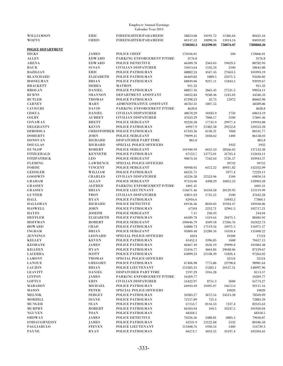| WILLIAMSON           | ERIC             | FIREFIGHTER/PARAMEDIC          | 58853.08  | 10191.72  | 11386.64  | 80431.44   |
|----------------------|------------------|--------------------------------|-----------|-----------|-----------|------------|
| <b>WOZNY</b>         | <b>CHRIS</b>     | FIREFIGHTER/PARAMEDIC          | 60147.52  | 10898.16  | 13014.14  | 84059.82   |
|                      |                  |                                | 5780202.2 | 842590.01 | 758076.07 | 7380868.26 |
| POLICE DEPARTMENT    |                  |                                |           |           |           |            |
| <b>HICKS</b>         | <b>JAMES</b>     | <b>POLICE CHIEF</b>            | 170166.01 |           | 500       | 170666.01  |
| <b>ALLEY</b>         | <b>EDWARD</b>    | PARKING ENFORCEMENT P/TIME     | 3176.8    |           |           | 3176.8     |
| <b>ARENA</b>         | <b>EDWARD</b>    | POLICE DETECTIVE               | 66589.78  | 2563.65   | 19629.5   | 88782.93   |
| <b>BAUR</b>          | <b>SUSAN</b>     | <b>CIVILIAN DISPATCHER</b>     | 55013.64  | 1532.24   | 2100      | 58645.88   |
| <b>BAZIGIAN</b>      | ERIC             | POLICE PATROLMAN               | 68882.24  | 4547.45   | 27663.5   | 101093.19  |
| <b>BLANCHARD</b>     | <b>ELIZABETH</b> | POLICE PATROLMAN               | 66469.82  | 1889.5    | 25071.5   | 93430.82   |
| <b>BOSSELMAN</b>     | <b>BRIAN</b>     | POLICE PATROLMAN               | 68849.06  | 9237.11   | 15843.5   | 93929.67   |
|                      |                  |                                |           |           |           |            |
| <b>BRACKETT</b>      | <b>DEBRA</b>     | <b>MATRON</b>                  | 911.35    |           |           | 911.35     |
| <b>BROGAN</b>        | <b>DANIEL</b>    | POLICE PATROLMAN               | 68857.16  | 2665.45   | 27531.5   | 99054.11   |
| <b>BURNS</b>         | <b>SHANNON</b>   | DEPARTMENT ASSISTANT           | 34052.84  | 9248.46   | 1245.03   | 44546.33   |
| <b>BUTLER</b>        | <b>THOMAS</b>    | POLICE PATROLMAN               | 67598.23  | 32.75     | 12972     | 80602.98   |
| <b>CARNEY</b>        | MARY             | ADMINISTRATIVE ASSISTANT       | 46782.31  | 1807.55   |           | 48589.86   |
| <b>CAVICCHI</b>      | <b>DAVID</b>     | PARKING ENFORCEMENT P/TIME     | 4628.8    |           |           | 4628.8     |
| <b>CIOCCA</b>        | <b>DANIEL</b>    | <b>CIVILIAN DISPATCHER</b>     | 48678.29  | 18185.9   | 1750      | 68614.19   |
| <b>COLBY</b>         | <b>AUBREY</b>    | <b>CIVILIAN DISPATCHER</b>     | 47633.29  | 7868.17   | 2100      | 57601.46   |
| CONAWAY              | <b>BRETT</b>     | POLICE SERGEANT                | 92220.58  | 17735.9   | 29977.4   | 139933.88  |
| <b>DELEHANTY</b>     | <b>KEVIN</b>     | POLICE PATROLMAN               | 69917.9   | 21382.58  | 29252.8   | 120553.28  |
| <b>DIMODICA</b>      |                  | CHRISTOPHER POLICE PATROLMAN   | 67333.56  | 6130.21   | 7068      | 80531.77   |
| <b>DOHERTY</b>       | <b>JOHN</b>      | POLICE SERGEANT                | 79699.41  | 5058.62   | 1400      | 86158.03   |
| <b>DONOVAN</b>       | <b>RICHARD</b>   | DISPATCHER PART TIME           | 865.8     |           |           | 865.8      |
| <b>DOUGLAS</b>       | <b>RICHARD</b>   | SPECIAL POLICE OFFICERS        |           |           | 1932      | 1932       |
|                      |                  |                                |           |           |           |            |
| <b>DUNLOP</b>        | ROBERT           | POLICE SERGEANT                | 101940.93 | 6625.43   | 28566.02  | 137132.38  |
| <b>FITZGERALD</b>    | <b>KENNETH</b>   | POLICE PATROLMAN               | 67153.7   | 13775.01  | 31705.4   | 112634.11  |
| <b>FITZPATRICK</b>   | <b>LEO</b>       | POLICE SERGEANT                | 90674.16  | 7542.64   | 5726.57   | 103943.37  |
| <b>FLEMING</b>       | <b>LAWRENCE</b>  | SPECIAL POLICE OFFICERS        |           |           | 39732     | 39732      |
| <b>FORDE</b>         | <b>VINCENT</b>   | POLICE SERGEANT                | 94948.05  | 6472.22   | 40911.82  | 142332.09  |
| <b>GEISSLER</b>      | WILLIAM          | POLICE PATROLMAN               | 66251.71  |           | 5977.4    | 72229.11   |
| <b>GOODWIN</b>       | <b>CHARLES</b>   | <b>CIVILIAN DISPATCHER</b>     | 45226.58  | 22523.96  | 2100      | 69850.54   |
| GRAHAM               | <b>ALLAN</b>     | POLICE SERGEANT                | 97553.06  | 4498.29   | 16852.23  | 118903.58  |
| <b>GRASSEY</b>       | <b>ALFRED</b>    | PARKING ENFORCEMENT P/TIME     | 4401.41   |           |           | 4401.41    |
| <b>GRASSEY</b>       | <b>BRIAN</b>     | POLICE LIEUTENANT              | 116671.46 | 16318.58  | 20129.95  | 153119.99  |
| <b>GUNTER</b>        | TROY             | <b>CIVILIAN DISPATCHER</b>     | 43811.03  | 1731.55   | 2100      | 47642.58   |
| <b>HALL</b>          | <b>RYAN</b>      | POLICE PATROLMAN               | 62916.6   |           | 14943.5   | 77860.1    |
| <b>HALLORAN</b>      | <b>RICHARD</b>   | POLICE DETECTIVE               | 69136.36  | 8030.03   | 31934.47  | 109100.86  |
| <b>HASWELL</b>       | <b>JOHN</b>      | POLICE PATROLMAN               | 67503     | 2252.71   | 32961.5   | 102717.21  |
| <b>HAYES</b>         | <b>JOSEPH</b>    | POLICE SERGEANT                | 7.11      | 236.93    |           | 244.04     |
| <b>HEFFLER</b>       | <b>ELIZABETH</b> |                                |           |           |           | 88484.92   |
|                      |                  | POLICE PATROLMAN               | 66589.78  | 1419.64   | 20475.5   |            |
| <b>HOFFMAN</b>       | <b>ROBERT</b>    | POLICE SERGEANT                | 100646.79 | 4509.18   | 57266.76  | 162422.73  |
| <b>HOWARD</b>        | <b>CHAD</b>      | POLICE PATROLMAN               | 64880.73  | 17119.34  | 34971.5   | 116971.57  |
| <b>INGHAM</b>        | <b>BRIAN</b>     | POLICE SERGEANT                | 95809.48  | 25280.34  | 14318.4   | 135408.22  |
| <b>JENNINGS</b>      | <b>LEONARD</b>   | SPECIAL POLICE OFFICERS        | 6624      |           | 10500     | 17124      |
| <b>KELLEY</b>        | <b>KEVEN</b>     | POLICE PATROLMAN               | 65452.3   | 3396.85   | 1608      | 70457.15   |
| <b>KEOHANE</b>       | JAMES            | POLICE PATROLMAN               | 68467.49  | 2626.19   | 29990.8   | 101084.48  |
| <b>KILLEEN</b>       | <b>RYAN</b>      | POLICE PATROLMAN               | 53416.77  | 4664.84   | 29048.06  | 87129.67   |
| LACERRA              | <b>SCOTT</b>     | POLICE PATROLMAN               | 63899.23  | 21538.39  | 11826.4   | 97264.02   |
| <b>LAMONT</b>        | <b>THOMAS</b>    | <b>SPECIAL POLICE OFFICERS</b> |           |           | 32124     | 32124      |
| <b>LANOUE</b>        | GREGORY          | POLICE PATROLMAN               | 67406.98  | 7775.86   | 23798.8   | 98981.64   |
| <b>LAUZON</b>        | <b>BRIAN</b>     | POLICE LIEUTENANT              | 113585.35 | 15285.1   | 20127.51  | 148997.96  |
| <b>LEAVITT</b>       | <b>DANIEL</b>    | DISPATCHER PART TIME           | 2197.29   | 5916.28   |           | 8113.57    |
| <b>LINTON</b>        | <b>JAMES</b>     | PARKING ENFORCEMENT P/TIME     | 16269.77  |           |           | 16269.77   |
| <b>LOFTUS</b>        | <b>ERIN</b>      | <b>CIVILIAN DISPATCHER</b>     | 54422.97  | 8751.3    | 2600      | 65774.27   |
|                      | <b>MICHAEL</b>   |                                | 64943.49  |           |           |            |
| MABARDY              |                  | POLICE PATROLMAN               |           | 10495.07  | 16672.6   | 92111.16   |
| <b>MASON</b>         | <b>PETER</b>     | <b>SPECIAL POLICE OFFICERS</b> |           |           | 10020     | 10020      |
| <b>MELNIK</b>        | <b>SERGEY</b>    | POLICE PATROLMAN               | 50383.27  | 3672.54   | 24513.28  | 78569.09   |
| MORRILL              | <b>DIANE</b>     | POLICE PATROLMAN               | 72157.89  | 725.4     |           | 72883.29   |
| <b>MUNGER</b>        | SEAN             | POLICE PATROLMAN               | 67153.7   | 8134.53   | 7237.4    | 82525.63   |
| <b>MURPHY</b>        | <b>ROBERT</b>    | POLICE PATROLMAN               | 66503.04  | 169.5     | 35247.5   | 101920.04  |
| <b>NGUYEN</b>        | <b>TOAN</b>      | POLICE PATROLMAN               | 68318.5   |           |           | 68318.5    |
| <b>ORDWAY</b>        | JAMES            | POLICE DETECTIVE               | 70256.56  | 2488.81   | 6885.5    | 79630.87   |
| <b>O'SHAUGHNESSY</b> | JAMES            | POLICE PATROLMAN               | 62531.9   | 12122.68  | 5532      | 80186.58   |
| PAGLIARULO           | <b>STEVEN</b>    | POLICE LIEUTENANT              | 113408.76 | 1930.54   | 1400      | 116739.3   |
| PAYNE                | <b>RYAN</b>      | POLICE PATROLMAN               | 66273.7   | 4033.55   | 35197.4   | 105504.65  |
|                      |                  |                                |           |           |           |            |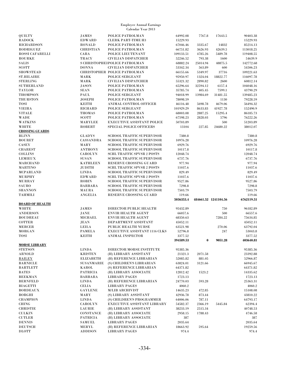|                                  |                        | <b>Employee Annual Earnings</b><br>Calendar Year 2013    |                      |          |                      |                       |
|----------------------------------|------------------------|----------------------------------------------------------|----------------------|----------|----------------------|-----------------------|
| QUILTY                           | <b>JAMES</b>           | POLICE PATROLMAN                                         | 64992.08             | 7767.8   | 17643.5              | 90403.38              |
| <b>RADOCK</b>                    | <b>EDWARD</b>          | <b>CLERK PART-TIME H3</b>                                | 15229.93             |          |                      | 15229.93              |
| <b>RICHARDSON</b>                | <b>RONALD</b>          | POLICE PATROLMAN                                         | 67046.46             | 3335.67  | 14832                | 85214.13              |
| RODRIGUEZ                        | <b>CHRISTIAN</b>       | POLICE PATROLMAN                                         | 66751.82             | 3626.93  | 42639.5              | 113018.25             |
| ROSSI CAFARELLI                  | CARA                   | POLICE LIEUTENANT                                        | 109133.51            | 4785.26  | 5489.78              | 119408.55             |
| <b>ROURKE</b>                    | <b>TRACY</b>           | <b>CIVILIAN DISPATCHER</b>                               | 52246.52             | 793.38   | 1600                 | 54639.9               |
| <b>SALIS</b>                     |                        | S CHRISTOPHEIPOLICE PATROLMAN                            | 68882.24             | 25014.94 | 48875.5              | 142772.68             |
| <b>SCOTT</b>                     | <b>DONNA</b>           | <b>CIVILIAN DISPATCHER</b>                               | 53342.34             | 563.89   | 600                  | 54506.23              |
| <b>SHOWSTEAD</b>                 |                        | CHRISTOPHER POLICE PATROLMAN                             | 66155.66             | 5349.97  | $37716\,$            | 109221.63             |
| <b>ST.HILAIRE</b>                | MARK                   | POLICE SERGEANT                                          | 95950.97             | 1324.04  | 18822.77             | 116097.78             |
| <b>STERLING</b>                  | MARK                   | <b>CIVILIAN DISPATCHER</b>                               | 55321.32             | 2890.82  | 2600                 | 60812.14              |
| <b>SUTHERLAND</b>                | <b>JASON</b>           | POLICE PATROLMAN                                         | 65296.64             | 32594.12 | 6157.4               | 104048.16             |
| <b>TAYLOR</b><br><b>THOMPSON</b> | <b>SEAN</b><br>PAUL    | POLICE PATROLMAN                                         | 35785.74             | 405.45   | 7599.1<br>31481.55   | 43790.29              |
| THURSTON                         | <b>JOSEPH</b>          | POLICE SERGEANT<br>POLICE PATROLMAN                      | 94018.99<br>78098.59 | 13984.69 | 1130                 | 139485.23<br>79228.59 |
| <b>TOSI</b>                      | <b>KEITH</b>           | ANIMAL CONTROL OFFICER                                   | 46116.48             | 5698.78  | 4679.06              | 56494.32              |
| <b>VIEIRA</b>                    | <b>RICHARD</b>         | POLICE SERGEANT                                          | 101929.29            | 8633.83  | 41927.78             | 152490.9              |
| <b>VITALE</b>                    | <b>THOMAS</b>          | POLICE PATROLMAN                                         | 68003.08             | 2887.25  | 15295.4              | 86185.73              |
| <b>WADE</b>                      | <b>SCOTT</b>           | POLICE PATROLMAN                                         | 67598.23             | 2828.03  | 5796                 | 76222.26              |
| <b>WATKINS</b>                   | <b>MARYLEE</b>         | <b>EXECUTIVE ASSISTANT POLICE</b>                        | 50703.89             |          | 500                  | 51203.89              |
| WHITE                            | <b>ROBERT</b>          | SPECIAL POLICE OFFICERS                                  | 13104                | 227.85   | 24680.22             | 38012.07              |
| <b>CROSSING GUARDS</b>           |                        |                                                          |                      |          |                      |                       |
| <b>BLINN</b>                     | <b>GLADYS</b>          | <b>SCHOOL TRAFFIC SUPERVISOR</b>                         | 7380.8               |          |                      | $7380.8\,$            |
| <b>BOURET</b>                    | <b>CASSANDRA</b>       | <b>SCHOOL TRAFFIC SUPERVISOR</b>                         | 10976.28             |          |                      | 10976.28              |
| CASEY                            | MARY                   | <b>SCHOOL TRAFFIC SUPERVISOR</b>                         | 6929.76              |          |                      | 6929.76               |
| <b>CHAREST</b>                   | <b>ANTHONY</b>         | <b>SCHOOL TRAFFIC SUPERVISOR</b>                         | 10117.8              |          |                      | 10117.8               |
| <b>COLLINS</b>                   | CAROLYN                | <b>SCHL TRAFFIC SPVSR 2 POSTS</b>                        | 12048.74             |          |                      | 12048.74              |
| <b>LEMIEUX</b>                   | <b>SUSAN</b>           | <b>SCHOOL TRAFFIC SUPERVISOR</b>                         | 6737.76              |          |                      | 6737.76               |
| <b>MARCHAND</b>                  | <b>KATHLEEN</b>        | <b>RESERVE CROSSING GUARD</b>                            | 977.94               |          |                      | 977.94                |
| <b>MARTINO</b>                   | <b>JUDITH</b>          | <b>SCHL TRAFFIC SPVSR 2 POSTS</b>                        | 11037.6              |          |                      | 11037.6               |
| MCPARLAND                        | <b>LINDA</b>           | <b>SCHOOL TRAFFIC SUPERVISOR</b>                         | 829.49               |          |                      | 829.49                |
| <b>MURPHY</b>                    | <b>EDWARD</b>          | <b>SCHL TRAFFIC SPVSR 2 POSTS</b>                        | 11037.6              |          |                      | 11037.6               |
|                                  |                        |                                                          |                      |          |                      |                       |
| <b>MURRAY</b>                    | <b>ROBIN</b>           | <b>SCHOOL TRAFFIC SUPERVISOR</b>                         | 9527.86              |          |                      | 9527.86               |
| <b>SAURO</b>                     | <b>BARBARA</b>         | <b>SCHOOL TRAFFIC SUPERVISOR</b>                         | 7298.8               |          |                      | 7298.8                |
| <b>SHANNON</b>                   | <b>MAURA</b>           | <b>SCHOOL TRAFFIC SUPERVISOR</b>                         | 7503.79              |          |                      | 7503.79               |
| TAHMILI                          | <b>ANGELIA</b>         | <b>RESERVE CROSSING GUARD</b>                            | 119.66               |          |                      | 119.66                |
|                                  |                        |                                                          | 5036353.4            |          | 484661.52 1241104.56 | 6762119.51            |
| <b>BOARD OF HEALTH</b>           |                        |                                                          |                      |          |                      |                       |
| WHITE                            | <b>JAMES</b>           | DIRECTOR PUBLIC HEALTH                                   | 95432.89             |          | 750                  | 96182.89              |
| <b>ANDERSON</b>                  | JANE                   | <b>ENVIR HEALTH AGENT</b>                                | 66057.6              |          | 500                  | 66557.6               |
| <b>BOUDREAU</b>                  | <b>MICHAEL</b>         | <b>ENVIR HEALTH AGENT</b>                                | 68350.63             |          | 7284.22              | 75634.85              |
| <b>COTTER</b>                    | JEAN                   | DEPARTMENT ASSISTANT                                     | 45052.11             |          |                      | 45052.11              |
| <b>MERCER</b>                    | <b>LEILA</b>           | <b>PUBLIC HEALTH NURSE</b>                               | 63521.98             |          | 270.06               | 63792.04              |
| MORGAN                           | PAMELA<br><b>KEITH</b> | EXECUTIVE ASSISTANT 1116 CLKS<br><b>ANIMAL INSPECTOR</b> | 52796.8              |          | 247                  | 53043.8               |
| TOSI                             |                        |                                                          | 3377.52<br>394589.53 | $\bf{0}$ | 9051.28              | 3377.52<br>403640.81  |
| <b>MORSE LIBRARY</b>             |                        |                                                          |                      |          |                      |                       |
| <b>STETSON</b>                   | <b>LINDA</b>           | DIRECTOR MORSE INSTITUTE                                 | 95385.36             |          |                      | 95385.36              |
| <b>ARNOLD</b>                    | <b>KRISTEN</b>         | (H) LIBRARY ASSISTANT                                    | 21321.3              | 2071.58  |                      | 23392.88              |
| <b>BAILEY</b>                    | <b>ELIZABETH</b>       | (H) REFERENCE LIBRARIAN                                  | 52085.82             | 881.05   |                      | 52966.87              |
| <b>BARNICLE</b>                  | <b>SUSANMARIE</b>      | (S) CHILDREN'S LIBRARIAN                                 | 63824.01             | 3121.66  |                      | 66945.67              |
| <b>BARTLETT</b>                  | KAROL                  | (S) REFERENCE LIBRARIAN                                  | 64371.82             |          |                      | 64371.82              |
| <b>BATES</b>                     | <b>PATRICIA</b>        | (H) LIBRARY ASSOCIATE                                    | 12812.42             | 1523.2   |                      | 14335.62              |
| <b>BEEKMAN</b>                   | <b>BARBARA</b>         | <b>LIBRARY PAGES</b>                                     | 1723.13              |          |                      | 1723.13               |
| <b>BERNFELD</b>                  | <b>LINDA</b>           | (H) REFERENCE LIBRARIAN                                  | 24770.03             | 593.28   |                      | 25363.31              |
| <b>BIAGETTI</b>                  | CELIA                  | <b>LIBRARY PAGES</b>                                     | 4060.2               |          |                      | 4060.2                |
| <b>BORDEAUX</b>                  | <b>GAYLENE</b>         | <b>M/LIB ARCHIVIST</b>                                   | 14635.23             | 472.85   |                      | 15108.08              |
| <b>BORGHI</b>                    | MARY                   | (S) LIBRARY ASSISTANT                                    | 42936.78             | 873.44   |                      | 43810.22              |
| <b>CHAMPION</b>                  | <b>LINDA</b>           | (S) CHILDREN'S PROGRAMMER                                | 64006.06             | 787.11   |                      | 64793.17              |
| <b>CHING</b>                     | <b>CAROLYN</b>         | <b>EXECUTIVE ASSISTANT LIBRARY</b>                       | 54582.37             | 2366.19  | 5445.84              | 62394.4               |
| <b>CHRISTIE</b>                  | <b>LAURIE</b>          | (H) LIBRARY ASSISTANT                                    | 38233.19             | 2515.34  |                      | 40748.53              |
| <b>CULKIN</b>                    | <b>CONSTANCE</b>       | (H) LIBRARY ASSOCIATE                                    | 2958.15              | 1788.43  |                      | 4746.58               |
| <b>CUTLER</b>                    | <b>PATRICIA</b>        | (H) LIBRARY ASSOCIATE                                    | 387                  |          |                      | 387                   |
| <b>DENNIS</b><br><b>DEUTSCH</b>  | SAMUEL<br>MERYL        | <b>LIBRARY PAGES</b><br>(H) REFERENCE LIBRARIAN          | 2035.64<br>18663.92  | 595.64   |                      | 2035.64<br>19259.56   |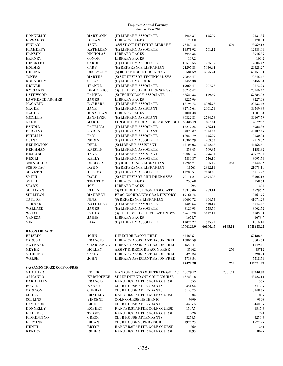| <b>DONNELLY</b>                   | <b>MARY ANN</b>              | (H) LIBRARY ASSOCIATE                                      | 1955.37        | 175.99   |          | 2131.36        |
|-----------------------------------|------------------------------|------------------------------------------------------------|----------------|----------|----------|----------------|
| <b>EDWARDS</b>                    | <b>DYLAN</b>                 | <b>LIBRARY PAGES</b>                                       | 1780.8         |          |          | 1780.8         |
| <b>FINLAY</b>                     | <b>JANE</b>                  | ASSISTANT DIRECTOR LIBRARY                                 | 73459.12       |          | 500      | 73959.12       |
| <b>FLAHERTY</b>                   | <b>KATHLEEN</b>              | (H) LIBRARY ASSOCIATE                                      | 11571.92       | 761.12   |          | 12333.04       |
| <b>HANSEN</b>                     | <b>NICHOLAS</b>              | <b>LIBRARY PAGES</b>                                       | 3946.35        |          |          | 3946.35        |
| <b>HARNEY</b>                     | <b>CONOR</b>                 | <b>LIBRARY PAGES</b>                                       | 109.2          |          |          | 109.2          |
| <b>HINCKLEY</b>                   | CAROL                        | (H) LIBRARY ASSOCIATE                                      | 16578.55       | 1225.87  |          | 17804.42       |
| <b>HOLMES</b>                     | CARY                         | (H) REFERENCE LIBRARIAN                                    | 24297.83       | 5030.44  |          | 29328.27       |
| <b>HULING</b>                     | <b>ROSEMARY</b>              | (S) BOOKMOBILE LIBRARIAN                                   | 56581.59       | 3575.74  |          | 60157.33       |
| <b>JONES</b>                      | MARTHA                       | (S) SUPERVISOR TECHNICAL SVS                               | 70846.47       |          |          | 70846.47       |
| KORNBLUM                          | <b>SUSAN</b>                 | (H) LIBRARY CLERK                                          | 5456.38        |          |          | 5456.38        |
| <b>KRIGER</b>                     | <b>JEANNE</b>                | (H) LIBRARY ASSOCIATE                                      | 19065.47       | 207.76   |          | 19273.23       |
| <b>KYRIAKIS</b>                   | <b>DEMETRIOS</b>             | (S) SUPERVISOR REFERENCE SVS                               | 70246.47       |          |          | 70246.47       |
| <b>LATHWOOD</b>                   | <b>PAMELA</b>                | (S) TECHNOLOGY ASSOCIATE                                   | 56524.33       | 1159.69  |          | 57684.02       |
| <b>LAWRENCE-ARCHER</b>            | <b>JAMES</b>                 | <b>LIBRARY PAGES</b>                                       | 8227.96        |          |          | 8227.96        |
| MAGARIE                           | <b>BARBARA</b>               | (H) LIBRARY ASSOCIATE                                      | 18196.73       | 2036.76  |          | 20233.49       |
| <b>MAGEE</b>                      | <b>JANE</b>                  | (H) LIBRARY ASSISTANT                                      | 32747.64       | 2001.71  |          | 34749.35       |
| <b>MAGEE</b>                      | <b>JONATHAN</b>              | <b>LIBRARY PAGES</b>                                       | 1001.38        |          |          | 1001.38        |
| <b>MCGILLIS</b>                   | <b>JENNIFER</b>              | (H) LIBRARY ASSISTANT                                      | 36322.81       | 2784.78  |          | 39107.59       |
| <b>NARDI</b>                      | <b>MARIE</b>                 | COMMUNITY RELATIONS/GRNT COOI                              | 39405.19       | 822.01   |          | 40227.2        |
| <b>PANDIL</b>                     | <b>PATRICIA</b>              | (H) LIBRARY ASSOCIATE                                      | 15217.25       | 765.14   |          | 15982.39       |
| <b>PERKINS</b>                    | <b>KAREN</b>                 | (H) LIBRARY ASSISTANT                                      | 37828.02       | 2354.73  |          | 40182.75       |
| <b>PHILLIPS</b>                   | <b>FAY</b>                   | (H) LIBRARY ASSOCIATE                                      | 18054.79       | 1475.29  |          | 19530.08       |
| <b>QUINN</b>                      | <b>NORINE</b>                | (H) LIBRARY ASSOCIATE                                      | 18304.29       | 1209.53  |          | 19513.82       |
| <b>REDINGTON</b>                  | DELL                         | (S) LIBRARY ASSISTANT                                      | 42106.03       | 2052.48  |          | 44158.51       |
| <b>REICHMAN</b>                   | <b>KRISTIN</b>               | (H) LIBRARY ASSOCIATE                                      | 858.45         | 599.87   |          | 1458.32        |
| <b>RICHARD</b>                    | JANET                        | (H) LIBRARY ASSISTANT                                      | 30684.13       | 295.81   |          | 30979.94       |
| <b>RIZOLI</b>                     | <b>KELLY</b>                 | (H) LIBRARY ASSOCIATE                                      | 7339.37        | 756.16   |          | 8095.53        |
| <b>SCHNEIDER</b>                  | <b>REBECCA</b>               | (H) REFERENCE LIBRARIAN                                    | 49206.71       | 1965.49  | 250      | 51422.2        |
| <b>SCHONTAG</b>                   | <b>DAWN</b>                  | (H) REFERENCE LIBRARIAN                                    | 18761          | 2312.11  |          | 21073.11       |
| <b>SILVETTI</b>                   | <b>JESSICA</b>               | (H) LIBRARY ASSOCIATE                                      | 12793.51       | 2720.76  |          | 15514.27       |
| <b>SMITH</b>                      | <b>DALE</b>                  | (S) SUPERVISOR CHILDREN'S SVS                              | 70111.21       | 3594.98  |          | 73706.19       |
| <b>SMITH</b>                      | <b>TIMOTHY</b>               | <b>LIBRARY PAGES</b>                                       | 258.68         |          |          | 258.68         |
| <b>STARK</b>                      | JOY                          | <b>LIBRARY PAGES</b>                                       | 294            |          |          | 294            |
| <b>SULLIVAN</b>                   | <b>ELLEN</b>                 | (S) CHILDREN'S ROOM ASSOCIATE                              | 48313.06       | 983.14   |          | 49296.2        |
| <b>SULLIVAN</b>                   | <b>MAUREEN</b>               | PROG.COORD.VETS ORAL HISTORY                               | 19161.75       |          |          | 19161.75       |
| <b>TAYLOR</b>                     | <b>NINA</b>                  | (S) REFERENCE LIBRARIAN                                    | 40609.72       | 464.53   |          | 41074.25       |
| <b>TURNER</b>                     | <b>KATHLEEN</b>              | (H) LIBRARY ASSOCIATE                                      | 13033.3        | 510.17   |          | 13543.47       |
| WALLACE                           | JAMES                        | (H) LIBRARY ASSOCIATE                                      | 8126.93        | 775.59   |          | 8902.52        |
| $\operatorname{\mathbf{WELCH}}$   | <b>PAULA</b>                 | (S) SUPERVISOR CIRCULATION SVS                             | 69613.79       | 5417.11  |          | 75030.9        |
| <b>YANEZA</b>                     | JAIME                        | <b>LIBRARY PAGES</b>                                       | 1673.7         |          |          | 1673.7         |
| YIN                               | <b>LISA</b>                  | (H) LIBRARY ASSOCIATE                                      | 11074.22       | 535.92   |          | 11610.14       |
|                                   |                              |                                                            | 1566126.9      | 66160.45 | 6195.84  | 1638483.23     |
| <b>BACON LIBRARY</b>              |                              |                                                            |                |          |          |                |
| <b>BRISBIN</b>                    | <b>JOHN</b>                  | DIRECTOR BACON FREE                                        | 52488.51       |          |          | 52488.51       |
| <b>CARUSO</b>                     | <b>FRANCES</b>               | LIBRARY ASSISTANT BACON FREE                               | 13804.59       |          |          | 13804.59       |
| MAYNARD                           | <b>CHARLANNE</b>             | LIBRARY ASSISTANT BACON FREE                               | 1549.41        |          |          | 1549.41        |
| <b>MEYER</b>                      | <b>HOLLEY</b>                | <b>ASSIST DIRECTOR BACON FREE</b>                          | 35462          |          | 250      | 35712          |
| <b>STIRLING</b>                   | CASEY                        | <b>LIBRARY ASSISTANT BACON FREE</b>                        | 8398.23        |          |          | 8398.23        |
| WALSH                             | <b>JOHN</b>                  | <b>LIBRARY ASSISTANT BACON FREE</b>                        | 5718.54        |          |          | 5718.54        |
|                                   |                              |                                                            | 117421.28      | $\bf{0}$ | 250      | 117671.28      |
| <b>SASSAMON TRACE GOLF COURSE</b> |                              |                                                            |                |          |          |                |
| <b>MEAGHER</b>                    | <b>PETER</b>                 | MANAGER SASSAMON TRACE GOLF C                              | 70079.12       |          | 12361.71 | 82440.83       |
| <b>ARMANDO</b>                    | <b>KRISTOFFER</b>            | SUPERINTENDANT GOLF COURSE                                 | 43723.18       |          |          | 43723.18       |
| <b>BARDELLINI</b>                 | <b>FRANCIS</b>               | RANGER/STARTER GOLF COURSE                                 | 1555           |          |          | 1555           |
| <b>BOGLE</b>                      | <b>KERRY</b>                 | <b>CLUB HOUSE ATTENDANTS</b>                               | 3412.5         |          |          | 3412.5         |
| <b>CARLSON</b>                    | <b>CHERYL</b>                | <b>CLUB HOUSE ATTENDANTS</b>                               | 3148.75        |          |          | 3148.75        |
| <b>COHEN</b>                      | <b>BRADLEY</b>               | RANGER/STARTER GOLF COURSE                                 | 1805           |          |          | 1805           |
| <b>COLLINS</b>                    | <b>VINCENT</b>               | <b>GOLF COURSE MECHANIC</b>                                | 9390           |          |          | 9390           |
| <b>DAVIDSON</b>                   | ERIC                         | <b>CLUB HOUSE ATTENDANTS</b>                               | 4405.5         |          |          | 4405.5         |
| <b>DONNELLY</b>                   | ROBERT                       | RANGER/STARTER GOLF COURSE                                 | 1547.5         |          |          | 1547.5         |
| <b>FILLEDES</b>                   | <b>TASSOS</b>                | RANGER/STARTER GOLF COURSE                                 | 1220           |          |          | 1220           |
| <b>FIORENTINO</b>                 | GREGG                        | <b>CLUB HOUSE ATTENDANTS</b>                               | 3250.5         |          |          | 3250.5         |
| <b>FLEMING</b><br><b>HUNTT</b>    | <b>BRIAN</b><br><b>BRYCE</b> | <b>CLUB HOUSE SUPERVISOR</b><br>RANGER/STARTER GOLF COURSE | 1977.25<br>360 |          |          | 1977.25<br>360 |
| <b>KENIRY</b>                     | ROBERT                       | RANGER/STARTER GOLF COURSE                                 | 8095           |          |          | 8095           |
|                                   |                              |                                                            |                |          |          |                |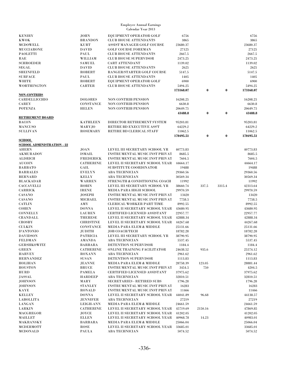| <b>KENIRY</b>                     | JOHN             | EQUIPMENT OPERATOR GOLF               | 6756      |          |          | 6756      |
|-----------------------------------|------------------|---------------------------------------|-----------|----------|----------|-----------|
|                                   |                  |                                       |           |          |          |           |
| <b>KWOK</b>                       | <b>BRANDON</b>   | <b>CLUB HOUSE ATTENDANTS</b>          | 3865      |          |          | 3865      |
| <b>MCDOWELL</b>                   | <b>KURT</b>      | <b>ASSIST MANAGER GOLF COURSE</b>     | 23680.37  |          |          | 23680.37  |
| <b>MUCCIARONE</b>                 | <b>DAVID</b>     | <b>GOLF COURSE FOREMAN</b>            | 27125     |          |          | 27125     |
|                                   |                  |                                       |           |          |          |           |
| <b>PAOLETTI</b>                   | PAUL             | <b>CLUB HOUSE ATTENDANTS</b>          | 2667.5    |          |          | 2667.5    |
| RAE                               | WILLIAM          | <b>CLUB HOUSE SUPERVISOR</b>          | 2473.25   |          |          | 2473.25   |
| <b>SCHROEDER</b>                  | SAMUEL           | <b>CART ATTENDANT</b>                 | 1139.02   |          |          | 1139.02   |
|                                   |                  |                                       |           |          |          |           |
| SEGAL                             | <b>DAVID</b>     | <b>CLUB HOUSE ATTENDANTS</b>          | 2625      |          |          | 2625      |
| <b>SHEINFELD</b>                  | ROBERT           | RANGER/STARTER GOLF COURSE            | 5147.5    |          |          | 5147.5    |
|                                   |                  |                                       |           |          |          |           |
| <b>SURFACE</b>                    | PAUL             | <b>CLUB HOUSE ATTENDANTS</b>          | 1405      |          |          | 1405      |
| WHITE                             | <b>ROBERT</b>    | EQUIPMENT OPERATOR GOLF               | 6900      |          |          | 6900      |
| WORTHINGTON                       | <b>CARTER</b>    | <b>CLUB HOUSE ATTENDANTS</b>          | 5494.25   |          |          | 5494.25   |
|                                   |                  |                                       |           |          |          |           |
|                                   |                  |                                       | 173168.07 | $\bf{0}$ | $\bf{0}$ | 173168.07 |
| <b>NON-CONTRIBS</b>               |                  |                                       |           |          |          |           |
|                                   |                  |                                       |           |          |          |           |
| <b>CARDELLICCHIO</b>              | <b>DOLORES</b>   | <b>NON CONTRIB PENSION</b>            | 16208.25  |          |          | 16208.25  |
| <b>CAREY</b>                      | <b>CONSTANCE</b> | <b>NON CONTRIB PENSION</b>            | 6630.8    |          |          | 6630.8    |
| <b>POTENZA</b>                    | <b>HELEN</b>     | <b>NON CONTRIB PENSION</b>            | 20649.75  |          |          | 20649.75  |
|                                   |                  |                                       |           |          |          |           |
|                                   |                  |                                       | 43488.8   | $\bf{0}$ | $\bf{0}$ | 43488.8   |
| <b>RETIREMENT BOARD</b>           |                  |                                       |           |          |          |           |
|                                   |                  |                                       |           |          |          |           |
| <b>BACON</b>                      | <b>KATHLEEN</b>  | DIRECTOR RETIREMENT SYSTEM            | 95203.81  |          |          | 95203.81  |
| <b>MANCUSO</b>                    | MARYJO           | <b>RETIRE BD EXECUTIVE ASS'T</b>      | 64229.2   |          |          | 64229.2   |
| <b>SULLIVAN</b>                   | <b>ROSEMARY</b>  | RETIRE BD CLERICAL STAFF              | 11062.5   |          |          | 11062.5   |
|                                   |                  |                                       |           |          |          |           |
|                                   |                  |                                       | 170495.51 | $\bf{0}$ | $\bf{0}$ | 170495.51 |
| <b>SCHOOL</b>                     |                  |                                       |           |          |          |           |
|                                   |                  |                                       |           |          |          |           |
| <b>SCHOOL ADMINISTRATION - 22</b> |                  |                                       |           |          |          |           |
| <b>AHERN</b>                      | JOAN             | LEVEL III SECRETARY SCHOOL YR         | 40773.83  |          |          | 40773.83  |
| <b>AKMURADOV</b>                  | <b>ISMAIL</b>    | <b>INSTRUMENTAL MUSIC INST PRIVAT</b> | 8685.5    |          |          | 8685.5    |
|                                   |                  |                                       |           |          |          |           |
| <b>ALDRICH</b>                    | <b>FREDERICK</b> | <b>INSTRUMENTAL MUSIC INST PRIVAT</b> | 7604.5    |          |          | 7604.5    |
| <b>AUCOIN</b>                     | <b>CATHERINE</b> | LEVEL II SECRETARY SCHOOL YEAR        | 44664.17  |          |          | 44664.17  |
|                                   |                  |                                       |           |          |          |           |
| <b>BARBATO</b>                    | GAIL             | SUBSTITUTE COORDINATOR                | 19488     |          |          | 19488     |
| <b>BARRALES</b>                   | <b>EVELYN</b>    | <b>ABA TECHNICIAN</b>                 | 29360.56  |          |          | 29360.56  |
| <b>BERNARD</b>                    | <b>KELLY</b>     | <b>ABA TECHNICIAN</b>                 | 30569.34  |          |          | 30569.34  |
|                                   |                  |                                       |           |          |          |           |
| <b>BLACKADAR</b>                  | <b>WARREN</b>    | STRENGTH & CONDITIONING COACH         | 11992     |          |          | 11992     |
| <b>CACCAVELLI</b>                 | <b>ROBIN</b>     | LEVEL III SECRETARY SCHOOL YR         | 38660.74  | 337.5    | 3315.4   | 42313.64  |
|                                   |                  |                                       |           |          |          |           |
| <b>CARRICK</b>                    | <b>IRENE</b>     | MEDIA PARA HIGH SCHOOL                | 29970.59  |          |          | 29970.59  |
| <b>CASANO</b>                     | JOSEPH           | <b>INSTRUMENTAL MUSIC INST PRIVAT</b> | 13420     |          |          | 13420     |
| <b>CASANO</b>                     | <b>MICHAEL</b>   | <b>INSTRUMENTAL MUSIC INST PRIVAT</b> | 7758.5    |          |          | 7758.5    |
|                                   |                  |                                       |           |          |          |           |
| <b>CATLIN</b>                     | AMY              | <b>CLERICAL WORKER PART TIME</b>      | 8992.55   |          |          | 8992.55   |
| <b>COHEN</b>                      | <b>DONNA</b>     | LEVEL II SECRETARY SCHOOL YEAR        | 43680.95  |          |          | 43680.95  |
| CONNELLY                          | <b>LAUREN</b>    | <b>CERTIFIED LICENSED ASSISTANT</b>   | 22957.77  |          |          | 22957.77  |
|                                   |                  |                                       |           |          |          |           |
| <b>CRANDALL</b>                   | <b>THERESE</b>   | LEVEL II SECRETARY SCHOOL YEAR        | 42888.34  |          |          | 42888.34  |
| <b>CROSBY</b>                     | <b>CHRISTINE</b> | LEVEL II SECRETARY SCHOOL YEAR        | 44267.68  |          |          | 44267.68  |
| <b>CULKIN</b>                     |                  | <b>MEDIA PARA ELEM &amp; MIDDLE</b>   |           |          |          | 25131.66  |
|                                   | <b>CONSTANCE</b> |                                       | 25131.66  |          |          |           |
| D'ANTONIO                         | JUDITH           | <b>JOB COACH/TECH</b>                 | 18782.28  |          |          | 18782.28  |
| <b>DAVIDSON</b>                   | <b>PATRICIA</b>  | LEVEL III SECRETARY SCHOOL YR         | 38790.95  |          |          | 38790.95  |
|                                   |                  |                                       |           |          |          |           |
| FELDMAN                           | AMANDA           | <b>ABA TECHNICIAN</b>                 | 5537.45   |          |          | 5537.45   |
| <b>GERSHKOWITZ</b>                | <b>BARBARA</b>   | DETENTION SUPERVISOR                  | 1184.4    |          |          | 1184.4    |
| <b>GREEN</b>                      | <b>CATHERINE</b> | ONLINE TRAINING FACILITATOR           | 24638.52  | 935.6    |          | 25574.12  |
|                                   |                  |                                       |           |          |          |           |
| <b>HARVEY</b>                     | <b>ROXANN</b>    | <b>ABA TECHNICIAN</b>                 | 2961.62   |          |          | 2961.62   |
| <b>HERNANDEZ</b>                  | <b>SUSAN</b>     | DETENTION SUPERVISOR                  | 1113.83   |          |          | 1113.83   |
| <b>HOLIHAN</b>                    | <b>JEANNE</b>    | <b>MEDIA PARA ELEM &amp; MIDDLE</b>   | 28758.39  | 123.05   |          | 28881.44  |
|                                   |                  |                                       |           |          |          |           |
| <b>HOUSTON</b>                    | <b>BRUCE</b>     | <b>INSTRUMENTAL MUSIC INST PRIVAT</b> | 3454.5    | 750      |          | 4204.5    |
| <b>HURD</b>                       | PAMELA           | <b>CERTIFIED LICENSED ASSISTANT</b>   | 37975.62  |          |          | 37975.62  |
|                                   |                  |                                       |           |          |          |           |
| JASSAL                            | <b>HARDEEP</b>   | <b>ABA TECHNICIAN</b>                 | 32810.51  |          |          | 32810.51  |
| <b>JOHNSON</b>                    | MARY             | <b>SECRETARIES - RETIRED SUBS</b>     | 1796.28   |          |          | 1796.28   |
| <b>JOHNSON</b>                    | <b>STANLEY</b>   | <b>INSTRUMENTAL MUSIC INST PRIVAT</b> | 16283     |          |          | 16283     |
|                                   |                  |                                       |           |          |          |           |
| <b>KAYE</b>                       | <b>RONALD</b>    | <b>INSTRUMENTAL MUSIC INST PRIVAT</b> | 11466     |          |          | 11466     |
| <b>KELLEY</b>                     | <b>DONNA</b>     | LEVEL II SECRETARY SCHOOL YEAR        | 44041.89  | 96.68    |          | 44138.57  |
| LABOLLITA                         | JENNIFER         | <b>ABA TECHNICIAN</b>                 | 27219     |          |          | 27219     |
|                                   |                  |                                       |           |          |          |           |
| <b>LANGAN</b>                     | <b>LEIGH-ANN</b> | <b>MEDIA PARA ELEM &amp; MIDDLE</b>   | 24661.59  |          |          | 24661.59  |
| <b>LARKIN</b>                     | <b>CATHERINE</b> | LEVEL II SECRETARY SCHOOL YEAR        | 45719.69  | 2150.16  |          | 47869.85  |
|                                   |                  |                                       |           |          |          |           |
| MACGREGOR                         | JOYCE            | LEVEL II SECRETARY SCHOOL YEAR        | 41202.05  |          |          | 41202.05  |
| MAILLET                           | <b>ELLEN</b>     | LEVEL II SECRETARY SCHOOL YEAR        | 40968.78  | 14.23    |          | 40983.01  |
| MAKRANSKY                         | <b>BARBARA</b>   | <b>MEDIA PARA ELEM &amp; MIDDLE</b>   | 25066.04  |          |          | 25066.04  |
|                                   |                  |                                       |           |          |          |           |
| MCDERMOTT                         | ROSE             | LEVEL II SECRETARY SCHOOL YEAR        | 33685.01  |          |          | 33685.01  |
| <b>MCDONALD</b>                   | <b>PAULA</b>     | <b>ABA TECHNICIAN</b>                 | 5074.52   |          |          | 5074.52   |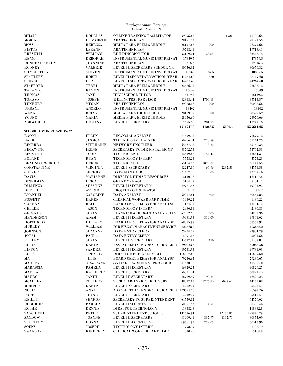| <b>MILCH</b>                    | <b>DOUGLAS</b>   | <b>ONLINE TRAINING FACILITATOR</b>      | 39995.68  |         | 1785     | 41780.68   |
|---------------------------------|------------------|-----------------------------------------|-----------|---------|----------|------------|
| <b>MORIN</b>                    | <b>ELIZABETH</b> | <b>ABA TECHNICIAN</b>                   | 28191.53  |         |          | 28191.53   |
| MOSS                            | <b>REBECCA</b>   | <b>MEDIA PARA ELEM &amp; MIDDLE</b>     | 26177.66  | 200     |          | 26377.66   |
| <b>PIETTE</b>                   | <b>LEEANN</b>    | <b>ABA TECHNICIAN</b>                   | 19718.41  |         |          | 19718.41   |
| <b>PRESUTTI</b>                 | WILLIAM          | <b>BUILDING MONITOR</b>                 | 33109.24  | 337.5   |          | 33446.74   |
| <b>REAM</b>                     |                  | <b>INSTRUMENTAL MUSIC INST PRIVAT</b>   |           |         |          |            |
|                                 | <b>DEBORAH</b>   |                                         | 17359.5   |         |          | 17359.5    |
| RONDEAU KEEDY                   | <b>JEANNINE</b>  | <b>ABA TECHNICIAN</b>                   | 19316.3   |         |          | 19316.3    |
| <b>ROONEY</b>                   | <b>VALERIE</b>   | LEVEL III SECRETARY SCHOOL YR           | 30656.32  |         |          | 30656.32   |
| <b>SILVERSTEIN</b>              | <b>STEVEN</b>    | <b>INSTRUMENTAL MUSIC INST PRIVAT</b>   | 18768     | 87.5    |          | 18855.5    |
| <b>SLATTERY</b>                 | <b>ROBIN</b>     | LEVEL II SECRETARY SCHOOL YEAR          | 44267.68  | 850     |          | 45117.68   |
| <b>SPENCER</b>                  | LISA             | LEVEL II SECRETARY SCHOOL YEAR          | 44267.68  |         |          | 44267.68   |
| <b>STAFFORD</b>                 | TERRI            | MEDIA PARA ELEM & MIDDLE                | 22686.72  |         |          | 22686.72   |
| <b>TARANTO</b>                  |                  |                                         |           |         |          |            |
|                                 | <b>RAMON</b>     | INSTRUMENTAL MUSIC INST PRIVAT          | 15649     |         |          | 15649      |
| <b>THOMAS</b>                   | JANE             | HIGH SCHOOL TUTOR                       | 16119.2   |         |          | 16119.2    |
| <b>TOMASO</b>                   | <b>JOSEPH</b>    | WELLNCTRSUPERVISOR                      | 32813.44  | 4700.13 |          | 37513.57   |
| <b>TUXBURY</b>                  | <b>MEGAN</b>     | <b>ABA TECHNICIAN</b>                   | 29888.56  | 200     |          | 30088.56   |
| <b>URBANI</b>                   | <b>ANGELO</b>    | INSTRUMENTAL MUSIC INST PRIVAT          | 13402     |         |          | 13402      |
| <b>WONG</b>                     | <b>BRIAN</b>     | MEDIA PARA HIGH SCHOOL                  | 28129.59  | 200     |          | 28329.59   |
| YOUNG                           | MARIA            | <b>MEDIA PARA ELEM &amp; MIDDLE</b>     | 28976.66  |         |          | 28976.66   |
|                                 | <b>DESTINY</b>   |                                         |           |         |          |            |
| <b>ASHWORTH</b>                 |                  | <b>LEVEL I SECRETARY</b>                | 17695.98  | 281.15  |          | 17977.13   |
|                                 |                  |                                         | 1511247.8 | 11263.5 | 5100.4   | 1527611.65 |
| <b>SCHOOL ADMINISTRATION-52</b> |                  |                                         |           |         |          |            |
| <b>BACON</b>                    | <b>ELLEN</b>     | FINANCIAL ANALYST                       | 71679.12  |         |          | 71679.12   |
| <b>BAER</b>                     | <b>JESSICA</b>   | <b>TECHNOLOGY TRAINER</b>               | 50966.14  | 778.59  |          | 51744.73   |
| <b>BECERRA</b>                  | <b>STEPHANIE</b> | <b>NETWORK ENGINEER</b>                 | 64437.12  | 713.22  |          | 65150.34   |
| <b>BECKWITH</b>                 | <b>IRENE</b>     | SECRETARY TO DIR FISCAL MGMT            | 53762.53  |         |          | 53762.53   |
| <b>BECKWITH</b>                 | TODD             | <b>TECHNICIAN II</b>                    |           |         |          | 42664.31   |
|                                 |                  |                                         | 42519.88  | 144.43  |          |            |
| <b>BOLAND</b>                   | RYAN             | TECHNOLOGY INTERN                       | 5573.23   |         |          | 5573.23    |
| <b>BRAUNSCHWEIGER</b>           | <b>DEREK</b>     | <b>TECHNICIAN II</b>                    | 55104.52  | 1073.01 |          | 56177.53   |
| <b>CONSTANTINE</b>              | <b>VIRGINIA</b>  | LEVEL I SECRETARY                       | 32247.09  | 66.96   | 2237.53  | 34551.58   |
| <b>CULVER</b>                   | <b>SHERRY</b>    | DATA MANAGER                            | 71407.46  | 800     |          | 72207.46   |
| <b>DAVIS</b>                    | <b>MARIANNE</b>  | DIRECTOR HUMAN RESOURCES                | 121107.6  |         |          | 121107.6   |
| <b>DINERMAN</b>                 | <b>ERICA</b>     | <b>GRANT MANAGER</b>                    | 51841.7   |         |          | 51841.7    |
| <b>DIRIENZO</b>                 | <b>SUZANNE</b>   | LEVEL II SECRETARY                      | 49781.93  |         |          | 49781.93   |
|                                 |                  |                                         |           |         |          |            |
| <b>DRETLER</b>                  | <b>ASTRID</b>    | PROJECT COORDINATOR                     | 7142      |         |          | 7142       |
| <b>EMANUEL</b>                  | <b>CAROLINE</b>  | DATA ANALYST                            | 50057.84  | 600     |          | 50657.84   |
| <b>FOSSETT</b>                  | <b>KAREN</b>     | <b>CLERICAL WORKER PART TIME</b>        | 1439.22   |         |          | 1439.22    |
| <b>GARRAN</b>                   | <b>BETH</b>      | BOARD CERT BEHAVIOR ANALYST             | 47184.72  |         |          | 47184.72   |
| <b>GELLER</b>                   | <b>JASON</b>     | TECHNOLOGY INTERN                       | 2480.81   |         |          | 2480.81    |
| <b>GRIMNER</b>                  | <b>SUSAN</b>     | PLANNING & BUDGET ANALYST PPS           | 62382.36  | 2500    |          | 64882.36   |
| <b>HENDERSON</b>                | ADAM             | <b>LEVEL II SECRETARY</b>               | 49481.93  | 319.09  |          | 49801.02   |
|                                 |                  |                                         |           |         |          |            |
| <b>HOTCHKISS</b>                | <b>HILLARY</b>   | <b>BOARD CERT BEHAVIOR ANALYST</b>      | 68355.97  |         |          | 68355.97   |
| <b>HURLEY</b>                   | WILLIAM          | DIR FISCAL/MANAGEMENT SERVICE: 123668.2 |           |         |          | 123668.2   |
| <b>JOHNSON</b>                  | <b>SUZANNE</b>   | DATA ENTRY CLERK                        | 23934.79  |         |          | 23934.79   |
| <b>JOYAL</b>                    | PAULA            | DATA ENTRY CLERK                        | 5091.56   |         |          | 5091.56    |
| <b>KELLEY</b>                   | ${\rm SUSAN}$    | LEVEL III SECRETARY                     | 34717.81  | 2470    |          | 37187.81   |
| <b>LEDUC</b>                    | <b>KAREN</b>     | ASST SUPERINTENDENT CURRICULL 69083.56  |           |         |          | 69083.56   |
| <b>LINTON</b>                   | <b>SANDRA</b>    | LEVEL II SECRETARY                      | 49731.93  |         |          | 49731.93   |
|                                 |                  |                                         |           |         |          |            |
| LUFF                            | <b>TIMOTHY</b>   | DIRECTOR PUPIL SERVICES                 | 116607.68 |         |          | 116607.68  |
| MА                              | JULIE            | <b>BOARD CERT BEHAVIOR ANALYST</b>      | 79236.65  |         |          | 79236.65   |
| <b>MAGLEY</b>                   | <b>GRACEANN</b>  | ONLINE LEARNING SUPERVISOR              | 41538.48  |         |          | 41538.48   |
| <b>MARASCIA</b>                 | <b>PAMELA</b>    | LEVEL II SECRETARY                      | 46829.25  |         |          | 46829.25   |
| MATTIA                          | <b>KATHLEEN</b>  | <b>LEVEL I SECRETARY</b>                | 50821.44  |         |          | 50821.44   |
| MAURO                           | JANET            | LEVEL III SECRETARY                     | 46729.49  | 90.75   |          | 46820.24   |
| <b>MCAULEY</b>                  | <b>COLLEEN</b>   | <b>SECRETARIES - RETIRED SUBS</b>       | 38017.62  | 1726.84 | 5027.62  | 44772.08   |
| <b>MURPHY</b>                   | <b>KAREN</b>     | <b>LEVEL I SECRETARY</b>                | 52224.7   |         |          | 52224.7    |
|                                 |                  |                                         |           |         |          |            |
| <b>NOLIN</b>                    | ANNA             | ASST SUPERINTENDENT CURRICULL 123597.26 |           |         |          | 123597.26  |
| <b>POTTS</b>                    | <b>JEANETTE</b>  | <b>LEVEL I SECRETARY</b>                | 52124.7   |         |          | 52124.7    |
| <b>REILLY</b>                   | <b>SHARON</b>    | SECRETARY TO SUPERINTENDENT             | 64579.02  |         |          | 64579.02   |
| <b>ROBIDOUX</b>                 | <b>PAMELA</b>    | LEVEL II SECRETARY                      | 50351.93  | 14.51   |          | 50366.44   |
| <b>ROCHE</b>                    | <b>DENNIS</b>    | DIRECTOR TECHNOLOGY                     | 118382.8  |         |          | 118382.8   |
| <b>SANCHIONI</b>                | PETER            | SUPERINTENDENT SCHOOLS                  | 187716.94 |         | 12153.85 | 199870.79  |
| <b>SANDOW</b>                   | <b>JOANNE</b>    | LEVEL III SECRETARY                     | 31909.41  | 337.97  | 4107.71  | 36355.09   |
|                                 |                  |                                         |           |         |          |            |
| <b>SLATTERY</b>                 | <b>DONNA</b>     | LEVEL II SECRETARY                      | 49681.93  | 732.03  |          | 50413.96   |
| <b>SOENS</b>                    | <b>JOSEPH</b>    | <b>TECHNOLOGY INTERN</b>                | 1798.79   |         |          | 1798.79    |
| <b>SWANSON</b>                  | <b>KIMBERLY</b>  | <b>CLERICAL WORKER PART TIME</b>        | 3104.8    |         |          | $3104.8\,$ |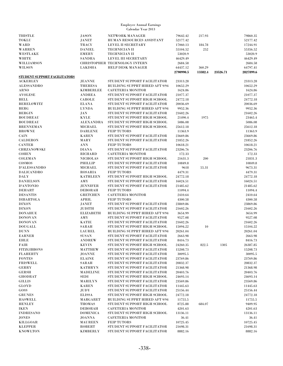| <b>THISTLE</b>                      | <b>JASON</b>     | <b>NETWORK MANAGER</b>                | 79642.42  | 217.93  |          | 79860.35  |
|-------------------------------------|------------------|---------------------------------------|-----------|---------|----------|-----------|
| <b>TOKLU</b>                        | <b>JANET</b>     | HUMAN RESOURCES ASSISTANT             | 52177.42  |         |          | 52177.42  |
| <b>WARD</b>                         | <b>TRACY</b>     | LEVEL II SECRETARY                    | 17060.13  | 184.78  |          | 17244.91  |
| <b>WARREN</b>                       | <b>DANIEL</b>    | <b>TECHNICIAN II</b>                  | 55104.52  | 252     |          | 55356.52  |
| WESTLAKE                            | <b>EMERY</b>     | <b>TECHNICIAN II</b>                  | 53020.9   |         |          | 53020.9   |
| <b>WHITE</b>                        | <b>SANDRA</b>    | <b>LEVEL III SECRETARY</b>            | 46429.49  |         |          | 46429.49  |
| WILLIAMSON                          |                  | <b>CHRISTOPHER TECHNOLOGY INTERN</b>  | 2684.58   |         |          | 2684.58   |
| <b>WILSON</b>                       | LAKISHA          | <b>HELP DESK MANAGER</b>              | 64437.12  | 360.29  |          | 64797.41  |
|                                     |                  |                                       | 2790990.5 | 13382.4 | 23526.71 | 2827899.6 |
| <b>STUDENT SUPPORT FACILITATORS</b> |                  |                                       |           |         |          |           |
| <b>ACKERLEY</b>                     | <b>JEANNE</b>    | STUDENT SUPPORT FACILITATOR           | 23313.28  |         |          | 23313.28  |
| <b>ALESSANDRO</b>                   | <b>THERESA</b>   | <b>BUILDING SUPPRT HIRED AFT 9/94</b> |           |         |          | 10652.29  |
|                                     |                  |                                       | 10652.29  |         |          |           |
| <b>ARNO</b>                         | <b>KIMBERLEE</b> | <b>CAFETERIA MONITOR</b>              | 1624.86   |         |          | 1624.86   |
| <b>AVOLESE</b>                      | <b>ANDREA</b>    | STUDENT SUPPORT FACILITATOR           | 21077.37  |         |          | 21077.37  |
| <b>BELL</b>                         | <b>CAROLE</b>    | STUDENT SUPPORT HIGH SCHOOL           | 24772.18  |         |          | 24772.18  |
| <b>BERELOWITZ</b>                   | <b>ELANA</b>     | STUDENT SUPPORT FACILITATOR           | 20036.69  |         |          | 20036.69  |
| <b>BERG</b>                         | <b>LYNDA</b>     | <b>BUILDING SUPPRT HIRED AFT 9/94</b> | 9952.36   |         |          | 9952.36   |
| <b>BERGIN</b>                       | <b>JAN</b>       | STUDENT SUPPORT FACILITATOR           | 21602.26  |         |          | 21602.26  |
| <b>BOUDREAU</b>                     | <b>KYLE</b>      | STUDENT SUPPORT HIGH SCHOOL           | 21490.4   | 1975    |          | 23465.4   |
| <b>BOUDREAU</b>                     | <b>ALEXANDRA</b> | STUDENT SUPPORT HIGH SCHOOL           | 5086.08   |         |          | 5086.08   |
| <b>BRENNEMAN</b>                    | <b>MICHAEL</b>   | STUDENT SUPPORT HIGH SCHOOL           | 25612.18  |         |          | 25612.18  |
| <b>BROWNE</b>                       | <b>DARLENE</b>   | <b>FEIP TUTORS</b>                    | 11363.9   |         |          | 11363.9   |
| <b>CAIN</b>                         | <b>KAREN</b>     | STUDENT SUPPORT FACILITATOR           | 23669.86  |         |          | 23669.86  |
| <b>CALDERON</b>                     | MARY             | STUDENT SUPPORT FACILITATOR           | 21852.26  |         |          | 21852.26  |
| <b>CANTER</b>                       | $\bf ANN$        | <b>FEIP TUTORS</b>                    | 10618.21  |         |          | 10618.21  |
| CHRZANOWSKI                         | <b>DIANA</b>     | STUDENT SUPPORT FACILITATOR           | 23206.76  |         |          | 23206.76  |
| <b>COHEN</b>                        | <b>RICHARD</b>   | <b>CAFETERIA MONITOR</b>              | 172.33    |         |          | 172.33    |
| <b>COLEMAN</b>                      | <b>NICHOLAS</b>  | STUDENT SUPPORT HIGH SCHOOL           | 21631.3   | 200     |          | 21831.3   |
| COSMOS                              | PHILLIP          | STUDENT SUPPORT FACILITATOR           | 10849.8   |         |          | 10849.8   |
| <b>D'ALESSANDRO</b>                 | <b>MICHAEL</b>   | STUDENT SUPPORT FACILITATOR           | 9618      | 55.31   |          | 9673.31   |
| <b>DALICANDRO</b>                   | <b>ROSARIA</b>   | <b>FEIP TUTORS</b>                    | 4479.31   |         |          | 4479.31   |
| <b>DALY</b>                         | <b>KATHLEEN</b>  | STUDENT SUPPORT HIGH SCHOOL           | 24772.18  |         |          | 24772.18  |
| <b>DANIELSON</b>                    | AMY              | STUDENT SUPPORT FACILITATOR           | 16024.51  |         |          | 16024.51  |
| D'ANTONIO                           |                  | STUDENT SUPPORT FACILITATOR           |           |         |          | 21485.62  |
|                                     | <b>JENNIFER</b>  |                                       | 21485.62  |         |          |           |
| <b>DEHART</b>                       | <b>DEBORAH</b>   | <b>FEIP TUTORS</b>                    | 11094.4   |         |          | 11094.4   |
| <b>DESANTIS</b>                     | <b>GRETCHEN</b>  | <b>CAFETERIA MONITOR</b>              | 2410.64   |         |          | 2410.64   |
| <b>DIBARTOLA</b>                    | APRIL            | <b>FEIP TUTORS</b>                    | 4300.58   |         |          | 4300.58   |
| <b>DIXON</b>                        | <b>JANET</b>     | STUDENT SUPPORT FACILITATOR           | 23869.86  |         |          | 23869.86  |
| <b>DIXON</b>                        | <b>JUDITH</b>    | STUDENT SUPPORT FACILITATOR           | 21602.26  |         |          | 21602.26  |
| <b>DONAHUE</b>                      | <b>ELIZABETH</b> | <b>BUILDING SUPPRT HIRED AFT 9/94</b> | 3654.99   |         |          | 3654.99   |
| <b>DONOVAN</b>                      | AMY              | STUDENT SUPPORT FACILITATOR           | 9527.08   |         |          | 9527.08   |
| <b>DONOVAN</b>                      | <b>KATIE</b>     | STUDENT SUPPORT FACILITATOR           | 21602.26  |         |          | 21602.26  |
| <b>DOUGALL</b>                      | SARAH            | STUDENT SUPPORT HIGH SCHOOL           | 15094.22  | 10      |          | 15104.22  |
| <b>DUNN</b>                         | ${\bf LAUREL}$   | <b>BUILDING SUPPRT HIRED AFT 9/94</b> | 20261.04  |         |          | 20261.04  |
| <b>EARNER</b>                       | <b>SUSAN</b>     | STUDENT SUPPORT FACILITATOR           | 2663.98   |         |          | 2663.98   |
| <b>EHLE</b>                         | ${\bf ANDREW}$   | STUDENT SUPPORT FACILITATOR           | 8416.73   |         |          | 8416.73   |
| FAIR                                | <b>KEVIN</b>     | STUDENT SUPPORT HIGH SCHOOL           | 24260.35  | 822.5   | 1305     | 26387.85  |
| <b>FITZGIBBONS</b>                  | <b>MATTHEW</b>   | STUDENT SUPPORT FACILITATOR           | 15208.73  |         |          | 15208.73  |
| <b>FLAHERTY</b>                     | <b>JOANNE</b>    | STUDENT SUPPORT FACILITATOR           | 30095.5   |         |          | 30095.5   |
| <b>FONTES</b>                       | <b>ELAINE</b>    | STUDENT SUPPORT FACILITATOR           | 23769.86  |         |          | 23769.86  |
| <b>FRISWELL</b>                     | SARAH            | STUDENT SUPPORT FACILITATOR           | 20832.37  |         |          | 20832.37  |
| <b>GERRY</b>                        | <b>KATHRYN</b>   | STUDENT SUPPORT FACILITATOR           | 21368.98  |         |          | 21368.98  |
| <b>GERSH</b>                        | <b>MADELINE</b>  | STUDENT SUPPORT FACILITATOR           | 20403.76  |         |          | 20403.76  |
| <b>GHODRAT</b>                      | SEDI             | STUDENT SUPPORT HIGH SCHOOL           | 24693.14  |         |          | 24693.14  |
| <b>GILLIS</b>                       | <b>MARILYN</b>   | STUDENT SUPPORT FACILITATOR           | 23569.86  |         |          | 23569.86  |
| <b>GLOYD</b>                        | <b>KAREN</b>     | STUDENT SUPPORT FACILITATOR           | 11445.63  |         |          | 11445.63  |
| GOSS                                | <b>JUDY</b>      | STUDENT SUPPORT FACILITATOR           | 25156.44  |         |          | 25156.44  |
| <b>GRUNES</b>                       | <b>ELISSA</b>    | STUDENT SUPPORT HIGH SCHOOL           | 24772.18  |         |          | 24772.18  |
| <b>HASWELL</b>                      | MARGARET         | <b>BUILDING SUPPRT HIRED AFT 9/94</b> | 11755.5   |         |          | 11755.5   |
| <b>HENLEY</b>                       | <b>THOMAS</b>    | STUDENT SUPPORT HIGH SCHOOL           | 8725.88   | 684.07  |          | 9409.95   |
| <b>IKEN</b>                         | <b>DEBORAH</b>   | <b>CAFETERIA MONITOR</b>              | 4201.63   |         |          | 4201.63   |
| <b>INDRESANO</b>                    | <b>DOMENICA</b>  | STUDENT SUPPORT HIGH SCHOOL           | 13136.11  |         |          | 13136.11  |
| <b>JONES</b>                        | <b>JOANNA</b>    | <b>CAFETERIA MONITOR</b>              | 36.41     |         |          | 36.41     |
| <b>KILLGOAR</b>                     | <b>MAUREEN</b>   | <b>FEIP TUTORS</b>                    |           |         |          | 10725.45  |
|                                     |                  |                                       | 10725.45  |         |          |           |
| <b>KLEPPER</b>                      | <b>ROBERT</b>    | STUDENT SUPPORT FACILITATOR           | 21698.31  |         |          | 21698.31  |
| <b>KNOWLTON</b>                     | <b>KIMBERLY</b>  | STUDENT SUPPORT FACILITATOR           | 8882.16   |         |          | 8882.16   |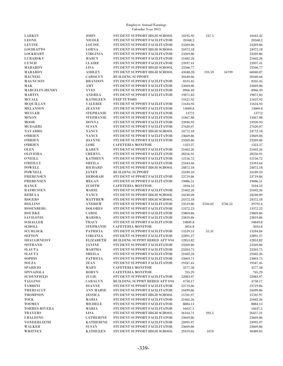| LARKIN                | <b>JOHN</b>      | STUDENT SUPPORT HIGH SCHOOL           | 10195.92 | 247.5   |         | 10443.42             |
|-----------------------|------------------|---------------------------------------|----------|---------|---------|----------------------|
| LEONE                 | <b>NICOLE</b>    | STUDENT SUPPORT FACILITATOR           | 20568.2  |         |         | 20568.2              |
| <b>LEVINE</b>         | <b>LOUISE</b>    | STUDENT SUPPORT FACILITATOR           | 23269.86 |         |         | 23269.86             |
| LOCHIATTO             | <b>LORNA</b>     | STUDENT SUPPORT HIGH SCHOOL           | 24972.18 |         |         | 24972.18             |
| LOCKHART              | <b>VIRGINIA</b>  | STUDENT SUPPORT FACILITATOR           | 23269.86 |         |         | 23269.86             |
| LUBARSKY              | <b>MARCY</b>     | STUDENT SUPPORT FACILITATOR           | 21602.26 |         |         | 21602.26             |
| LYNCH                 | <b>CLAIRE</b>    | STUDENT SUPPORT FACILITATOR           | 23937.41 |         |         | 23937.41             |
| MABARDY               | <b>LISA</b>      | STUDENT SUPPORT HIGH SCHOOL           | 23566.77 |         |         | 23566.77             |
| MABARDY               | <b>ASHLEY</b>    | STUDENT SUPPORT HIGH SCHOOL           | 43048.28 | 193.59  | 16799   | 60040.87             |
| <b>MACNEIL</b>        | <b>CAROLYN</b>   | <b>BUILDING SUPPORT</b>               | 20440.66 |         |         | 20440.66             |
| <b>MAGNUSON</b>       | <b>BRANDON</b>   | STUDENT SUPPORT FACILITATOR           | 8335.45  |         |         | 8335.45              |
| MАK                   | AMY              | STUDENT SUPPORT FACILITATOR           | 23669.86 |         |         | 23669.86             |
| <b>MARCELIN-HENRY</b> | <b>YVES</b>      | STUDENT SUPPORT FACILITATOR           | 8966.49  |         |         | 8966.49              |
| MARTIN                | <b>ANDREA</b>    | STUDENT SUPPORT FACILITATOR           | 19871.83 |         |         | 19871.83             |
| MCCALL                | <b>KATHLEEN</b>  | <b>FEIP TUTORS</b>                    | 11621.92 |         |         | 11621.92             |
| MCQUILLAN             | <b>VALERIE</b>   | STUDENT SUPPORT FACILITATOR           | 11634.93 |         |         | 11634.93             |
| MELANSON              | <b>JEANNE</b>    | STUDENT SUPPORT FACILITATOR           | 13009.8  |         |         | 13009.8              |
| MEYLER                | <b>STEPHANIE</b> | STUDENT SUPPORT FACILITATOR           | 13772    |         |         | 13772                |
| <b>MIXON</b>          | <b>STEPHANIE</b> | STUDENT SUPPORT FACILITATOR           | 14467.88 |         |         | 14467.88             |
| MOOR                  | <b>DONNA</b>     | STUDENT SUPPORT FACILITATOR           | 23930.93 |         |         | 23930.93             |
| MUDARRI               | <b>SUSAN</b>     | STUDENT SUPPORT FACILITATOR           | 27620.07 |         |         | 27620.07             |
| <b>NAVARRO</b>        | <b>NANCY</b>     | STUDENT SUPPORT HIGH SCHOOL           | 24772.18 |         |         | 24772.18             |
| <b>O'BRIEN</b>        | <b>NANCY</b>     | STUDENT SUPPORT FACILITATOR           | 23669.86 |         |         | 23669.86             |
| <b>O'BRIEN</b>        | <b>JOANNE</b>    | STUDENT SUPPORT FACILITATOR           | 23269.86 |         |         | 23269.86             |
| <b>O'BRIEN</b>        | LORI             | <b>CAFETERIA MONITOR</b>              | 1323.27  |         |         | 1323.27              |
| OLEN                  | <b>KAREN</b>     | STUDENT SUPPORT FACILITATOR           | 21602.26 |         |         | 21602.26             |
| OLIVEIRA              | CHERYL           | STUDENT SUPPORT FACILITATOR           | 28256.91 |         |         | 28256.91             |
| <b>O'NEILL</b>        | <b>KATHRYN</b>   | STUDENT SUPPORT FACILITATOR           | 12156.72 |         |         | 12156.72             |
| <b>O'REILLY</b>       | <b>SHEILA</b>    | STUDENT SUPPORT FACILITATOR           | 23343.66 |         |         | 23343.66             |
| <b>POWELL</b>         | <b>RICHARD</b>   | STUDENT SUPPORT HIGH SCHOOL           | 24872.18 |         |         | 24872.18             |
| POWNELL               | <b>JANET</b>     | <b>BUILDING SUPPORT</b>               | 24189.59 |         |         | 24189.59             |
| PREBENSEN             | <b>DEBORAH</b>   | STUDENT SUPPORT FACILITATOR           | 23719.86 |         |         | 23719.86             |
| PREBENSEN             | <b>MEGAN</b>     | STUDENT SUPPORT FACILITATOR           | 19086.51 |         |         | 19086.51             |
| <b>RANGE</b>          | <b>JUDITH</b>    | <b>CAFETERIA MONITOR</b>              | 3104.53  |         |         | 3104.53              |
| <b>RASMUSSEN</b>      | MARIE            | STUDENT SUPPORT FACILITATOR           | 21602.26 |         |         | 21602.26             |
| <b>REBULA</b>         | <b>NANCY</b>     | STUDENT SUPPORT HIGH SCHOOL           | 24240.09 |         |         | 24240.09             |
| ROGERS                | <b>MATTHEW</b>   | STUDENT SUPPORT HIGH SCHOOL           | 24372.18 |         |         | 24372.18             |
| <b>ROLLINS</b>        | <b>ANDREW</b>    | STUDENT SUPPORT FACILITATOR           | 23519.86 | 2536.02 | 3736.52 | 29792.4              |
| ROSENBERG             | <b>DOLORES</b>   | STUDENT SUPPORT FACILITATOR           | 13372.23 |         |         | 13372.23             |
| <b>ROURKE</b>         | CAROL            | STUDENT SUPPORT FACILITATOR           | 23869.86 |         |         | 23869.86             |
| SAVILONIS             | MARSHA           | STUDENT SUPPORT FACILITATOR           | 23819.86 |         |         | 23819.86             |
| SCHALLER              | <b>TRACY</b>     | STUDENT SUPPORT FACILITATOR           | 10849.8  |         |         | 10849.8              |
| SCHOLL                | <b>STEPHANIE</b> | <b>CAFETERIA MONITOR</b>              | 3054.8   |         |         | 3054.8               |
| SCURLOCK              | <b>PATRICIA</b>  | STUDENT SUPPORT FACILITATOR           | 13539.53 | 55.31   |         | 13594.84             |
| <b>SEFTON</b>         | <b>VIRGINIA</b>  | STUDENT SUPPORT FACILITATOR           | 22891.27 |         |         | 22891.27             |
| SHAUGHNESSY           | ELIZABETH        | <b>BUILDING SUPPRT HIRED AFT 9/94</b> | 12853.82 |         |         | 12853.82             |
| SISTRAND              | JANINE           | STUDENT SUPPORT FACILITATOR           | 23269.86 |         |         | 23269.86             |
| SLAUTA                | MARTHA           | STUDENT SUPPORT FACILITATOR           | 23203.75 |         |         | 23203.75             |
| SLAUTA                | <b>SHEILA</b>    | STUDENT SUPPORT FACILITATOR           | 21602.26 |         |         | 21602.26             |
| SOPHIS                | <b>PATRICIA</b>  | STUDENT SUPPORT FACILITATOR           | 23003.75 |         |         | 23003.75             |
| SOUZA                 | JEAN             | STUDENT SUPPORT FACILITATOR           | 19347.45 |         |         | 19347.45             |
| SPARICIO              | MARY             | <b>CAFETERIA MONITOR</b>              | 3577.58  |         |         | 3577.58              |
| SPINAZOLA             | <b>ROBYN</b>     | <b>CAFETERIA MONITOR</b>              | 705.29   |         |         | 705.29               |
| SUDENFIELD            | JULIE            | STUDENT SUPPORT FACILITATOR           | 22083.97 |         |         | 22083.97             |
|                       |                  |                                       |          |         |         |                      |
| TALLINO               | CARALYN          | <b>BUILDING SUPPRT HIRED AFT 9/94</b> | 4758.17  |         |         | 4758.17              |
| TAMBINI               | <b>DIANNE</b>    | STUDENT SUPPORT FACILITATOR           | 23719.86 |         |         | 23719.86             |
| THERIAULT             | ANN MARIE        | STUDENT SUPPORT FACILITATOR           | 24499.86 |         |         | 24499.86<br>15701.97 |
| THOMPSON              | <b>JESSICA</b>   | STUDENT SUPPORT HIGH SCHOOL           | 15701.97 |         |         |                      |
| TOCK                  | MARIA            | STUDENT SUPPORT FACILITATOR           | 21602.26 |         |         | 21602.26             |
| <b>TOOMEY</b>         | <b>MICHELE</b>   | STUDENT SUPPORT FACILITATOR           | 8884.13  |         |         | 8884.13              |
| <b>TORRES-RIVERA</b>  | MARIA            | STUDENT SUPPORT FACILITATOR           | 16637.5  |         |         | 16637.5              |
| TRAYERS               | LISA             | STUDENT SUPPORT HIGH SCHOOL           | 26164.71 | 292.5   |         | 26457.21             |
| UBALDINO              | <b>CATHERINE</b> | STUDENT SUPPORT FACILITATOR           | 23669.86 |         |         | 23669.86             |
| VONDERLIETH           | <b>KATHERINE</b> | STUDENT SUPPORT FACILITATOR           | 24995.97 |         |         | 24995.97             |
| WALKER                | <b>SUSAN</b>     | STUDENT SUPPORT FACILITATOR           | 23669.86 |         |         | 23669.86             |
| WHITNEY               | <b>KATHLEEN</b>  | STUDENT SUPPORT HIGH SCHOOL           | 29319.05 | 1070    |         | 30389.05             |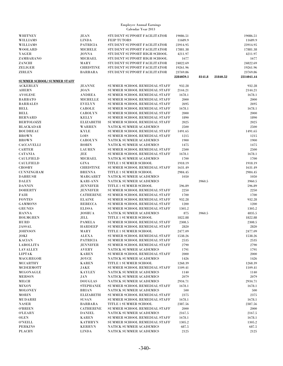| WHITNEY                            | <b>JEAN</b>      | STUDENT SUPPORT FACILITATOR    | 19086.51  |        |          | 19086.51   |
|------------------------------------|------------------|--------------------------------|-----------|--------|----------|------------|
| <b>WILLIAMS</b>                    |                  | <b>FEIP TUTORS</b>             | 11689.9   |        |          |            |
|                                    | <b>LINDA</b>     |                                |           |        |          | 11689.9    |
| WILLIAMS                           | <b>PATRICIA</b>  | STUDENT SUPPORT FACILITATOR    | 23914.95  |        |          | 23914.95   |
| WOOLARD                            | <b>MICHELE</b>   | STUDENT SUPPORT FACILITATOR    | 17881.38  |        |          | 17881.38   |
| YAGER                              | <b>JONNA</b>     | STUDENT SUPPORT HIGH SCHOOL    | 4211.97   |        |          | 4211.97    |
| ZAMBARANO                          | <b>MICHAEL</b>   | STUDENT SUPPORT HIGH SCHOOL    | 1677      |        |          | 1677       |
| ZANCHI                             | MARY             | STUDENT SUPPORT FACILITATOR    | 24822.69  |        |          | 24822.69   |
| ZELIGER                            | <b>CHRISTINE</b> | STUDENT SUPPORT FACILITATOR    | 19261.96  |        |          | 19261.96   |
| <b>ZIRLEN</b>                      | <b>BARBARA</b>   | STUDENT SUPPORT FACILITATOR    | 23769.86  |        |          | 23769.86   |
|                                    |                  |                                |           |        |          |            |
|                                    |                  |                                | 2284059.1 | 8141.8 | 21840.52 | 2314041.44 |
| <b>SUMMER SCHOOL/ SUMMER STAFF</b> |                  |                                |           |        |          |            |
| <b>ACKERLEY</b>                    | <b>JEANNE</b>    | SUMMER SCHOOL REMEDIAL STAFF   | 932.28    |        |          | 932.28     |
| <b>AHERN</b>                       | <b>JOAN</b>      | SUMMER SCHOOL REMEDIAL STAFF   | 2144.21   |        |          | 2144.21    |
| <b>AVOLESE</b>                     | <b>ANDREA</b>    | SUMMER SCHOOL REMEDIAL STAFF   | 1678.1    |        |          | 1678.1     |
| <b>BARBATO</b>                     | <b>MICHELLE</b>  | SUMMER SCHOOL REMEDIAL STAFF   | 2000      |        |          | 2000       |
| <b>BARRALES</b>                    | <b>EVELYN</b>    | SUMMER SCHOOL REMEDIAL STAFF   | 2695      |        |          | 2695       |
|                                    |                  |                                |           |        |          |            |
| <b>BELL</b>                        | <b>CAROLE</b>    | SUMMER SCHOOL REMEDIAL STAFF   | 1678.1    |        |          | 1678.1     |
| <b>BELL</b>                        | <b>CAROLYN</b>   | SUMMER SCHOOL REMEDIAL STAFF   | 2000      |        |          | 2000       |
| <b>BERNARD</b>                     | <b>KELLY</b>     | SUMMER SCHOOL REMEDIAL STAFF   | 1890      |        |          | 1890       |
| <b>BERTOLOZZI</b>                  | <b>ELIZABETH</b> | SUMMER SCHOOL REMEDIAL STAFF   | 2025      |        |          | 2025       |
| <b>BLACKADAR</b>                   | <b>WARREN</b>    | <b>NATICK SUMMER ACADEMICS</b> | 2500      |        |          | 2500       |
| <b>BOUDREAU</b>                    | <b>KYLE</b>      | SUMMER SCHOOL REMEDIAL STAFF   | 1491.65   |        |          | 1491.65    |
| <b>BROWN</b>                       | LOIS             | SUMMER SCHOOL REMEDIAL STAFF   | 1215      |        |          | 1215       |
| <b>BROWN</b>                       | <b>CAROLYN</b>   | <b>NATICK SUMMER ACADEMICS</b> | 1900      |        |          | 1900       |
|                                    | <b>ROBIN</b>     | NATICK SUMMER ACADEMICS        |           |        |          |            |
| <b>CACCAVELLI</b>                  |                  |                                | 1475      |        |          | 1475       |
| <b>CARTER</b>                      | <b>LAUREN</b>    | SUMMER SCHOOL REMEDIAL STAFF   | 2500      |        |          | 2500       |
| <b>CATANIA</b>                     | JEE              | SUMMER SCHOOL REMEDIAL STAFF   | 1678.1    |        |          | 1678.1     |
| <b>CAULFIELD</b>                   | MICHAEL          | <b>NATICK SUMMER ACADEMICS</b> | 1700      |        |          | 1700       |
| <b>CAULFIELD</b>                   | <b>GINA</b>      | TITLE 1 SUMMER SCHOOL          | 1918.19   |        |          | 1918.19    |
| <b>CROSBY</b>                      | <b>CHRISTINE</b> | SUMMER SCHOOL REMEDIAL STAFF   | 1631.49   |        |          | 1631.49    |
| <b>CUNNINGHAM</b>                  | <b>BRENNA</b>    | TITLE 1 SUMMER SCHOOL          | 2984.45   |        |          | 2984.45    |
| <b>DABRUSH</b>                     | MARGARET         | NATICK SUMMER ACADEMICS        | 1050      |        |          | 1050       |
| <b>DALEY</b>                       |                  | <b>NATICK SUMMER ACADEMICS</b> |           |        |          | 3960.5     |
|                                    | <b>KARI-ANN</b>  |                                |           | 3960.5 |          |            |
| <b>DANNIN</b>                      | <b>JENNIFER</b>  | TITLE 1 SUMMER SCHOOL          | 596.89    |        |          | 596.89     |
| <b>DOHERTY</b>                     | <b>JENNIFER</b>  | SUMMER SCHOOL REMEDIAL STAFF   | 2250      |        |          | 2250       |
| FAIR                               | <b>CATHERINE</b> | SUMMER SCHOOL REMEDIAL STAFF   | 1700      |        |          | 1700       |
| <b>FONTES</b>                      | <b>ELAINE</b>    | SUMMER SCHOOL REMEDIAL STAFF   | 932.28    |        |          | 932.28     |
| <b>GAMMONS</b>                     | <b>REBECCA</b>   | SUMMER SCHOOL REMEDIAL STAFF   | 1200      |        |          | 1200       |
| <b>GRUNES</b>                      | <b>ELISSA</b>    | SUMMER SCHOOL REMEDIAL STAFF   | 1305.2    |        |          | 1305.2     |
| <b>HANNA</b>                       | <b>JOSHUA</b>    | NATICK SUMMER ACADEMICS        | 875       | 3960.5 |          | 4835.5     |
| <b>HOLMGREN</b>                    | <b>JILL</b>      | TITLE 1 SUMMER SCHOOL          | 1822.88   |        |          | 1822.88    |
| HURD                               | <b>PAMELA</b>    | SUMMER SCHOOL REMEDIAL STAFF   | 2308.5    |        |          | 2308.5     |
|                                    |                  |                                |           |        |          |            |
| <b>JASSAL</b>                      | <b>HARDEEP</b>   | SUMMER SCHOOL REMEDIAL STAFF   | 2820      |        |          | 2820       |
| <b>JOHNSON</b>                     | MARY             | TITLE 1 SUMMER SCHOOL          | 2477.09   |        |          | 2477.09    |
| JOKI                               | ALEXA            | SUMMER SCHOOL REMEDIAL STAFF   | 1538.26   |        |          | 1538.26    |
| <b>KACIAN</b>                      | PATRICIA         | SUMMER SCHOOL REMEDIAL STAFF   | 2535      |        |          | 2535       |
| LABOLLITA                          | JENNIFER         | SUMMER SCHOOL REMEDIAL STAFF   | 2790      |        |          | 2790       |
| <b>LAVALLEY</b>                    | <b>AVERY</b>     | <b>NATICK SUMMER ACADEMICS</b> | 1791      |        |          | 1791       |
| LIPTAK                             | <b>KAREN</b>     | SUMMER SCHOOL REMEDIAL STAFF   | 2000      |        |          | 2000       |
| MACGREGOR                          | JOYCE            | NATICK SUMMER ACADEMICS        | 1426      |        |          | 1426       |
| <b>MCCARTHY</b>                    | <b>KAREN</b>     | TITLE 1 SUMMER SCHOOL          | 1268.39   |        |          | 1268.39    |
|                                    |                  |                                |           |        |          |            |
| MCDERMOTT                          | JAKE             | SUMMER SCHOOL REMEDIAL STAFF   | 1109.41   |        |          | 1109.41    |
| MCGONAGLE                          | <b>KAYLEY</b>    | NATICK SUMMER ACADEMICS        | 1140      |        |          | 1140       |
| <b>MERSON</b>                      | JAN              | <b>NATICK SUMMER ACADEMICS</b> | 2079      |        |          | 2079       |
| MILCH                              | <b>DOUGLAS</b>   | NATICK SUMMER ACADEMICS        | 2934.71   |        |          | 2934.71    |
| <b>MIXON</b>                       | <b>STEPHANIE</b> | SUMMER SCHOOL REMEDIAL STAFF   | 1678.1    |        |          | 1678.1     |
| <b>MOLONEY</b>                     | <b>BRIAN</b>     | <b>NATICK SUMMER ACADEMICS</b> | 500       |        |          | 500        |
| <b>MORIN</b>                       | <b>ELIZABETH</b> | SUMMER SCHOOL REMEDIAL STAFF   | 2375      |        |          | 2375       |
| MUDARRI                            | <b>SUSAN</b>     | SUMMER SCHOOL REMEDIAL STAFF   | 1678.1    |        |          | 1678.1     |
| <b>NASER</b>                       | <b>BARBARA</b>   | TITLE 1 SUMMER SCHOOL          | 2387.56   |        |          | 2387.56    |
| <b>O'BRIEN</b>                     | <b>CATHERINE</b> | SUMMER SCHOOL REMEDIAL STAFF   | 2000      |        |          | 2000       |
|                                    |                  |                                |           |        |          |            |
| <b>O'LEARY</b>                     | <b>DANIEL</b>    | <b>NATICK SUMMER ACADEMICS</b> | 2167.5    |        |          | 2167.5     |
| OLEN                               | <b>KAREN</b>     | SUMMER SCHOOL REMEDIAL STAFF   | 1678.1    |        |          | 1678.1     |
| <b>O'NEILL</b>                     | KATHRYN          | SUMMER SCHOOL REMEDIAL STAFF   | 1305.2    |        |          | 1305.2     |
| <b>PERKINS</b>                     | <b>KERRYN</b>    | <b>NATICK SUMMER ACADEMICS</b> | 687.5     |        |          | 687.5      |
| <b>PLACHY</b>                      | <b>LINDA</b>     | NATICK SUMMER ACADEMICS        | 2125      |        |          | 2125       |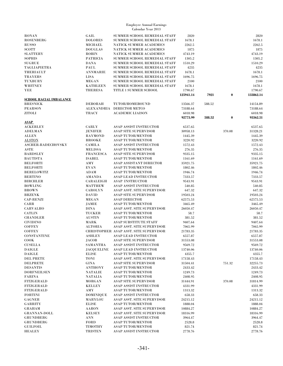| <b>RONAN</b>                   | GAIL              | SUMMER SCHOOL REMEDIAL STAFF                  | 2820      |        |          | 2820      |
|--------------------------------|-------------------|-----------------------------------------------|-----------|--------|----------|-----------|
|                                | <b>DOLORES</b>    |                                               |           |        |          |           |
| <b>ROSENBERG</b>               |                   | SUMMER SCHOOL REMEDIAL STAFF                  | 1678.1    |        |          | 1678.1    |
| <b>RUSSO</b>                   | <b>MICHAEL</b>    | <b>NATICK SUMMER ACADEMICS</b>                | 2262.5    |        |          | 2262.5    |
|                                |                   |                                               |           |        |          |           |
| <b>SCOTT</b>                   | <b>DOUGLAS</b>    | <b>NATICK SUMMER ACADEMICS</b>                | 1875      |        |          | 1875      |
| <b>SLATTERY</b>                | <b>ROBIN</b>      | <b>NATICK SUMMER ACADEMICS</b>                | 4743.19   |        |          | 4743.19   |
| <b>SOPHIS</b>                  | <b>PATRICIA</b>   | SUMMER SCHOOL REMEDIAL STAFF                  | 1305.2    |        |          | 1305.2    |
|                                |                   |                                               |           |        |          |           |
| <b>SUGRUE</b>                  | <b>DANA</b>       | SUMMER SCHOOL REMEDIAL STAFF                  | 1510.29   |        |          | 1510.29   |
| <b>TAGLIAPIETRA</b>            | PAUL              | SUMMER SCHOOL REMEDIAL STAFF                  | 4235      |        |          | 4235      |
|                                |                   |                                               |           |        |          |           |
| THERIAULT                      | <b>ANNMARIE</b>   | SUMMER SCHOOL REMEDIAL STAFF                  | 1678.1    |        |          | 1678.1    |
| <b>TRAYERS</b>                 | <b>LISA</b>       | SUMMER SCHOOL REMEDIAL STAFF                  | 1696.75   |        |          | 1696.75   |
|                                |                   |                                               |           |        |          |           |
| TUXBURY                        | <b>MEGAN</b>      | SUMMER SCHOOL REMEDIAL STAFF                  | 2100      |        |          | 2100      |
| WHITNEY                        | <b>KATHLEEN</b>   | SUMMER SCHOOL REMEDIAL STAFF                  | 1678.1    |        |          | 1678.1    |
|                                |                   |                                               |           |        |          |           |
| YEE                            | <b>THERESA</b>    | TITLE 1 SUMMER SCHOOL                         | 1790.67   |        |          | 1790.67   |
|                                |                   |                                               | 125941.14 | 7921   | $\bf{0}$ | 133862.14 |
|                                |                   |                                               |           |        |          |           |
| <b>SCHOOL RACIAL IMBALANCE</b> |                   |                                               |           |        |          |           |
| <b>BRESNICK</b>                | <b>DEBORAH</b>    | TUTOR/HOMEBOUND                               | 13566.37  | 588.52 |          | 14154.89  |
|                                |                   |                                               |           |        |          |           |
| <b>PEARSON</b>                 |                   | ALEXANDRIA DIRECTOR METCO                     | 73188.64  |        |          | 73188.64  |
| <b>ZITOLI</b>                  | <b>TRACY</b>      | <b>ACADEMIC LIAISON</b>                       | 6018.98   |        |          | 6018.98   |
|                                |                   |                                               |           |        |          |           |
|                                |                   |                                               | 92773.99  | 588.52 | $\bf{0}$ | 93362.51  |
| <b>ASAP</b>                    |                   |                                               |           |        |          |           |
|                                |                   |                                               |           |        |          |           |
| <b>ACKERLEY</b>                | CARLY             | ASAP ASSIST INSTRUCTOR                        | 6537.65   |        |          | 6537.65   |
| <b>ADELMAN</b>                 | <b>JENIFER</b>    | <b>ASAP SITE SUPERVISOR</b>                   | 30958.13  |        | 370.08   | 31328.21  |
|                                |                   |                                               |           |        |          |           |
| <b>ALLEN</b>                   | <b>RAYMOND</b>    | <b>ASAP TUTOR/MENTOR</b>                      | 1445.39   |        |          | 1445.39   |
| <b>ALSTON</b>                  | <b>BROOKE</b>     | <b>ASAP TUTOR/MENTOR</b>                      | 3220.92   |        |          | 3220.92   |
|                                |                   |                                               |           |        |          |           |
| <b>ASCHER-RADECHOVSKY</b>      | <b>CAMILA</b>     | <b>ASAP ASSIST INSTRUCTOR</b>                 | 1572.43   |        |          | 1572.43   |
| <b>ASTE</b>                    | <b>MELISSA</b>    | <b>ASAP TUTOR/MENTOR</b>                      | 276.35    |        |          | 276.35    |
|                                |                   |                                               |           |        |          |           |
| <b>BARDSLEY</b>                | <b>FRANCESCA</b>  | <b>ASAP SITE SUPERVISOR</b>                   | 9335.15   |        |          | 9335.15   |
| <b>BAUTISTA</b>                | <b>ISABEL</b>     | <b>ASAP TUTOR/MENTOR</b>                      | 1161.69   |        |          | 1161.69   |
|                                |                   |                                               |           |        |          |           |
| <b>BELFORTI</b>                | AMY               | ASAP ASSISTANT DIRECTOR                       | 35921.75  |        |          | 35921.75  |
| <b>BELFORTI</b>                | <b>EVAN</b>       | <b>ASAP TUTOR/MENTOR</b>                      | 1802.46   |        |          | 1802.46   |
|                                |                   |                                               |           |        |          |           |
| <b>BERELOWITZ</b>              | ADAM              | <b>ASAP TUTOR/MENTOR</b>                      | 1946.74   |        |          | 1946.74   |
| <b>BERTINO</b>                 | <b>AMANDA</b>     | <b>ASAP LEAD INSTRUCTOR</b>                   | 7333.57   |        |          | 7333.57   |
|                                |                   |                                               |           |        |          |           |
| <b>BIRCHLER</b>                | CARALEIGH         | <b>ASAP INSTRUCTOR</b>                        | 9543.91   |        |          | 9543.91   |
| <b>BOWLING</b>                 | <b>MATTHEW</b>    | <b>ASAP ASSIST INSTRUCTOR</b>                 | 540.85    |        |          | 540.85    |
|                                |                   |                                               |           |        |          |           |
| <b>BROWN</b>                   | <b>CAROLYN</b>    | ASAP ASST. SITE SUPERVISOR                    | 647.32    |        |          | 647.32    |
| <b>BRZENK</b>                  | <b>DAVID</b>      | <b>ASAP SITE SUPERVISOR</b>                   | 19503.24  |        |          | 19503.24  |
|                                |                   |                                               |           |        |          |           |
| <b>CAP-RENZI</b>               | <b>MEGAN</b>      | <b>ASAP DIRECTOR</b>                          | 62575.53  |        |          | 62575.53  |
| CARR                           | JAMIE             | <b>ASAP TUTOR/MENTOR</b>                      | 3465.49   |        |          | 3465.49   |
|                                |                   |                                               |           |        |          |           |
| <b>CARVALHO</b>                | <b>DINA</b>       | ASAP ASST. SITE SUPERVISOR                    | 26050.47  |        |          | 26050.47  |
| <b>CATLIN</b>                  | <b>TUCKER</b>     | <b>ASAP TUTOR/MENTOR</b>                      | 58.7      |        |          | 58.7      |
|                                |                   |                                               |           |        |          |           |
| <b>CHANDLER</b>                | <b>AUSTIN</b>     | <b>ASAP TUTOR/MENTOR</b>                      | 381.52    |        |          | 381.52    |
| <b>CIVIDINO</b>                | <b>MARK</b>       | <b>ASAP SUBSTITUTE STAFF</b>                  | 9407.64   |        |          | 9407.64   |
|                                |                   |                                               |           |        |          |           |
| <b>COFFEY</b>                  | <b>ALTORIA</b>    | ASAP ASST. SITE SUPERVISOR                    | 7065.99   |        |          | 7065.99   |
| <b>COFFEY</b>                  |                   | <b>CHRISTOPHER ASAP ASST. SITE SUPERVISOR</b> | 21783.35  |        |          | 21783.35  |
|                                |                   |                                               |           |        |          |           |
| <b>CONSTANTINE</b>             | <b>ASHLEY</b>     | <b>ASAP LEAD INSTRUCTOR</b>                   | 6557.87   |        |          | 6557.87   |
| <b>COOK</b>                    | JACOB             | ASAP SITE SUPERVISOR                          | 31553.08  |        |          | 31553.08  |
|                                |                   |                                               |           |        |          |           |
| <b>CUSELLA</b>                 | SAMANTHA          | <b>ASAP ASSIST INSTRUCTOR</b>                 | 9569.72   |        |          | 9569.72   |
| <b>DAIGLE</b>                  | <b>JACQUELINE</b> | <b>ASAP LEAD INSTRUCTOR</b>                   | 13740.06  |        |          | 13740.06  |
|                                |                   |                                               |           |        |          |           |
| <b>DAIGLE</b>                  | <b>ELISE</b>      | <b>ASAP TUTOR/MENTOR</b>                      | 4355.7    |        |          | 4355.7    |
| <b>DEL PRETE</b>               | TONI              | ASAP ASST. SITE SUPERVISOR                    | 17158.43  |        |          | 17158.43  |
|                                |                   |                                               |           |        |          |           |
| <b>DELPRETE</b>                | GINA              | <b>ASAP SITE SUPERVISOR</b>                   | 31504.41  |        | 751.32   | 32255.73  |
| <b>DESANTIS</b>                | <b>ANTHONY</b>    | <b>ASAP TUTOR/MENTOR</b>                      | 2433.42   |        |          | 2433.42   |
| <b>DORFNEILSEN</b>             |                   |                                               |           |        |          |           |
|                                | <b>NATALIE</b>    | <b>ASAP TUTOR/MENTOR</b>                      | 1249.73   |        |          | 1249.73   |
| <b>FARINA</b>                  | NATALIA           | <b>ASAP TUTOR/MENTOR</b>                      | 2408.95   |        |          | 2408.95   |
| <b>FITZGERALD</b>              | <b>MORGAN</b>     | <b>ASAP SITE SUPERVISOR</b>                   | 31444.91  |        | 370.08   | 31814.99  |
|                                |                   |                                               |           |        |          |           |
| <b>FITZGERALD</b>              | <b>KELLEY</b>     | ASAP ASSIST INSTRUCTOR                        | 4331.99   |        |          | 4331.99   |
| <b>FITZGERALD</b>              | AMY               | <b>ASAP TUTOR/MENTOR</b>                      | 1313.32   |        |          | 1313.32   |
|                                |                   |                                               |           |        |          |           |
| <b>FORTINI</b>                 | <b>DOMINIQUE</b>  | <b>ASAP ASSIST INSTRUCTOR</b>                 | 658.33    |        |          | 658.33    |
| GAGNER                         | MARYLOU           | ASAP ASST. SITE SUPERVISOR                    | 24215.12  |        |          | 24215.12  |
|                                |                   |                                               |           |        |          |           |
| GARRITY                        | <b>ELISE</b>      | <b>ASAP TUTOR/MENTOR</b>                      | 1888.04   |        |          | 1888.04   |
| GRAHAM                         | <b>AARON</b>      | ASAP ASST. SITE SUPERVISOR                    | 10884.27  |        |          | 10884.27  |
|                                |                   |                                               |           |        |          |           |
| <b>GRANNAN-DOLL</b>            | <b>KELSEY</b>     | ASAP ASST. SITE SUPERVISOR                    | 18316.99  |        |          | 18316.99  |
| <b>GRUNDBERG</b>               | ANN               | ASAP ASSIST INSTRUCTOR                        | 3964.47   |        |          | 3964.47   |
|                                |                   |                                               |           |        |          |           |
| <b>GRUNDBERG</b>               | <b>FORD</b>       | <b>ASAP TUTOR/MENTOR</b>                      | 2528.8    |        |          | 2528.8    |
| <b>GUILFOIL</b>                | TIMOTHY           | <b>ASAP TUTOR/MENTOR</b>                      | 821.74    |        |          | 821.74    |
|                                |                   |                                               |           |        |          |           |
| <b>HEALEY</b>                  | <b>TRISTEN</b>    | ASAP ASSIST INSTRUCTOR                        | 2778.76   |        |          | 2778.76   |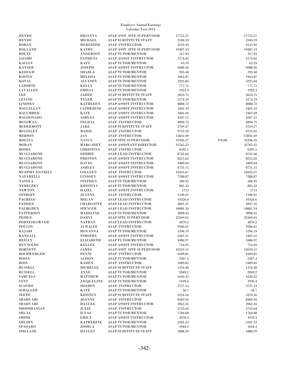|                                  |                                 | Calendar Year 2013                                    |                    |                    |
|----------------------------------|---------------------------------|-------------------------------------------------------|--------------------|--------------------|
| <b>HEYDE</b>                     | <b>BRIANNA</b>                  | ASAP ASST. SITE SUPERVISOR                            | 17755.57           | 17755.57           |
| <b>HEYDE</b>                     | <b>MICHAEL</b>                  | ASAP SUBSTITUTE STAFF                                 | 2100.59            | 2100.59            |
| <b>HOBAN</b>                     | <b>MEREDITH</b>                 | <b>ASAP INSTRUCTOR</b>                                | 3125.92            | 3125.92            |
| <b>HOLLAND</b>                   | <b>KATHY</b>                    | ASAP ASST. SITE SUPERVISOR                            | 19487.13           | 19487.13           |
| <b>HOLTZ</b>                     | <b>ANDERSON</b>                 | <b>ASAP TUTOR/MENTOR</b>                              | 317.93             | 317.93             |
| <b>JACOBS</b>                    | PATRICIA                        | ASAP ASSIST INSTRUCTOR                                | 2174.02            | 2174.02            |
| <b>KACIAN</b>                    | <b>KATY</b>                     | <b>ASAP TUTOR/MENTOR</b>                              | 63.59              | 63.59              |
| <b>KAYSER</b><br><b>KEOUGH</b>   | <b>JOSEPH</b>                   | <b>ASAP ASSIST INSTRUCTOR</b>                         | 6088.26            | 6088.26<br>293.48  |
| <b>KOSTIN</b>                    | <b>SHARLA</b><br><b>MELISSA</b> | <b>ASAP TUTOR/MENTOR</b><br><b>ASAP TUTOR/MENTOR</b>  | 293.48<br>1963.87  | 1963.87            |
| <b>KOVAL</b>                     | <b>ALLYSON</b>                  | <b>ASAP TUTOR/MENTOR</b>                              | 3225.84            | 3225.84            |
| <b>LAPORTE</b>                   | <b>KELLY</b>                    | <b>ASAP TUTOR/MENTOR</b>                              | 777.71             | 777.71             |
| <b>LAVALLEE</b>                  | <b>EMILIA</b>                   | <b>ASAP TUTOR/MENTOR</b>                              | 1922.3             | 1922.3             |
| LEE                              | <b>JARED</b>                    | ASAP SUBSTITUTE STAFF                                 | 2623.75            | 2623.75            |
| <b>LEVINE</b>                    | <b>TYLER</b>                    | <b>ASAP TUTOR/MENTOR</b>                              | 2174.19            | 2174.19            |
| <b>LINDSEY</b>                   | <b>KATHLEEN</b>                 | <b>ASAP ASSIST INSTRUCTOR</b>                         | 8888.72            | 8888.72            |
| <b>MACLELLAN</b>                 | <b>CATHERINE</b>                | <b>ASAP ASSIST INSTRUCTOR</b>                         | 5401.33            | 5401.33            |
| <b>MACUMBER</b>                  | <b>KATE</b>                     | <b>ASAP ASSIST INSTRUCTOR</b>                         | 2401.69            | 2401.69            |
| <b>MALDONADO</b>                 | <b>ASHLEY</b>                   | <b>ASAP ASSIST INSTRUCTOR</b>                         | 4507.11            | 4507.11            |
| <b>MCCOWAN</b>                   | <b>FELICIA</b>                  | <b>ASAP INSTRUCTOR</b>                                | 4890.75            | 4890.75            |
| <b>MCDERMOTT</b>                 | JAKE                            | ASAP SUBSTITUTE STAFF                                 | 2769.27            | 2769.27            |
| <b>MCGINLEY</b>                  | MARIE                           | <b>ASAP INSTRUCTOR</b>                                | 9755.92            | 9755.92            |
| <b>MERSON</b>                    | <b>JAN</b>                      | <b>ASAP INSTRUCTOR</b>                                | 13831.69           | 13831.69           |
| <b>MOLINA</b>                    | <b>NANCY</b>                    | <b>ASAP SITE SUPERVISOR</b>                           | 31926.27           | 370.08<br>32296.35 |
| <b>MORAN</b>                     | <b>MARGARET</b>                 | ASAP ASSISTANT DIRECTOR                               | 35765.25           | 35765.25           |
| <b>MOSES</b>                     | <b>CHRISTINA</b>                | <b>ASAP INSTRUCTOR</b>                                | 6392.1             | 6392.1             |
| <b>MUCCIARONE</b>                | <b>DEBBIE</b>                   | <b>ASAP LEAD INSTRUCTOR</b>                           | 8745.66            | 8745.66            |
| <b>MUCCIARONE</b>                | <b>PRESTON</b>                  | <b>ASAP ASSIST INSTRUCTOR</b>                         | 8215.62            | 8215.62            |
| <b>MUCCIARONE</b>                | <b>DAVID</b>                    | <b>ASAP ASSIST INSTRUCTOR</b>                         | 3489.04            | 3489.04            |
| <b>MUCCIARONE</b>                | <b>ASHLEY</b>                   | <b>ASAP ASSIST INSTRUCTOR</b>                         | 8751.15            | 8751.15            |
| <b>MURPHY-DANIELS</b>            | <b>COLLEEN</b>                  | ASAP INSTRUCTOR                                       | 10335.67           | 10335.67           |
| <b>NATARELLI</b>                 | <b>LINDSEY</b>                  | <b>ASAP ASSIST INSTRUCTOR</b>                         | 7288.87            | 7288.87            |
| <b>NATOLA</b>                    | <b>STEPHEN</b>                  | <b>ASAP TUTOR/MENTOR</b>                              | 586.95             | 586.95             |
| <b>NEMECZKY</b>                  | <b>KRISTINA</b>                 | <b>ASAP TUTOR/MENTOR</b>                              | 885.32             | 885.32             |
| <b>NEWTON</b>                    | <b>HAZEL</b>                    | <b>ASAP ASSIST INSTRUCTOR</b>                         | 2713               | 2713<br>1190.91    |
| <b>OSTROFF</b><br><b>PACHECO</b> | <b>JEANNE</b><br><b>MEGAN</b>   | <b>ASAP INSTRUCTOR</b><br><b>ASAP LEAD INSTRUCTOR</b> | 1190.91<br>10326.6 | 10326.6            |
| <b>PADDEN</b>                    | <b>CHARLOTTE</b>                | <b>ASAP LEAD INSTRUCTOR</b>                           | 4847.35            | 4847.35            |
| <b>PALMGREN</b>                  | <b>SPENCER</b>                  | <b>ASAP LEAD INSTRUCTOR</b>                           | 10081.54           | 10081.54           |
| <b>PATTERSON</b>                 | <b>MADELINE</b>                 | <b>ASAP TUTOR/MENTOR</b>                              | 3898.35            | 3898.35            |
| PEIRCE                           | DARYL                           | <b>ASAP SITE SUPERVISOR</b>                           | 25569.65           | 25569.65           |
| <b>PORTESHAWVER</b>              | <b>NATHAN</b>                   | <b>ASAP LEAD INSTRUCTOR</b>                           | 4870.2             | 4870.2             |
| <b>POULOS</b>                    | <b>AURALEE</b>                  | <b>ASAP INSTRUCTOR</b>                                | 9586.61            | 9586.61            |
| RAJABI                           | <b>ROXANNA</b>                  | <b>ASAP TUTOR/MENTOR</b>                              | 1296.19            | 1296.19            |
| <b>RANDALL</b>                   | TIMOTHY                         | ASAP ASSIST INSTRUCTOR                                | 5407.51            | 5407.51            |
| <b>REILLY</b>                    | <b>ELIZABETH</b>                | <b>ASAP TUTOR/MENTOR</b>                              | 1080.97            | 1080.97            |
| <b>REYNOLDS</b>                  | <b>KELLEE</b>                   | <b>ASAP ASSIST INSTRUCTOR</b>                         | 714.03             | 714.03             |
| <b>ROBNETT</b>                   | <b>JAMES</b>                    | ASAP ASST. SITE SUPERVISOR                            | 10559.11           | 10559.11           |
| <b>ROCHWERGER</b>                | <b>PENNI</b>                    | <b>ASAP INSTRUCTOR</b>                                | 6509.81            | 6509.81            |
| <b>ROSIN</b>                     | <b>ALISON</b>                   | <b>ASAP TUTOR/MENTOR</b>                              | 2367.4             | 2367.4             |
| ROSS                             | <b>KAREN</b>                    | <b>ASAP INSTRUCTOR</b>                                | 2489.85            | 2489.85            |
| <b>RUSSELL</b>                   | <b>MICHELLE</b>                 | ASAP SUBSTITUTE STAFF                                 | 1376.48            | 1376.48            |
| <b>RUSSELL</b>                   | <b>ANNE</b>                     | <b>ASAP TUTOR/MENTOR</b>                              | 2849.2             | 2849.2             |
| <b>SAMUELS</b>                   | <b>MATTHEW</b>                  | <b>ASAP TUTOR/MENTOR</b>                              | 1626.35            | 1626.35            |
| <b>SANT</b>                      | <b>JACQUELINE</b>               | <b>ASAP TUTOR/MENTOR</b>                              | 1939.4             | 1939.4             |
| <b>SCAFIDI</b>                   | <b>SHARON</b>                   | <b>ASAP INSTRUCTOR</b>                                | 3737.14            | 3737.14            |
| <b>SCHALLER</b><br>SEETO         | <b>KATE</b><br><b>KRISTEN</b>   | <b>ASAP TUTOR/MENTOR</b><br>ASAP SUBSTITUTE STAFF     | 58.7<br>2224.56    | 58.7<br>2224.56    |
| SHAHVARI                         | <b>JOANNE</b>                   | <b>ASAP INSTRUCTOR</b>                                | 8482.93            | 8482.93            |
| <b>SHAHVARI</b>                  | <b>HAYLEE</b>                   | <b>ASAP ASSIST INSTRUCTOR</b>                         | 2062.45            | 2062.45            |
| SHOOSHANIAN                      | JULIE                           | <b>ASAP INSTRUCTOR</b>                                | 5733.64            | 5733.64            |
| SHUJA                            | <b>ILYAS</b>                    | <b>ASAP TUTOR/MENTOR</b>                              | 1760.88            | 1760.88            |
| <b>SMITH</b>                     | <b>EMILY</b>                    | <b>ASAP ASSIST INSTRUCTOR</b>                         | 4978.3             | 4978.3             |
| <b>SMUDIN</b>                    | <b>KATHERINE</b>                | <b>ASAP TUTOR/MENTOR</b>                              | 2181.53            | 2181.53            |
| <b>SPADARO</b>                   | <b>JOSHUA</b>                   | <b>ASAP TUTOR/MENTOR</b>                              | 1044.3             | 1044.3             |
| <b>SPILLANE</b>                  | <b>HAYLEY</b>                   | ASAP SUBSTITUTE STAFF                                 | 1888.59            | 1888.59            |

Employee Annual Earnings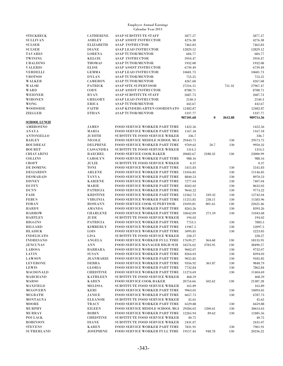| <b>STECKBECK</b>    | <b>CATHERINE</b> | <b>ASAP SUBSTITUTE STAFF</b>          | 5877.27   |          |         | 5877.27   |
|---------------------|------------------|---------------------------------------|-----------|----------|---------|-----------|
| <b>SULLIVAN</b>     | <b>ASHLEY</b>    | ASAP ASSIST INSTRUCTOR                | 4276.38   |          |         | 4276.38   |
| <b>SULSER</b>       | <b>ELIZABETH</b> | <b>ASAP INSTRUCTOR</b>                | 7462.83   |          |         | 7462.83   |
| <b>SULSER</b>       | <b>DIANE</b>     | <b>ASAP LEAD INSTRUCTOR</b>           | 12829.12  |          |         | 12829.12  |
| <b>TAVARES</b>      | <b>LORENA</b>    | <b>ASAP TUTOR/MENTOR</b>              | 684.77    |          |         | 684.77    |
| <b>TWINING</b>      | <b>KELCIE</b>    | <b>ASAP INSTRUCTOR</b>                | 5910.47   |          |         | 5910.47   |
|                     |                  |                                       |           |          |         |           |
| <b>UBALDINO</b>     | <b>THOMAS</b>    | <b>ASAP TUTOR/MENTOR</b>              | 1932.08   |          |         | 1932.08   |
| <b>VALERIO</b>      | <b>ELISE</b>     | ASAP ASSIST INSTRUCTOR                | 6739.49   |          |         | 6739.49   |
| <b>VERDELLI</b>     | <b>GEMMA</b>     | <b>ASAP LEAD INSTRUCTOR</b>           | 10681.73  |          |         | 10681.73  |
| <b>VROTSOS</b>      | <b>DYLAN</b>     | <b>ASAP TUTOR/MENTOR</b>              | 753.25    |          |         | 753.25    |
| <b>WALKER</b>       | <b>CAMERON</b>   | <b>ASAP TUTOR/MENTOR</b>              | 4267.68   |          |         | 4267.68   |
| WALSH               | <b>PATRICK</b>   | <b>ASAP SITE SUPERVISOR</b>           | 27216.15  |          | 751.32  | 27967.47  |
| WARD                | CODY             | ASAP ASSIST INSTRUCTOR                | 8788.71   |          |         | 8788.71   |
|                     |                  |                                       |           |          |         |           |
| <b>WEIDNER</b>      | <b>RYAN</b>      | ASAP SUBSTITUTE STAFF                 | 2687.73   |          |         | 2687.73   |
| <b>WIRONEN</b>      | GREGORY          | <b>ASAP LEAD INSTRUCTOR</b>           | 2140.3    |          |         | 2140.3    |
| <b>WONG</b>         | <b>ERICA</b>     | ASAP TUTOR/MENTOR                     | 442.67    |          |         | 442.67    |
| <b>WOODSIDE</b>     | <b>FAITH</b>     | ASAP KINDERGARTEN COORDINATO 12482.87 |           |          |         | 12482.87  |
| <b>ZIEGLER</b>      | <b>ETHAN</b>     | <b>ASAP TUTOR/MENTOR</b>              | 1337.77   |          |         | 1337.77   |
|                     |                  |                                       | 987101.68 | $\bf{0}$ | 2612.88 | 989714.56 |
| <b>SCHOOL LUNCH</b> |                  |                                       |           |          |         |           |
|                     |                  |                                       |           |          |         |           |
| AMBROSINO           | <b>JAMES</b>     | <b>FOOD SERVICE WORKER PART TIME</b>  | 1422.56   |          |         | 1422.56   |
| <b>ANAYA</b>        | MARIA            | <b>FOOD SERVICE WORKER PART TIME</b>  | 1167.18   |          |         | 1167.18   |
| <b>ANTONIELLO</b>   | <b>JUDITH</b>    | <b>SUBSTITUTE FOOD SERVICE WRKER</b>  | 336.7     |          |         | 336.7     |
| <b>BAILEY</b>       | <b>NICOLE</b>    | FOOD SERVICE MIDDLE SCHOOL MGI        | 29443.75  |          | 130     | 29573.75  |
| <b>BOUDREAU</b>     | <b>DELPHINE</b>  | <b>FOOD SERVICE WORKER PART TIME</b>  | 9769.62   | 50.7     | 130     | 9950.32   |
| <b>BOURET</b>       | <b>CASSANDRA</b> | <b>SUBSTITUTE FOOD SERVICE WRKER</b>  | 1314.5    |          |         | 1314.5    |
| <b>CHIAVARINI</b>   | <b>RAECHEL</b>   | <b>FOOD SERVICE COOK BAKER</b>        | 20682.67  | 2188.32  | 130     | 23000.99  |
|                     |                  |                                       |           |          |         |           |
| <b>COLLINS</b>      | <b>CAROLYN</b>   | <b>FOOD SERVICE WORKER PART TIME</b>  | 988.16    |          |         | 988.16    |
| <b>CROFT</b>        | JULIE            | SUBSTITUTE FOOD SERVICE WRKER         | 0.37      |          |         | 0.37      |
| DE DOMING           | TONI             | <b>FOOD SERVICE WORKER PART TIME</b>  | 5415.83   |          | 130     | 5545.83   |
| <b>DESJARDIN</b>    | <b>ARLENE</b>    | FOOD SERVICE WORKER PART TIME         | 11016.85  |          | 130     | 11146.85  |
| <b>DESMARAIS</b>    | <b>TANYA</b>     | <b>FOOD SERVICE WORKER PART TIME</b>  | 8840.53   |          | 130     | 8970.53   |
| <b>DISNEY</b>       | <b>KARIENE</b>   | FOOD SERVICE WORKER PART TIME         | 7277.04   |          | 130     | 7407.04   |
| <b>DUFFY</b>        | <b>MARIE</b>     | FOOD SERVICE WORKER PART TIME         | 8502.02   |          | 130     | 8632.02   |
|                     |                  |                                       |           |          |         |           |
| <b>DUNN</b>         | <b>PATRICIA</b>  | <b>FOOD SERVICE WORKER PART TIME</b>  | 9644.22   |          | 130     | 9774.22   |
| FAIR                | <b>KRISTINE</b>  | <b>FOOD SERVICE WORKER PART TIME</b>  | 12362.72  | 249.32   | 130     | 12742.04  |
| <b>FEBUS</b>        | <b>VIRGINIA</b>  | <b>FOOD SERVICE WORKER PART TIME</b>  | 11215.85  | 238.11   | 130     | 11583.96  |
| <b>FORAN</b>        | <b>ROSEANN</b>   | <b>FOOD SERVICE COOK SUPERVISOR</b>   | 21693.81  | 801.65   | 130     | 22625.46  |
| <b>HARDY</b>        | AMANDA           | <b>FOOD SERVICE WORKER PART TIME</b>  | 8263.26   |          | 130     | 8393.26   |
| <b>HARROW</b>       | <b>CHARLENE</b>  | <b>FOOD SERVICE WORKER PART TIME</b>  | 10642.09  | 271.59   | 130     | 11043.68  |
| <b>HARTLEY</b>      | JUDE             | SUBSTITUTE FOOD SERVICE WRKER         | 194.02    |          |         | 194.02    |
| <b>HIGGINS</b>      | <b>PATRICIA</b>  | FOOD SERVICE WORKER PART TIME         | 7753.5    |          | 130     | 7883.5    |
|                     |                  |                                       |           |          |         |           |
| <b>HILLARD</b>      | <b>KIMBERLY</b>  | FOOD SERVICE WORKER PART TIME         | 11967.5   |          | 130     | 12097.5   |
| <b>HLADICK</b>      | LOIS             | FOOD SERVICE WORKER PART TIME         | 5093.85   |          | 130     | 5223.85   |
| <b>INDELICATO</b>   | <b>LISA</b>      | SUBSTITUTE FOOD SERVICE WRKER         | 228.27    |          |         | 228.27    |
| <b>INDRESANO</b>    | ${\bf ANGELA}$   | FOOD SERVICE WORKER FULL TIME         | 17639.27  | 364.68   | 130     | 18133.95  |
| <b>JENCUNAS</b>     | $\bf ANN$        | FOOD SERVICE MANAGER HIGH SCH         | 34576.62  | 3783.95  | 130     | 38490.57  |
| LAROSA              | <b>BARBARA</b>   | <b>FOOD SERVICE WORKER PART TIME</b>  | 9602.07   |          | 130     | 9732.07   |
| <b>LAVIN</b>        | <b>SUSAN</b>     | <b>FOOD SERVICE WORKER PART TIME</b>  | 8264.03   |          | 130     | 8394.03   |
|                     |                  |                                       |           |          |         |           |
| <b>LAWSON</b>       | JEANMARIE        | <b>FOOD SERVICE WORKER PART TIME</b>  | 9055.85   |          | 130     | 9185.85   |
| <b>LEVERONE</b>     | <b>DEBRA</b>     | <b>FOOD SERVICE WORKER PART TIME</b>  | 9356.92   | 361.87   | 130     | 9848.79   |
| <b>LEWIS</b>        | <b>GLORIA</b>    | <b>FOOD SERVICE WORKER PART TIME</b>  | 7732.84   |          | 130     | 7862.84   |
| MACDONALD           | <b>CHRISTINE</b> | <b>FOOD SERVICE WORKER PART TIME</b>  | 11274.69  |          | 130     | 11404.69  |
| <b>MARCHAND</b>     | <b>KATHLEEN</b>  | SUBSTITUTE FOOD SERVICE WRKER         | 468.59    |          |         | 468.59    |
| <b>MARSO</b>        | <b>KAREN</b>     | <b>FOOD SERVICE COOK BAKER</b>        | 20754.66  | 502.62   | 130     | 21387.28  |
| <b>MAXFIELD</b>     | <b>MELISSA</b>   | SUBSTITUTE FOOD SERVICE WRKER         | 165.89    |          |         | 165.89    |
| <b>MCGOVERN</b>     | KERI             | <b>FOOD SERVICE WORKER PART TIME</b>  |           |          |         | 10093.05  |
|                     |                  |                                       | 9963.05   |          | 130     |           |
| <b>MCGRATH</b>      | <b>JANICE</b>    | <b>FOOD SERVICE WORKER PART TIME</b>  | 6657.73   |          | 130     | 6787.73   |
| MONTAGNA            | <b>ELEANOR</b>   | <b>SUBSTITUTE FOOD SERVICE WRKER</b>  | 45.65     |          |         | 45.65     |
| MOORE               | <b>TRACY</b>     | <b>FOOD SERVICE WORKER PART TIME</b>  | 6529.88   |          | 130     | 6659.88   |
| MURPHY              | <b>EILEEN</b>    | FOOD SERVICE MIDDLE SCHOOL MGI        | 29284.02  | 1200.61  | 130     | 30614.63  |
| MURRAY              | <b>ROBIN</b>     | <b>FOOD SERVICE WORKER PART TIME</b>  | 12265.94  | 89.62    | 130     | 12485.56  |
| <b>POULACK</b>      | <b>CHRISTINE</b> | <b>SUBSTITUTE FOOD SERVICE WRKER</b>  | 40.75     |          |         | 40.75     |
| <b>ROBINSON</b>     | <b>DIANE</b>     | SUBSTITUTE FOOD SERVICE WRKER         | 2431.07   |          |         | 2431.07   |
|                     |                  |                                       |           |          |         |           |
| <b>STEVENS</b>      | <b>KAREN</b>     | <b>FOOD SERVICE WORKER PART TIME</b>  | 7831.91   |          | 130     | 7961.91   |
| <b>SUTHERLAND</b>   | <b>JOSEPHINE</b> | FOOD SERVICE WORKER FULL TIME         | 19157.44  | 948.78   | 130     | 20236.22  |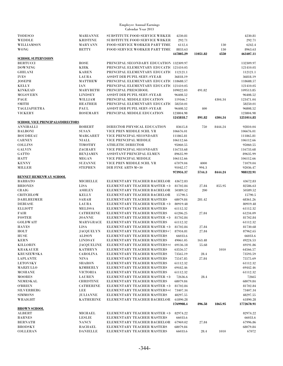| <b>TODESCO</b>                          | <b>MARIANNE</b>   | SUBSTITUTE FOOD SERVICE WRKER           | 4230.81   |          |         | 4230.81        |
|-----------------------------------------|-------------------|-----------------------------------------|-----------|----------|---------|----------------|
| <b>WEDDLE</b>                           | <b>KRISTINE</b>   | <b>SUBSTITUTE FOOD SERVICE WRKER</b>    | 292.71    |          |         | 292.71         |
| WILLIAMSON                              | <b>MARYANN</b>    | FOOD SERVICE WORKER PART TIME           | 6112.4    |          | 130     | 6242.4         |
| <b>WONG</b>                             | <b>BETTY</b>      | FOOD SERVICE WORKER PART TIME           | 8833.63   |          | 130     | 8963.63        |
|                                         |                   |                                         | 447805.29 | 11051.82 | 4550    | 463407.11      |
|                                         |                   |                                         |           |          |         |                |
| <b>SCHOOL SUPERVISION</b>               |                   |                                         |           |          |         |                |
| <b>BERTUCCI</b>                         | <b>ROSE</b>       | PRINCIPAL SECONDARY EDUCATION 132309.97 |           |          |         | 132309.97      |
| <b>DOWNING</b>                          | <b>KIRK</b>       | PRINCIPAL ELEMENTARY EDUCATI(121410.05  |           |          |         | 121410.05      |
| <b>GHILANI</b>                          | <b>KAREN</b>      | PRINCIPAL ELEMENTARY EDUCATI(112121.1   |           |          |         | 112121.1       |
| <b>IVES</b>                             | LAURA             | ASSIST DIR PUPIL SERV-SYEAR             | 36818.19  |          |         | 36818.19       |
|                                         |                   |                                         |           |          |         |                |
| <b>JOSEPH</b>                           | <b>MATTHEW</b>    | PRINCIPAL ELEMENTARY EDUCATI(118688.57  |           |          |         | 118688.57      |
| <b>KELLY</b>                            | <b>IAN</b>        | PRINCIPAL ELEMENTARY EDUCATI(121410.05  |           |          |         | 121410.05      |
| <b>KINKEAD</b>                          | <b>MARYBETH</b>   | PRINCIPAL PRESCHOOL                     | 109022.03 | 491.82   |         | 109513.85      |
| <b>MCGOVERN</b>                         | <b>LINDSEY</b>    | ASSIST DIR PUPIL SERV-SYEAR             | 96408.52  |          |         | 96408.52       |
| PAGE                                    | WILLIAM           | PRINCIPAL MIDDLE EDUCATION              | 119166.7  |          | 4304.34 | 123471.04      |
|                                         |                   |                                         |           |          |         |                |
| <b>SMITH</b>                            | <b>HEATHER</b>    | PRINCIPAL ELEMENTARY EDUCATI(           | 58250.01  |          |         | 58250.01       |
| TAGLIAPIETRA                            | PAUL              | ASSIST DIR PUPIL SERV-SYEAR             | 96408.52  | 400      |         | 96808.52       |
| <b>VICKERY</b>                          | <b>ROSEMARY</b>   | PRINCIPAL MIDDLE EDUCATION              | 123804.98 |          |         | 123804.98      |
|                                         |                   |                                         | 1245818.7 | 891.82   | 4304.34 | 1251014.85     |
|                                         |                   |                                         |           |          |         |                |
| <b>SCHOOL VICE PRINCIPALS/DIRECTORS</b> |                   |                                         |           |          |         |                |
| ANNIBALLI                               | ROBERT            | DIRECTOR PHYSICAL EDUCATION             | 83615.8   | 750      | 8444.24 | 92810.04       |
| <b>BALBONI</b>                          | <b>SUSAN</b>      | VICE PRIN MIDDLE SCHL YR                | 106676.01 |          |         | 106676.01      |
| <b>BOUDREAU</b>                         | MARGARET          | VICE PRINCIPAL SECONDARY                | 111865.81 |          |         | 111865.81      |
| <b>CARNEY</b>                           | <b>NIALL</b>      | VICE PRINCIPAL MIDDLE                   | 106112.66 |          |         | 106112.66      |
|                                         |                   |                                         |           |          |         |                |
| <b>COLLINS</b>                          | <b>TIMOTHY</b>    | <b>ATHLETIC DIRECTOR</b>                | 95060.55  |          |         | 95060.55       |
| <b>GALVIN</b>                           | ZACHARY           | VICE PRINCIPAL SECONDARY                | 116733.68 |          |         | 116733.68      |
| GATTO                                   | <b>BENJAMIN</b>   | ASSISTANT PRINCIPAL ELMEN               | 89635.99  |          |         | 89635.99       |
| <b>HATT</b>                             | <b>MEGAN</b>      | VICE PRINCIPAL MIDDLE                   | 106112.66 |          |         | 106112.66      |
| <b>KENNY</b>                            | <b>SUZANNE</b>    | VICE PRIN MIDDLE SCHL YR                | 67079.04  | 4000     |         | 71079.04       |
|                                         |                   |                                         |           |          |         |                |
| <b>MILLER</b>                           | <b>STEPHEN</b>    | DIR FINE ARTS M+30                      | 91042.17  | 994.3    |         | 92036.47       |
|                                         |                   |                                         | 973934.37 | 5744.3   | 8444.24 | 988122.91      |
| <b>BENNET HEMENWAY SCHOOL</b>           |                   |                                         |           |          |         |                |
| <b>BARBATO</b>                          | <b>MICHELLE</b>   | ELEMENTARY TEACHER BACHELOR             | 43672.83  |          |         | 43672.83       |
| <b>BRIONES</b>                          | <b>LISA</b>       | ELEMENTARY TEACHER MASTER +3            | 81702.84  | 27.84    | 855.95  | 82586.63       |
|                                         |                   |                                         |           |          |         |                |
| CRAIG                                   | <b>ASHLEY</b>     | ELEMENTARY TEACHER BACHELOR             | 50389.52  | 200      |         | 50589.52       |
| CRITCHLOW                               | <b>KELLY</b>      | ELEMENTARY TEACHER BACHELOR             | 15790.5   |          |         | 15790.5        |
| <b>DAHLHEIMER</b>                       | SARAH             | ELEMENTARY TEACHER MASTERS              | 68079.84  | 281.42   |         | 68361.26       |
| <b>DEBIASE</b>                          | <b>LAURA</b>      | ELEMENTARY TEACHER MASTER +3            | 80919.48  |          |         | 80919.48       |
| <b>ELLIOTT</b>                          | <b>MELISSA</b>    | ELEMENTARY TEACHER MASTERS              | 61112.32  |          |         | 61112.32       |
|                                         |                   |                                         |           |          |         |                |
| <b>FAIR</b>                             | <b>CATHERINE</b>  | ELEMENTARY TEACHER MASTERS              | 61206.25  | 27.84    |         | 61234.09       |
| <b>FOSTER</b>                           | <b>JOANNE</b>     | ELEMENTARY TEACHER MASTER +3            | 81702.84  |          |         | 81702.84       |
| <b>GOLDWAIT</b>                         | MARYGRACE         | ELEMENTARY TEACHER MASTERS              | 61112.32  |          |         | 61112.32       |
| <b>HAYES</b>                            | <b>LISA</b>       | ELEMENTARY TEACHER MASTER +3            | 81702.84  | 27.84    |         | 81730.68       |
| HOLT                                    | <b>JACQUELYN</b>  | ELEMENTARY TEACHER MASTERS+7            | 87934.81  | 27.84    |         | 87962.65       |
|                                         |                   |                                         |           |          |         |                |
| <b>HUSE</b>                             | <b>ALISON</b>     | ELEMENTARY TEACHER MASTERS              | 66033.6   |          |         | 66033.6        |
| <b>KERN</b>                             | <b>LINDSAY</b>    | ELEMENTARY TEACHER MASTERS              | 49061.05  | 163.48   |         | 49224.53       |
| KILLORIN                                | <b>JACQUELINE</b> | ELEMENTARY TEACHER MASTERS+(            | 69136.18  | 55.68    |         | 69191.86       |
| <b>KRAKAUER</b>                         | <b>KATHRYN</b>    | ELEMENTARY TEACHER MASTERS              | 63556.57  |          | 1010    | 64566.57       |
| <b>KRUSZEWSKA</b>                       | <b>CAROLINA</b>   | ELEMENTARY TEACHER MASTERS              | 73565.19  | 28.4     |         | 73593.59       |
|                                         |                   |                                         |           |          |         |                |
| <b>LAPLANTE</b>                         | NINA              | ELEMENTARY TEACHER MASTERS              | 75547.85  | 27.84    |         | 75575.69       |
| <b>LETOVSKY</b>                         | <b>SHARON</b>     | ELEMENTARY TEACHER MASTERS              | 61112.32  |          |         | 61112.32       |
| MARZULLO                                | <b>KIMBERLY</b>   | ELEMENTARY TEACHER MASTERS              | 69442.46  |          |         | 69442.46       |
| <b>MCSHANE</b>                          | <b>VICTORIA</b>   | ELEMENTARY TEACHER MASTERS              | 61112.32  |          |         | 61112.32       |
| <b>MOORES</b>                           | <b>LAUREN</b>     | ELEMENTARY TEACHER MASTER +3            |           | 28.4     |         | 72665          |
|                                         |                   |                                         | 72636.6   |          |         |                |
| NEMESKAL                                | <b>CHRISTINE</b>  | ELEMENTARY TEACHER MASTERS              | 68079.84  |          |         | 68079.84       |
| <b>O'BRIEN</b>                          | <b>CATHERINE</b>  | ELEMENTARY TEACHER MASTER +3            | 81702.84  |          |         | 81702.84       |
| <b>SILVERBERG</b>                       | LEE               | ELEMENTARY TEACHER MASTERS+(            | 73407.34  |          |         | 73407.34       |
| <b>SIMMONS</b>                          | <b>JULIANNE</b>   | ELEMENTARY TEACHER MASTERS              | 48297.55  |          |         | 48297.55       |
|                                         | <b>KATHERINE</b>  | ELEMENTARY TEACHER BACHELOR             |           |          |         | 61890.28       |
| WRAIGHT                                 |                   |                                         | 61890.28  |          |         |                |
|                                         |                   |                                         | 1769908.4 | 896.58   | 1865.95 | 1772670.91     |
| <b>BROWN SCHOOL</b>                     |                   |                                         |           |          |         |                |
| ALBERT                                  | MICHAEL           | ELEMENTARY TEACHER MASTER +3            | 82974.22  |          |         | 82974.22       |
| <b>BARNES</b>                           | <b>LESLIE</b>     | ELEMENTARY TEACHER MASTERS              | 66033.6   |          |         | 66033.6        |
| <b>BERNATH</b>                          | <b>NANCY</b>      | ELEMENTARY TEACHER BACHELOR             | 67969.02  | 27.84    |         | 67996.86       |
|                                         |                   |                                         |           |          |         |                |
| <b>BRODSKY</b>                          | <b>RACHAEL</b>    | ELEMENTARY TEACHER MASTERS              | 68079.84  |          |         | 68079.84       |
| <b>COLLERAN</b>                         | <b>DANIELLE</b>   | ELEMENTARY TEACHER MASTERS              | 66033.6   | 28.4     | 1010    | $\sqrt{67072}$ |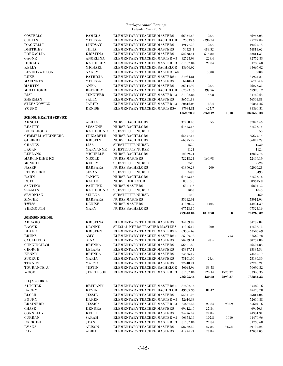| <b>COSTELLO</b>              | <b>PAMELA</b>                                       | ELEMENTARY TEACHER MASTERS                               | 66934.68             | 28.4           |         | 66963.08             |
|------------------------------|-----------------------------------------------------|----------------------------------------------------------|----------------------|----------------|---------|----------------------|
| <b>CURTIN</b>                | <b>MELISSA</b>                                      | ELEMENTARY TEACHER BACHELOR                              | 25333.6              | 2394.24        |         | 27727.84             |
|                              |                                                     |                                                          |                      |                |         |                      |
| <b>D'AGNELLI</b>             | <b>LINDSAY</b>                                      | ELEMENTARY TEACHER MASTERS                               | 49197.38             | 28.4           |         | 49225.78             |
| <b>DMITRIEV</b>              | JULIA                                               | ELEMENTARY TEACHER MASTERS                               | 54328.1              | 483.52         |         | 54811.62             |
| <b>FORZAGLIA</b>             | <b>KRISTINA</b>                                     | ELEMENTARY TEACHER MASTERS                               | 52238.51             | 575.82         |         | 52814.33             |
| GAGNE                        | <b>ANGELINA</b>                                     | <b>ELEMENTARY TEACHER MASTER +3</b>                      | 82523.93             | 228.4          |         | 82752.33             |
| <b>HURLEY</b>                | <b>KATHLEEN</b>                                     | ELEMENTARY TEACHER MASTER +3                             | 81702.84             | 27.84          |         | 81730.68             |
| <b>KELLY</b>                 | <b>MICHAEL</b>                                      | ELEMENTARY TEACHER BACHELOR                              | 43666.02             |                |         | 43666.02             |
|                              |                                                     |                                                          |                      |                |         |                      |
| LEVINE-WILSON                | <b>NANCY</b>                                        | ELEMENTARY TEACHER MASTER +60                            |                      | 5000           |         | 5000                 |
| LUKE                         | <b>PATRICIA</b>                                     | ELEMENTARY TEACHER MASTERS+?                             | 87934.81             |                |         | 87934.81             |
| <b>MACINNES</b>              | <b>MELISSA</b>                                      | ELEMENTARY TEACHER MASTERS                               | 67404.4              |                |         | 67404.4              |
| <b>MARTIN</b>                | <b>ANNA</b>                                         | ELEMENTARY TEACHER MASTERS                               | 26044.92             | 28.4           |         | 26073.32             |
| MELCHIORRI                   | <b>BEVERLY</b>                                      | ELEMENTARY TEACHER BACHELOR                              | 67523.16             | 399.96         |         | 67923.12             |
| <b>RISI</b>                  | <b>JENNIFER</b>                                     | <b>ELEMENTARY TEACHER MASTER +3</b>                      | 81702.84             | 56.8           |         | 81759.64             |
|                              |                                                     |                                                          |                      |                |         |                      |
| <b>SHERMAN</b>               | SALLY                                               | ELEMENTARY TEACHER MASTERS                               | 56501.88             |                |         | 56501.88             |
| <b>STEFANOWICZ</b>           | <b>JARED</b>                                        | ELEMENTARY TEACHER MASTER +3                             | 80816.05             | 28.4           |         | 80844.45             |
| YOUNG                        | <b>DENISE</b>                                       | ELEMENTARY TEACHER MASTERS+7                             | 87934.81             | 425.7          |         | 88360.51             |
|                              |                                                     |                                                          | 1362878.2            | 9762.12        | 1010    | 1373650.33           |
| <b>SCHOOL HEALTH SERVICE</b> |                                                     |                                                          |                      |                |         |                      |
| <b>ARNOLD</b>                |                                                     |                                                          |                      |                |         | 37823.46             |
|                              | <b>ALICIA</b>                                       | <b>NURSE BACHELORS</b>                                   | 37768.46             | 55             |         |                      |
| <b>BEATTY</b>                | <b>SUSANNE</b>                                      | <b>NURSE BACHELORS</b>                                   | 67523.16             |                |         | 67523.16             |
| <b>BOEGEHOLD</b>             | <b>KATHERINE</b>                                    | <b>SUBSTITUTE NURSE</b>                                  | 55                   |                |         | 55                   |
| <b>GEMMELL-STEINBERG</b>     | <b>ELIZABETH</b>                                    | <b>NURSE BACHELORS</b>                                   | 65677.15             |                |         | 65677.15             |
| <b>GILBERT</b>               | <b>KRISTIN</b>                                      | <b>NURSE BACHELORS</b>                                   | 66875.29             |                |         | 66875.29             |
| <b>GRAVES</b>                | <b>LISA</b>                                         | <b>SUBSTITUTE NURSE</b>                                  | 1530                 |                |         | 1530                 |
|                              |                                                     |                                                          |                      |                |         |                      |
| <b>LAGAN</b>                 | <b>MARYANNE</b>                                     | <b>SUBSTITUTE NURSE</b>                                  | 1124                 |                |         | 1124                 |
| <b>LEBLANC</b>               | <b>MICHELLE</b>                                     | <b>NURSE BACHELORS</b>                                   | 12829.74             |                |         | 12829.74             |
| MARCINKIEWICZ                | <b>NICOLE</b>                                       | <b>NURSE MASTERS</b>                                     | 72248.21             | 160.98         |         | 72409.19             |
| <b>MCNEILL</b>               | <b>KELLY</b>                                        | <b>SUBSTITUTE NURSE</b>                                  | 2520                 |                |         | 2520                 |
| <b>NASER</b>                 | <b>BARBARA</b>                                      | <b>NURSE BACHELORS</b>                                   | 61890.28             | 200            |         | 62090.28             |
|                              |                                                     |                                                          |                      |                |         |                      |
| <b>PERISTERE</b>             | <b>SUSAN</b>                                        | <b>SUBSTITUTE NURSE</b>                                  | 3495                 |                |         | 3495                 |
| <b>RAHN</b>                  | JANICE                                              | <b>NURSE BACHELORS</b>                                   | 67523.16             |                |         | 67523.16             |
| <b>RUFO</b>                  | <b>KAREN</b>                                        | <b>NURSE DIRECTOR</b>                                    | 83615.8              |                |         | 83615.8              |
| <b>SANTINO</b>               | <b>PAULINE</b>                                      | <b>NURSE MASTERS</b>                                     | 68011.3              |                |         | 68011.3              |
| <b>SEAMAN</b>                | <b>KATHERINE</b>                                    | <b>SUBSTITUTE NURSE</b>                                  | 1045                 |                |         | 1045                 |
| <b>SEMONIAN</b>              | <b>SELENA</b>                                       | <b>SUBSTITUTE NURSE</b>                                  | 450                  |                |         | 450                  |
|                              |                                                     |                                                          |                      |                |         |                      |
| <b>SINGER</b>                | <b>BARBARA</b>                                      | <b>NURSE MASTERS</b>                                     | 55912.94             |                |         | 55912.94             |
| TWISS                        | <b>DENISE</b>                                       | <b>NURSE MASTERS</b>                                     | 41830.39             | 1404           |         | 43234.39             |
| <b>VERMOUTH</b>              | MARY                                                | <b>NURSE BACHELORS</b>                                   | 67523.16             |                |         | 67523.16             |
|                              |                                                     |                                                          | 779448.04            | 1819.98        | 0       | 781268.02            |
| <b>JOHNSON SCHOOL</b>        |                                                     |                                                          |                      |                |         |                      |
| ABRAMO                       | <b>KRISTINA</b>                                     | ELEMENTARY TEACHER MASTERS                               |                      |                |         | 34789.82             |
|                              |                                                     |                                                          | 34789.82             |                |         |                      |
| <b>BACSIK</b>                | <b>DIANNE</b>                                       | SPECIAL NEEDS TEACHER MASTERS                            | 47306.12             | 200            |         | 47506.12             |
| <b>BLAKE</b>                 | <b>KRISTEN</b>                                      | ELEMENTARY TEACHER MASTERS+(                             | 63506.69             |                |         | 63506.69             |
| <b>BRUNS</b>                 | AMY                                                 | ELEMENTARY TEACHER MASTERS+(                             | 85789.78             |                | 773     | 86562.78             |
| <b>CAULFIELD</b>             | GINA                                                | <b>ELEMENTARY TEACHER MASTERS</b>                        | 50229.44             | 28.4           |         | 50257.84             |
| <b>CUNNINGHAM</b>            | <b>BRENNA</b>                                       | ELEMENTARY TEACHER MASTERS                               | 56501.88             |                |         | 56501.88             |
| <b>GEORGE</b>                | <b>LELANA</b>                                       |                                                          |                      |                |         |                      |
|                              |                                                     | ELEMENTARY TEACHER MASTERS                               | 45337.54             |                |         | 45337.54             |
| <b>KENNY</b>                 | <b>BRENDA</b>                                       | ELEMENTARY TEACHER MASTERS                               | 73565.19             |                |         | 73565.19             |
| <b>SUGRUE</b>                | MARIA                                               | ELEMENTARY TEACHER MASTERS                               | 75101.99             | 28.4           |         | 75130.39             |
| <b>TENNEY</b>                | <b>MARYA</b>                                        | ELEMENTARY TEACHER MASTERS                               | 72248.21             |                |         | 72248.21             |
| TOURANGEAU                   | JUSTIN                                              | ELEMENTARY TEACHER BACHELOR                              | 50045.94             | 53.58          |         | 50099.52             |
| <b>WOOD</b>                  |                                                     |                                                          |                      |                |         |                      |
|                              | <b>JEFFERSON</b>                                    | ELEMENTARY TEACHER MASTER +3                             | 81702.84             | 120.14         | 1525.37 | 83348.35             |
|                              |                                                     |                                                          | 736125.44            | 430.52         | 2298.37 | 738854.33            |
| <b>LILJA SCHOOL</b>          |                                                     |                                                          |                      |                |         |                      |
| <b>ALTCHEK</b>               | <b>BETHANY</b>                                      | ELEMENTARY TEACHER MASTERS+t                             | 87482.16             |                |         | 87482.16             |
| <b>BARRY</b>                 | <b>KEVIN</b>                                        | ELEMENTARY TEACHER BACHELOR                              | 49389.36             | 81.42          |         | 49470.78             |
| <b>BLOCH</b>                 | <b>JESSIE</b>                                       | ELEMENTARY TEACHER MASTERS                               | 55811.06             |                |         | 55811.06             |
|                              |                                                     |                                                          |                      |                |         |                      |
| <b>BOURN</b>                 | <b>KAREN</b>                                        | ELEMENTARY TEACHER MASTER +3                             | 52610.38             |                |         | 52610.38             |
| <b>BRAINERD</b>              | <b>JESSICA</b>                                      | ELEMENTARY TEACHER MASTER +3                             | 64637.42             | 27.84          | 938.9   | 65604.16             |
| <b>CHASE</b>                 | <b>KENDRA</b>                                       | ELEMENTARY TEACHER MASTERS                               | 69442.46             | 27.84          |         | 69470.3              |
| <b>CONNELLY</b>              | KELLI                                               | ELEMENTARY TEACHER MASTERS                               | 74276.47             | 27.84          |         | 74304.31             |
| <b>CURRAN</b>                | SARAH                                               | ELEMENTARY TEACHER MASTER +3                             | 60353.16             | 107.8          | 1010    | 61470.96             |
|                              |                                                     |                                                          |                      |                |         |                      |
| <b>EGERHEI</b>               |                                                     |                                                          |                      |                |         |                      |
|                              | <b>JEAN</b>                                         | ELEMENTARY TEACHER MASTER +3                             | 81702.84             | 27.84          |         | 81730.68             |
| <b>EVANS</b><br><b>FOX</b>   | ALISON<br>${\bf A} {\bf B} {\bf B} {\bf I} {\bf E}$ | ELEMENTARY TEACHER MASTERS<br>ELEMENTARY TEACHER MASTERS | 58762.22<br>41974.21 | 27.84<br>27.84 | 915.2   | 59705.26<br>42002.05 |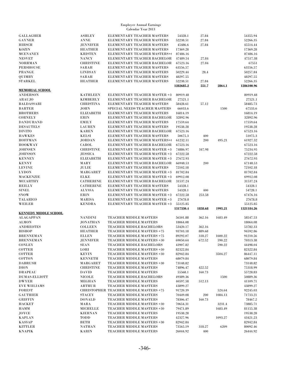| <b>GALLAGHER</b>                | <b>ASHLEY</b>                 | ELEMENTARY TEACHER MASTERS                       | 54328.1              | 27.84         |         | 54355.94             |
|---------------------------------|-------------------------------|--------------------------------------------------|----------------------|---------------|---------|----------------------|
| <b>GAYNER</b>                   | <b>ANNE</b>                   | ELEMENTARY TEACHER MASTERS                       | 52238.51             | 27.84         |         | 52266.35             |
| <b>HIRSCH</b>                   | <b>JENNIFER</b>               | ELEMENTARY TEACHER MASTERS                       | 45486.6              | 27.84         |         | 45514.44             |
|                                 |                               |                                                  |                      |               |         |                      |
| <b>KOZIN</b>                    | <b>HEATHER</b>                | ELEMENTARY TEACHER MASTERS                       | 17369.28             |               |         | 17369.28             |
| <b>MCENANEY</b>                 | <b>KRISTEN</b>                | ELEMENTARY TEACHER MASTERS+(                     | 87486.16             |               |         | 87486.16             |
| <b>NESVET</b>                   | <b>NANCY</b>                  | ELEMENTARY TEACHER BACHELOR                      | 47489.54             | 27.84         |         | 47517.38             |
| <b>NORRMAN</b>                  | <b>CHRISTINE</b>              | ELEMENTARY TEACHER BACHELOR                      | 67523.16             | 27.84         |         | 67551                |
| <b>PERSHOUSE</b>                | SARAH                         | ELEMENTARY TEACHER MASTERS                       | 63556.57             |               |         | 63556.57             |
| <b>PRANGE</b>                   |                               | ELEMENTARY TEACHER MASTERS                       |                      |               |         |                      |
|                                 | <b>LINDSAY</b>                |                                                  | 50229.44             | 28.4          |         | 50257.84             |
| QUIMBY                          | SARAH                         | ELEMENTARY TEACHER MASTERS                       | 48297.55             |               |         | 48297.55             |
| <b>STARKEL</b>                  | <b>HEATHER</b>                | ELEMENTARY TEACHER MASTERS                       | 52238.51             | 27.84         |         | 52266.35             |
|                                 |                               |                                                  | 1282685.2            | 551.7         | 2864.1  | 1286100.96           |
| <b>MEMORIAL SCHOOL</b>          |                               |                                                  |                      |               |         |                      |
| <b>ANDERSON</b>                 | <b>KATHLEEN</b>               | ELEMENTARY TEACHER MASTER +3                     | 80919.48             |               |         | 80919.48             |
|                                 |                               |                                                  |                      |               |         |                      |
| ARAUJO                          | <b>KIMBERLY</b>               | ELEMENTARY TEACHER BACHELOR                      | 27521.1              |               |         | 27521.1              |
| <b>BALDASSARI</b>               | <b>CHRISTINA</b>              | ELEMENTARY TEACHER MASTERS                       | 58428.61             | 57.12         |         | 58485.73             |
| <b>BARTER</b>                   | <b>JOHN</b>                   | SPECIAL NEEDS TEACHER MASTERS                    | 66033.6              |               | 1500    | 67533.6              |
| <b>BROTHERS</b>                 | <b>ELIZABETH</b>              | ELEMENTARY TEACHER MASTERS                       | 16814.19             |               |         | 16814.19             |
| <b>CORNELY</b>                  | <b>ERIN</b>                   | ELEMENTARY TEACHER BACHELOR                      | 32892.96             |               |         | 32892.96             |
|                                 |                               |                                                  |                      |               |         |                      |
| <b>DANDURAND</b>                | <b>EMILY</b>                  | ELEMENTARY TEACHER MASTERS                       | 17559.64             |               |         | 17559.64             |
| <b>DESAUTELS</b>                | <b>LAUREN</b>                 | ELEMENTARY TEACHER MASTERS                       | 19538.28             |               |         | 19538.28             |
| <b>DIVITO</b>                   | <b>KAREN</b>                  | ELEMENTARY TEACHER BACHELOR                      | 67523.16             |               |         | 67523.16             |
| <b>HAWKES</b>                   | <b>KELSI</b>                  | ELEMENTARY TEACHER MASTERS                       | 50675.3              | 400           |         | 51075.3              |
|                                 |                               |                                                  |                      |               |         |                      |
| <b>HOFFMAN</b>                  | <b>JORDAN</b>                 | ELEMENTARY TEACHER MASTERS+(                     | 61232.11             | 200           | 495.21  | 61927.32             |
| <b>HOOKWAY</b>                  | CAROL                         | ELEMENTARY TEACHER BACHELOR                      | 67523.16             |               |         | 67523.16             |
| <b>JOHNSEN</b>                  | <b>CHRISTINE</b>              | ELEMENTARY TEACHER MASTER +3                     | 74886.97             | 347.98        |         | 75234.95             |
| <b>JOHNSON</b>                  | <b>JESSICA</b>                | ELEMENTARY TEACHER MASTER +3                     | 67222.58             |               |         | 67222.58             |
| <b>KENNEY</b>                   | <b>ELIZABETH</b>              | ELEMENTARY TEACHER MASTER +3                     | 27672.93             |               |         | 27672.93             |
|                                 |                               | ELEMENTARY TEACHER BACHELOR                      |                      |               |         |                      |
| <b>KENNY</b>                    | MARY                          |                                                  | 66948.53             | 200           |         | 67148.53             |
| <b>LEVINE</b>                   | JULIE                         | ELEMENTARY TEACHER MASTERS                       | 72102.18             |               |         | 72102.18             |
| <b>LYDON</b>                    | <b>MARGARET</b>               | ELEMENTARY TEACHER MASTER +3                     | 81702.84             |               |         | 81702.84             |
| <b>MACKENZIE</b>                | ELKE                          | ELEMENTARY TEACHER MASTER +3                     | 69912.08             |               |         | 69912.08             |
| <b>MCCARTHY</b>                 | <b>CATHERINE</b>              | ELEMENTARY TEACHER BACHELOR                      | 31537.24             |               |         | 31537.24             |
| <b>REILLY</b>                   | <b>CATHERINE</b>              | ELEMENTARY TEACHER MASTERS                       | 54328.1              |               |         | 54328.1              |
|                                 |                               |                                                  |                      |               |         |                      |
| <b>SINEL</b>                    | <b>ALYSSA</b>                 | ELEMENTARY TEACHER MASTERS                       | 54328.1              | 400           |         | 54728.1              |
| <b>SNOW</b>                     | <b>ERIN</b>                   | ELEMENTARY TEACHER MASTER +3                     | 67222.58             | 253.58        |         | 67476.16             |
| <b>TALARICO</b>                 | MARISA                        | ELEMENTARY TEACHER MASTER +3                     | 27678.8              |               |         | 27678.8              |
| WEILER                          | <b>KENDRA</b>                 | ELEMENTARY TEACHER MASTER +3                     | 55125.85             |               |         | 55125.85             |
|                                 |                               |                                                  | 1317330.4            | 1858.68       | 1995.21 | 1321184.26           |
|                                 |                               |                                                  |                      |               |         |                      |
| <b>KENNEDY MIDDLE SCHOOL</b>    |                               |                                                  |                      |               |         |                      |
| <b>ALAGAPPAN</b>                | <b>NANDINI</b>                | TEACHER MIDDLE MASTERS                           | 56501.88             | 362.16        | 1683.49 | 58547.53             |
| <b>ALMON</b>                    | <b>JONATHAN</b>               | <b>TEACHER MIDDLE MASTERS</b>                    | 18064.08             |               |         | 18064.08             |
| <b>ANDREOTES</b>                | <b>COLLEEN</b>                | TEACHER MIDDLE BACHELORS                         | 53420.17             | 362.16        |         | 53782.33             |
| <b>BISHOP</b>                   | <b>HEATHER</b>                | TEACHER MIDDLE MASTERS +75                       | 93703.18             | 889.68        |         | 94592.86             |
| <b>BRENNEMAN</b>                | <b>ELLEN</b>                  | TEACHER MIDDLE MASTERS +75                       | 89292.07             | 318.27        | 1600.22 | 91210.56             |
|                                 |                               |                                                  |                      |               |         |                      |
| <b>BRENNEMAN</b>                | <b>JENNIFER</b>               | TEACHER MIDDLE MASTERS +30                       | 69050.64             | 672.52        | 590.22  | 70313.38             |
| <b>CONLEY</b>                   | <b>SEAN</b>                   | TEACHER MIDDLE BACHELORS                         | 43907.82             |               | 590.22  | 44498.04             |
| <b>COTTER</b>                   | LORI                          | TEACHER MIDDLE MASTERS +30                       | 82322.84             |               |         | 82322.84             |
| <b>COTTER</b>                   | <b>KEVIN</b>                  | TEACHER MIDDLE MASTERS +30                       | 82942.84             |               | 3504.27 | 86447.11             |
| <b>COTTON</b>                   | <b>KENNETH</b>                | TEACHER MIDDLE MASTERS                           | 68079.84             |               |         | 68079.84             |
|                                 |                               |                                                  |                      |               |         |                      |
| <b>DABRUSH</b>                  | MARGARET                      | TEACHER MIDDLE MASTERS +30                       | 73148.82             |               |         | 73148.82             |
| <b>DION</b>                     | <b>CHRISTINE</b>              | TEACHER MIDDLE MASTERS                           | 74896.47             | 422.52        |         | 75318.99             |
| <b>DRAPEAU</b>                  | <b>DAVID</b>                  | TEACHER MIDDLE MASTERS                           | 55568.1              | 160.73        |         | 55728.83             |
| <b>DUMAS-ELLIOTT</b>            | <b>NICOLE</b>                 | TEACHER MIDDLE BACHELORS                         | 49389.36             |               | 1500    | 50889.36             |
| <b>DWYER</b>                    | <b>MEGHAN</b>                 | TEACHER MIDDLE MASTERS                           | 40597.58             | 512.13        |         | 41109.71             |
|                                 |                               |                                                  |                      |               |         |                      |
| <b>EVE WIILIAMS</b>             | <b>ARTHUR</b>                 | TEACHER MIDDLE MASTERS                           | 43899.27             |               |         | 43899.27             |
| <b>FOREST</b>                   |                               | <b>CHRISTOPHER TEACHER MIDDLE MASTERS +75</b>    | 91720.39             |               | 524.64  | 92245.03             |
| <b>GAUTHIER</b>                 | STACEY                        | TEACHER MIDDLE MASTERS                           | 70449.08             | 200           | 1084.13 | 71733.21             |
| <b>GRIFFIN</b>                  | <b>DONALD</b>                 | TEACHER MIDDLE MASTERS                           | 78306.47             | 160.73        |         | 78467.2              |
| <b>HACKET</b>                   | MARA                          | TEACHER MIDDLE MASTERS +30                       | 70654.31             |               | 3231.4  | 73885.71             |
|                                 | <b>MICHELLE</b>               |                                                  |                      |               |         |                      |
| <b>HAMM</b>                     |                               | TEACHER MIDDLE MASTERS +30                       | 79471.89             |               | 1683.49 | 81155.38             |
| <b>JOYCE</b>                    |                               |                                                  |                      |               |         |                      |
|                                 | <b>KIERNAN</b>                | TEACHER MIDDLE MASTERS                           | 19538.28             |               |         | 19538.28             |
| <b>KAPLAN</b>                   | TODD                          | TEACHER MIDDLE MASTERS                           | 42327.96             |               | 1093.27 | 43421.23             |
| <b>KASSAP</b>                   | <b>BETH</b>                   | TEACHER MIDDLE MASTERS +30                       | 82942.84             |               |         | 82942.84             |
|                                 |                               |                                                  |                      |               |         |                      |
| <b>KITTLER</b><br><b>KNAPIK</b> | <b>NATHAN</b><br><b>KARIN</b> | TEACHER MIDDLE MASTERS<br>TEACHER MIDDLE MASTERS | 73565.19<br>26044.92 | 318.27<br>400 | 6209    | 80092.46<br>26444.92 |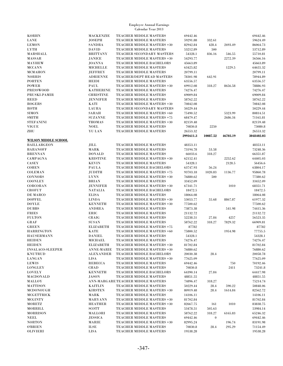| <b>KORHN</b>                | <b>MACKENZIE</b>  | <b>TEACHER MIDDLE MASTERS</b>      | 69442.46  |          |          | 69442.46   |
|-----------------------------|-------------------|------------------------------------|-----------|----------|----------|------------|
| <b>LANE</b>                 | <b>JOSEPH</b>     | TEACHER MIDDLE MASTERS             | 59291.88  | 332.61   |          | 59624.49   |
| <b>LEMON</b>                | <b>SANDRA</b>     | TEACHER MIDDLE MASTERS +30         | 82942.84  | 428.4    | 2693.49  | 86064.73   |
| <b>LYTH</b>                 | <b>DAVID</b>      | <b>TEACHER MIDDLE MASTERS</b>      | 53212.89  | 500      |          | 53712.89   |
| MARSHALL                    | <b>BRITTANY</b>   | TEACHER SECONDARY MASTERS          | 54328.1   | 836.16   | 546.55   | 55710.81   |
| <b>MASSAR</b>               | <b>JANICE</b>     | TEACHER MIDDLE MASTERS +30         | 54293.77  |          | 2272.39  | 56566.16   |
| <b>MAYHEW</b>               | <b>JOANNA</b>     | TEACHER MIDDLE BACHELORS           | 45663.89  |          |          | 45663.89   |
| <b>MCCANN</b>               | <b>MICHELLE</b>   | TEACHER MIDDLE MASTERS             | 63425.82  |          | 1229.5   | 64655.32   |
| <b>MCMAHON</b>              | <b>JEFFREY</b>    | TEACHER MIDDLE MASTERS             | 20799.11  |          |          | 20799.11   |
| <b>NORRIS</b>               | <b>ADRIENNE</b>   | TEACHER/DEPT HEAD MASTERS          | 78301.98  | 642.91   |          | 78944.89   |
| <b>PORTEN</b>               | <b>HEIDI</b>      | TEACHER MIDDLE MASTERS             | 63556.57  |          |          | 63556.57   |
| POWER                       | PAUL              | TEACHER MIDDLE MASTERS +30         | 69912.08  | 318.27   | 8656.58  | 78886.93   |
| <b>PRESSWOOD</b>            | <b>KATHERINE</b>  | TEACHER MIDDLE MASTERS             | 74276.47  |          |          | 74276.47   |
| PRUSKI-PAMIR                | <b>CHRISTINE</b>  | TEACHER MIDDLE MASTERS             | 69009.84  |          |          | 69009.84   |
| <b>REED</b>                 | <b>JENNIFER</b>   | TEACHER MIDDLE MASTERS             | 58762.22  |          |          | 58762.22   |
| <b>ROGERS</b>               | KATI              | TEACHER MIDDLE MASTERS +30         | 70842.08  |          |          | 70842.08   |
| ROTH                        | <b>LAURA</b>      | TEACHER SECONDARY MASTERS          | 50229.44  |          |          | 50229.44   |
| <b>SIMON</b>                | <b>SARAH</b>      | TEACHER MIDDLE MASTERS +60         | 75490.52  |          | 5323.99  | 80814.51   |
| <b>SMITH</b>                | <b>SUZANNE</b>    | TEACHER MIDDLE MASTERS +75         | 68479.47  |          | 2686.34  | 71165.81   |
| <b>STEFANINI</b>            | <b>THOMAS</b>     | TEACHER MIDDLE MASTERS +30         | 82159.48  |          |          | 82159.48   |
| <b>VIGUE</b>                | <b>NOEL</b>       | TEACHER MIDDLE MASTERS             | 70830.8   | 2250     |          | 73080.8    |
| ZHU                         | <b>YU LAN</b>     | TEACHER MIDDLE MASTERS             | 26553.32  |          |          | 26553.32   |
|                             |                   |                                    | 2991611.3 | 10087.52 | 46703.19 | 3048402.03 |
| <b>WILSON MIDDLE SCHOOL</b> |                   |                                    |           |          |          |            |
| <b>BAILLARGEON</b>          | JILL              | TEACHER MIDDLE MASTERS             | 48353.11  |          |          | 48353.11   |
| <b>BARANOFF</b>             | MARK              | <b>TEACHER MIDDLE MASTERS</b>      | 73194.78  | 53.58    |          | 73248.36   |
| <b>BRENNAN</b>              | <b>DONALD</b>     | <b>TEACHER MIDDLE MASTERS</b>      | 66033.6   | 318.27   |          | 66351.87   |
|                             |                   |                                    |           |          |          | 64405.03   |
| CAMPAGNA                    | <b>KRISTINE</b>   | TEACHER MIDDLE MASTERS +30         | 62152.41  |          | 2252.62  |            |
| CASEY                       | <b>KEVIN</b>      | TEACHER MIDDLE MASTERS             | 54328.1   |          | 2128.5   | 56456.6    |
| <b>COHEN</b>                | <b>PAULA</b>      | <b>TEACHER MIDDLE BACHELORS</b>    | 63747.93  | 56.24    |          | 63804.17   |
| <b>COLEMAN</b>              | <b>JUDITH</b>     | TEACHER MIDDLE MASTERS +75         | 93703.18  | 1020.83  | 1136.77  | 95860.78   |
| <b>CONNORS</b>              | <b>LYNN</b>       | TEACHER MIDDLE MASTERS +30         | 76880.62  | 500      |          | 77380.62   |
| <b>COONLEY</b>              | <b>BRIAN</b>      | TEACHER MIDDLE MASTERS             | 33452.09  |          |          | 33452.09   |
| CORCORAN                    | <b>JENNIFER</b>   | TEACHER MIDDLE MASTERS +30         | 67341.71  |          | 1010     | 68351.71   |
| <b>CROFUT</b>               | <b>NATALIA</b>    | TEACHER MIDDLE BACHELORS           | 18472.5   |          |          | 18472.5    |
| DE MARCO                    | <b>ELISA</b>      | TEACHER MIDDLE MASTERS             | 18064.08  |          |          | 18064.08   |
| <b>DOPFEL</b>               | <b>LINDA</b>      | TEACHER MIDDLE MASTERS +30         | 53053.77  | 55.68    | 8867.87  | 61977.32   |
| <b>DOYLE</b>                | <b>KENNETH</b>    | TEACHER MIDDLE MASTERS +30         | 77500.62  |          |          | 77500.62   |
| <b>DUBBS</b>                | <b>ANDREA</b>     | TEACHER MIDDLE MASTERS             | 73873.38  |          | 541.98   | 74415.36   |
| <b>FRIES</b>                | ERIC              | TEACHER MIDDLE MASTERS             | 21132.72  |          |          | 21132.72   |
| <b>FULTON</b>               | CRAIG             | TEACHER MIDDLE MASTERS             | 52238.51  | 27.84    | 4257     | 56523.35   |
| GRAF                        | <b>SUSAN</b>      | <b>TEACHER MIDDLE MASTERS</b>      | 58762.22  | 318.27   | 7829.32  | 66909.81   |
| <b>GREEN</b>                | <b>ELIZABETH</b>  | TEACHER MIDDLE MASTERS +75         | 87782     |          |          | 87782      |
| <b>HARRINGTON</b>           | <b>KATE</b>       | TEACHER MIDDLE MASTERS +60         | 75800.52  |          | 1954.98  | 77755.5    |
| <b>HAUSERMANN</b>           | <b>DANIEL</b>     | TEACHER MIDDLE MASTERS             | 54328.1   |          |          | 54328.1    |
| <b>HEIDEN</b>               | MICHAEL           | TEACHER MIDDLE MASTERS             | 74276.47  |          |          | 74276.47   |
| <b>HEIDEN</b>               | <b>ELIZABETH</b>  | TEACHER MIDDLE MASTERS +30         | 81702.84  |          |          | 81702.84   |
| <b>INSALACO-SLEEPER</b>     | <b>ANNE-MARIE</b> | TEACHER MIDDLE MASTERS +30         | 76880.62  |          |          | 76880.62   |
| <b>KNUTRUD</b>              | <b>ALEXANDER</b>  | TEACHER MIDDLE BACHELORS           | 20030.38  | 28.4     |          | 20058.78   |
| <b>LANGAN</b>               | <b>LISA</b>       | TEACHER MIDDLE MASTERS +30         | 77625.09  |          |          | 77625.09   |
| <b>LEWIS</b>                | <b>REBECCA</b>    | TEACHER MIDDLE MASTERS             | 69442.46  |          | 750      | 70192.46   |
| <b>LONGLEY</b>              | <b>CHAD</b>       | TEACHER MIDDLE MASTERS             | 70830.8   |          | 2411     | 73241.8    |
| <b>LOVELY</b>               | <b>KENNETH</b>    | TEACHER MIDDLE BACHELORS           | 64390.14  | 27.84    |          | 64417.98   |
| MACDONALD                   | <b>JASON</b>      | <b>TEACHER MIDDLE MASTERS</b>      | 48851.55  |          |          | 48851.55   |
| <b>MALLOY</b>               |                   | ANN-MARGARE TEACHER MIDDLE MASTERS | 74896.47  | 318.27   |          | 75214.74   |
| <b>MATTISON</b>             | <b>KAITLIN</b>    | TEACHER MIDDLE MASTERS             | 50229.44  | 28.4     | 590.22   | 50848.06   |
| MCDONOUGH                   | <b>KIRSTEN</b>    | TEACHER MIDDLE MASTERS +30         | 80919.48  | 28.4     | 1614.84  | 82562.72   |
| <b>MCGETTRICK</b>           | MARK              | TEACHER MIDDLE MASTERS             | 14106.11  |          |          | 14106.11   |
| <b>MCGINTY</b>              | <b>MARYANN</b>    | TEACHER MIDDLE MASTERS +30         | 81702.84  |          |          | 81702.84   |
| <b>MORETZ</b>               | <b>HEATHER</b>    | TEACHER MIDDLE MASTERS +30         | 82667.75  | 161      | 1010     | 83838.75   |
| MORRILL                     | <b>SCOTT</b>      | TEACHER MIDDLE MASTERS             | 53478.51  | 505.63   |          | 53984.14   |
| <b>MORRISON</b>             | MALLORI           | TEACHER MIDDLE MASTERS             | 58762.22  | 318.27   | 6165.83  | 65246.32   |
| <b>NEEL</b>                 | <b>JESSICA</b>    | TEACHER MIDDLE MASTERS             | 69442.46  | $\bf{0}$ |          | 69442.46   |
| <b>NORTON</b>               | MARIE             | TEACHER MIDDLE MASTERS +30         | 82995.24  |          | 196.74   | 83191.98   |
| <b>O'BRIEN</b>              | <b>ILSE</b>       | TEACHER MIDDLE MASTERS             | 70830.8   | 28.4     | 295.29   | 71154.49   |
| <b>OLIVIERI</b>             | <b>LISA</b>       | TEACHER MIDDLE MASTERS             | 19538.28  |          |          | 19538.28   |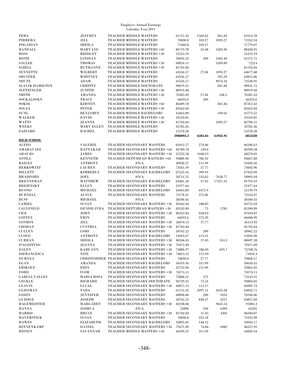| PERA                   | <b>JEFFREY</b>     | TEACHER MIDDLE MASTERS                | 61112.32  | 1560.62   | 841.84   | 63514.78 |
|------------------------|--------------------|---------------------------------------|-----------|-----------|----------|----------|
| PIRRERA                | JILL               | TEACHER MIDDLE MASTERS                | 70830.8   | 318.27    | 1093.27  | 72242.34 |
| <b>POGARIAN</b>        | <b>SHEILA</b>      | TEACHER MIDDLE MASTERS                | 71460.8   | 318.27    |          | 71779.07 |
| <b>RANDALL</b>         | <b>MARY LOU</b>    | TEACHER MIDDLE MASTERS +60            | 86719.78  | 55.68     | 1683.49  | 88458.95 |
| <b>ROSS</b>            | <b>BRIDGET</b>     | TEACHER MIDDLE MASTERS +30            | 55253.19  |           |          | 55253.19 |
| ROTH                   | <b>LINDSAY</b>     | TEACHER MIDDLE MASTERS                | 59692.22  | 200       | 1683.49  | 61575.71 |
| <b>SALLEE</b>          | <b>THOMAS</b>      | TEACHER MIDDLE MASTERS +30            | 69024.11  |           | 3189.89  | 72214    |
| <b>SCHILL</b>          | <b>RUTHANNE</b>    | TEACHER MIDDLE MASTERS +30            | 81702.84  |           |          | 81702.84 |
| <b>SENNETTE</b>        | WILBERT            | TEACHER MIDDLE MASTERS                | 63556.57  | 27.84     | 1093.27  | 64677.68 |
| <b>SHUSTER</b>         | WHITNEY            | TEACHER MIDDLE MASTERS                | 63556.57  |           | 295.29   | 63851.86 |
| <b>SHUTE</b>           | ADAM               | TEACHER MIDDLE MASTERS                | 63556.57  |           | 8974.34  | 72530.91 |
| <b>SLAVIK HAMILTON</b> | <b>CHRISTY</b>     | TEACHER MIDDLE DOCTORATE              | 90079.31  |           | 841.84   | 90921.15 |
| <b>SLETZINGER</b>      | JUDITH             | TEACHER MIDDLE MASTERS +30            | 80919.48  |           |          | 80919.48 |
| <b>SMITH</b>           | <b>AMANDA</b>      | TEACHER MIDDLE MASTERS +30            | 76385.09  | 27.84     | 168.5    | 76581.43 |
| SOCKALOSKY             | <b>TRACY</b>       | TEACHER MIDDLE MASTERS                | 66033.6   | 200       |          | 66233.6  |
| SOKOL                  | <b>KIRSTIN</b>     | TEACHER MIDDLE MASTERS +60            | 86409.78  |           | 841.84   | 87251.62 |
| <b>SOUZA</b>           | <b>PETER</b>       | TEACHER MIDDLE MASTERS +30            | 83562.84  |           |          | 83562.84 |
| <b>SUNG</b>            | <b>BENJAMIN</b>    | TEACHER MIDDLE BACHELORS              | 45663.89  |           | 109.62   | 45773.51 |
| <b>WALKER</b>          | <b>DAVID</b>       | TEACHER MIDDLE MASTERS +30            | 24510.81  |           |          | 24510.81 |
| <b>WATTS</b>           | <b>JEANNE</b>      | TEACHER MIDDLE MASTERS +30            | 81702.84  |           | 1093.27  | 82796.11 |
| <b>WEEKS</b>           | <b>MARY ELLEN</b>  | TEACHER MIDDLE MASTERS                | 32785.36  |           |          | 32785.36 |
| ZAZZARO                | <b>RACHEL</b>      | TEACHER MIDDLE MASTERS                | 12578.58  |           |          | 12578.58 |
|                        |                    |                                       | 3980893.3 | 6503.84   | 64922.91 | 4052320  |
| <b>HIGH SCHOOL</b>     |                    |                                       |           |           |          |          |
| <b>ALFEO</b>           | <b>VALERIE</b>     | TEACHER SECONDARY MASTERS             | 65912.57  | 274.06    |          | 66186.63 |
| AMARAVADI              | <b>RATNAKAR</b>    | TEACHER SECONDARY MASTERS +60         | 85789.78  | 149.6     |          | 85939.38 |
|                        | <b>JAMES</b>       | TEACHER SECONDARY MASTERS +30         | 67222.58  | 1048.23   |          | 68270.81 |
| ARAUJO                 |                    |                                       |           |           |          |          |
| <b>ASTILL</b>          | <b>KENNETH</b>     | TEACHER DEPT/HEAD MASTERS +60         | 93880.96  | 786.92    |          | 94667.88 |
| <b>BAILEY</b>          | <b>ANTHONY</b>     | $\#N/A$                               | 30928.27  | 111.09    |          | 31039.36 |
| <b>BERKOWITZ</b>       | <b>LAUREN</b>      | TEACHER SECONDARY MASTERS             | 73565.19  | 37.77     |          | 73602.96 |
| <b>BILLETT</b>         | <b>KIMBERLY</b>    | TEACHER SECONDARY BACHELORS           | 67523.16  | 399.93    |          | 67923.09 |
| <b>BRADFORD</b>        | JOEL               | $\#N/A$                               | 50711.55  | 533.62    | 7658.77  | 58903.94 |
| <b>BRENNEMAN</b>       | <b>MATTHEW</b>     | TEACHER SECONDARY BACHELORS           | 64401.28  | 37.03     | 17357.32 | 81795.63 |
| <b>BREZINSKY</b>       | <b>ELLEN</b>       | TEACHER SECONDARY MASTERS             | 21977.64  |           |          | 21977.64 |
| <b>BUONO</b>           | <b>MICHAEL</b>     | TEACHER SECONDARY BACHELORS           | 45663.89  | 6475.9    |          | 52139.79 |
| <b>BURNELL</b>         | <b>ALYCE</b>       | TEACHER SECONDARY MASTERS             | 73178.21  | 375.86    |          | 73554.07 |
| <b>BUSS</b>            | MICHAEL            | $\#N/A$                               | 58340.45  |           |          | 58340.45 |
| <b>CAMIEL</b>          | <b>SUSAN</b>       | TEACHER SECONDARY MASTERS +30         | 83562.84  | 188.85    |          | 83751.69 |
| <b>CAULFIELD</b>       | <b>DENISE-IVRA</b> | TEACHER DEPT/HEAD MASTERS +30         | 83532.89  | 75        | 1783     | 85390.89 |
| <b>CICE</b>            | <b>JOHN</b>        | TEACHER SECONDARY MASTERS +30         | 86352.84  | 658.03    |          | 87010.87 |
| <b>COFFEY</b>          | <b>ERIN</b>        | TEACHER SECONDARY MASTERS             | 66033.6   | 575.39    |          | 66608.99 |
| CONROY                 | JILL               | TEACHER SECONDARY MASTERS +30         | 26076.15  | 37.77     |          | 26113.92 |
| <b>CROHAN</b>          | <b>CYNTHIA</b>     | TEACHER SECONDARY MASTERS +30         | 81702.84  |           |          | 81702.84 |
| <b>CULLEN</b>          | LORI               | TEACHER SECONDARY MASTERS             | 58762.22  | 200       |          | 58962.22 |
| <b>CUOCO</b>           | <b>ANTHONY</b>     | TEACHER SECONDARY BACHELORS           | 14943.67  | 113.31    |          | 15056.98 |
| ${\bf CURRAN}$         | ${\bf SHEILA}$     | TEACHER SECONDARY MASTERS +30         | 80346.05  | $37.03\,$ | 314.3    | 80697.38 |
| D'AGOSTINO             | JOANNA             | TEACHER SECONDARY MASTERS +30         | 79471.89  |           |          | 79471.89 |
| DALEY                  | <b>KARI-ANN</b>    | TEACHER SECONDARY MASTERS +30         | 74886.97  | 186.09    | 695.7    | 75768.76 |
| <b>DIFRANCESCA</b>     | <b>NEIL</b>        | TEACHER SECONDARY MASTERS +30         | 74813.21  | 111.09    |          | 74924.3  |
| <b>DURYEA</b>          |                    | CHRISTOPHER TEACHER SECONDARY MASTERS | 70830.8   | 37.77     |          | 70868.57 |
| EGAN                   | AMANDA             | TEACHER SECONDARY BACHELORS           | 50319.36  | 311.09    |          | 50630.45 |
| <b>ERIKSEN</b>         | ERIN               | TEACHER SECONDARY MASTERS             | 32753.96  | 111.09    |          | 32865.05 |
| <b>FORD</b>            | <b>IVOR</b>        | TEACHER SECONDARY MASTERS +30         | 70574.11  |           |          | 70574.11 |
| <b>GARCIA-VALLES</b>   | <b>MARIA ROSA</b>  | TEACHER SECONDARY MASTERS             | 72868.21  | 275       |          | 73143.21 |
| <b>GECKLE</b>          | RICHARD            | TEACHER SECONDARY DOCTORATE           | 94729.31  | 75.54     |          | 94804.85 |
| <b>GLAVIN</b>          | LUCAS              | TEACHER SECONDARY MASTERS +30         | 60875.15  | 112.57    |          | 60987.72 |
| <b>GLIESMAN</b>        | TARA               | TEACHER SECONDARY MASTERS             | 61112.32  | 1097.11   | 2633.28  | 64842.71 |
| <b>GODIN</b>           | <b>JENNIFER</b>    | TEACHER SECONDARY MASTERS             | 68896.06  | 200       | 1010     | 70106.06 |
| <b>GUIDICE</b>         | <b>JOSEPH</b>      | TEACHER SECONDARY MASTERS             | 58762.22  | 838.47    | 4257     | 63857.69 |
| <b>HAGEMEISTER</b>     | <b>MARGARET</b>    | TEACHER SECONDARY MASTERS +30         | 82238.06  |           | 9645.14  | 91883.2  |
| <b>HANNA</b>           | <b>JOSHUA</b>      | $\#N/A$                               | 55896     | 100       | 6209     | 62205    |
| HARRIS                 | <b>BRUCE</b>       | TEACHER SECONDARY MASTERS +30         | 81702.84  | 37.03     | 4301     | 86040.87 |
| <b>HAVERSTICK</b>      | SUSAN              | TEACHER SECONDARY MASTERS             | 70830.8   | 222.18    |          | 71052.98 |
| <b>HAWES</b>           | <b>ELIZABETH</b>   | TEACHER SECONDARY BACHELORS           | 32895.05  | 148.12    |          | 33043.17 |
| <b>HINNENKAMP</b>      | <b>DANIEL</b>      | TEACHER SECONDARY MASTERS +30         | 79471.89  | 74.06     | 6982     | 86527.95 |
| <b>HISTEN</b>          | <b>SAVANNAH</b>    | TEACHER MIDDLE MASTERS +30            | 44509.25  | 311.09    |          | 44820.34 |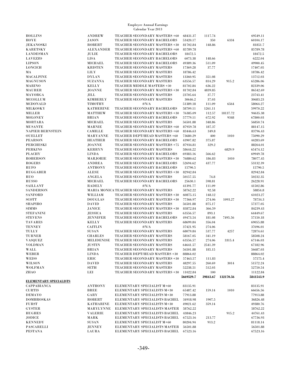| <b>HOLLINS</b>                | <b>ANDREW</b>          | TEACHER SECONDARY MASTERS +60                                  | 68431.37             | 1117.74  |           | 69549.11             |
|-------------------------------|------------------------|----------------------------------------------------------------|----------------------|----------|-----------|----------------------|
| HOYE                          | <b>JASON</b>           | TEACHER SECONDARY BACHELORS                                    | 53420.17             | 350      | 6334      | 60104.17             |
| <b>JEKANOSKI</b>              | <b>ROBERT</b>          | TEACHER SECONDARY MASTERS +30                                  | 81702.84             | 148.86   |           | 81851.7              |
| <b>KARETSKY</b>               | <b>ALEXANDER</b>       | TEACHER SECONDARY MASTERS +60                                  | 85789.78             |          |           | 85789.78             |
| <b>LANDESMAN</b>              | <b>JULIE</b>           | TEACHER SECONDARY BACHELORS                                    | 18472.5              |          |           | 18472.5              |
| <b>LAVEZZO</b>                | LISA                   | TEACHER SECONDARY BACHELORS                                    | 6073.38              | 148.66   |           | 6222.04              |
| <b>LIPSON</b>                 | <b>MICHAEL</b>         | TEACHER SECONDARY BACHELORS                                    | 49389.36             | 511.09   |           | 49900.45             |
| <b>LONCICH</b>                | <b>KRISTEN</b>         | TEACHER SECONDARY MASTERS                                      | 17369.28             | 37.77    |           | 17407.05             |
| MА                            | LILY                   | TEACHER SECONDARY MASTERS                                      | 18786.42             |          |           | 18786.42             |
| <b>MACALPINE</b>              | <b>DYLAN</b>           | TEACHER SECONDARY MASTERS                                      | 13360.95             | 351.08   |           | 13712.03             |
|                               |                        |                                                                |                      |          |           |                      |
| <b>MAGNUSON</b>               | <b>SUZANNA</b>         | TEACHER SECONDARY MASTERS                                      | 63556.57             | 814.29   | 915.2     | 65286.06             |
| <b>MARINO</b>                 | <b>KELLY</b>           | TEACHER MIDDLE MASTERS +30                                     | 81702.84             | 636.22   |           | 82339.06             |
| <b>MAURER</b>                 | <b>JOANNE</b>          | TEACHER SECONDARY MASTERS +30                                  | 81702.84             | 4839.85  |           | 86542.69             |
| MAYORGA                       | JILL                   | TEACHER SECONDARY MASTERS                                      | 23705.64             | 37.77    |           | 23743.41             |
| <b>MCCOLLUM</b>               | <b>KIMBERLY</b>        | TEACHER SECONDARY MASTERS                                      | 30646.2              | 37.03    |           | 30683.23             |
| <b>MCDONALD</b>               | <b>TIMOTHY</b>         | $\#N/A$                                                        | 51389.18             | 111.09   | 6564      | 58064.27             |
| <b>MILKOSKY</b>               | <b>KATHERINE</b>       | TEACHER SECONDARY BACHELORS                                    | 58709.11             | 1261.11  |           | 59970.22             |
| MILLER                        | <b>MATTHEW</b>         | TEACHER SECONDARY MASTERS +30                                  | 76385.09             | 112.57   | 18137.72  | 94635.38             |
| <b>MOLONEY</b>                | <b>BRIAN</b>           | TEACHER SECONDARY BACHELORS                                    | 57779.11             | 672.92   | 9348      | 67800.03             |
| MORTARA                       | <b>MICHAEL</b>         | TEACHER SECONDARY MASTERS                                      | 56501.88             | 348.86   |           | 56850.74             |
| <b>MUSANTE</b>                | <b>MARNIE</b>          | TEACHER SECONDARY MASTERS +60                                  | 87959.78             | 187.37   |           | 88147.15             |
| NAPIER BERNSTEIN              | <b>CAMILLE</b>         | TEACHER SECONDARY MASTERS +60                                  | 83446.63             | 349.8    |           | 83796.43             |
|                               |                        | TEACHER DEPT/HEAD MASTERS +60                                  |                      |          |           |                      |
| <b>OUELLET</b>                | <b>MARYANNE</b>        |                                                                | 73680.29             | 400      | 1010      | 75090.29             |
| <b>PEARSON</b>                | <b>HEATHER</b>         | TEACHER SECONDARY BACHELORS                                    | 43907.82             | 375.87   |           | 44283.69             |
| <b>PERCHESKI</b>              | <b>JOANNE</b>          | TEACHER SECONDARY MASTERS +75                                  | 87934.81             | 329.2    |           | 88264.01             |
| <b>PERKINS</b>                | <b>KERRYN</b>          | TEACHER SECONDARY MASTERS                                      | 58644.22             |          | 6829.9    | 65474.12             |
| <b>PLACHY</b>                 | <b>LINDA</b>           | TEACHER SECONDARY BACHELORS                                    | 69383.16             | 566.62   |           | 69949.78             |
| <b>ROBERSON</b>               | MARJORIE               | TEACHER SECONDARY MASTERS +30                                  | 76880.62             | 186.83   | 1010      | 78077.45             |
| <b>ROGERS</b>                 | <b>ANDREA</b>          | TEACHER SECONDARY BACHELORS                                    | 52694.62             | 437.77   |           | 53132.39             |
| RUFO                          | <b>ANTHONY</b>         | TEACHER SECONDARY BACHELORS                                    | 15790.5              |          |           | 15790.5              |
| <b>RUGGABER</b>               | <b>ALESE</b>           | TEACHER SECONDARY MASTERS +30                                  | 82942.84             |          |           | 82942.84             |
| <b>RUO</b>                    | <b>ANGELA</b>          | TEACHER SECONDARY MASTERS                                      | 50157.55             | 74.8     |           | 50232.35             |
| <b>RUSSO</b>                  | <b>MICHAEL</b>         | TEACHER SECONDARY BACHELORS                                    | 25630.1              | 598.81   |           | 26228.91             |
| <b>SAILLANT</b>               | <b>RADELY</b>          | $\#N/A$                                                        | 41391.77             | 111.09   |           | 41502.86             |
| <b>SANDERSON</b>              |                        | MARIA MONICA TEACHER SECONDARY MASTERS                         | 58762.22             | 92.58    |           | 58854.8              |
|                               |                        |                                                                |                      |          |           |                      |
| <b>SANFORD</b>                | WILLIAM                | TEACHER SECONDARY MASTERS +30                                  | 60875.15             | 148.12   |           | 61023.27             |
| <b>SCOTT</b>                  | <b>DOUGLAS</b>         | TEACHER SECONDARY MASTERS +30                                  | 77366.97             | 274.06   | 1093.27   | 78734.3              |
|                               | <b>DAVID</b>           | TEACHER SECONDARY MASTERS                                      | 56501.88             | 875.17   |           | 57377.05             |
| <b>SHAPIRO</b>                |                        |                                                                |                      |          |           |                      |
| <b>SIMMS</b>                  | JANICE                 | TEACHER SECONDARY MASTERS +30                                  | 83872.84             | 366.59   |           | 84239.43             |
| <b>STEFANINI</b>              | <b>JESSICA</b>         | TEACHER SECONDARY MASTERS                                      | 63556.57             | 893.1    |           | 64449.67             |
| <b>STEVENS</b>                | <b>JENNIFER</b>        | TEACHER SECONDARY BACHELORS                                    | 49473.54             | 181.08   | 7495.56   | 57150.18             |
| <b>TAVARES</b>                | <b>KELLY</b>           | TEACHER SECONDARY MASTERS                                      | 68699.84             | 356.04   |           | 69055.88             |
| <b>TENNEY</b>                 | <b>CAITLIN</b>         | $\#N/A$                                                        | 37421.95             | 274.06   |           | 37696.01             |
|                               | <b>SUSAN</b>           |                                                                |                      |          |           |                      |
| <b>TULLY</b>                  |                        | TEACHER SECONDARY MASTERS                                      | 68079.84             | 537.77   | 4257      | 72874.61             |
| <b>TURNER</b>                 | <b>CHARLES</b>         | TEACHER SECONDARY MASTERS                                      | 58167.05             | 341.19   |           | 58508.24             |
| VASQUEZ                       | <b>MELIDENISE</b>      | TEACHER SECONDARY MASTERS                                      | 63556.57             | 274.06   | 3315.4    | 67146.03             |
| <b>VOLDMAN</b>                | JUSTIN                 | TEACHER SECONDARY MASTERS                                      | 64641.57             | 2541.39  |           | 67182.96             |
| WALL                          | <b>BRIAN</b>           | TEACHER SECONDARY MASTERS                                      | 56501.88             | 185.15   |           | 56687.03             |
| <b>WEBER</b>                  | <b>LINDA</b>           | TEACHER DEPT/HEAD MASTERS +30                                  | 88864.02             |          |           | 88864.02             |
| <b>WEISS</b>                  | ERIC                   | TEACHER SECONDARY MASTERS +30                                  | 57463.57             | 111.83   |           | 57575.4              |
| <b>WILSON</b>                 | <b>DAVID</b>           | TEACHER SECONDARY MASTERS                                      | 48297.55             | 260.69   | 3014      | 51572.24             |
| <b>WOLFMAN</b>                | SETH                   | TEACHER SECONDARY MASTERS                                      | 52238.51             | 512.03   |           | 52750.54             |
| ZHAO                          | LEI                    | TEACHER SECONDARY MASTERS +30                                  | 11022.84             | 100      |           | 11122.84             |
|                               |                        |                                                                | 5669529.7            | 39843.67 | 132170.56 | 5841543.9            |
| <b>ELEMENTARY SPECIALISTS</b> |                        |                                                                |                      |          |           |                      |
| CAPPABIANCA                   | <b>ANTHONY</b>         | ELEMENTARY SPECIALIST M+60                                     | 83135.91             |          |           | 83135.91             |
| <b>CURTIS</b>                 | <b>BREE</b>            | ELEMENTARY SPECIALISTS M+30                                    | 65487.42             | 159.14   | 1010      | 66656.56             |
|                               |                        |                                                                |                      |          |           | 77913.88             |
| <b>DEMAYO</b>                 | GARY                   | ELEMENTARY SPECIALISTS M+30                                    | 77913.88             |          |           |                      |
| <b>DOMBROSKAS</b>             | ROBERT                 | ELEMENTARY SPECIALISTS BACHEL                                  | 34918.98             | 1907.5   |           | 36826.48             |
| <b>FURST</b>                  | <b>KATHARINE</b>       | ELEMENTARY SPECIALISTS M+30                                    | 49021.62             | 359.14   |           | 49380.76             |
| <b>GYSTER</b>                 | <b>MARYLYNNE</b>       | ELEMENTARY SPECIALISTS MASTER                                  | 58762.22             |          |           | 58762.22             |
| <b>HUGHES</b>                 | <b>VALERIE</b>         | ELEMENTARY SPECIALISTS BACHEL                                  | 43846.23             |          | 915.2     | 44761.43             |
| <b>JODICE</b>                 | MARK                   | ELEMENTARY SPECIALISTS BACHEL                                  | 67523.16             | 213.77   |           | 67736.93             |
| <b>KENNEDY</b>                | <b>SUSAN</b>           | ELEMENTARY SPECIALIST M+60                                     | 80204.94             | 913.2    |           | 81118.14             |
| PASCARELLI<br><b>PESTANA</b>  | <b>JENNEY</b><br>LAURA | ELEMENTARY SPECIALISTS MASTER<br>ELEMENTARY SPECIALISTS BACHEL | 56501.88<br>67523.16 |          |           | 56501.88<br>67523.16 |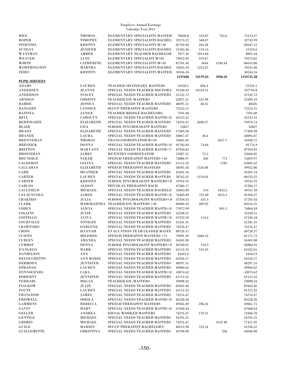| <b>RICE</b>           | <b>THOMAS</b>    | ELEMENTARY SPECIALISTS MASTER         | 70830.8  | 519.87   | 762.6   | 72113.27           |
|-----------------------|------------------|---------------------------------------|----------|----------|---------|--------------------|
| <b>ROPER</b>          | <b>TIMOTHY</b>   | ELEMENTARY SPECIALISTS BACHEL         | 32174.12 | 568.87   |         | 32742.99           |
| <b>STOETZEL</b>       | <b>KRISTIN</b>   | ELEMENTARY SPECIALISTS M+30           | 81702.84 | 344.28   |         | 82047.12           |
| <b>SUNDAY</b>         |                  |                                       |          | 159.14   |         |                    |
|                       | JENIFER          | ELEMENTARY SPECIALISTS BACHEL         | 51365.46 |          |         | 51524.6<br>8891.94 |
| <b>WANTMAN</b>        | AMBER            | ELEMENTARY TEACHER BACHELOR           | 7077.26  | 1814.68  |         |                    |
| <b>WEAVER</b>         | JANE             | ELEMENTARY SPECIALIST M+60            | 79052.94 | 319.87   |         | 79372.81           |
| WHITE                 | <b>CATHERINE</b> | ELEMENTARY SPECIALISTS M+30           | 81761.44 | 3644     | 1248.44 | 86653.88           |
| <b>WORTHINGTON</b>    | <b>MARTHA</b>    | ELEMENTARY SPECIALISTS BACHEL         | 18265.59 | 1255.87  |         | 19521.46           |
| <b>ZIDES</b>          | <b>KRISTIN</b>   | ELEMENTARY SPECIALISTS MASTER         | 30556.16 |          |         | 30556.16           |
|                       |                  |                                       | 1137626  | 12179.33 | 3936.24 | 1153741.58         |
| <b>PUPIL SERVICES</b> |                  |                                       |          |          |         |                    |
| <b>ADAMS</b>          | <b>LAUREN</b>    | TEACHER SECONDARY MASTERS             | 54328.1  | 896.4    |         | 55224.5            |
| <b>ANDERSEN</b>       | <b>JEANNE</b>    | SPECIAL NEEDS TEACHER DOCTORA         | 97240.49 | 10554.31 |         | 107794.8           |
| <b>ANDERSON</b>       | <b>STACEY</b>    | SPECIAL NEEDS TEACHER MASTERS         | 21132.72 |          |         | 21132.72           |
| <b>ARNOLD</b>         | <b>CHRISTY</b>   | TEACHER ESL MASTERS                   | 22857.21 | 431.98   |         | 23289.19           |
| <b>BAHDE</b>          | <b>JESSICA</b>   | SPECIAL NEEDS TEACHER MASTERS         | 48297.55 | 28.45    |         | 48326              |
| <b>BANGERT</b>        | <b>CANDICE</b>   | <b>OCCUP THERAPIST MASTERS</b>        | 75553.15 |          |         | 75553.15           |
| <b>BATISTA</b>        | <b>JANICE</b>    | TEACHER MIDDLE BACHELORS              | 7591.68  |          |         | 7591.68            |
| <b>BELL</b>           | <b>CAROLYN</b>   | <b>SPECIAL NEEDS TEACHER MASTR+3(</b> | 62152.41 |          |         | 62152.41           |
| <b>BERTOLOZZI</b>     | <b>ELIZABETH</b> | SPECIAL NEEDS TEACHER MASTERS         | 74276.47 | 2698.27  |         | 76974.74           |
| <b>BLAIR</b>          | <b>LISA</b>      | <b>SCHOOL PSYCHOLOGIST MASTERS</b>    | 52827    |          |         | 52827              |
| <b>BRADY</b>          | <b>ELISABETH</b> | SPECIAL NEEDS TEACHER MASTERS         | 17369.28 |          |         | 17369.28           |
|                       |                  |                                       |          |          |         |                    |
| <b>BRANDE</b>         | LAURA            | SPECIAL NEEDS TEACHER MASTERS         | 20867.47 | 28.4     |         | 20895.87           |
| <b>BRENNEMAN</b>      | <b>THOMAS</b>    | TRANS COORDINATOR M+30                | 32681.05 |          | 1657.7  | 34338.75           |
| <b>BRESNICK</b>       | <b>DONNA</b>     | SPECIAL NEEDS TEACHER MASTR+3(        | 81702.84 | 74.06    |         | 81776.9            |
| <b>BRITTON</b>        | <b>MARYANN</b>   | <b>SPECIAL NEEDS TEACHER MASTR+75</b> | 87934.81 |          |         | 87934.81           |
| <b>BROSNIHAN</b>      | <b>JAMES</b>     | <b>RE-ENTRY COORDINATOR</b>           | 53587.55 | 73.3     |         | 53660.85           |
| <b>BRUNDIGE</b>       | <b>SARAH</b>     | <b>SPEECH THERAPIST MASTERS +30</b>   | 74886.97 | 200      | 773     | 75859.97           |
| <b>CALDERON</b>       | <b>CELINA</b>    | <b>SPECIAL NEEDS TEACHER MASTERS</b>  | 61112.32 |          | 1783    | 62895.32           |
| <b>CALLAHAN</b>       | <b>ELIZABETH</b> | SPEECH THERAPIST MASTERS              | 38395.18 | 1526.88  |         | 39922.06           |
| CARR                  | <b>HEATHER</b>   | SPECIAL NEEDS TEACHER MASTERS         | 45201.54 |          |         | 45201.54           |
| <b>CARTER</b>         | <b>LAUREN</b>    | SPECIAL NEEDS TEACHER MASTERS         | 58762.22 | 1370.03  |         | 60132.25           |
| <b>CARTER</b>         | <b>KRISTEN</b>   | SCHOOL PSYCHOLOGIST MASTERS+30        | 59761.91 |          |         | 59761.91           |
| CARUSO                | <b>ALISON</b>    | PHYSICAL THERAPIST BACH               | 47266.17 |          |         | 47266.17           |
| <b>CAULFIELD</b>      | MICHAEL          | SPECIAL NEEDS TEACHER BACHELO         | 45663.89 | 670      | 3433.5  | 49767.39           |
| <b>CAVAGNUOLO</b>     | <b>JARED</b>     | SPECIAL NEEDS TEACHER MASTR+30        | 76385.09 | 755.68   | 4255.5  | 81396.27           |
| <b>CHAKIRIS</b>       | <b>JULIA</b>     | SCHOOL PSYCHOLOGIST MASTERS+30        | 47350.35 | 431.3    |         | 47781.65           |
| <b>CLARK</b>          |                  | MARIMARTHA TEACHER ESL MASTERS +30    | 84006.33 | 509.92   |         | 84516.25           |
| <b>COHEN</b>          | <b>ALICIA</b>    | SPECIAL NEEDS TEACHER MASTR+30        | 75972.99 |          | 891.5   | 76864.49           |
| <b>COLLINS</b>        | JULIE            | SPECIAL NEEDS TEACHER MASTERS         | 52238.51 |          |         | 52238.51           |
| COSTELLO              | <b>AVIVA</b>     | SPECIAL NEEDS TEACHER MASTR+3(        | 67222.58 | 113.6    |         | 67336.18           |
| <b>COURVILLE</b>      | <b>TONILEE</b>   | SPECIAL NEEDS TEACHER MASTERS         | 55341.31 |          |         | 55341.31           |
| <b>CRAWFORD</b>       | <b>DARLENE</b>   | SPECIAL NEEDS TEACHER MASTERS         | 74276.47 |          |         | 74276.47           |
| CROSS                 | <b>HANNAH</b>    | <b>EVALUATION TEAM LEADER MASTE:</b>  | 80726.37 |          |         | 80726.37           |
|                       |                  |                                       |          |          |         |                    |
| <b>CUIFFO</b>         | MILDRED          | <b>SPEECH THERAPIST MASTERS +75</b>   | 79491.39 | 1680.33  |         | 81171.72           |
| ${\tt CURLEY}$        | <b>AMANDA</b>    | SPECIAL NEEDS TEACHER MASTERS         | 56501.88 |          |         | $56501.88\,$       |
| <b>CYMROT</b>         | <b>DONNA</b>     | SCHOOL PSYCHOLOGIST MASTERS+30        | 82760.01 | 124.9    |         | 82884.91           |
| <b>D'ANGELO</b>       | MARK             | SPECIAL NEEDS TEACHER MASTERS         | 61112.32 | 510.33   |         | 61622.65           |
| <b>DANIELSON</b>      | ANN              | SPECIAL NEEDS TEACHER MASTERS         | 44565.9  |          |         | 44565.9            |
| <b>DELDUCHETTO</b>    | <b>ANN MARIE</b> | SPECIAL NEEDS TEACHER MASTERS         | 63556.57 |          |         | 63556.57           |
| <b>DERMODY</b>        | <b>JENNIFER</b>  | SPECIAL NEEDS TEACHER MASTERS         | 48297.55 |          |         | 48297.55           |
| <b>DIMASCIO</b>       | <b>LAUREN</b>    | SPECIAL NEEDS TEACHER MASTERS         | 49960.62 |          |         | 49960.62           |
| <b>D'INNOCENZO</b>    | CARA             | SPECIAL NEEDS TEACHER MASTR+30        | 43074.62 |          |         | 43074.62           |
| <b>DOHERTY</b>        | JENNIFER         | SPECIAL NEEDS TEACHER MASTERS         | 61112.32 |          |         | 61112.32           |
| <b>FERRARI</b>        | <b>MEGAN</b>     | TEACHER ESL MASTERS                   | 19098.24 |          |         | 19098.24           |
| <b>FIALKOW</b>        | JULIE            | SPECIAL NEEDS TEACHER MASTERS         | 69442.46 |          |         | 69442.46           |
| <b>FOUTZ</b>          | <b>LAUREN</b>    | SPECIAL NEEDS TEACHER MASTERS         | 61112.32 |          |         | 61112.32           |
| <b>FRANCIOSE</b>      | <b>JAMES</b>     | SPECIAL NEEDS TEACHER MASTERS         | 74276.47 |          |         | 74276.47           |
| <b>FRISWELL</b>       | SHEILA           | SPECIAL NEEDS TEACHER MASTR+30        | 82528.36 |          |         | 82528.36           |
| <b>GAMMONS</b>        | <b>REBECCA</b>   | SPEECH THERAPIST MASTERS              | 49265.49 | 596.26   |         | 49861.75           |
| GAVIN                 | MARY             | <b>SPECIAL NEEDS TEACHER MASTR+30</b> | 67668.44 |          |         | 67668.44           |
| GELLER                | <b>ANDREA</b>    | <b>SOCIAL WORKER MASTERS</b>          | 74276.47 | 170.31   |         | 74446.78           |
| <b>GENTILE</b>        | MICHAEL          | SPECIAL NEEDS TEACHER MASTERS         | 16701.21 |          |         | 16701.21           |
| <b>GRIMES</b>         | <b>MICHAEL</b>   | SPECIAL NEEDS TEACHER MASTERS         | 74276.47 |          | 3135.48 | 77411.95           |
| GUILD                 | <b>MARION</b>    | <b>OCCUP THERAPIST BACHELOR'S</b>     | 40513.98 | 722.54   |         | 41236.52           |
| <b>GUILLEMETTE</b>    | <b>CHRISTINA</b> | SPECIAL NEEDS TEACHER MASTERS         |          |          | 250     | 44040.98           |
|                       |                  |                                       | 43790.98 |          |         |                    |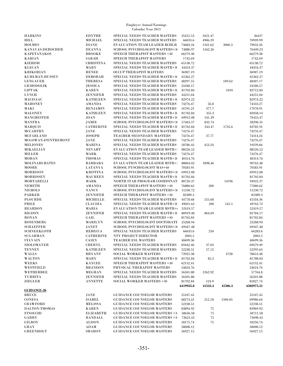| <b>HARKINS</b>        | <b>EDYTHE</b>                | SPECIAL NEEDS TEACHER MASTERS         | 35415.53  | 1021.47 |         | 36437      |
|-----------------------|------------------------------|---------------------------------------|-----------|---------|---------|------------|
| <b>HILL</b>           | <b>MICHAEL</b>               | SPECIAL NEEDS TEACHER MASTERS         | 66033.6   | 4906.39 |         | 70939.99   |
| <b>HOLMES</b>         | <b>DIANE</b>                 | EVALUATION TEAM LEADER BCHLR          | 74684.34  | 1341.62 | 3006.3  | 79032.26   |
| KANAVAS-DEROCHER      | <b>DEANNA</b>                | SCHOOL PSYCHOLOGIST MASTERS+30        | 74886.97  | 1562.26 |         | 76449.23   |
| KAPETANAKOS           | <b>BROOKE</b>                | SPEECH THERAPIST MASTERS +30          | 66279.38  |         |         | 66279.38   |
| <b>KARIAN</b>         | SARAH                        | SPEECH THERAPIST MASTERS              | 1742.69   |         |         | 1742.69    |
| <b>KIEBISH</b>        | <b>CHRISTINA</b>             | SPECIAL NEEDS TEACHER MASTERS         | 65138.72  |         |         | 65138.72   |
| <b>KLECAN</b>         | MARY                         | <b>SPECIAL NEEDS TEACHER MASTR+30</b> | 44454.37  |         |         | 44454.37   |
| <b>KRIKORIAN</b>      | <b>RENEE</b>                 | <b>OCCUP THERAPIST MASTERS</b>        | 36907.19  |         |         | 36907.19   |
| KUHLMAN-HUSSEY        | <b>DEBORAH</b>               | <b>SPECIAL NEEDS TEACHER MASTR+30</b> | 65362.27  |         |         | 65362.27   |
| <b>LENGAUER</b>       | <b>THERESA</b>               | SPECIAL NEEDS TEACHER MASTERS         | 48297.55  |         | 109.62  | 48407.17   |
| <b>LICHODOLIK</b>     | <b>JESSICA</b>               | SPECIAL NEEDS TEACHER MASTERS         | 24180.57  |         |         | 24180.57   |
| <b>LIPTAK</b>         | <b>KAREN</b>                 | <b>SPECIAL NEEDS TEACHER MASTR+3(</b> | 81702.84  |         | 1010    | 82712.84   |
| <b>LYNCH</b>          | <b>JENNIFER</b>              | SPECIAL NEEDS TEACHER MASTERS         | 44251.04  |         |         | 44251.04   |
| <b>MACISAAC</b>       | <b>KATHLEEN</b>              | <b>SPECIAL NEEDS TEACHER MASTR+30</b> | 82974.22  |         |         | 82974.22   |
| <b>MAHONEY</b>        | AMANDA                       | SPECIAL NEEDS TEACHER MASTERS         | 74276.47  | 56.8    |         | 74333.27   |
| MAKI                  | <b>BENJAMIN</b>              | SPECIAL NEEDS TEACHER MASTERS         | 16701.21  | 377.7   |         | 17078.91   |
| <b>MALONEY</b>        | <b>KATHLEEN</b>              | <b>SPECIAL NEEDS TEACHER MASTR+30</b> | 81702.84  | 355.3   |         | 82058.14   |
| <b>MANCHESTER</b>     | <b>JOAN</b>                  | <b>SPECIAL NEEDS TEACHER MASTR+3(</b> | 69912.08  | 541.39  |         | 70453.47   |
| <b>MANFRA</b>         | JAMIE                        | SCHOOL PSYCHOLOGIST MASTERS+30        | 57463.57  | 832.74  |         | 58296.31   |
| <b>MARQUIS</b>        | <b>CATHERINE</b>             | SPECIAL NEEDS TEACHER MASTR+30        | 81702.84  | 343.47  | 1735.6  | 83781.91   |
| <b>MCCARTHY</b>       | JANE                         | SPECIAL NEEDS TEACHER MASTERS         | 74276.47  |         |         | 74276.47   |
| <b>MCFARLAND</b>      | <b>JOSEPH</b>                | TEACHER SECONDARY MASTERS             | 74276.47  | 37.77   |         | 74314.24   |
| MCGOWAN-D'ENTREMONT   | <b>JANE</b>                  | SPECIAL NEEDS TEACHER MASTERS         | 74276.47  |         |         | 74276.47   |
| <b>MELIONES</b>       | MARINA                       | SPECIAL NEEDS TEACHER MASTERS         | 18786.42  | 453.24  |         | 19239.66   |
| MIKAELIAN             | <b>NEVART</b>                | <b>EVALUATION TEAM LEADER MSTR+:</b>  | 88526.52  |         |         | 88526.52   |
| <b>MILLER</b>         | MARK                         | SPECIAL NEEDS TEACHER MASTERS         | 74276.47  |         |         | 74276.47   |
| <b>MOHAN</b>          | <b>THOMAS</b>                | SPECIAL NEEDS TEACHER MASTR+30        | 40314.76  |         |         | 40314.76   |
| <b>MOLINARI-BATES</b> | <b>BARBARA</b>               | <b>EVALUATION TEAM LEADER MSTR+:</b>  | 88864.02  | 1898.46 |         | 90762.48   |
| MOORE                 | LATANYA                      | SCHOOL PYSCHOLOGIST MAS+60            | 70583.91  |         |         | 70583.91   |
| MORRISON              | <b>KRISTINA</b>              | SCHOOL PSYCHOLOGIST MASTERS+30        | 69912.08  |         |         | 69912.08   |
| MORRISSEY             | <b>MAUREEN</b>               | <b>SPECIAL NEEDS TEACHER MASTR+30</b> | 81702.84  |         |         | 81702.84   |
| MORTARELLI            | MARK                         | NORTH STAR PROGRAM COORDINAT          | 80726.37  |         | 14196   | 94922.37   |
| <b>NEMETH</b>         | AMANDA                       | SPEECH THERAPIST MASTERS +30          | 76880.62  | 200     |         | 77080.62   |
| <b>NICHOLS</b>        | <b>NANCY</b>                 | SCHOOL PSYCHOLOGIST MASTERS+30        | 11230.72  |         |         | 11230.72   |
| <b>PARKER</b>         | <b>JENNIFER</b>              | SPEECH THERAPIST MASTERS +30          | 82389.3   |         |         | 82389.3    |
| <b>PLOURDE</b>        | <b>MICHELLE</b>              | SPECIAL NEEDS TEACHER MASTERS         | 44778.68  | 555.68  |         | 45334.36   |
| PRICE                 | <b>CLAUDIA</b>               | <b>SPECIAL NEEDS TEACHER MASTR+30</b> | 49021.62  | 200     | 541.1   | 49762.72   |
| <b>REARDON</b>        | MARIA                        | <b>EVALUATION TEAM LEADER MSTR+0</b>  | 52419.57  |         |         | 52419.57   |
| <b>RIGDON</b>         | <b>JENNIFER</b>              | <b>SPECIAL NEEDS TEACHER MASTR+3(</b> | 80919.48  | 864.69  |         | 81784.17   |
| <b>RONAN</b>          | GAIL                         | SPEECH THERAPIST MASTERS +30          | 81702.84  |         |         | 81702.84   |
| <b>ROSENBERG</b>      | <b>MARILYN</b>               | SCHOOL PSYCHOLOGIST DOCTORATE         | 25268.94  |         |         | 25268.94   |
| <b>SCHAEFFER</b>      | JANET                        | SCHOOL PSYCHOLOGIST MASTERS+30        | 69447.48  |         |         | 69447.48   |
| <b>SCHNEEKLOTH</b>    | <b>REBECCA</b>               | SPECIAL NEEDS TEACHER MASTERS         | 66033.6   | 250     |         | 66283.6    |
| <b>SUGARMAN</b>       | <b>CATHERINE</b>             | NTY PROJECT DIRECTOR                  | 2003.5    |         |         | 2003.5     |
| <b>SYLVAIN</b>        | CASEY                        | TEACHER ESL MASTERS                   | 40699.36  |         |         | 40699.36   |
| SZOLOMAYER            | <b>CHERYL</b>                | SPECIAL NEEDS TEACHER MASTERS         | 69442.46  | 37.03   |         | 69479.49   |
| <b>TENNEY</b>         | <b>KATHLEEN</b>              | SPECIAL NEEDS TEACHER MASTERS         | 52238.51  | 57.12   |         | 52295.63   |
| <b>WALLS</b>          | <b>BRYANT</b>                | <b>SOCIAL WORKER MASTERS</b>          | 73925.38  |         | 4728    | 78653.38   |
| WALTON                | MARY                         | SPECIAL NEEDS TEACHER MASTR+30        | 81702.84  | 85.2    |         | 81788.04   |
| <b>WEEKS</b>          | <b>KAYCEE</b>                | SPEECH THERAPIST MASTERS +30          | 62152.41  |         |         | 62152.41   |
| WESTFIELD             | <b>BRANDON</b>               | PHYSICAL THERAPIST MASTERS            | 54024.76  |         |         | 54024.76   |
| WETHERBEE             | <b>MEGHAN</b>                | SPECIAL NEEDS TEACHER MASTERS         | 56501.88  | 1262.92 |         | 57764.8    |
| YURRITA               | JENNIFER                     | SPECIAL NEEDS TEACHER MASTERS         | 56501.88  |         |         | 56501.88   |
| ZIEGLER               | <b>ANNETTE</b>               | SOCIAL WORKER MASTERS +30             | 81702.84  | 124.9   |         | 81827.74   |
|                       |                              |                                       | 6419935.8 | 41533.4 | 41506.3 | 6502975.51 |
| <b>GUIDANCE-26</b>    |                              |                                       |           |         |         |            |
| <b>BRUCE</b>          | JANE                         | <b>GUIDANCE COUNSELOR MASTERS</b>     | 55107.45  |         |         | 55107.45   |
| <b>CONESA</b>         | <b>ISABEL</b>                | <b>GUIDANCE COUNSELOR MASTERS</b>     | 68274.41  | 212.18  | 1500.05 | 69986.64   |
| <b>CRAWFORD</b>       | MELISSA                      | <b>GUIDANCE COUNSELOR MASTERS</b>     | 52238.51  |         |         | 52238.51   |
| DALTON-THOMAS         | <b>KAREN</b>                 | <b>GUIDANCE COUNSELOR MASTERS</b>     | 83894.92  | 75      |         | 83969.92   |
| <b>FINOCCHI</b>       | <b>ELIZABETH</b>             | <b>GUIDANCE COUNSELOR MASTERS +3</b>  | 58636.58  | 75      |         | 58711.58   |
| GARRY                 | RANDALL                      | <b>GUIDANCE COUNSELOR MASTERS +3</b>  | 73623.43  | 75      |         | 73698.43   |
| GILROY                | <b>ALISON</b>                | <b>GUIDANCE COUNSELOR MASTERS</b>     | 18175.74  | 75      |         | 18250.74   |
| GRAY                  | $\boldsymbol{\mathrm{ADAM}}$ | <b>GUIDANCE COUNSELOR MASTERS</b>     | 58008.12  |         |         | 58008.12   |
| <b>GREENHOLT</b>      | <b>SHARON</b>                | <b>GUIDANCE COUNSELOR MASTERS</b>     | 56927.15  |         |         | 56927.15   |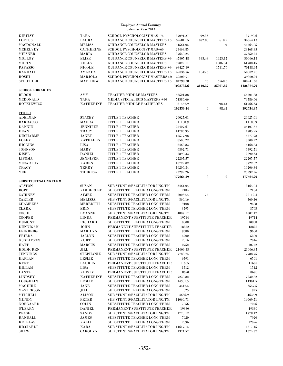| <b>KIRITSY</b>               | <b>TARA</b>                            | SCHOOL PYSCHOLOGIST MAS+75           | 87091.27  | 99.33    |                  | 87190.6    |
|------------------------------|----------------------------------------|--------------------------------------|-----------|----------|------------------|------------|
| <b>LOFTUS</b>                | <b>LAURA</b>                           | <b>GUIDANCE COUNSELOR MASTERS +3</b> | 32681.05  | 1072.88  | 610.2            | 34364.13   |
|                              |                                        |                                      |           |          |                  |            |
| MACDONALD                    | <b>MELISA</b>                          | <b>GUIDANCE COUNSELOR MASTERS</b>    | 44564.05  |          | $\boldsymbol{0}$ | 44564.05   |
| <b>MCKELVEY</b>              | <b>CATHERINE</b>                       | SCHOOL PYSCHOLOGIST MAS+60           | 23468.85  |          |                  | 23468.85   |
| <b>MEISNER</b>               | MARIA                                  | <b>GUIDANCE COUNSELOR MASTERS</b>    | 37650.24  |          |                  | 37650.24   |
| <b>MOLLOY</b>                | <b>ELISE</b>                           | <b>GUIDANCE COUNSELOR MASTERS +3</b> | 47805.48  | 335.48   | 1925.17          | 50066.13   |
| <b>MORIN</b>                 | <b>KELLY</b>                           | <b>GUIDANCE COUNSELOR MASTERS</b>    | 59022.11  |          | 2686.34          | 61708.45   |
| <b>PAPASSO</b>               | <b>NICOLE</b>                          | <b>GUIDANCE COUNSELOR MASTERS +3</b> | 68427.19  |          | 1711.76          | 70138.95   |
| <b>RANDALL</b>               | AMANDA                                 | <b>GUIDANCE COUNSELOR MASTERS +3</b> | 49036.76  | 1045.5   |                  | 50082.26   |
| ROSHI                        | MARJOLA                                | SCHOOL PSYCHOLOGIST MASTERS+30       | 39800.91  |          |                  | 39800.91   |
| <b>STROTHER</b>              | <b>MATTHEW</b>                         | <b>GUIDANCE COUNSELOR MASTERS +3</b> | 84298.38  | 75       | 16568.3          | 100941.68  |
|                              |                                        |                                      | 1098732.6 | 3140.37  | 25001.82         | 1126874.79 |
|                              |                                        |                                      |           |          |                  |            |
| <b>SCHOOL LIBRARIES</b>      |                                        |                                      |           |          |                  |            |
| <b>BLOOM</b>                 | AMY                                    | <b>TEACHER MIDDLE MASTERS</b>        | 56501.88  |          |                  | 56501.88   |
| MCDONALD                     | TARA                                   | <b>MEDIA SPECIALISTS MASTERS +30</b> | 74586.66  |          |                  | 74586.66   |
| <b>ROTKIEWICZ</b>            | <b>KATHERINE</b>                       | <b>TEACHER MIDDLE BACHELORS</b>      | 61467.9   |          | 98.43            | 61566.33   |
|                              |                                        |                                      | 192556.44 | $\bf{0}$ | 98.43            | 192654.87  |
| <b>TITLE 1</b>               |                                        |                                      |           |          |                  |            |
| <b>ADELMAN</b>               | <b>STACEY</b>                          | <b>TITLE 1 TEACHER</b>               | 20025.01  |          |                  | 20025.01   |
| <b>BARRASSO</b>              | MAURA                                  | <b>TITLE 1 TEACHER</b>               | 11188.9   |          |                  | 11188.9    |
| <b>DANNIN</b>                | <b>JENNIFER</b>                        | <b>TITLE 1 TEACHER</b>               | 25407.67  |          |                  | 25407.67   |
| <b>DEAN</b>                  | <b>TRACY</b>                           | <b>TITLE 1 TEACHER</b>               | 14785.95  |          |                  | 14785.95   |
|                              |                                        |                                      |           |          |                  |            |
| <b>DUCHARME</b>              | JANET                                  | <b>TITLE 1 TEACHER</b>               | 15577.98  |          |                  | 15577.98   |
| <b>FOLEY</b>                 | <b>KATHLEEN</b>                        | <b>TITLE 1 TEACHER</b>               | 8500.22   |          |                  | 8500.22    |
| <b>HIGGINS</b>               | <b>LISA</b>                            | <b>TITLE 1 TEACHER</b>               | 6468.83   |          |                  | 6468.83    |
| <b>JOHNSON</b>               | MARY                                   | <b>TITLE 1 TEACHER</b>               | 6392.71   |          |                  | 6392.71    |
| <b>KISEL</b>                 | <b>DANIEL</b>                          | <b>TITLE 1 TEACHER</b>               | 2890.33   |          |                  | 2890.33    |
| <b>LIPOMA</b>                | <b>JENNIFER</b>                        | <b>TITLE 1 TEACHER</b>               | 22205.57  |          |                  | 22205.57   |
| <b>MCCARTHY</b>              | <b>KAREN</b>                           | <b>TITLE 1 TEACHER</b>               | 10722.02  |          |                  | 10722.02   |
|                              |                                        |                                      |           |          |                  |            |
| <b>TRACY</b>                 | <b>TERRY</b>                           | <b>TITLE 1 TEACHER</b>               | 10206.84  |          |                  | 10206.84   |
| YEE                          | <b>THERESA</b>                         | <b>TITLE 1 TEACHER</b>               | 23292.26  |          |                  | 23292.26   |
|                              |                                        |                                      | 177664.29 | $\bf{0}$ | $\bf{0}$         | 177664.29  |
| <b>SUBSTITUTES-LONG TERM</b> |                                        |                                      |           |          |                  |            |
| <b>ALSTON</b>                | <b>SUSAN</b>                           | SUB STDNT S/FACILITATOR LNG/TM       | 3464.04   |          |                  | 3464.04    |
| <b>BOPP</b>                  | <b>KIMBERLEE</b>                       | SUBSTITUTE TEACHER LONG TERM         | 2184      |          |                  | 2184       |
| <b>CAIRNEY</b>               | AIMEE                                  | SUBSTITUTE TEACHER LONG TERM         | 20037.4   | 75       |                  | 20112.4    |
| <b>CARTER</b>                | <b>MELISSA</b>                         | SUB STDNT S/FACILITATOR LNG/TM       | 360.16    |          |                  | 360.16     |
| <b>CHAMBERS</b>              | MEREDITH                               | SUBSTITUTE TEACHER LONG TERM         | 9408      |          |                  | 9408       |
| <b>CLARK</b>                 | <b>ERIN</b>                            | SUBSTITUTE TEACHER LONG TERM         | 3795      |          |                  | 3795       |
|                              |                                        |                                      |           |          |                  |            |
| COCHI                        | <b>LYANNE</b>                          | SUB STDNT S/FACILITATOR LNG/TM       | 4807.17   |          |                  | 4807.17    |
| <b>COOPER</b>                | <b>LINDA</b>                           | PERMANENT SUBSTITUTE TEACHER         | 19714     |          |                  | 19714      |
| <b>DUMONT</b>                | <b>RICHARD</b>                         | SUBSTITUTE TEACHER LONG TERM         | 10808     |          |                  | 10808      |
| <b>DUNNIGAN</b>              | JOHN                                   | PERMANENT SUBSTITUTE TEACHER         | 18822     |          |                  | 18822      |
| <b>FEINBERG</b>              | MARILYN                                | SUBSTITUTE TEACHER LONG TERM         | 9680      |          |                  | 9680       |
| <b>FRIEDA</b>                | JACLYN                                 | SUBSTITUTE TEACHER LONG TERM         | 5200      |          |                  | 5200       |
| ${\tt GUSTAFSON}$            | $\mathbf K\mathbf U\mathbf R\mathbf T$ | SUBSTITUTE TEACHER LONG TERM         | 2016      |          |                  | $2016\,$   |
| HATT                         | <b>MARCUS</b>                          | SUBSTITUTE TEACHER LONG TERM         | 10752     |          |                  | 10752      |
|                              |                                        |                                      | 21006.35  |          |                  |            |
| <b>HOLMGREN</b>              | JILL                                   | PERMANENT SUBSTITUTE TEACHER         |           |          |                  | 21006.35   |
| <b>JENNINGS</b>              | <b>STEPHANIE</b>                       | SUB STDNT S/FACILITATOR LNG/TM       | 7788.75   |          |                  | 7788.75    |
| <b>KAPLAN</b>                | <b>LESLIE</b>                          | SUBSTITUTE TEACHER LONG TERM         | 6591      |          |                  | 6591       |
| <b>KENT</b>                  | <b>LAUREN</b>                          | PERMANENT SUBSTITUTE TEACHER         | 11605     |          |                  | 11605      |
| KILLAM                       | LISA                                   | SUBSTITUTE TEACHER LONG TERM         | 1512      |          |                  | 1512       |
| <b>LANTZ</b>                 | <b>KRISTY</b>                          | PERMANENT SUBSTITUTE TEACHER         | 8690      |          |                  | 8690       |
| <b>LINDSEY</b>               | <b>KATHERINE</b>                       | SUBSTITUTE TEACHER LONG TERM         | 7230.82   |          |                  | 7230.82    |
| <b>LOUGHLIN</b>              | <b>LESLIE</b>                          | SUBSTITUTE TEACHER LONG TERM         | 14301.5   |          |                  | 14301.5    |
| <b>MAGUIRE</b>               | JANE                                   | SUBSTITUTE TEACHER LONG TERM         | 3547.5    |          |                  | 3547.5     |
|                              |                                        |                                      |           |          |                  |            |
| <b>MASTERSON</b>             | JILL                                   | SUBSTITUTE TEACHER LONG TERM         | 825       |          |                  | 825        |
| <b>MITCHELL</b>              | <b>ALISON</b>                          | SUB STDNT S/FACILITATOR LNG/TM       | 4636.9    |          |                  | 4636.9     |
| MUNDY                        | PETER                                  | SUB STDNT S/FACILITATOR LNG/TM       | 14069.71  |          |                  | 14069.71   |
| <b>NORGAARD</b>              | <b>COLIN</b>                           | SUBSTITUTE TEACHER LONG TERM         | 7056      |          |                  | 7056       |
| <b>O'LEARY</b>               | <b>DANIEL</b>                          | PERMANENT SUBSTITUTE TEACHER         | 19380     |          |                  | 19380      |
| <b>PEASE</b>                 | <b>SANDY</b>                           | SUB STDNT S/FACILITATOR LNG/TM       | 1778.12   |          |                  | 1778.12    |
| <b>RANDALL</b>               | JAMES                                  | SUBSTITUTE TEACHER LONG TERM         | 7920      |          |                  | 7920       |
| <b>RETELAS</b>               |                                        | SUBSTITUTE TEACHER LONG TERM         | 12096     |          |                  | 12096      |
|                              | KALLI                                  |                                      |           |          |                  |            |
| <b>RICCIARDI</b>             | KARA                                   | SUB STDNT S/FACILITATOR LNG/TM       | 14617.15  |          |                  | 14617.15   |
| <b>SHAW</b>                  | <b>CAROLYN</b>                         | SUB STDNT S/FACILITATOR LNG/TM       | 1374.57   |          |                  | 1374.57    |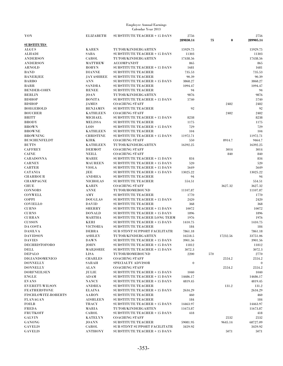| YON                                   | <b>ELIZABETH</b>               | <b>SUBSTITUTE TEACHER + 15 DAYS</b>                                        | 2756<br>289830.14 | 75<br>$\bf{0}$ | 2756<br>289905.14 |
|---------------------------------------|--------------------------------|----------------------------------------------------------------------------|-------------------|----------------|-------------------|
| <b>SUBSTITUTES</b>                    |                                |                                                                            |                   |                |                   |
| <b>ALGUS</b>                          | <b>KAREN</b>                   | TUTOR/KINDERGARTEN                                                         | 15929.75          |                | 15929.75          |
| <b>ALHADI</b>                         | SABA                           | <b>SUBSTITUTE TEACHER + 15 DAYS</b>                                        | 11303             |                | 11303             |
| <b>ANDERSON</b>                       | CAROL                          | TUTOR/KINDERGARTEN                                                         | 17438.56          |                | 17438.56          |
| <b>ANDERSON</b>                       | <b>MATTHEW</b>                 | <b>ACCOMPANIST</b>                                                         | 865               |                | 865               |
| <b>ARNOLD</b>                         | <b>ROBYN</b>                   | <b>SUBSTITUTE TEACHER + 15 DAYS</b>                                        | 1681              |                | 1681              |
| <b>BAND</b>                           | <b>DIANNE</b>                  | <b>SUBSTITUTE TEACHER</b>                                                  | 735.53            |                | 735.53            |
| <b>BANERJEE</b>                       | <b>JAYASHREE</b>               | <b>SUBSTITUTE TEACHER</b>                                                  | 90.39             |                | 90.39             |
| <b>BARBO</b>                          | <b>ANN</b>                     | SUBSTITUTE TEACHER + 15 DAYS                                               | 3868.27           |                | 3868.27           |
| <b>BARR</b>                           | <b>SANDRA</b>                  | <b>SUBSTITUTE TEACHER</b>                                                  | 1094.47           |                | 1094.47           |
| <b>BENDER-COHN</b>                    | <b>RENEE</b>                   | <b>SUBSTITUTE TEACHER</b>                                                  | 94                |                | 94                |
| <b>BERLIN</b>                         | <b>JOAN</b>                    | TUTOR/KINDERGARTEN                                                         | 9876              |                | 9876              |
| <b>BISHOP</b>                         | <b>BONITA</b>                  | <b>SUBSTITUTE TEACHER + 15 DAYS</b>                                        | 5740              |                | 5740              |
| <b>BISHOP</b>                         | <b>JAMES</b>                   | <b>COACHING STAFF</b>                                                      |                   | 2482           | 2482              |
| <b>BOEGEHOLD</b>                      | <b>BENJAMIN</b>                | <b>SUBSTITUTE TEACHER</b>                                                  | 92                |                | 92                |
| <b>BOUCHER</b>                        | <b>KATHLEEN</b>                | <b>COACHING STAFF</b>                                                      |                   | 2482           | 2482              |
| <b>BRITT</b>                          | <b>MICHAEL</b>                 | <b>SUBSTITUTE TEACHER + 15 DAYS</b>                                        | 8238              |                | 8238              |
| <b>BRODY</b>                          | <b>MELISSA</b>                 | <b>SUBSTITUTE TEACHER</b>                                                  | 1175              |                | 1175              |
| <b>BROWN</b>                          | <b>LOIS</b>                    | <b>SUBSTITUTE TEACHER + 15 DAYS</b>                                        | 729               |                | 729               |
| <b>BROWNE</b>                         | <b>KATHLEEN</b>                | <b>SUBSTITUTE TEACHER</b>                                                  | 104               |                | 104               |
| <b>BROWNING</b>                       | <b>CHRISTINE</b>               | <b>SUBSTITUTE TEACHER + 15 DAYS</b>                                        | 11972.71          |                | 11972.71          |
| <b>BUSCHENFELDT</b>                   | <b>KIRK</b>                    | <b>COACHING STAFF</b>                                                      | 550               | 8914.7         | 9464.7            |
| <b>BUTTS</b>                          | <b>KATHLEEN</b>                | TUTOR/KINDERGARTEN                                                         | 16392.25          |                | 16392.25          |
| <b>CAFFREY</b>                        | <b>DERMOT</b>                  | <b>COACHING STAFF</b>                                                      |                   | 3014           | 3014              |
| <b>CAINE</b>                          | <b>NEILL</b>                   | <b>COACHING STAFF</b>                                                      |                   | 840            | 840               |
| <b>CARADONNA</b>                      | MARIE                          | <b>SUBSTITUTE TEACHER + 15 DAYS</b>                                        | 834               |                | 834               |
| <b>CARNEY</b>                         | <b>MAUREEN</b>                 | <b>SUBSTITUTE TEACHER + 15 DAYS</b>                                        | 520               |                | 520               |
| <b>CARTER</b>                         | <b>VIOLA</b>                   | <b>SUBSTITUTE TEACHER + 15 DAYS</b>                                        | 5649              |                | 5649              |
| <b>CATANIA</b>                        | JEE                            | <b>SUBSTITUTE TEACHER + 15 DAYS</b>                                        | 13025.22          |                | 13025.22          |
| <b>CHAHROUR</b>                       | <b>ANDREA</b>                  | <b>SUBSTITUTE TEACHER</b>                                                  | 94                |                | 94                |
| <b>CHAMPAGNE</b>                      | <b>NICHOLAS</b>                | <b>SUBSTITUTE TEACHER</b>                                                  | 554.51            |                | 554.51            |
| <b>CHUE</b>                           | <b>KARIN</b>                   | <b>COACHING STAFF</b>                                                      |                   | 3627.32        | 3627.32           |
| <b>CONNORS</b>                        | <b>ANNE</b>                    | TUTOR/HOMEBOUND                                                            | 11107.87          |                | 11107.87          |
| <b>CONWELL</b>                        | $\bf AMY$                      | <b>SUBSTITUTE TEACHER</b>                                                  | 1770              |                | 1770              |
| COPPI                                 | <b>DOUGLAS</b>                 | <b>SUBSTITUTE TEACHER + 15 DAYS</b>                                        | 2420              |                | 2420              |
| <b>COVIELLO</b>                       | <b>DAVID</b>                   | <b>SUBSTITUTE TEACHER</b>                                                  | 368               |                | 368               |
| <b>CURNS</b>                          | <b>SHERRY</b>                  | <b>SUBSTITUTE TEACHER + 15 DAYS</b>                                        | 10072             |                | 10072             |
| <b>CURNS</b>                          | <b>DONALD</b>                  | <b>SUBSTITUTE TEACHER + 15 DAYS</b>                                        | 1896              |                | 1896              |
| <b>CURRAN</b>                         | MARTHA                         | <b>SUBSTITUTE TEACHER LONG TERM</b>                                        | 1976              |                | 1976              |
| <b>CUSSON</b>                         | <b>KERI</b>                    | <b>SUBSTITUTE TEACHER + 15 DAYS</b>                                        | 1410.75           |                | 1410.75           |
| DA COSTA                              | <b>VICTORIA</b>                | <b>SUBSTITUTE TEACHER</b>                                                  | 184               |                | 184               |
| <b>DASILVA</b>                        | <b>DEBRA</b>                   | SUB STDNT SUPPORT FACILITATR                                               | 7861.18           |                | 7861.18           |
| <b>DAVIDSON</b>                       | <b>ASHLEY</b>                  | TUTOR/KINDERGARTEN                                                         | 16518.5           | 17232.56       | 33751.06          |
|                                       |                                |                                                                            |                   |                | 3901.56           |
| <b>DAVIES</b><br><b>DECHRISTOFORO</b> | <b>DAWN</b>                    | <b>SUBSTITUTE TEACHER + 15 DAYS</b><br><b>SUBSTITUTE TEACHER + 15 DAYS</b> | 3901.56           |                |                   |
| DELL                                  | <b>JOHN</b><br><b>MARJORIE</b> |                                                                            | 11812<br>3072.3   |                | 11812<br>3072.3   |
| <b>DEPALO</b>                         | LISA                           | <b>SUBSTITUTE TEACHER + 15 DAYS</b>                                        | 2200              |                |                   |
|                                       |                                | TUTOR/HOMEBOUND                                                            |                   | 570            | 2770              |
| <b>DIGIANDOMENICO</b>                 | <b>CHARLES</b>                 | <b>COACHING STAFF</b>                                                      | $\mathbf{0}$      | 2554.2         | 2554.2            |
| <b>DONNELLY</b>                       | SARAH                          | SPECIALTY ADVISOR                                                          |                   |                | $\mathbf{0}$      |
| <b>DONNELLY</b>                       | ALAN                           | <b>COACHING STAFF</b>                                                      |                   | 2554.2         | 2554.2            |
| <b>DORFNEILSEN</b>                    | JULIE                          | <b>SUBSTITUTE TEACHER + 15 DAYS</b>                                        | 1040              |                | 1040              |
| <b>ENGLE</b>                          | $\boldsymbol{\mathrm{ADAM}}$   | <b>SUBSTITUTE TEACHER + 15 DAYS</b>                                        | 14686.17          |                | 14686.17          |
| <b>EVANS</b>                          | <b>NANCY</b>                   | <b>SUBSTITUTE TEACHER + 15 DAYS</b>                                        | 4819.45           |                | 4819.45           |
| <b>EVERETT-WILSON</b>                 | <b>ANDREA</b>                  | <b>SUBSTITUTE TEACHER</b>                                                  |                   | 131.2          | 131.2             |
| <b>FEATHERSTONE</b>                   | <b>ELAINA</b>                  | <b>SUBSTITUTE TEACHER + 15 DAYS</b>                                        | 2634.29           |                | 2634.29           |
| <b>FISCHLOWITZ-ROBERTS</b>            | <b>AARON</b>                   | <b>SUBSTITUTE TEACHER</b>                                                  | 460               |                | 460               |
| <b>FLANAGAN</b>                       | <b>AISHLEEN</b>                | <b>SUBSTITUTE TEACHER</b>                                                  | 184               |                | 184               |
| <b>FOILB</b>                          | <b>TRACY</b>                   | <b>SUBSTITUTE TEACHER + 15 DAYS</b>                                        | 14463.97          |                | 14463.97          |
| <b>FREDA</b>                          | MARIA                          | TUTOR/KINDERGARTEN                                                         | 11673.87          |                | 11673.87          |
| <b>FRUTKOFF</b>                       | CAROL                          | <b>SUBSTITUTE TEACHER + 15 DAYS</b>                                        | 418               |                | 418               |
| GALVIN                                | <b>KATELYN</b>                 | <b>COACHING STAFF</b>                                                      |                   | 2532           | 2532              |
| GANONG                                | JOANN                          | <b>SUBSTITUTE TEACHER</b>                                                  | 59081.95          | 9645.14        | 68727.09          |
| <b>GAVELIS</b>                        | CAROL                          | SUB STDNT SUPPORT FACILITATR                                               | 3459.92           |                | 3459.92           |
| <b>GAVELIS</b>                        | <b>ANTHONY</b>                 | <b>SUBSTITUTE TEACHER + 15 DAYS</b>                                        |                   | 5071           | 5071              |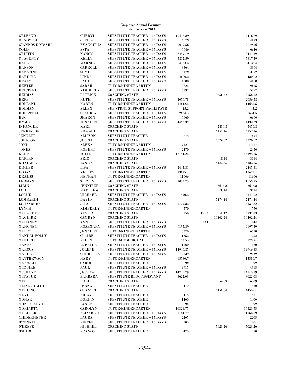| <b>GELFAND</b>                  | <b>CHERYL</b>        | <b>SUBSTITUTE TEACHER + 15 DAYS</b>            | 12416.89 |                | 12416.89           |
|---------------------------------|----------------------|------------------------------------------------|----------|----------------|--------------------|
| <b>GENOVESE</b>                 | <b>CLELIA</b>        | <b>SUBSTITUTE TEACHER + 15 DAYS</b>            | 4873     |                | 4873               |
| <b>GIANNOS KOTSARI</b>          | <b>EVANGELIA</b>     | <b>SUBSTITUTE TEACHER + 15 DAYS</b>            | 2079.56  |                | 2079.56            |
| $_{\rm GOLD}$                   | <b>ESTA</b>          | <b>SUBSTITUTE TEACHER + 15 DAYS</b>            | 6646     |                | 6646               |
| <b>GRIFFIN</b>                  | <b>NANCY</b>         | <b>SUBSTITUTE TEACHER + 15 DAYS</b>            | 3447.19  |                | 3447.19            |
| GUAGENTY                        | <b>KELLY</b>         | <b>SUBSTITUTE TEACHER + 15 DAYS</b>            | 5817.59  |                | 5817.59            |
| HALL                            | <b>MARNIE</b>        | <b>SUBSTITUTE TEACHER + 15 DAYS</b>            | 4133.4   |                | 4133.4             |
| <b>HANSON</b>                   | CARROLL              | <b>SUBSTITUTE TEACHER + 15 DAYS</b>            | 3364     |                | 3364               |
| HANSTINE                        | SUMI                 | <b>SUBSTITUTE TEACHER + 15 DAYS</b>            | 3172     |                | 3172               |
| <b>HARDING</b>                  | <b>LINDA</b>         | <b>SUBSTITUTE TEACHER + 15 DAYS</b>            | 4800.2   |                | 4800.2             |
| HEALY                           | PAUL                 | <b>SUBSTITUTE TEACHER + 15 DAYS</b>            | 4088     |                | 4088               |
| <b>HEFTER</b>                   | SARAH                | TUTOR/KINDERGARTEN                             | 9625     |                | 9625               |
| <b>HEISTAND</b>                 | <b>KIMBERLY</b>      | <b>SUBSTITUTE TEACHER + 15 DAYS</b>            | 5597     |                | 5597               |
| <b>HELMAS</b>                   | <b>PATRICK</b>       | <b>COACHING STAFF</b>                          |          | 3556.52        | 3556.52            |
| HEPP                            | <b>RUTH</b>          | <b>SUBSTITUTE TEACHER + 15 DAYS</b>            | 2056.78  |                | 2056.78            |
| HOLLAND                         | <b>KAREN</b>         | TUTOR/KINDERGARTEN                             | 14642.5  |                | 14642.5            |
| HOLMAN                          | <b>ELLEN</b>         | SUB STDNT SUPPORT FACILITATR                   | 45.2     |                | 45.2               |
| <b>HOPEWELL</b>                 | <b>CLAUDIA</b>       | <b>SUBSTITUTE TEACHER + 15 DAYS</b>            | 2634.5   |                | 2634.5             |
| HUG                             | <b>SHARON</b>        | <b>SUBSTITUTE TEACHER + 15 DAYS</b>            | 6660     |                | 6660               |
| HYMES                           | <b>JENNIFER</b>      | <b>SUBSTITUTE TEACHER + 15 DAYS</b>            | 4432.39  |                | 4432.39            |
| <b>INFANGER</b>                 | <b>KARL</b>          | <b>COACHING STAFF</b>                          |          | 7450.8         | 7450.8             |
| <b>JENKINSON</b>                | <b>EDWARD</b>        | <b>COACHING STAFF</b>                          |          | 6152.16        | 6152.16            |
| <b>JENNETT</b>                  | ALLISON              | <b>SUBSTITUTE TEACHER</b>                      | 874      |                | 874                |
| <b>JOHNSON</b>                  | <b>JOSEPH</b>        | <b>COACHING STAFF</b>                          |          | 7326.62        | 7326.62            |
| JOKI                            | ALEXA                | TUTOR/KINDERGARTEN                             | 17127    |                | 17127              |
| <b>JONES</b>                    | ROBERT               | <b>SUBSTITUTE TEACHER + 15 DAYS</b>            | 2470     |                | 2470               |
| KAHN                            | JULIE                | TUTOR/KINDERGARTEN                             | 16194.25 | 3014           | 16194.25           |
| <b>KAPLAN</b><br><b>KHAEMBA</b> | ERIC                 | <b>COACHING STAFF</b><br><b>COACHING STAFF</b> |          | 6104.56        | 3014               |
| <b>KIMLER</b>                   | JANET<br><b>LISA</b> | SUBSTITUTE TEACHER + 15 DAYS                   | 2445.31  |                | 6104.56<br>2445.31 |
| <b>KOSAN</b>                    | <b>KELSEY</b>        | TUTOR/KINDERGARTEN                             | 13675.1  |                | 13675.1            |
| KRAUSS                          | <b>MEGHAN</b>        | TUTOR/KINDERGARTEN                             | 11606    |                | 11606              |
| LERMAN                          | <b>STEVEN</b>        | <b>SUBSTITUTE TEACHER + 15 DAYS</b>            | 1053.75  |                | 1053.75            |
| LIBIN                           | <b>JENNIFER</b>      | <b>COACHING STAFF</b>                          |          | 3616.8         | 3616.8             |
| $\text{LODI}$                   | <b>MATTHEW</b>       | <b>COACHING STAFF</b>                          |          | 3014           | 3014               |
| $_{\rm LOGUE}$                  | <b>MICHAEL</b>       | <b>SUBSTITUTE TEACHER + 15 DAYS</b>            | 1470.2   |                | 1470.2             |
| LOMBARDI                        | <b>DAVID</b>         | <b>COACHING STAFF</b>                          |          | 7474.44        | 7474.44            |
| LOUNSBURY                       | ZITA                 | SUBSTITUTE TEACHER + 15 DAYS                   | 5137.82  |                | 5137.82            |
| LYNCH                           | <b>KIMBERLY</b>      | TUTOR/KINDERGARTEN                             | 770      |                | 770                |
| MABARDY                         | ALYSSA               | <b>COACHING STAFF</b>                          | 550      | 845.83<br>4342 | 5737.83            |
| MAGUIRE                         | <b>CAMRYN</b>        | <b>COACHING STAFF</b>                          |          | 10402.24       | 10402.24           |
| MAHANEY                         | <b>ANN</b>           | <b>SUBSTITUTE TEACHER + 15 DAYS</b>            |          | 144            | 144                |
| <b>MAHONEY</b>                  | ROSEMARY             | <b>SUBSTITUTE TEACHER + 15 DAYS</b>            | 9197.39  |                | 9197.39            |
| MALEY                           | <b>JENNIFER</b>      | TUTOR/KINDERGARTEN                             | 6370     |                | 6370               |
| <b>MANDEL FOLLY</b>             | <b>CLAIRE</b>        | <b>SUBSTITUTE TEACHER + 15 DAYS</b>            | 1352     |                | 1352               |
| MANDELL                         | <b>ELLEN</b>         | TUTOR/HOMEBOUND                                | 173.54   |                | 173.54             |
| MANNA                           | M. PETER             | <b>SUBSTITUTE TEACHER + 15 DAYS</b>            | 1160     |                | 1160               |
| MARCUS                          | <b>JOLENE</b>        | <b>SUBSTITUTE TEACHER + 15 DAYS</b>            | 14946.85 |                | 14946.85           |
| <b>MARDEN</b>                   | CHRISTINA            | <b>SUBSTITUTE TEACHER + 15 DAYS</b>            | 9139     |                | 9139               |
| MATTHEWSON                      | MARY                 | TUTOR/KINDERGARTEN                             | 15580.7  |                | 15580.7            |
| MAXWELL                         | CAROL                | <b>SUBSTITUTE TEACHER</b>                      | 92       |                | 92                 |
| MCGUIRE                         | PAUL                 | SUBSTITUTE TEACHER + 15 DAYS                   | 4915     |                | 4915               |
| MCSHANE                         | JESSICA              | <b>SUBSTITUTE TEACHER + 15 DAYS</b>            | 14740.79 |                | 14740.79           |
| <b>MCTAGUE</b>                  | BARBARA              | SUBSTITUTE BLDG ASSISTANT                      | 8622.03  |                | 8622.03            |
| MEI                             | ROBERT               | <b>COACHING STAFF</b>                          |          | 6209           | 6209               |
| MEISENHELDER                    | JENNA                | <b>SUBSTITUTE TEACHER</b>                      | 470      |                | 470                |
| MERLINO                         | <b>CHANTEL</b>       | <b>COACHING STAFF</b>                          |          | 4450.64        | 4450.64            |
| MEYER                           | <b>ERICA</b>         | <b>SUBSTITUTE TEACHER</b>                      | 414      |                | 414                |
| MOHAR                           | <b>DORIAN</b>        | <b>SUBSTITUTE TEACHER</b>                      | 1400     |                | 1400               |
| MONTECALVO                      | <b>JANET</b>         | <b>SUBSTITUTE TEACHER</b>                      | 92       |                | 92                 |
| MORIARTY                        | <b>CAROLYN</b>       | TUTOR/KINDERGARTEN                             | 16321.75 |                | 16321.75           |
| MUELLER                         | <b>ELIZABETH</b>     | <b>SUBSTITUTE TEACHER + 15 DAYS</b>            | 1164.79  |                | 1164.79            |
| NIEDERMEYER                     | LAURA                | <b>SUBSTITUTE TEACHER + 15 DAYS</b>            | 2205     |                | 2205               |
| O'CONNELL                       | <b>VINCENT</b>       | <b>SUBSTITUTE TEACHER + 15 DAYS</b>            | 104      |                | 104                |
| <b>O'KEEFE</b>                  | MICHAEL              | <b>COACHING STAFF</b>                          |          | 5023.26        | 5023.26            |
| OSHIRO                          | <b>FRANCO</b>        | <b>SUBSTITUTE TEACHER</b>                      | 470      |                | 470                |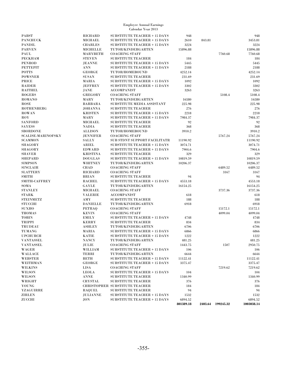| <b>PABST</b>              | <b>RICHARD</b>       | <b>SUBSTITUTE TEACHER + 15 DAYS</b>   | 948       |        |                   | 948        |
|---------------------------|----------------------|---------------------------------------|-----------|--------|-------------------|------------|
| <b>PANCHUCK</b>           | <b>MICHAEL</b>       | <b>SUBSTITUTE TEACHER + 15 DAYS</b>   | 2610      | 843.81 |                   | 3453.81    |
| <b>PANDIL</b>             | <b>CHARLES</b>       | <b>SUBSTITUTE TEACHER + 15 DAYS</b>   | 3224      |        |                   | 3224       |
| <b>PARVEN</b>             | <b>MICHELLE</b>      | TUTOR/KINDERGARTEN                    | 15896.88  |        |                   | 15896.88   |
| PAUL                      | <b>MARYBETH</b>      | <b>COACHING STAFF</b>                 |           |        | 7760.68           | 7760.68    |
| <b>PECKHAM</b>            | <b>STEVEN</b>        | <b>SUBSTITUTE TEACHER</b>             | 184       |        |                   | 184        |
| <b>PENROD</b>             | <b>JEANNE</b>        | <b>SUBSTITUTE TEACHER + 15 DAYS</b>   | 5445      |        |                   | 5445       |
| <b>PETTEPIT</b>           | <b>ANN</b>           | <b>SUBSTITUTE TEACHER + 15 DAYS</b>   | 2188      |        |                   | 2188       |
| <b>POTTS</b>              | <b>GEORGE</b>        | TUTOR/HOMEBOUND                       | 4252.14   |        |                   | 4252.14    |
| <b>POWSNER</b>            | <b>SUSAN</b>         | <b>SUBSTITUTE TEACHER</b>             | 231.69    |        |                   | 231.69     |
| PRICE                     | MARIA                | <b>SUBSTITUTE TEACHER + 15 DAYS</b>   | 1092      |        |                   | 1092       |
|                           |                      |                                       |           |        |                   |            |
| <b>RAIDER</b>             | <b>JEFFREY</b>       | <b>SUBSTITUTE TEACHER + 15 DAYS</b>   | 3302      |        |                   | 3302       |
| <b>RAITHEL</b>            | JANE                 | <b>ACCOMPANIST</b>                    | 3263      |        |                   | 3263       |
| <b>ROGERS</b>             | GREGORY              | <b>COACHING STAFF</b>                 |           |        | 5108.4            | 5108.4     |
| ROMANO                    | MARY                 | TUTOR/KINDERGARTEN                    | 16580     |        |                   | 16580      |
| <b>ROSE</b>               | <b>BARBARA</b>       | SUBSTITUTE MEDIA ASSISTANT            | 225.98    |        |                   | 225.98     |
| <b>ROTHENBERG</b>         | <b>JOHANNA</b>       | <b>SUBSTITUTE TEACHER</b>             | 276       |        |                   | 276        |
| ROWAN                     | <b>KRISTEN</b>       | <b>SUBSTITUTE TEACHER + 15 DAYS</b>   | 2218      |        |                   | 2218       |
| $_{\rm ROY}$              | MARY                 | <b>SUBSTITUTE TEACHER + 15 DAYS</b>   | 7984.37   |        |                   | 7984.37    |
| <b>SANFORD</b>            | <b>MICHAEL</b>       | <b>SUBSTITUTE TEACHER</b>             | 92        |        |                   | 92         |
| <b>SAYESS</b>             | <b>NADIA</b>         | <b>SUBSTITUTE TEACHER</b>             | 368       |        |                   | 368        |
| <b>SBORDONE</b>           | <b>ALLISON</b>       | TUTOR/HOMEBOUND                       | 3910.2    |        |                   | 3910.2     |
| <b>SCALISE-MARINOFSKY</b> | <b>JENNIFER</b>      | <b>COACHING STAFF</b>                 |           |        | 5767.24           | 5767.24    |
| <b>SCAMMON</b>            | <b>SALLY</b>         | SUB STDNT SUPPORT FACILITATR          | 11190.92  |        |                   | 11190.92   |
| <b>SHAGORY</b>            | <b>ARIEL</b>         | SUBSTITUTE TEACHER + 15 DAYS          | 3074.71   |        |                   | 3074.71    |
| <b>SHAGORY</b>            | <b>EDWARD</b>        | <b>SUBSTITUTE TEACHER + 15 DAYS</b>   | 7904.6    |        |                   | 7904.6     |
| <b>SHAVER</b>             | <b>KRISTINA</b>      | <b>SUBSTITUTE TEACHER</b>             | 329       |        |                   | 329        |
| <b>SHEPARD</b>            | <b>DOUGLAS</b>       | <b>SUBSTITUTE TEACHER + 15 DAYS</b>   | 10819.59  |        |                   | 10819.59   |
| <b>SIMPSON</b>            | WHITNEY              | TUTOR/KINDERGARTEN                    | 10206.37  |        |                   | 10206.37   |
| <b>SINCLAIR</b>           | <b>CHAD</b>          | <b>COACHING STAFF</b>                 |           |        | 6489.52           | 6489.52    |
| <b>SLATTERY</b>           | RICHARD              | <b>COACHING STAFF</b>                 |           |        | 3167              | 3167       |
| <b>SMITH</b>              | <b>BRIAN</b>         |                                       | 94        |        |                   | 94         |
|                           |                      | <b>SUBSTITUTE TEACHER</b>             |           |        |                   |            |
| SMITH-CAFFREY             | <b>RACHEL</b>        | <b>SUBSTITUTE TEACHER + 15 DAYS</b>   | 4553.18   |        |                   | 4553.18    |
| SOMA                      | GAYLE                | TUTOR/KINDERGARTEN                    | 16154.25  |        |                   | 16154.25   |
| <b>STANLEY</b>            | MICHAEL              | <b>COACHING STAFF</b>                 |           |        | 3737.36           | 3737.36    |
| <b>STARK</b>              | <b>VALERIE</b>       | <b>ACCOMPANIST</b>                    | 618       |        |                   | 618        |
| <b>STEINMETZ</b>          | AMY                  | <b>SUBSTITUTE TEACHER</b>             | 188       |        |                   | 188        |
| <b>STUCCHI</b>            | <b>DANIELLE</b>      | TUTOR/KINDERGARTEN                    | 6918      |        |                   | 6918       |
| <b>SUXHO</b>              | PETRAQ               | <b>COACHING STAFF</b>                 |           |        | 15172.1           | 15172.1    |
| <b>THOMAS</b>             | <b>KEVIN</b>         | <b>COACHING STAFF</b>                 |           |        | 4099.04           | 4099.04    |
| <b>TOBIN</b>              | <b>EMILY</b>         | <b>SUBSTITUTE TEACHER + 15 DAYS</b>   | 4748      |        |                   | 4748       |
| TRIPPI                    | <b>KERRY</b>         | <b>SUBSTITUTE TEACHER</b>             | 834       |        |                   | 834        |
| <b>TRUDEAU</b>            | <b>ASHLEY</b>        | TUTOR/KINDERGARTEN                    | 6706      |        |                   | 6706       |
| <b>TUMANG</b>             | MARIA                | <b>SUBSTITUTE TEACHER + 15 DAYS</b>   | 6866      |        |                   | 6866       |
| <b>UPCHURCH</b>           | KATIE                | <b>SUBSTITUTE TEACHER + 15 DAYS</b>   | 1222      |        |                   | 1222       |
| <b>VANTASSEL</b>          | <b>NANCY</b>         | TUTOR/KINDERGARTEN                    | 481.25    |        |                   | 481.25     |
| <b>VANTASSEL</b>          | JULIE                | <b>COACHING STAFF</b>                 | 1443.75   |        | 1507              | 2950.75    |
| WAGER                     | WILLIAM              | <b>SUBSTITUTE TEACHER + 15 DAYS</b>   | 106       |        |                   | 106        |
| WALLACE                   | <b>TERRI</b>         | TUTOR/KINDERGARTEN                    | 6644      |        |                   | 6644       |
| <b>WEBSTER</b>            | <b>BETH</b>          | <b>SUBSTITUTE TEACHER + 15 DAYS</b>   | 11122.41  |        |                   | 11122.41   |
| WEITHMAN                  | <b>GEORGE</b>        | <b>SUBSTITUTE TEACHER + 15 DAYS</b>   | 3375.47   |        |                   | 3375.47    |
| <b>WILKINS</b>            |                      |                                       |           |        |                   | 7219.62    |
| <b>WILSON</b>             | LISA<br><b>LEOLA</b> | <b>COACHING STAFF</b>                 |           |        | 7219.62           |            |
|                           |                      | <b>SUBSTITUTE TEACHER + 15 DAYS</b>   | 104       |        |                   | 104        |
| <b>WILSON</b>             | <b>ANNE</b>          | <b>SUBSTITUTE TEACHER</b>             | 1340.99   |        |                   | 1340.99    |
| WRIGHT                    | CRYSTAL              | <b>SUBSTITUTE TEACHER</b>             | 376       |        |                   | 376        |
| YOUNG                     |                      | <b>CHRISTOPHER SUBSTITUTE TEACHER</b> | 184       |        |                   | 184        |
| <b>YZAGUIRRE</b>          | <b>RAQUEL</b>        | <b>SUBSTITUTE TEACHER</b>             | 94        |        |                   | 94         |
| <b>ZIRLEN</b>             | <b>JULIANNE</b>      | <b>SUBSTITUTE TEACHER + 15 DAYS</b>   | 1532      |        |                   | 1532       |
| <b>ZUCCHI</b>             | JON                  | <b>SUBSTITUTE TEACHER + 15 DAYS</b>   | 6894.52   |        |                   | 6894.52    |
|                           |                      |                                       | 801389.18 |        | 2403.64 199245.32 | 1003038.14 |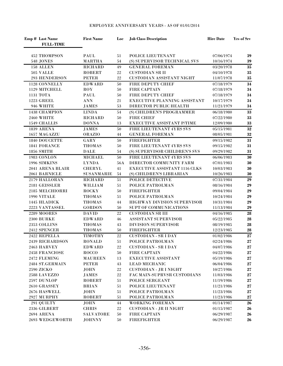| Emp # Last Name<br><b>FULL-TIME</b> | <b>First Name</b> | Loc | <b>Job Class Description</b>       | <b>Hire Date</b> | <b>Yrs of Srv</b> |
|-------------------------------------|-------------------|-----|------------------------------------|------------------|-------------------|
| 452 THOMPSON                        | PAUL              | 51  | POLICE LIEUTENANT                  | 07/06/1974       | 39                |
| 548 JONES                           | <b>MARTHA</b>     | 54  | (S) SUPERVISOR TECHNICAL SVS       | 10/16/1974       | 39                |
| 158 ALLEN                           | <b>RICHARD</b>    | 49  | <b>GENERAL FOREMAN</b>             | 03/20/1978       | 35                |
| 505 VALLE                           | <b>ROBERT</b>     | 22  | <b>CUSTODIAN SR II</b>             | 04/10/1978       | 35                |
| 293 HENDERSON                       | <b>PETER</b>      | 22  | <b>CUSTODIAN ASSISTANT NIGHT</b>   | 11/07/1978       | $35\,$            |
| 1128 CONNELLY                       | <b>EDWARD</b>     | 50  | FIRE DEPUTY CHIEF                  | 07/18/1979       | 34                |
| 1129 MITCHELL                       | ROY               | 50  | <b>FIRE CAPTAIN</b>                | 07/18/1979       | 34                |
| 1131 TOTA                           | <b>PAUL</b>       | 50  | FIRE DEPUTY CHIEF                  | 07/18/1979       | 34                |
| <b>1223 GREEL</b>                   | <b>ANN</b>        | 21  | EXECUTIVE PLANNING ASSISTANT       | 10/17/1979       | 34                |
| 946 WHITE                           | <b>JAMES</b>      | 53  | DIRECTOR PUBLIC HEALTH             | 11/21/1979       | 34                |
| 1438 CHAMPION                       | <b>LINDA</b>      | 54  | (S) CHILDREN'S PROGRAMMER          | 06/18/1980       | 33                |
| 2460 WHITE                          | <b>RICHARD</b>    | 50  | <b>FIRE CHIEF</b>                  | 07/22/1980       | 33                |
| 1549 CHALLIS                        | <b>DONNA</b>      | 13  | EXECUTIVE ASSISTANT P/TIME         | 12/09/1980       | ${\bf 33}$        |
| 1839 ARENA                          | <b>JAMES</b>      | 50  | FIRE LIEUTENANT 4YRS SVS           | 05/15/1981       | 32                |
| 1657 MAGAZZU                        | <b>ORAZIO</b>     | 44  | <b>GENERAL FOREMAN</b>             | 08/05/1981       | $\bf{32}$         |
| 1840 DOUCETTE                       | GARY              | 50  | <b>FIREFIGHTER</b>                 | 09/15/1982       | 31                |
| 1841 FORANCE                        | <b>THOMAS</b>     | 50  | FIRE LIEUTENANT 4YRS SVS           | 09/15/1982       | 31                |
| 1856 SMITH                          | <b>DALE</b>       | 54  | (S) SUPERVISOR CHILDREN'S SVS      | 09/29/1982       | 31                |
| 1983 CONLON                         | <b>MICHAEL</b>    | 50  | FIRE LIEUTENANT 4YRS SVS           | 06/06/1983       | 30                |
| 1996 SIMKINS                        | <b>LYNDA</b>      | 56A | DIRECTOR COMMUNITY FARM            | 07/01/1983       | 30                |
| 2041 ARENA BLAIR                    | <b>CHERYL</b>     | 41  | EXECUTIVE ASSISTANT 1116 CLKS      | 10/03/1983       | 30                |
| 2061 BARNICLE                       | <b>SUSANMARIE</b> | 54  | (S) CHILDREN'S LIBRARIAN           | 10/26/1983       | 30                |
| 2179 HALLORAN                       | <b>RICHARD</b>    | 51  | POLICE DETECTIVE                   | 07/31/1984       | 29                |
| 2181 GEISSLER                       | WILLIAM           | 51  | POLICE PATROLMAN                   | 08/16/1984       | 29                |
| 2185 MELCHIORRI                     | <b>ROCKY</b>      | 50  | <b>FIREFIGHTER</b>                 | 09/04/1984       | 29                |
| 1990 VITALE                         | <b>THOMAS</b>     | 51  | POLICE PATROLMAN                   | 10/24/1984       | 29                |
| 1445 HLADICK                        | <b>THOMAS</b>     | 44  | HIGHWAY DIVISION SUPERVISOR        | 10/31/1984       | 29                |
| 2223 VANTASSEL                      | <b>GORDON</b>     | 50  | SUPT OF COMMUNICATIONS             | 11/13/1984       | ${\bf 29}$        |
| <b>2289 MOORES</b>                  | <b>DAVID</b>      | 22  | <b>CUSTODIAN SR III</b>            | 04/16/1985       | 28                |
| <b>2300 BURKE</b>                   | <b>EDWARD</b>     | 46  | ASSISTANT SUPERVISOR               | 05/22/1985       | 28                |
| 2353 COLLINS                        | <b>THOMAS</b>     | 43  | <b>DIVISION SUPERVISOR</b>         | 08/19/1985       | 28                |
| 2412 SPENCER                        | <b>THOMAS</b>     | 50  | <b>FIREFIGHTER</b>                 | 12/23/1985       | 28                |
| 2422 REPELLA                        | <b>TIMOTHY</b>    | 22  | <b>CUSTODIAN - SR I DAY</b>        | 01/02/1986       | $\overline{27}$   |
| 2439 RICHARDSON                     | <b>RONALD</b>     | 51  | POLICE PATROLMAN                   | 02/24/1986       | $27\,$            |
| 2463 HARVEY                         | <b>EDWARD</b>     | 22  | <b>CUSTODIAN - SR I DAY</b>        | 04/07/1986       | 27                |
| 2458 FRANCIOSE                      | ROCCO             | 50  | FIRE CAPTAIN                       | 04/22/1986       | 27                |
| 2472 FLEMING                        | <b>MAUREEN</b>    | 13  | <b>EXECUTIVE ASSISTANT</b>         | 05/19/1986       | ${\bf 27}$        |
| 2484 ST.GERMAIN                     | <b>PETER</b>      | 43  | <b>LEAD MECHANIC</b>               | 06/04/1986       | $27\,$            |
| 2590 ZICKO                          | JOHN              | 22  | <b>CUSTODIAN - JR I NIGHT</b>      | 10/27/1986       | $27\,$            |
| 2588 LAVEZZO                        | JAMES             | 22  | <b>FAC MAIN-SUPRVSR CUSTODIANS</b> | 11/03/1986       | $27\,$            |
| 2597 DUNLOP                         | ROBERT            | 51  | POLICE SERGEANT                    | 11/19/1986       | $27\,$            |
| 2610 GRASSEY                        | <b>BRIAN</b>      | 51  | POLICE LIEUTENANT                  | 11/21/1986       | 27                |
| 2676 HASWELL                        | <b>JOHN</b>       | 51  | POLICE PATROLMAN                   | 11/23/1986       | 27                |
| 2927 MURPHY                         | ROBERT            | 51  | POLICE PATROLMAN                   | 11/23/1986       | 27                |
| 291 QUILTY                          | <b>JOHN</b>       | 44  | <b>WORKING FOREMAN</b>             | 01/14/1987       | 26                |
| 2336 GILBERT                        | <b>CHRIS</b>      | 22  | <b>CUSTODIAN - JR II NIGHT</b>     | 01/15/1987       | 26                |
| <b>2694 ARENA</b>                   | <b>SALVATORE</b>  | 50  | <b>FIRE CAPTAIN</b>                | 06/29/1987       | 26                |
| 2693 WEDGEWORTH                     | <b>JOHNNY</b>     | 50  | <b>FIREFIGHTER</b>                 | 06/29/1987       | 26                |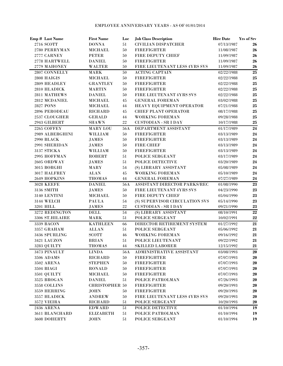| Emp # Last Name            | <b>First Name</b>             | Loc      | <b>Job Class Description</b>                | <b>Hire Date</b>         | Yrs of Srv      |
|----------------------------|-------------------------------|----------|---------------------------------------------|--------------------------|-----------------|
| 2716 SCOTT                 | <b>DONNA</b>                  | 51       | <b>CIVILIAN DISPATCHER</b>                  | 07/13/1987               | 26              |
| 2780 PERRYMAN              | <b>MICHAEL</b>                | 50       | <b>FIREFIGHTER</b>                          | 11/08/1987               | 26              |
| 2777 CARNEY                | <b>PETER</b>                  | 50       | FIRE DEPUTY CHIEF                           | 11/09/1987               | 26              |
| 2778 HARTWELL              | <b>DANIEL</b>                 | 50       | <b>FIREFIGHTER</b>                          | 11/09/1987               | 26              |
| 2779 MAHONEY               | <b>WALTER</b>                 | 50       | FIRE LIEUTENANT LESS 4YRS SVS               | 11/09/1987               | 26              |
| 2807 CONNELLY              | <b>MARK</b>                   | 50       | <b>ACTING CAPTAIN</b>                       | 02/22/1988               | 25              |
| 2808 HAIGIS                | <b>MICHAEL</b>                | 50       | <b>FIREFIGHTER</b>                          | 02/22/1988               | ${\bf 25}$      |
| 2809 HEADLEY               | <b>GRANTLEY</b>               | 50       | <b>FIREFIGHTER</b>                          | 02/22/1988               | ${\bf 25}$      |
| 2810 HLADICK               | <b>MARTIN</b>                 | 50       | <b>FIREFIGHTER</b>                          | 02/22/1988               | ${\bf 25}$      |
| 2811 MATHEWS               | <b>DANIEL</b>                 | 50       | <b>FIRE LIEUTENANT 4YRS SVS</b>             | 02/22/1988               | ${\bf 25}$      |
| 2812 MCDANIEL              | MICHAEL                       | 45       | <b>GENERAL FOREMAN</b>                      | 03/02/1988               | ${\bf 25}$      |
| <b>2827 PONS</b>           | <b>MICHAEL</b>                | 44       | HEAVY EQUIPMENT OPERATOR                    | 07/21/1988               | 25              |
| 2896 PERODEAU              | <b>RICHARD</b>                | 45       | <b>CHIEF PLANT OPERATOR</b>                 | 08/17/1988               | 25              |
| 2537 CLOUGHER              | <b>GERALD</b>                 | 44       | <b>WORKING FOREMAN</b>                      | 09/28/1988               | 25              |
| 2943 GILBERT               | <b>SHAWN</b>                  | 22       | <b>CUSTODIAN - SR I DAY</b>                 | 10/17/1988               | 25              |
| 2265 COFFEY                | MARY LOU                      | 56A      | DEPARTMENT ASSISTANT                        | 01/17/1989               | 24              |
| 2989 ALBERGHINI            | WILLIAM                       | 50       | <b>FIREFIGHTER</b>                          | 03/13/1989               | 24              |
| 2990 BLACK                 | <b>JAMES</b>                  | 50       | <b>FIREFIGHTER</b>                          | 03/13/1989               | 24              |
| 2991 SHERIDAN              | <b>JAMES</b>                  | 50       | <b>FIRE CHIEF</b>                           | 03/13/1989               | 24              |
| 3137 STICKA                | WILLIAM                       | 50       | <b>FIREFIGHTER</b>                          | 03/13/1989               | 24              |
| 2995 HOFFMAN               | <b>ROBERT</b>                 | 51       | POLICE SERGEANT                             | 03/17/1989               | 24              |
| 2605 ORDWAY                | $\mathbf{JAMES}$              | 51       | POLICE DETECTIVE                            | 03/20/1989               | 24              |
| 3015 BORGHI                | <b>MARY</b>                   | 54       | (S) LIBRARY ASSISTANT                       | 05/08/1989               | 24              |
| 3017 HALFREY               | <b>ALAN</b>                   | 45       | <b>WORKING FOREMAN</b>                      | 05/10/1989               | 24              |
| 2649 HOPKINS               | <b>THOMAS</b>                 | 44       | <b>GENERAL FOREMAN</b>                      | 07/27/1989               | 24              |
| <b>3028 KEEFE</b>          | <b>DANIEL</b>                 | 56A      | ASSISTANT DIRECTOR PARKS/REC                | 01/08/1990               | 23              |
| 3136 SMITH                 | <b>JAMES</b>                  | 50       | FIRE LIEUTENANT 4YRS SVS                    | 04/23/1990               | ${\bf 23}$      |
| 3140 LENTINI               | <b>MICHAEL</b>                | 50       | FIRE DEPUTY CHIEF                           | 05/04/1990               | 23              |
| 3144 WELCH                 | <b>PAULA</b>                  | 54       | (S) SUPERVISOR CIRCULATION SVS              | 05/14/1990               | 23              |
| 3201 HILL                  | JAMES                         | 22       | <b>CUSTODIAN - SR I DAY</b>                 | 09/21/1990               | ${\bf 23}$      |
| 3272 REDINGTON             | <b>DELL</b>                   | 54       | (S) LIBRARY ASSISTANT                       | 08/10/1991               | $\overline{22}$ |
| 3306 ST.HILAIRE            | <b>MARK</b>                   | 51       | POLICE SERGEANT                             | 10/02/1991               | $\bf 22$        |
| 3339 BACON                 | <b>KATHLEEN</b>               | 66       | DIRECTOR RETIREMENT SYSTEM                  | 01/27/1992               | 21              |
| 3357 GRAHAM                | <b>ALLAN</b>                  | 51       | POLICE SERGEANT                             | 05/06/1992               | 21              |
| 3436 SPURLING              | <b>SCOTT</b>                  | 46       | <b>WORKING FOREMAN</b><br>POLICE LIEUTENANT | 09/16/1992<br>09/22/1992 | 21              |
| 3421 LAUZON<br>3283 QUILTY | <b>BRIAN</b><br><b>THOMAS</b> | 51<br>44 | <b>SKILLED LABORER</b>                      | 12/15/1992               | 21<br>21        |
| 3473 PINAULT               | <b>LINDA</b>                  | 56A      | ADMINISTRATIVE ASSISTANT                    |                          |                 |
| 3506 ADAMS                 | <b>RICHARD</b>                | 50       | <b>FIREFIGHTER</b>                          | 03/08/1993<br>07/07/1993 | 20<br>20        |
| <b>3502 ARENA</b>          | <b>STEPHEN</b>                | 50       | <b>FIREFIGHTER</b>                          | 07/07/1993               | 20              |
| 3504 BIAGI                 | <b>RONALD</b>                 | 50       | <b>FIREFIGHTER</b>                          | 07/07/1993               | 20              |
| 3501 QUILTY                | <b>MICHAEL</b>                | 50       | <b>FIREFIGHTER</b>                          | 07/07/1993               | 20              |
| 3525 BROGAN                | <b>DANIEL</b>                 | 51       | POLICE PATROLMAN                            | 07/26/1993               | 20              |
| 3558 COLLINS               | <b>CHRISTOPHER 50</b>         |          | <b>FIREFIGHTER</b>                          | 09/20/1993               | 20              |
| 3559 HERRING               | <b>JOHN</b>                   | 50       | <b>FIREFIGHTER</b>                          | 09/20/1993               | 20              |
| 3557 HLADICK               | <b>ANDREW</b>                 | 50       | FIRE LIEUTENANT LESS 4YRS SVS               | 09/20/1993               | 20              |
| 3572 VIEIRA                | <b>RICHARD</b>                | 51       | POLICE SERGEANT                             | 10/20/1993               | 20              |
| <b>2436 ARENA</b>          | <b>EDWARD</b>                 | 51       | POLICE DETECTIVE                            | 01/10/1994               | 19              |
| 3611 BLANCHARD             | <b>ELIZABETH</b>              | 51       | POLICE PATROLMAN                            | 01/10/1994               | 19              |
| 3608 DOHERTY               | <b>JOHN</b>                   | 51       | POLICE SERGEANT                             | 01/10/1994               | 19              |
|                            |                               |          |                                             |                          |                 |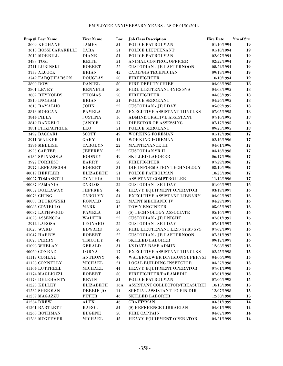| Emp # Last Name             | <b>First Name</b>     | Loc        | <b>Job Class Description</b>         | <b>Hire Date</b> | Yrs of Srv |
|-----------------------------|-----------------------|------------|--------------------------------------|------------------|------------|
| 3609 KEOHANE                | <b>JAMES</b>          | 51         | POLICE PATROLMAN                     | 01/10/1994       | 19         |
| 3610 ROSSI CAFARELLI        | CARA                  | 51         | POLICE LIEUTENANT                    | 01/10/1994       | 19         |
| 2012 MORRILL                | <b>DIANE</b>          | 51         | POLICE PATROLMAN                     | 02/07/1994       | 19         |
| 3488 TOSI                   | <b>KEITH</b>          | $51\,$     | ANIMAL CONTROL OFFICER               | 02/22/1994       | 19         |
| 3711 LUBINSKI               | <b>ROBERT</b>         | $22\,$     | <b>CUSTODIAN - JR I AFTERNOON</b>    | 08/24/1994       | 19         |
| 3739 ALCOCK                 | <b>BRIAN</b>          | 42         | <b>CADD/GIS TECHNICIAN</b>           | 09/19/1994       | 19         |
| 3749 FARQUHARSON            | <b>DOUGLAS</b>        | 50         | <b>FIREFIGHTER</b>                   | 10/10/1994       | 19         |
| $3800$ $\operatorname{DOW}$ | <b>DANIEL</b>         | 50         | FIRE DEPUTY CHIEF                    | 04/03/1995       | 18         |
| <b>3801 LEVEY</b>           | <b>KENNETH</b>        | 50         | FIRE LIEUTENANT 4YRS SVS             | 04/03/1995       | 18         |
| 3802 REYNOLDS               | <b>THOMAS</b>         | 50         | <b>FIREFIGHTER</b>                   | 04/03/1995       | ${\bf 18}$ |
| 3810 INGHAM                 | <b>BRIAN</b>          | 51         | POLICE SERGEANT                      | 04/26/1995       | 18         |
| 3815 RAMALHO                | <b>JOHN</b>           | $22\,$     | <b>CUSTODIAN - JR I DAY</b>          | 05/09/1995       | 18         |
| 3843 MORGAN                 | <b>PAMELA</b>         | 53         | EXECUTIVE ASSISTANT 1116 CLKS        | 07/05/1995       | 18         |
| <b>3844 PILLA</b>           | <b>JUSTINA</b>        | 16         | ADMINISTRATIVE ASSISTANT             | 07/10/1995       | 18         |
| 3849 DANGELO                | <b>JANICE</b>         | 17         | DIRECTOR OF ASSESSING                | 07/17/1995       | 18         |
| 3881 FITZPATRICK            | <b>LEO</b>            | 51         | POLICE SERGEANT                      | 09/25/1995       | 18         |
| 3497 BACCARI                | <b>SCOTT</b>          | 49         | <b>WORKING FOREMAN</b>               | 01/17/1996       | 17         |
| 3911 WALKER                 | GARY                  | 44         | <b>WORKING FOREMAN</b>               | 02/16/1996       | 17         |
| 3594 MELLISH                | <b>CAROLYN</b>        | 22         | MAINTENANCE III                      | 04/01/1996       | 17         |
| 3923 CARTER                 | <b>JEFFREY</b>        | 22         | <b>CUSTODIAN SR II</b>               | 04/16/1996       | 17         |
| 6136 SPINAZOLA              | <b>RODNEY</b>         | 49         | <b>SKILLED LABORER</b>               | 06/17/1996       | 17         |
| 3972 FORREST                | <b>BARRY</b>          | 50         | <b>FIREFIGHTER</b>                   | 07/29/1996       | 17         |
| 3977 LEFRANCOIS             | <b>ROBERT</b>         | 31         | DIR INFORMATION TECHNOLOGY           | 08/19/1996       | 17         |
| 40019 HEFFLER               | <b>ELIZABETH</b>      | 51         | POLICE PATROLMAN                     | 10/23/1996       | 17         |
| 40027 TOMASETTI             | <b>CYNTHIA</b>        | 14         | ASSISTANT COMPTROLLER                | 11/12/1996       | 17         |
| 40037 FAMANIA               | <b>CARLOS</b>         | 22         | <b>CUSTODIAN - SR I DAY</b>          | 01/06/1997       | 16         |
| 40052 DOLLAWAY              | <b>JEFFREY</b>        | 46         | HEAVY EQUIPMENT OPERATOR             | 03/19/1997       | <b>16</b>  |
| 40073 CHING                 | <b>CAROLYN</b>        | 54         | EXECUTIVE ASSISTANT LIBRARY          | 04/02/1997       | 16         |
| 40085 RUTKOWSKI             | <b>RONALD</b>         | $22\,$     | MAINT MECHANIC IV                    | 04/29/1997       | <b>16</b>  |
| 40086 COVIELLO              | <b>MARK</b>           | 42         | <b>TOWN ENGINEER</b>                 | 05/05/1997       | 16         |
| 40087 LATHWOOD              | <b>PAMELA</b>         | ${\bf 54}$ | (S) TECHNOLOGY ASSOCIATE             | 05/16/1997       | 16         |
| 41028 ASSENCOA              | <b>WALTER</b>         | 22         | <b>CUSTODIAN - JR I NIGHT</b>        | 07/01/1997       | <b>16</b>  |
| 2944 LAROSA                 | <b>LEONARD</b>        | 22         | <b>CUSTODIAN - SR I DAY</b>          | 07/01/1997       | 16         |
| 41023 WARD                  | <b>EDWARD</b>         | $50\,$     | FIRE LIEUTENANT LESS 4YRS SVS        | 07/07/1997       | 16         |
| 41047 HARRIS                | <b>ROBERT</b>         | 22         | <b>CUSTODIAN - JR I AFTERNOON</b>    | 07/31/1997       | 16         |
| <b>41075 PERRY</b>          | <b>TIMOTHY</b>        | 49         | <b>SKILLED LABORER</b>               | 09/17/1997       | <b>16</b>  |
| 41098 WHELAN                | <b>GERALD</b>         | 31         | I/S DATA BASE ADMIN                  | 12/08/1997       | <b>16</b>  |
| 40060 CONRAD                | <b>LORNA</b>          | 17         | EXECUTIVE ASSISTANT 1116 CLKS        | 02/25/1998       | 15         |
| 41119 COMEAU                | <b>ANTHONY</b>        | 46         | <b>WATER/SEWER DIVISION SUPERVSI</b> | 04/06/1998       | 15         |
| 41128 CONNELLY              | <b>MICHAEL</b>        | 21         | <b>LOCAL BUILDING INSPECTOR</b>      | 04/27/1998       | 15         |
| 41164 LUTTRELL              | <b>MICHAEL</b>        | 44         | HEAVY EQUIPMENT OPERATOR             | 07/01/1998       | 15         |
| 41174 MAGLIOZZI             | <b>ROBERT</b>         | $50\,$     | FIREFIGHTER/PARAMEDIC                | 07/01/1998       | 15         |
| <b>41173 DELEHANTY</b>      | <b>KEVIN</b>          | 51         | POLICE PATROLMAN                     | 07/06/1998       | 15         |
| 41220 KELLEY                | <b>ELIZABETH</b>      | 16A        | ASSISTANT COLLECTOR/TREASUREH        | 10/13/1998       | 15         |
| 41232 SHERMAN               | <b>DEBBIE JO</b>      | 14         | SPECIAL ASSISTANT TO FIN DIR         | 12/07/1998       | 15         |
| 41239 MAGAZZU               | <b>PETER</b>          | 46         | <b>SKILLED LABORER</b>               | 12/30/1998       | 15         |
| 41254 DREW                  | $\operatorname{ALEX}$ | 46         | <b>CRAFTSMAN</b>                     | 03/31/1999       | 14         |
| 41261 BARTLETT              | <b>KAROL</b>          | 54         | (S) REFERENCE LIBRARIAN              | 04/01/1999       | 14         |
| 41260 ROTHMAN               | <b>EUGENE</b>         | $50\,$     | FIRE CAPTAIN                         | 04/07/1999       | 14         |
| 41283 MCGEEVER              | <b>MICHAEL</b>        | 45         | HEAVY EQUIPMENT OPERATOR             | 04/21/1999       | 14         |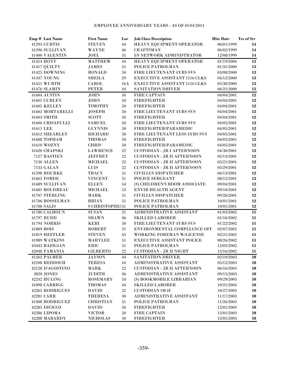|            | Emp # Last Name                | <b>First Name</b>               | Loc | <b>Job Class Description</b>         | <b>Hire Date</b>         | Yrs of Srv |
|------------|--------------------------------|---------------------------------|-----|--------------------------------------|--------------------------|------------|
|            | 41293 CURTIS                   | <b>STEVEN</b>                   | 44  | HEAVY EQUIPMENT OPERATOR             | 06/01/1999               | 14         |
|            | 41296 SULLIVAN                 | <b>WAYNE</b>                    | 46  | <b>CRAFTSMAN</b>                     | 06/02/1999               | 14         |
|            | 41400 VALENTIN                 | JOEL                            | 31  | I/S NETWORK ADMINISTRATOR            | 12/08/1999               | 14         |
|            | 41414 HOYT                     | <b>MATTHEW</b>                  | 44  | HEAVY EQUIPMENT OPERATOR             | 01/19/2000               | 13         |
|            | 41417 QUILTY                   | <b>JAMES</b>                    | 51  | POLICE PATROLMAN                     | 01/31/2000               | 13         |
|            | 41425 DOWNING                  | <b>RONALD</b>                   | 50  | <b>FIRE LIEUTENANT 4YRS SVS</b>      | 03/08/2000               | 13         |
|            | 41437 YOUNG                    | <b>SHEILA</b>                   | 29  | <b>EXECUTIVE ASSISTANT 1116 CLKS</b> | 04/12/2000               | 13         |
|            | 41451 WURTH                    | <b>CAROL</b>                    | 16A | <b>EXECUTIVE ASSISTANT 1116 CLKS</b> | 05/30/2000               | 13         |
|            | 41476 SLAMIN                   | <b>PETER</b>                    | 44  | <b>SANITATION DRIVER</b>             | 06/21/2000               | 13         |
|            | 41604 AUSTIN                   | <b>JOHN</b>                     | 50  | FIRE CAPTAIN                         | 04/04/2001               | 12         |
|            | 41601 CURLEY                   | <b>JOHN</b>                     | 50  | <b>FIREFIGHTER</b>                   | 04/04/2001               | 12         |
|            | 41605 KELLEY                   | <b>TIMOTHY</b>                  | 50  | <b>FIREFIGHTER</b>                   | 04/04/2001               | 12         |
|            | 41602 MORTARELLI               | <b>JOSEPH</b>                   | 50  | FIRE LIEUTENANT 4YRS SVS             | 04/04/2001               | 12         |
|            | 41603 SMITH                    | <b>SCOTT</b>                    | 50  | <b>FIREFIGHTER</b>                   | 04/04/2001               | 12         |
|            | 41606 CRISAFULLI               | <b>SAMUEL</b>                   | 50  | FIRE LIEUTENANT 4YRS SVS             | 04/05/2001               | 12         |
| 41611 LEE  |                                | <b>GLYNNIS</b>                  | 50  | FIREFIGHTER/PARAMEDIC                | 04/05/2001               | 12         |
|            | 41612 SHEARLEY                 | <b>RICHARD</b>                  | 50  | FIRE LIEUTENANT LESS 4YRS SVS        | 04/05/2001               | 12         |
|            | 41608 TOPHAM                   | <b>THOMAS</b>                   | 50  | <b>FIREFIGHTER</b>                   | 04/05/2001               | 12         |
|            | 41610 WOZNY                    | <b>CHRIS</b>                    | 50  | FIREFIGHTER/PARAMEDIC                | 04/05/2001               | 12         |
|            | 41620 CHAPSKI                  | <b>LAWRENCE</b>                 | 22  | <b>CUSTODIAN - JR I AFTERNOON</b>    | 04/30/2001               | 12         |
|            | 7127 BASTIEN                   | <b>JEFFREY</b>                  | 22  | <b>CUSTODIAN - JR II AFTERNOON</b>   | 05/14/2001               | 12         |
|            | <b>7130 ALLEN</b>              | <b>MICHAEL</b>                  | 22  | <b>CUSTODIAN - JR II AFTERNOON</b>   | 05/21/2001               | 12         |
|            | 7133 GALAN                     | <b>LUIS</b>                     | 22  | <b>CUSTODIAN - JR II AFTERNOON</b>   | 05/29/2001               | $\bf{12}$  |
|            | 41598 ROURKE                   | <b>TRACY</b>                    | 51  | <b>CIVILIAN DISPATCHER</b>           | 06/13/2001               | $\bf{12}$  |
|            | <b>41665 FORDE</b>             | <b>VINCENT</b>                  | 51  | POLICE SERGEANT                      | 08/15/2001               | $\bf{12}$  |
|            | 41689 SULLIVAN                 | <b>ELLEN</b>                    | 54  | (S) CHILDREN'S ROOM ASSOCIATE        | 09/04/2001               | 12<br>12   |
|            | 41681 BOUDREAU                 | <b>MICHAEL</b>                  | 53  | <b>ENVIR HEALTH AGENT</b>            | 09/10/2001               |            |
|            | 41707 STERLING                 | <b>MARK</b>                     | 51  | <b>CIVILIAN DISPATCHER</b>           | 09/26/2001               | 12         |
|            | 41706 BOSSELMAN<br>41708 SALIS | <b>BRIAN</b><br>S CHRISTOPHE151 | 51  | POLICE PATROLMAN<br>POLICE PATROLMAN | 10/01/2001<br>10/01/2001 | 12<br>12   |
|            | 41780 CALHOUN                  | <b>SUSAN</b>                    | 21  | ADMINISTRATIVE ASSISTANT             | 01/03/2002               | 11         |
|            | 41797 RUDD                     | <b>SHAWN</b>                    | 46  | <b>SKILLED LABORER</b>               | 01/16/2002               | 11         |
|            | <b>41794 NORRIS</b>            | KERI                            | 50  | FIRE LIEUTENANT 4YRS SVS             | 01/22/2002               | 11         |
| 41809 BOIS |                                | <b>ROBERT</b>                   | 21  | ENVIRONMENTAL COMPLIANCE OFI         | 02/07/2002               | 11         |
|            | 41819 HEFFLER                  | <b>STEVEN</b>                   | 45  | WORKING FOREMAN W/LICENSE            | 02/21/2002               | 11         |
|            | 41989 WATKINS                  | <b>MARYLEE</b>                  | 51  | <b>EXECUTIVE ASSISTANT POLICE</b>    | 08/26/2002               | 11         |
|            | 43443 BAZIGIAN                 | ERIC                            | 51  | POLICE PATROLMAN                     | 12/02/2002               | 11         |
|            | 42048 FAMANIA                  | <b>GILBERTO</b>                 | 22  | <b>CUSTODIAN - JR II NIGHT</b>       | 12/16/2002               | 11         |
|            | 41262 PALMER                   | <b>JAYSON</b>                   | 44  | <b>SANITATION DRIVER</b>             | 02/10/2003               | 10         |
|            | 42108 REDDOCH                  | <b>TERESA</b>                   | 16  | ADMINISTRATIVE ASSISTANT             | 05/12/2003               | 10         |
|            | 42128 D'AGOSTINO               | MARK                            | 22  | <b>CUSTODIAN - JR II AFTERNOON</b>   | 06/16/2003               | 10         |
|            | 3820 JONES                     | <b>JUDITH</b>                   | 46  | ADMINISTRATIVE ASSISTANT             | 09/15/2003               | 10         |
|            | 42242 HULING                   | <b>ROSEMARY</b>                 | 54  | (S) BOOKMOBILE LIBRARIAN             | 09/29/2003               | 10         |
|            | 41898 CARRIGG                  | <b>THOMAS</b>                   | 44  | <b>SKILLED LABORER</b>               | 10/21/2003               | 10         |
|            | 42265 RODRIGUES                | <b>DAVID</b>                    | 22  | <b>CUSTODIAN SR II</b>               | 10/27/2003               | 10         |
|            | 42281 CARR                     | <b>THERESA</b>                  | 30  | ADMINISTRATIVE ASSISTANT             | 11/17/2003               | 10         |
|            | 41408 RODRIGUEZ                | <b>CHRISTIAN</b>                | 51  | POLICE PATROLMAN                     | 11/26/2003               | 10         |
|            | 42285 DICICCO                  | <b>DAVID</b>                    | 50  | <b>FIREFIGHTER</b>                   | 12/01/2003               | 10         |
|            | 42286 LIPOMA                   | <b>VICTOR</b>                   | 50  | FIRE CAPTAIN                         | 12/01/2003               | 10         |
|            | 42288 MABARDY                  | <b>NICHOLAS</b>                 | 50  | <b>FIREFIGHTER</b>                   | 12/01/2003               | 10         |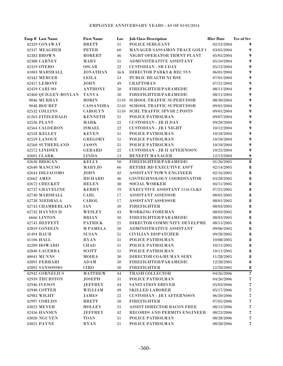| Emp # Last Name                     | <b>First Name</b>           | Loc      | <b>Job Class Description</b>                | <b>Hire Date</b>         | <b>Yrs of Srv</b>                  |
|-------------------------------------|-----------------------------|----------|---------------------------------------------|--------------------------|------------------------------------|
| 42329 CONAWAY                       | <b>BRETT</b>                | 51       | POLICE SERGEANT                             | 02/23/2004               | 9                                  |
| 42337 MEAGHER                       | <b>PETER</b>                | 60       | MANAGER SASSAMON TRACE GOLF (               | 03/05/2004               | 9                                  |
| 42383 BROWN                         | <b>ROBERT</b>               | 46       | NIGHT OPERATOR TRMNT PLANT                  | 05/05/2004               | $\boldsymbol{9}$                   |
| 42388 CARNEY                        | MARY                        | 51       | ADMINISTRATIVE ASSISTANT                    | 05/10/2004               | $\boldsymbol{9}$                   |
| 42319 OTERO                         | <b>OSCAR</b>                | $22\,$   | <b>CUSTODIAN - SR I DAY</b>                 | 05/12/2004               | $\boldsymbol{9}$                   |
| 41003 MARSHALL                      | <b>JONATHAN</b>             | 56A      | <b>DIRECTOR PARKS &amp; REC SVS</b>         | 06/01/2004               | $\boldsymbol{9}$                   |
| 42442 MERCER                        | <b>LEILA</b>                | 53       | PUBLIC HEALTH NURSE                         | 07/01/2004               | $\boldsymbol{9}$                   |
| 42457 LEMONT                        | <b>JOHN</b>                 | 49       | <b>CRAFTSMAN</b>                            | 07/21/2004               | $\boldsymbol{9}$                   |
| <b>42459 CARUSO</b>                 | <b>ANTHONY</b>              | 50       | FIREFIGHTER/PARAMEDIC                       | 08/11/2004               | $\boldsymbol{9}$                   |
| 42460 QUIGLEY-BOYLAN                | <b>TANYA</b>                | 50       | FIREFIGHTER/PARAMEDIC                       | 08/11/2004               | $\boldsymbol{9}$                   |
| 9046 MURRAY                         | <b>ROBIN</b>                | 5110     | <b>SCHOOL TRAFFIC SUPERVISOR</b>            | 08/30/2004               | $\boldsymbol{9}$                   |
| 9048 BOURET                         | <b>CASSANDRA</b>            | 5110     | <b>SCHOOL TRAFFIC SUPERVISOR</b>            | 09/01/2004               | $\boldsymbol{9}$                   |
| 42532 COLLINS                       | <b>CAROLYN</b>              | 5110     | <b>SCHL TRAFFIC SPVSR 2 POSTS</b>           | 09/01/2004               | $\boldsymbol{9}$                   |
| 41263 FITZGERALD                    | <b>KENNETH</b>              | 51       | POLICE PATROLMAN                            | 09/07/2004               | $\boldsymbol{9}$                   |
| 42536 PLANT                         | <b>MARK</b>                 | 22       | <b>CUSTODIAN - JR II DAY</b>                | 09/20/2004               | $\boldsymbol{9}$                   |
| 42564 CALDERON                      | <b>ISMAEL</b>               | 22       | <b>CUSTODIAN - JR I NIGHT</b>               | 10/12/2004               | $\boldsymbol{9}$                   |
| 42558 KELLEY                        | <b>KEVEN</b>                | $51\,$   | POLICE PATROLMAN                            | 10/18/2004               | $\boldsymbol{9}$                   |
| 42559 LANOUE                        | <b>GREGORY</b>              | 51       | POLICE PATROLMAN                            | 10/18/2004               | $\boldsymbol{9}$                   |
| <b>42560 SUTHERLAND</b>             | <b>JASON</b>                | 51       | POLICE PATROLMAN                            | 10/18/2004               | $\boldsymbol{9}$                   |
| 42572 LINDSEY                       | <b>GERARD</b>               | 22       | <b>CUSTODIAN - JR II AFTERNOON</b>          | 10/25/2004               | $\boldsymbol{9}$                   |
| 42601 CLARK                         | <b>LINDA</b>                | 13       | <b>BENEFIT MANAGER</b>                      | 12/13/2004               | 9                                  |
| 42630 BROGAN                        | <b>KELLY</b>                | 50       | FIREFIGHTER/PARAMEDIC                       | 01/26/2005               | $\pmb{8}$                          |
| 42640 MANCUSO                       | MARYJO                      | 66       | RETIRE BD EXECUTIVE ASS'T                   | 02/14/2005               | $\pmb{8}$                          |
| 42644 DIGIACOMO                     | <b>JOHN</b>                 | 42       | ASSISTANT TOWN ENGINEER                     | 02/16/2005               | $\pmb{8}$                          |
| 42662 AMES                          | <b>RICHARD</b>              | 46       | GIS/TECHNOLOGY COORDINATOR                  | 03/28/2005               | $\pmb{8}$                          |
| 42672 CHECKET                       | <b>HELEN</b>                | 30       | <b>SOCIAL WORKER</b>                        | 04/11/2005               | $\pmb{8}$                          |
| <b>42737 GRAVELINE</b>              | <b>KERRY</b>                | 19       | <b>EXECUTIVE ASSISTANT 1116 CLKS</b>        | 07/21/2005               | $\pmb{8}$                          |
| 42740 MARSHALL                      | CARL                        | 17       | ASSISTANT ASSESSOR                          | 08/01/2005               | $\pmb{8}$                          |
| 42738 NIEDBALA                      | CAROL                       | 17       | ASSISTANT ASSESSOR                          | 08/01/2005               | $\pmb{8}$                          |
| <b>42743 CHAMBERLAIN</b>            | <b>IAN</b>                  | 50       | <b>FIREFIGHTER</b>                          | 08/03/2005               | $\pmb{8}$                          |
| 42742 HAYNES II                     | <b>WESLEY</b>               | 43       | <b>WORKING FOREMAN</b>                      | 08/03/2005               | $\pmb{8}$                          |
| 6666 LINTON                         | <b>BRIAN</b>                | 50       | FIREFIGHTER/PARAMEDIC                       | 08/03/2005               | $\pmb{8}$                          |
| 42745 REFFETT                       | <b>PATRICK</b>              | 21       | DIRECTOR COMMUNITY DEVELPMEI                | 08/15/2005               | $\pmb{8}$                          |
| 42819 CONDLIN                       | <b>M PAMELA</b>             | 50       | ADMINISTRATIVE ASSISTANT                    | 09/06/2005               | $\pmb{8}$                          |
| 41494 BAUR                          | <b>SUSAN</b>                | 51       | <b>CIVILIAN DISPATCHER</b>                  | 09/28/2005               | $\pmb{8}$                          |
| 41106 HALL                          | <b>RYAN</b>                 | 51       | POLICE PATROLMAN                            | 10/08/2005               | $\pmb{8}$                          |
| 42289 HOWARD                        | <b>CHAD</b><br><b>SCOTT</b> | 51       | POLICE PATROLMAN                            | 10/11/2005               | $\pmb{8}$                          |
| 42840 LACERRA                       |                             | 51       | POLICE PATROLMAN                            | 10/11/2005               | $\pmb{8}$                          |
| <b>40041 MUNNS</b><br>42891 FERRARI | <b>MOIRA</b>                | 30       | DIRECTOR COA/HUMAN SERV                     | 11/28/2005               | $\pmb{8}$                          |
| 42892 SANSOSSIO                     | ADAM<br><b>CIRO</b>         | 50<br>50 | FIREFIGHTER/PARAMEDIC<br><b>FIREFIGHTER</b> | 12/28/2005<br>12/28/2005 | $\pmb{8}$<br>8                     |
| 42942 CORNELIUS                     | <b>MATTHEW</b>              | 44       | TRASH COLLECTOR                             | 04/26/2006               | $\overline{\mathbf{z}}$            |
| 42939 THURSTON                      | <b>JOSEPH</b>               | 51       | POLICE PATROLMAN                            | 04/26/2006               | 7                                  |
| 42946 IVESON                        | <b>JEFFREY</b>              | 44       | SANITATION DRIVER                           | 05/03/2006               | $\bf 7$                            |
| 42948 COTTER                        | WILLIAM                     | 49       | <b>SKILLED LABORER</b>                      | 05/17/2006               | $\overline{\boldsymbol{\epsilon}}$ |
| 42983 WIGHT                         | <b>JAMES</b>                | $22\,$   | <b>CUSTODIAN - JR I AFTERNOON</b>           | 06/20/2006               | $\overline{\boldsymbol{\epsilon}}$ |
| 42997 CORLISS                       | <b>BRETT</b>                | 50       | <b>FIREFIGHTER</b>                          | 07/05/2006               | $\bf 7$                            |
| 43022 MEYER                         | <b>HOLLEY</b>               | 55       | <b>ASSIST DIRECTOR BACON FREE</b>           | 08/15/2006               | $\bf 7$                            |
| 42456 HANSEN                        | <b>JEFFREY</b>              | 42       | RECORDS AND PERMITS ENGINEER                | 08/23/2006               | $\bf 7$                            |
| 43020 NGUYEN                        | TOAN                        | 51       | POLICE PATROLMAN                            | 08/28/2006               | $\bf 7$                            |
| 43021 PAYNE                         | <b>RYAN</b>                 | 51       | POLICE PATROLMAN                            | 08/28/2006               | $\overline{\mathbf{z}}$            |
|                                     |                             |          |                                             |                          |                                    |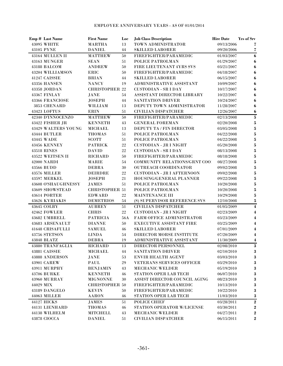|           | Emp # Last Name         | <b>First Name</b>     | Loc    | <b>Job Class Description</b>         | <b>Hire Date</b> | <b>Yrs of Srv</b>       |
|-----------|-------------------------|-----------------------|--------|--------------------------------------|------------------|-------------------------|
|           | 43095 WHITE             | <b>MARTHA</b>         | 13     | TOWN ADMINISTRATOR                   | 09/13/2006       | 7                       |
|           | 43105 PYNE              | <b>DANIEL</b>         | 44     | <b>SKILLED LABORER</b>               | 09/20/2006       | 7                       |
|           | 43164 MULLEN II         | <b>MATTHEW</b>        | 50     | FIREFIGHTER/PARAMEDIC                | 01/03/2007       | 6                       |
|           | 43163 MUNGER            | <b>SEAN</b>           | 51     | POLICE PATROLMAN                     | 01/29/2007       | 6                       |
|           | 43188 BALCOM            | <b>ANDREW</b>         | 50     | <b>FIRE LIEUTENANT 4YRS SVS</b>      | 03/21/2007       | 6                       |
|           | 43204 WILLIAMSON        | ERIC                  | 50     | FIREFIGHTER/PARAMEDIC                | 04/18/2007       | 6                       |
|           | 41247 CAISSIE           | <b>BRIAN</b>          | 44     | <b>SKILLED LABORER</b>               | 06/15/2007       | 6                       |
|           | <b>43356 HANSEN</b>     | <b>NANCY</b>          | 19     | <b>ADMINISTRATIVE ASSISTANT</b>      | 10/09/2007       | 6                       |
|           | 43358 JORDAN            | <b>CHRISTOPHER 22</b> |        | <b>CUSTODIAN - SR I DAY</b>          | 10/17/2007       | 6                       |
|           | 43367 FINLAY            | <b>JANE</b>           | 54     | ASSISTANT DIRECTOR LIBRARY           | 10/22/2007       | 6                       |
|           | 43366 FRANCIOSE         | <b>JOSEPH</b>         | 44     | <b>SANITATION DRIVER</b>             | 10/24/2007       | 6                       |
|           | 3853 CHENARD            | WILLIAM               | 13     | DEPUTY TOWN ADMINISTRATOR            | 11/28/2007       | 6                       |
|           | 43423 LOFTUS            | <b>ERIN</b>           | 51     | <b>CIVILIAN DISPATCHER</b>           | 12/26/2007       | 6                       |
|           | 42340 D'INNOCENZO       | <b>MATTHEW</b>        | 50     | FIREFIGHTER/PARAMEDIC                | 02/13/2008       | $\bf 5$                 |
|           | 43422 FISHER JR         | <b>KENNETH</b>        | 43     | <b>GENERAL FOREMAN</b>               | 02/20/2008       | 5                       |
|           | 43429 WALTERS YOUNG     | <b>MICHAEL</b>        | 13     | DEPUTY TA / FIN DIRECTOR             | 03/05/2008       | $\mathbf{5}$            |
|           | 43444 BUTLER            | <b>THOMAS</b>         | 51     | POLICE PATROLMAN                     | 04/22/2008       | $\mathbf 5$             |
|           | 43445 WADE              | <b>SCOTT</b>          | 51     | POLICE PATROLMAN                     | 04/22/2008       | 5                       |
|           | <b>43456 KENNEY</b>     | <b>PATRICK</b>        | 22     | <b>CUSTODIAN - JR I NIGHT</b>        | 05/20/2008       | 5                       |
|           | <b>43518 RINES</b>      | <b>DAVID</b>          | 22     | <b>CUSTODIAN - SR I DAY</b>          | 08/13/2008       | 5                       |
|           | 43522 WEITSEN II        | <b>RICHARD</b>        | 50     | <b>FIREFIGHTER/PARAMEDIC</b>         | 08/18/2008       | 5                       |
|           | <b>42000 NARDI</b>      | <b>MARIE</b>          | 54     | <b>COMMUNITY RELATIONS/GRNT COO!</b> | 08/27/2008       | 5                       |
|           | 43566 BUDD              | <b>DEBRA</b>          | 30     | OUTREACH COORDINATOR                 | 09/02/2008       | 5                       |
|           | 43576 MILLER            | <b>DEIRDRE</b>        | 22     | <b>CUSTODIAN - JR I AFTERNOON</b>    | 09/02/2008       | 5                       |
|           | 43597 MERKEL            | <b>JOSEPH</b>         | 21     | HOUSING/GENERAL PLANNER              | 09/22/2008       | 5                       |
|           | 43608 O'SHAUGHNESSY     | <b>JAMES</b>          | 51     | POLICE PATROLMAN                     | 10/20/2008       | 5                       |
|           | 43609 SHOWSTEAD         | <b>CHRISTOPHER 51</b> |        | POLICE PATROLMAN                     | 10/20/2008       | 5                       |
|           | 43614 PORTER            | <b>EDWARD</b>         | 22     | MAINTENANCE III                      | 10/29/2008       | 5                       |
|           | 43626 KYRIAKIS          | <b>DEMETRIOS</b>      | 54     | (S) SUPERVISOR REFERENCE SVS         | 12/10/2008       | ${\bf 5}$               |
|           | 43645 COLBY             | <b>AUBREY</b>         | 51     | <b>CIVILIAN DISPATCHER</b>           | 01/05/2009       | $\overline{\mathbf{4}}$ |
|           | 42462 FOWLER            | <b>CHRIS</b>          | $22\,$ | <b>CUSTODIAN - JR I NIGHT</b>        | 02/23/2009       | 4                       |
|           | 43682 UMBRELL           | <b>PATRICIA</b>       | 56A    | FARM OFFICE ADMINISTRATOR            | 03/23/2009       | 4                       |
|           | 43683 ARSENAULT         | <b>DIANNE</b>         | 50     | EXECUTIVE ASSISTANT FIRE             | 03/25/2009       | 4                       |
|           | 41648 CRISAFULLI        | <b>SAMUEL</b>         | 46     | <b>SKILLED LABORER</b>               | 07/01/2009       | 4                       |
|           | 43756 STETSON           | <b>LINDA</b>          | 54     | DIRECTOR MORSE INSTITUTE             | 07/20/2009       | 4                       |
|           | 43848 BLATZ             | <b>DEBRA</b>          | 19     | ADMINISTRATIVE ASSISTANT             | 11/30/2009       | 4                       |
|           | <b>43880 TRANFAGLIA</b> | <b>RICHARD</b>        | 13     | DIRECTOR PERSONNEL                   | 02/08/2010       | $\bf 3$                 |
|           | 43881 CAISSIE           | <b>MICHAEL</b>        | 44     | <b>SANITATION DRIVER</b>             | 02/10/2010       | 3                       |
|           | 43888 ANDERSON          | <b>JANE</b>           | $53\,$ | <b>ENVIR HEALTH AGENT</b>            | 03/03/2010       | $\bf 3$                 |
|           | 43901 CAREW             | PAUL                  | $29\,$ | <b>VETERANS SERVICES OFFICER</b>     | 03/29/2010       | 3                       |
|           | 43911 MURPHY            | <b>BENJAMIN</b>       | 43     | <b>MECHANIC WELDER</b>               | 05/19/2010       | 3                       |
|           | <b>43706 BURKE</b>      | <b>KENNETH</b>        | 46     | STATION OPER LAB TECH                | 06/07/2010       | 3                       |
|           | 43960 MURRAY            | <b>MIGNONNE</b>       | 30     | ASSIST DIRECTOR COUNCIL AGING        | 08/23/2010       | 3                       |
| 44029 MIX |                         | <b>CHRISTOPHER 50</b> |        | FIREFIGHTER/PARAMEDIC                | 10/13/2010       | $\bf 3$                 |
|           | 43189 DANGELO           | <b>KEVIN</b>          | 50     | FIREFIGHTER/PARAMEDIC                | 10/22/2010       | $\bf 3$                 |
|           | 44063 MILLER            | <b>AARON</b>          | 46     | STATION OPER LAB TECH                | 11/03/2010       | $\bf{3}$                |
|           | 44127 HICKS             | JAMES                 | 51     | POLICE CHIEF                         | 03/28/2011       | $\overline{2}$          |
|           | 44131 LIENHARD          | <b>THOMAS</b>         | 46     | STATION OPERATOR W/LICENSE           | 03/30/2011       | $\bf 2$                 |
|           | 44138 WILHELM           | <b>MITCHELL</b>       | 43     | <b>MECHANIC WELDER</b>               | 04/27/2011       | $\bf 2$                 |
|           | 43878 CIOCCA            | <b>DANIEL</b>         | $51\,$ | <b>CIVILIAN DISPATCHER</b>           | 06/15/2011       | $\bf 2$                 |
|           |                         |                       |        |                                      |                  |                         |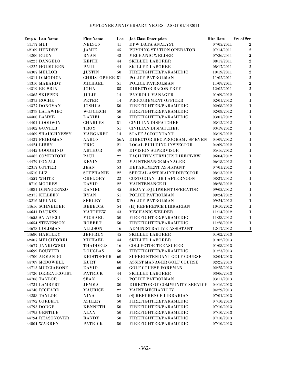|           | Emp # Last Name     | <b>First Name</b>     | Loc    | <b>Job Class Description</b>        | <b>Hire Date</b> | <b>Yrs of Srv</b> |
|-----------|---------------------|-----------------------|--------|-------------------------------------|------------------|-------------------|
| 44177 MUI |                     | <b>NELSON</b>         | 41     | DPW DATA ANALYST                    | 07/05/2011       | $\bf{2}$          |
|           | 42109 HENDRY        | JAMIE                 | 45     | PUMPING STATION OPERATOR            | 07/14/2011       | $\boldsymbol{2}$  |
|           | 44200 RUDY          | <b>RYAN</b>           | 43     | <b>MECHANIC WELDER</b>              | 07/26/2011       | $\bf 2$           |
|           | 44223 DANGELO       | <b>KEITH</b>          | 44     | <b>SKILLED LABORER</b>              | 08/17/2011       | $\bf 2$           |
|           | 44222 HOLMGREN      | PAUL                  | 44     | <b>SKILLED LABORER</b>              | 08/17/2011       | $\bf 2$           |
|           | 44307 MELLOR        | <b>JUSTIN</b>         | 50     | FIREFIGHTER/PARAMEDIC               | 10/19/2011       | $\bf 2$           |
|           | 44311 DIMODICA      | <b>CHRISTOPHER 51</b> |        | POLICE PATROLMAN                    | 11/02/2011       | $\overline{2}$    |
|           | 44310 MABARDY       | <b>MICHAEL</b>        | 51     | POLICE PATROLMAN                    | 11/09/2011       | $\overline{2}$    |
|           | 44319 BRISBIN       | <b>JOHN</b>           | 55     | <b>DIRECTOR BACON FREE</b>          | 12/02/2011       | $\bf 2$           |
|           | 44365 SKIPPER       | <b>JULIE</b>          | 14     | PAYROLL MANAGER                     | 01/09/2012       | $\mathbf{1}$      |
|           | 44375 ROCHE         | <b>PETER</b>          | 14     | PROCUREMENT OFFICER                 | 02/01/2012       | 1                 |
|           | 44377 DONOVAN       | <b>JOSHUA</b>         | 50     | FIREFIGHTER/PARAMEDIC               | 02/08/2012       | $\mathbf{1}$      |
|           | 44378 LATAWIEC      | WOJCIECH              | 50     | FIREFIGHTER/PARAMEDIC               | 02/08/2012       | $\mathbf{1}$      |
|           | 44400 LAMME         | <b>DANIEL</b>         | 50     | FIREFIGHTER/PARAMEDIC               | $03/07/2012\,$   | $\mathbf{1}$      |
|           | 44401 GOODWIN       | <b>CHARLES</b>        | 51     | <b>CIVILIAN DISPATCHER</b>          | 03/12/2012       | $\mathbf{1}$      |
|           | <b>44402 GUNTER</b> | <b>TROY</b>           | 51     | <b>CIVILIAN DISPATCHER</b>          | 03/19/2012       | 1                 |
|           | 44409 SHAUGHNESSY   | <b>MARGARET</b>       | 14     | STAFF ACCOUNTANT                    | 03/19/2012       | 1                 |
|           | 44427 FRIEDMAN      | <b>AARON</b>          | 56A    | DIRECTOR REC PROGRAM / SP EVEN      | 04/09/2012       | 1                 |
|           | 44424 LIBBY         | <b>ERIC</b>           | 21     | <b>LOCAL BUILDING INSPECTOR</b>     | 04/09/2012       | $\mathbf 1$       |
|           | 44442 GOODHIND      | <b>ARTHUR</b>         | 49     | <b>DIVISION SUPERVISOR</b>          | 05/16/2012       | $\mathbf 1$       |
|           | 44462 COMERFORD     | PAUL                  | 22     | <b>FACILITIY SERVICES DIRECT-BW</b> | 06/04/2012       | $\mathbf 1$       |
|           | 44479 COXALL        | <b>KEVIN</b>          | 22     | MAINTENANCE MANAGER                 | 06/18/2012       | $\mathbf 1$       |
|           | 42317 COTTER        | <b>JEAN</b>           | 53     | DEPARTMENT ASSISTANT                | 07/01/2012       | $\mathbf 1$       |
| 44510 LUZ |                     | <b>STEPHANIE</b>      | 22     | SPECIAL ASST MAINT DIRECTOR         | 08/13/2012       | 1                 |
|           | 44557 WHITE         | <b>GREGORY</b>        | 22     | <b>CUSTODIAN - JR I AFTERNOON</b>   | 08/27/2012       | $\mathbf 1$       |
|           | 8710 MOORES         | <b>DAVID</b>          | 22     | <b>MAINTENANCE II</b>               | 08/28/2012       | $\mathbf{1}$      |
|           | 44081 DINNOCENZO    | <b>DANIEL</b>         | 45     | HEAVY EQUIPMENT OPERATOR            | 09/05/2012       | $\mathbf{1}$      |
|           | 42375 KILLEEN       | <b>RYAN</b>           | 51     | POLICE PATROLMAN                    | 09/24/2012       | $\mathbf{1}$      |
|           | 43216 MELNIK        | <b>SERGEY</b>         | 51     | POLICE PATROLMAN                    | 09/24/2012       | $\mathbf{1}$      |
|           | 44616 SCHNEIDER     | <b>REBECCA</b>        | 54     | (H) REFERENCE LIBRARIAN             | 10/10/2012       | $\mathbf{1}$      |
|           | 44641 DAUKSZ        | <b>MATTHEW</b>        | 43     | <b>MECHANIC WELDER</b>              | 11/14/2012       | $\mathbf{1}$      |
|           | 44655 SALVUCCI      | <b>MICHAEL</b>        | 50     | FIREFIGHTER/PARAMEDIC               | 11/28/2012       | $\mathbf{1}$      |
|           | 44654 STEVENSON     | <b>ROBERT</b>         | 50     | FIREFIGHTER/PARAMEDIC               | 11/28/2012       | $\bf{l}$          |
|           | 44678 GOLDMAN       | <b>ALLISON</b>        | 16     | ADMINISTRATIVE ASSISTANT            | 12/17/2012       | 1                 |
|           | 44680 HARTLEY       | <b>JEFFREY</b>        | 45     | <b>SKILLED LABORER</b>              | 01/02/2013       |                   |
|           | 42407 MELCHIORRI    | <b>MICHAEL</b>        | 44     | <b>SKILLED LABORER</b>              | 01/02/2013       |                   |
|           | 44677 JANKOWSKI     | <b>THADDEUS</b>       | 16     | <b>COLLECTOR TREASURER</b>          | 01/08/2013       |                   |
|           | 44699 BOUVIER       | <b>DOUGLAS</b>        | 50     | FIREFIGHTER/PARAMEDIC               | 01/23/2013       |                   |
|           | 44700 ARMANDO       | <b>KRISTOFFER</b>     | 60     | SUPERINTENDANT GOLF COURSE          | 02/04/2013       |                   |
|           | 44709 MCDOWELL      | KURT                  | 60     | ASSIST MANAGER GOLF COURSE          | 02/25/2013       |                   |
|           | 44713 MUCCIARONE    | <b>DAVID</b>          | 60     | <b>GOLF COURSE FOREMAN</b>          | 02/25/2013       |                   |
|           | 44720 DEBEAUCOURT   | <b>PATRICK</b>        | 44     | <b>SKILLED LABORER</b>              | 03/06/2013       |                   |
|           | 44708 TAYLOR        | <b>SEAN</b>           | 51     | POLICE PATROLMAN                    | 03/11/2013       |                   |
|           | 44731 LAMBERT       | <b>JEMMA</b>          | 30     | DIRECTOR OF COMMUNITY SERVICE       | 04/16/2013       |                   |
|           | 44740 RICHARD       | <b>MAURICE</b>        | $22\,$ | <b>MAINT MECHANIC IV</b>            | 04/29/2013       |                   |
|           | <b>44258 TAYLOR</b> | <b>NINA</b>           | 54     | (S) REFERENCE LIBRARIAN             | 07/01/2013       |                   |
|           | 44792 CORBETT       | <b>ASHLEY</b>         | 50     | FIREFIGHTER/PARAMEDIC               | 07/10/2013       |                   |
|           | 44793 DODGE         | <b>KENNETH</b>        | 50     | FIREFIGHTER/PARAMEDIC               | 07/10/2013       |                   |
|           | 44795 GENTILE       | <b>ALAN</b>           | 50     | FIREFIGHTER/PARAMEDIC               | 07/10/2013       |                   |
|           | 44794 REASONOVER    | <b>RANDY</b>          | 50     | FIREFIGHTER/PARAMEDIC               | 07/10/2013       |                   |
|           | 44804 WARREN        | <b>PATRICK</b>        | 50     | FIREFIGHTER/PARAMEDIC               | 07/10/2013       |                   |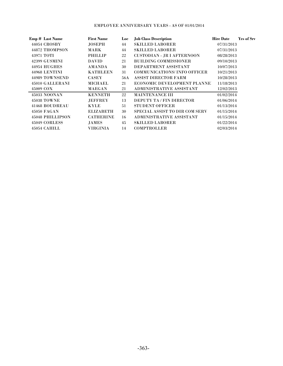|           | <b>Emp # Last Name</b> | <b>First Name</b> | Loc | <b>Job Class Description</b>          | <b>Hire Date</b> | <b>Yrs of Srv</b> |
|-----------|------------------------|-------------------|-----|---------------------------------------|------------------|-------------------|
|           | 44054 CROSBY           | <b>JOSEPH</b>     | 44  | <b>SKILLED LABORER</b>                | 07/31/2013       |                   |
|           | 44872 THOMPSON         | MARK              | 44  | <b>SKILLED LABORER</b>                | 07/31/2013       |                   |
|           | 43971 TOTI             | <b>PHILLIP</b>    | 22  | <b>CUSTODIAN - JR I AFTERNOON</b>     | 08/28/2013       |                   |
|           | 42399 GUSMINI          | <b>DAVID</b>      | 21  | <b>BUILDING COMMISSIONER</b>          | 09/10/2013       |                   |
|           | 44954 HUGHES           | <b>AMANDA</b>     | 30  | DEPARTMENT ASSISTANT                  | 10/07/2013       |                   |
|           | 44968 LENTINI          | <b>KATHLEEN</b>   | 31  | <b>COMMUNICATIONS/INFO OFFICER</b>    | 10/21/2013       |                   |
|           | 44989 TOWNSEND         | <b>CASEY</b>      | 56A | <b>ASSIST DIRECTOR FARM</b>           | 10/28/2013       |                   |
|           | 45010 GALLERANI        | <b>MICHAEL</b>    | 21  | <b>ECONOMIC DEVELOPMENT PLANNE</b>    | 11/18/2013       |                   |
| 45009 COX |                        | <b>MAEGAN</b>     | 21  | <b>ADMINISTRATIVE ASSISTANT</b>       | 12/02/2013       |                   |
|           | <b>45033 NOONAN</b>    | <b>KENNETH</b>    | 22  | <b>MAINTENANCE III</b>                | 01/02/2014       |                   |
|           | 45038 TOWNE            | <b>JEFFREY</b>    | 13  | <b>DEPUTY TA / FIN DIRECTOR</b>       | 01/06/2014       |                   |
|           | 41468 BOUDREAU         | <b>KYLE</b>       | 51  | <b>STUDENT OFFICER</b>                | 01/13/2014       |                   |
|           | <b>45050 FAGAN</b>     | <b>ELIZABETH</b>  | 30  | <b>SPECIAL ASSIST TO DIR COM SERV</b> | 01/15/2014       |                   |
|           | 45048 PHILLIPSON       | <b>CATHERINE</b>  | 16  | <b>ADMINISTRATIVE ASSISTANT</b>       | 01/15/2014       |                   |
|           | 45049 CORLESS          | <b>JAMES</b>      | 45  | <b>SKILLED LABORER</b>                | 01/22/2014       |                   |
|           | 45054 CAHILL           | VIRGINIA          | 14  | <b>COMPTROLLER</b>                    | 02/03/2014       |                   |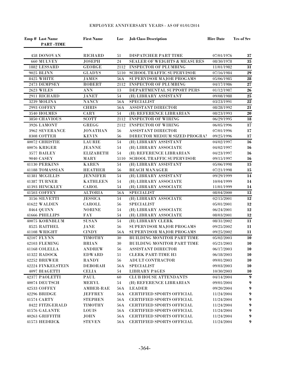| Emp # Last Name<br><b>PART-TIME</b> | <b>First Name</b>              | Loc       | <b>Job Class Description</b>              | <b>Hire Date</b>         | Yrs of Srv       |
|-------------------------------------|--------------------------------|-----------|-------------------------------------------|--------------------------|------------------|
| 458 DONOVAN                         | <b>RICHARD</b>                 | 51        | DISPATCHER PART TIME                      | 07/01/1976               | 37               |
| 660 MULVEY                          | <b>JOSEPH</b>                  | 24        | SEALER OF WEIGHTS & MEASURES              | 08/30/1978               | ${\bf 35}$       |
| 1882 LESSARD                        | <b>GEORGE</b>                  | 2112      | <b>INSPECTOR OF PLUMBING</b>              | 11/01/1982               | 31               |
| 9025 BLINN                          | <b>GLADYS</b>                  | 5110      | <b>SCHOOL TRAFFIC SUPERVISOR</b>          | 07/16/1984               | $\overline{29}$  |
| 8425 WHITE                          | <b>JAMES</b>                   | 56A       | SUPERVISOR MAJOR PROGAMS                  | 05/06/1985               | $\overline{28}$  |
| 2473 DEMPSEY                        | <b>ROBERT</b>                  | 2112      | <b>INSPECTOR OF PLUMBING</b>              | 04/17/1986               | $\overline{27}$  |
| <b>2623 WILES</b>                   | <b>ANN</b>                     | 13        | DEPARTMENTAL SUPPORT PERS                 | 01/12/1987               | 26               |
| 2911 RICHARD                        | <b>JANET</b>                   | 54        | (H) LIBRARY ASSISTANT                     | 09/08/1988               | $\overline{25}$  |
| 3239 MOLINA                         | <b>NANCY</b>                   | 56A       | <b>SPECIALIST</b>                         | 03/23/1991               | $\overline{22}$  |
| 2993 COFFEY                         | <b>CHRIS</b>                   | 56A       | <b>ASSISTANT DIRECTOR</b>                 | 08/28/1992               | ${\bf 21}$       |
| 3540 HOLMES                         | CARY                           | 54        | (H) REFERENCE LIBRARIAN                   | 08/23/1993               | $\overline{20}$  |
| 3850 CHAVIOUS                       | <b>SCOTT</b>                   | 2112      | <b>INSPECTOR OF WIRING</b>                | 06/29/1995               | 18               |
| 3926 LAMONT                         | <b>GREGG</b>                   | 2112      | <b>INSPECTOR OF WIRING</b>                | 06/05/1996               | 17               |
| 3962 SEVERANCE                      | <b>JONATHAN</b>                | 56        | ASSISTANT DIRECTOR                        | 07/01/1996               | 17               |
| 8308 COTTER                         | <b>KEVIN</b>                   | 56        | DIRECTOR MEDIUM SIZED PROGRAM             | 09/25/1996               | 17               |
| 40072 CHRISTIE                      | <b>LAURIE</b>                  | 54        | (H) LIBRARY ASSISTANT                     | 04/02/1997               | 16               |
| 40076 KRIGER                        | <b>JEANNE</b>                  | 54        | (H) LIBRARY ASSOCIATE                     | 04/02/1997               | 16               |
| 3577 BAILEY                         | <b>ELIZABETH</b>               | 54        | (H) REFERENCE LIBRARIAN                   | 04/23/1997               | 16               |
| <b>9040 CASEY</b>                   | MARY                           | 5110      | SCHOOL TRAFFIC SUPERVISOR                 | 09/15/1997               | 16               |
| 41130 PERKINS                       | <b>KAREN</b>                   | 54        | (H) LIBRARY ASSISTANT                     | 05/06/1998               | 15               |
| 41188 TOMASSIAN                     | <b>HEATHER</b>                 | 56        | <b>BEACH MANAGER</b>                      | 07/21/1998               | 15               |
| 41381 MCGILLIS                      | <b>JENNIFER</b>                | 54        | (H) LIBRARY ASSISTANT                     | 09/29/1999               | 14               |
| 41387 TURNER                        | <b>KATHLEEN</b>                | 54        | (H) LIBRARY ASSOCIATE                     | 10/04/1999               | 14               |
| 41393 HINCKLEY                      | <b>CAROL</b>                   | 54        | (H) LIBRARY ASSOCIATE                     | 11/01/1999               | 14               |
| 41503 COFFEY                        | <b>ALTORIA</b>                 | 56A       | <b>SPECIALIST</b>                         | 08/04/2000               | $\overline{13}$  |
| 3156 SILVETTI                       | <b>JESSICA</b>                 | 54        | (H) LIBRARY ASSOCIATE                     | 02/15/2001               | 12               |
| 41622 WALDEN                        | CAROLL                         | 56        | <b>SPECIALIST</b>                         | 05/01/2001               | 12               |
| <b>8464 QUINN</b>                   | <b>NORINE</b>                  | 54        | (H) LIBRARY ASSOCIATE                     | 06/24/2001               | 12               |
| 41666 PHILLIPS                      | <b>FAY</b>                     | 54        | (H) LIBRARY ASSOCIATE                     | 08/03/2001               | 12               |
| 40075 KORNBLUM                      | <b>SUSAN</b>                   | 54        | (H) LIBRARY CLERK                         | 08/31/2002               | 11               |
| 8525 RAITHEL                        | <b>JANE</b>                    | 56        | SUPERVISOR MAJOR PROGAMS                  | 09/25/2002               | 11               |
| 41108 WRIGHT                        | <b>CINDY</b>                   | 56A       | SUPERVISOR MAJOR PROGAMS                  | 09/25/2002               | 11               |
| 42107 FLYNN                         | <b>TIMOTHY</b>                 | 30        | <b>BUILDING MONITOR PART TIME</b>         | 05/02/2003               | 10               |
| 42103 FLEMING                       | <b>BRIAN</b>                   | 30        | BUILDING MONITOR PART TIME                | 05/21/2003               | 10               |
| 41168 COLELLA                       | <b>ANDREW</b>                  | 56        | <b>ASSISTANT DIRECTOR</b>                 | 06/17/2003               | 10               |
| 41322 RADOCK                        | <b>EDWARD</b>                  | 51        | <b>CLERK PART-TIME H3</b>                 | 06/18/2003               | 10               |
| 42252 BREWER                        | <b>RANDY</b>                   | 56        | <b>ADULT CONTRACTOR</b>                   | 09/01/2003               | 10               |
| 42224 FINKELSTEIN<br>4097 BIAGETTI  | <b>DEBORAH</b><br><b>CELIA</b> | 56A<br>54 | <b>SPECIALIST</b><br><b>LIBRARY PAGES</b> | 09/03/2003<br>10/30/2003 | 10<br>10         |
| 42377 PAOLETTI                      | <b>PAUL</b>                    | 60        | <b>CLUB HOUSE ATTENDANTS</b>              | 04/14/2004               | $\boldsymbol{9}$ |
| 40074 DEUTSCH                       | <b>MERYL</b>                   | 54        | (H) REFERENCE LIBRARIAN                   | 09/01/2004               | 9                |
| 42533 COFFEY                        | <b>AMBER-RAE</b>               | 56A       | <b>LEADER</b>                             | 09/20/2004               | 9                |
| 42296 BRIDGE                        | <b>JEFFREY</b>                 | 56A       | <b>CERTIFIED SPORTS OFFICIAL</b>          | 11/24/2004               | 9                |
| 41574 CARTY                         | <b>STEPHEN</b>                 | 56A       | <b>CERTIFIED SPORTS OFFICIAL</b>          | 11/24/2004               | 9                |
| 8422 FITZGERALD                     | <b>TIMOTHY</b>                 | 56A       | <b>CERTIFIED SPORTS OFFICIAL</b>          | 11/24/2004               | 9                |
| 41576 GALANTE                       | <b>LOUIS</b>                   | 56A       | <b>CERTIFIED SPORTS OFFICIAL</b>          | 11/24/2004               | 9                |
| 40263 GRIFFITH                      | JOHN                           | 56A       | <b>CERTIFIED SPORTS OFFICIAL</b>          | 11/24/2004               | $\boldsymbol{9}$ |
| 41573 HEDRICK                       | <b>STEVEN</b>                  | 56A       | CERTIFIED SPORTS OFFICIAL                 | 11/24/2004               | 9                |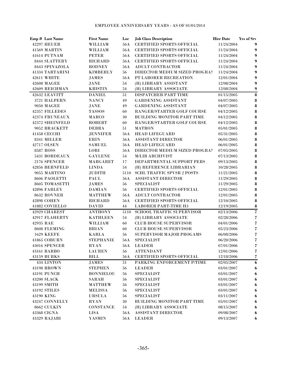|           | Emp # Last Name        | <b>First Name</b> | Loc        | <b>Job Class Description</b>      | <b>Hire Date</b> | <b>Yrs of Srv</b>                  |
|-----------|------------------------|-------------------|------------|-----------------------------------|------------------|------------------------------------|
|           | <b>42297 HEUER</b>     | WILLIAM           | 56A        | <b>CERTIFIED SPORTS OFFICIAL</b>  | 11/24/2004       | 9                                  |
|           | 41569 MARTIN           | <b>WILLIAM</b>    | 56A        | <b>CERTIFIED SPORTS OFFICIAL</b>  | 11/24/2004       | 9                                  |
|           | 41614 PUTNAM           | <b>PETER</b>      | 56A        | <b>CERTIFIED SPORTS OFFICIAL</b>  | 11/24/2004       | 9                                  |
|           | 8444 SLATTERY          | <b>RICHARD</b>    | 56A        | <b>CERTIFIED SPORTS OFFICIAL</b>  | 11/24/2004       | 9                                  |
|           | 8443 SPINAZOLA         | <b>RODNEY</b>     | 56A        | <b>ADULT CONTRACTOR</b>           | 11/24/2004       | 9                                  |
|           | 41334 TARTARINI        | <b>KIMBERLY</b>   | 56         | DIRECTOR MEDIUM SIZED PROGRAM     | 11/24/2004       | 9                                  |
|           | 42611 WHITE            | <b>JAMES</b>      | 56A        | PT LABORER RECREATION             | 12/01/2004       | 9                                  |
|           | <b>42608 MAGEE</b>     | JANE              | 54         | (H) LIBRARY ASSISTANT             | 12/08/2004       | 9                                  |
|           | 42609 REICHMAN         | <b>KRISTIN</b>    | 54         | (H) LIBRARY ASSOCIATE             | 12/08/2004       | 9                                  |
|           | 42632 LEAVITT          | <b>DANIEL</b>     | 51         | DISPATCHER PART TIME              | 01/15/2005       | $\pmb{8}$                          |
|           | 3721 HALPERN           | <b>NANCY</b>      | 49         | <b>GARDENING ASSISTANT</b>        | 04/07/2005       | 8                                  |
|           | <b>9050 MAGEE</b>      | JANE              | 49         | <b>GARDENING ASSISTANT</b>        | 04/07/2005       | 8                                  |
|           | 42357 FILLEDES         | <b>TASSOS</b>     | 60         | RANGER/STARTER GOLF COURSE        | 04/12/2005       | 8                                  |
|           | 42374 FRUNEAUX         | <b>MARCO</b>      | 30         | BUILDING MONITOR PART TIME        | 04/12/2005       | 8                                  |
|           | <b>42372 SHEINFELD</b> | <b>ROBERT</b>     | 60         | RANGER/STARTER GOLF COURSE        | 04/12/2005       | 8                                  |
|           | 9052 BRACKETT          | <b>DEBRA</b>      | 51         | <b>MATRON</b>                     | 05/01/2005       | 8                                  |
|           | 41458 CECCHI           | <b>JENNIFER</b>   | 56A        | <b>HEAD LIFEGUARD</b>             | 05/31/2005       | 8                                  |
|           | 8341 MILLER            | <b>ERIN</b>       | 56A        | <b>ASSISTANT DIRECTOR</b>         | 06/01/2005       | 8                                  |
|           | 42717 OLSEN            | <b>SAMUEL</b>     | 56A        | <b>HEAD LIFEGUARD</b>             | 06/01/2005       | 8                                  |
|           | 8587 ROSS              | LORI              | 56A        | DIRECTOR MEDIUM SIZED PROGRAM     | 07/05/2005       | 8                                  |
|           | 5431 BORDEAUX          | <b>GAYLENE</b>    | 54         | <b>M/LIB ARCHIVIST</b>            | 07/13/2005       | 8                                  |
|           | 2176 SPENCER           | <b>MARGARET</b>   | 17         | DEPARTMENTAL SUPPORT PERS         | 09/13/2005       | 8                                  |
|           | 42856 BERNFELD         | <b>LINDA</b>      | 54         | (H) REFERENCE LIBRARIAN           | 10/28/2005       | 8                                  |
|           | 9055 MARTINO           | <b>JUDITH</b>     | 5110       | <b>SCHL TRAFFIC SPVSR 2 POSTS</b> | 11/21/2005       | 8                                  |
|           | 8606 PAOLETTI          | PAUL              | 56A        | <b>ASSISTANT DIRECTOR</b>         | 11/29/2005       | 8                                  |
|           | 8605 TOMASETTI         | <b>JAMES</b>      | 56         | <b>SPECIALIST</b>                 | 11/29/2005       | 8                                  |
|           | 42896 FARLEY           | <b>DAMIAN</b>     | 56         | <b>CERTIFIED SPORTS OFFICIAL</b>  | 12/01/2005       | 8                                  |
|           | 8632 ROVNER            | <b>MATTHEW</b>    | 56A        | ADULT CONTRACTOR                  | 12/01/2005       | 8                                  |
|           | <b>42898 COHEN</b>     | <b>RICHARD</b>    | 56A        | <b>CERTIFIED SPORTS OFFICIAL</b>  | 12/10/2005       | 8                                  |
|           | 41882 COVIELLO         | <b>DAVID</b>      | 44         | <b>LABORER PART-TIME H3</b>       | 12/19/2005       | 8                                  |
|           | 42929 CHAREST          | <b>ANTHONY</b>    | 5110       | <b>SCHOOL TRAFFIC SUPERVISOR</b>  | 02/13/2006       | $\overline{\mathbf{z}}$            |
|           | 42917 FLAHERTY         | <b>KATHLEEN</b>   | 54         | (H) LIBRARY ASSOCIATE             | 02/28/2006       | $\overline{\mathbf{z}}$            |
| 42935 RAE |                        | WILLIAM           | 60         | <b>CLUB HOUSE SUPERVISOR</b>      | 04/01/2006       | $\overline{\mathbf{z}}$            |
|           | 8608 FLEMING           | <b>BRIAN</b>      | 60         | <b>CLUB HOUSE SUPERVISOR</b>      | 05/23/2006       | $\overline{\boldsymbol{\epsilon}}$ |
|           | <b>1629 KEEFE</b>      | <b>KARLA</b>      | 56         | SUPERVISOR MAJOR PROGAMS          | 06/08/2006       | $\overline{\boldsymbol{\epsilon}}$ |
|           | <b>41865 COBURN</b>    | <b>STEPHANIE</b>  | 56A        | <b>SPECIALIST</b>                 | 06/20/2006       | $\overline{\mathbf{z}}$            |
|           | 43016 SPENCER          | <b>RYAN</b>       | <b>56A</b> | <b>LEADER</b>                     | 07/01/2006       | 7                                  |
|           | 43161 BARBO            | <b>LAUREN</b>     | 56         | <b>ATTENDANT</b>                  | 12/01/2006       | 7                                  |
|           | 43159 BURKS            | <b>BILL</b>       | 56A        | <b>CERTIFIED SPORTS OFFICIAL</b>  | 12/18/2006       | $\overline{\boldsymbol{\epsilon}}$ |
|           | 434 LINTON             | <b>JAMES</b>      | 51         | PARKING ENFORCEMENT P/TIME        | 02/05/2007       | 6                                  |
|           | 43198 BROWN            | <b>STEPHEN</b>    | 56         | <b>LEADER</b>                     | 03/01/2007       | 6                                  |
|           | 43191 PUNCH            | <b>BONNIELOU</b>  | 56         | <b>SPECIALIST</b>                 | 03/01/2007       | 6                                  |
|           | <b>43200 SLACK</b>     | SARAH             | 56         | <b>SPECIALIST</b>                 | 03/01/2007       | 6                                  |
|           | 43199 SMITH            | <b>MATTHEW</b>    | 56         | <b>SPECIALIST</b>                 | 03/01/2007       | 6                                  |
|           | 43192 STILES           | <b>MELISSA</b>    | 56         | <b>SPECIALIST</b>                 | 03/01/2007       | 6                                  |
|           | 43190 KING             | <b>URSULA</b>     | 56         | <b>SPECIALIST</b>                 | 03/11/2007       | 6                                  |
|           | 43247 CONNELLY         | <b>RYAN</b>       | 30         | <b>BUILDING MONITOR PART TIME</b> | 05/01/2007       | 6                                  |
|           | 8662 CULKIN            | <b>CONSTANCE</b>  | 54         | (H) LIBRARY ASSOCIATE             | 08/15/2007       | 6                                  |
|           | 43368 CIGNA            | <b>LISA</b>       | <b>56A</b> | ASSISTANT DIRECTOR                | 09/08/2007       | 6                                  |
|           | 43329 RAJABI           | <b>YASMIN</b>     | 56A        | <b>LEADER</b>                     | 09/13/2007       | 6                                  |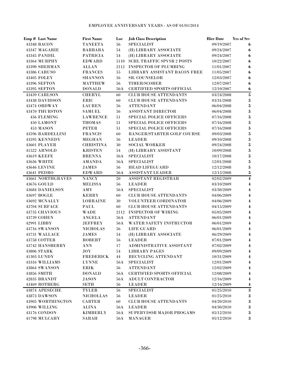| Emp # Last Name          | <b>First Name</b>                | Loc        | <b>Job Class Description</b>      | <b>Hire Date</b> | <b>Yrs of Srv</b> |
|--------------------------|----------------------------------|------------|-----------------------------------|------------------|-------------------|
| 43348 BACON              | <b>TANEETA</b>                   | 56         | <b>SPECIALIST</b>                 | 09/19/2007       | 6                 |
| 43347 MAGARIE            | <b>BARBARA</b>                   | 54         | (H) LIBRARY ASSOCIATE             | 09/24/2007       | 6                 |
| 43345 PANDIL             | <b>PATRICIA</b>                  | 54         | (H) LIBRARY ASSOCIATE             | 09/24/2007       | 6                 |
| 43364 MURPHY             | <b>EDWARD</b>                    | 5110       | <b>SCHL TRAFFIC SPVSR 2 POSTS</b> | 10/22/2007       | $\boldsymbol{6}$  |
| 43390 SHERMAN            | <b>ALLAN</b>                     |            | 2112 INSPECTOR OF PLUMBING        | 11/01/2007       | 6                 |
| 43386 CARUSO             | <b>FRANCES</b>                   | 55         | LIBRARY ASSISTANT BACON FREE      | 11/05/2007       | $\bf{6}$          |
| 43405 FOLEY              | <b>SHANNON</b>                   | 56         | <b>SR. COUNSELOR</b>              | 12/03/2007       | 6                 |
| <b>43396 SEFTON</b>      | <b>MATTHEW</b>                   | 56         | TIMER/SCORER                      | 12/07/2007       | $\bf{6}$          |
| 43395 SEFTON             | <b>DONALD</b>                    | 56A        | <b>CERTIFIED SPORTS OFFICIAL</b>  | 12/10/2007       | $\bf{6}$          |
| 43439 CARLSON            | <b>CHERYL</b>                    | 60         | <b>CLUB HOUSE ATTENDANTS</b>      | 03/24/2008       | $\bf 5$           |
| 43438 DAVIDSON           | <b>ERIC</b>                      | 60         | <b>CLUB HOUSE ATTENDANTS</b>      | 03/31/2008       | ${\bf 5}$         |
| 43474 ORDWAY             | <b>LAUREN</b>                    | 56         | <b>ATTENDANT</b>                  | 06/04/2008       | ${\bf 5}$         |
| 43470 THURSTON           | <b>SAMUEL</b>                    | 56         | <b>ASSISTANT DIRECTOR</b>         | 06/04/2008       | ${\bf 5}$         |
| <b>456 FLEMING</b>       | <b>LAWRENCE</b>                  | 51         | SPECIAL POLICE OFFICERS           | 07/16/2008       | ${\bf 5}$         |
| <b>450 LAMONT</b>        | <b>THOMAS</b>                    | 51         | SPECIAL POLICE OFFICERS           | 07/16/2008       | ${\bf 5}$         |
| 453 MASON                | <b>PETER</b>                     | 51         | SPECIAL POLICE OFFICERS           | 07/16/2008       | ${\bf 5}$         |
| <b>43596 BARDELLINI</b>  | <b>FRANCIS</b>                   | 60         | RANGER/STARTER GOLF COURSE        | 09/03/2008       | ${\bf 5}$         |
| 43595 KENNEDY            | <b>MEGHAN</b>                    | 56         | <b>LEADER</b>                     | 09/10/2008       | ${\bf 5}$         |
| 43601 PLAYER             | <b>CHRISTINA</b>                 | 30         | <b>SOCIAL WORKER</b>              | 09/24/2008       | ${\bf 5}$         |
| 41522 ARNOLD             | <b>KRISTEN</b>                   | 54         | (H) LIBRARY ASSISTANT             | 10/09/2008       | ${\bf 5}$         |
| <b>43619 KEEFE</b>       | <b>BRENNA</b>                    | 56A        | <b>SPECIALIST</b>                 | 10/17/2008       | ${\bf 5}$         |
| 43636 WHITE              | <b>AMANDA</b>                    | 56A        | <b>SPECIALIST</b>                 | 12/01/2008       | ${\bf 5}$         |
| <b>43646 LEVINE</b>      | <b>JAMES</b>                     | 56         | <b>HEAD LIFEGUARD</b>             | 12/12/2008       | ${\bf 5}$         |
| 43641 PEDRO              | <b>EDWARD</b>                    | 56A        | <b>ASSISTANT LEADER</b>           | 12/12/2008       | ${\bf 5}$         |
| <b>43661 NORTHGRAVES</b> | <b>NANCY</b>                     | 20         | ASSISTANT REGISTRAR               | 02/02/2009       | $\boldsymbol{4}$  |
| 43676 GOULD              | <b>MELISSA</b>                   | 56         | <b>LEADER</b>                     | 03/10/2009       | $\boldsymbol{4}$  |
| <b>43684 DANIELSON</b>   | $\mathbf{A}\mathbf{M}\mathbf{Y}$ | <b>56A</b> | <b>SPECIALIST</b>                 | 03/30/2009       | $\boldsymbol{4}$  |
| 43697 BOGLE              | <b>KERRY</b>                     | 60         | <b>CLUB HOUSE ATTENDANTS</b>      | 04/06/2009       | $\boldsymbol{4}$  |
| 43692 MCNALLY            | <b>LORRAINE</b>                  | 30         | <b>VOLUNTEER CORDINATOR</b>       | 04/06/2009       | $\boldsymbol{4}$  |
| 43704 SURFACE            | PAUL                             | 60         | <b>CLUB HOUSE ATTENDANTS</b>      | 04/15/2009       | $\boldsymbol{4}$  |
| 43735 CHAVIOUS           | <b>WADE</b>                      |            | 2112 INSPECTOR OF WIRING          | 05/05/2009       | $\boldsymbol{4}$  |
| 43739 COHEN              | <b>ANGELA</b>                    | 56A        | <b>ATTENDANT</b>                  | 06/01/2009       | $\boldsymbol{4}$  |
| 42991 LIBBY              | <b>JEFFREY</b>                   | 56A        | WATER SAFETY INSTRUCTOR           | 06/01/2009       | $\boldsymbol{4}$  |
| 43716 SWANSON            | <b>NICHOLAS</b>                  | 56         | <b>LIFE GUARD</b>                 | 06/01/2009       | $\boldsymbol{4}$  |
| 43731 WALLACE            | <b>JAMES</b>                     | 54         | (H) LIBRARY ASSOCIATE             | 06/29/2009       | $\boldsymbol{4}$  |
| 43758 COTTER             | <b>ROBERT</b>                    | 56         | <b>LEADER</b>                     | 07/01/2009       | $\boldsymbol{4}$  |
| 43742 HANSBERRY          | <b>ANN</b>                       | 17         | ADMINISTRATIVE ASSISTANT          | 07/02/2009       | $\boldsymbol{4}$  |
| <b>43806 STARK</b>       | $_{\rm JOY}$                     | 54         | <b>LIBRARY PAGES</b>              | 09/09/2009       | 4                 |
| 41303 LUNDY              | <b>FREDERICK</b>                 | 44         | <b>RECYCLING ATTENDANT</b>        | 10/31/2009       | 4                 |
| 43316 WILLIAMS           | <b>LYNNE</b>                     | 56A        | <b>SPECIALIST</b>                 | 12/01/2009       | $\boldsymbol{4}$  |
| 43864 SWANSON            | ERIK                             | 56         | <b>ATTENDANT</b>                  | 12/02/2009       | 4                 |
| 43856 SMITH              | <b>DONALD</b>                    | 56A        | <b>CERTIFIED SPORTS OFFICIAL</b>  | 12/08/2009       | 4                 |
| 42835 BRANDT             | <b>JASON</b>                     | 56A        | ADULT CONTRACTOR                  | 12/16/2009       | 4                 |
| 43469 ROTBERG            | <b>SETH</b>                      | 56         | <b>LEADER</b>                     | 12/16/2009       | 4                 |
| 43874 APESECHE           | <b>TYLER</b>                     | 56         | <b>SPECIALIST</b>                 | 01/25/2010       | $\bf 3$           |
| 43873 DAWSON             | <b>NICHOLLAS</b>                 | 56         | <b>LEADER</b>                     | 01/25/2010       | $\bf 3$           |
| 43905 WORTHINGTON        | <b>CARTER</b>                    | 60         | <b>CLUB HOUSE ATTENDANTS</b>      | 04/20/2010       | $\bf 3$           |
| 43906 WILLING            | <b>ALINA</b>                     | 56A        | <b>LEADER</b>                     | 04/30/2010       | $\bf 3$           |
| 43176 CONDON             | <b>KIMBERLY</b>                  | 56A        | SUPERVISOR MAJOR PROGAMS          | 05/12/2010       | $\bf{3}$          |
| 41798 MULCAHY            | SARAH                            | 56A        | <b>MANAGER</b>                    | 05/12/2010       | $\bf{3}$          |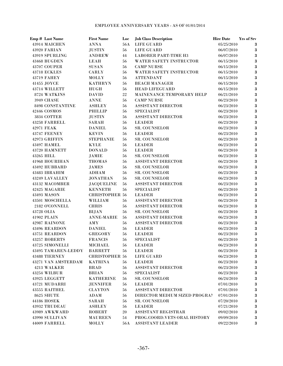| Emp # Last Name            | <b>First Name</b>      | Loc | <b>Job Class Description</b>  | <b>Hire Date</b> | <b>Yrs of Srv</b> |
|----------------------------|------------------------|-----|-------------------------------|------------------|-------------------|
| 43914 MAICHEN              | <b>ANNA</b>            | 56A | <b>LIFE GUARD</b>             | 05/25/2010       | 3                 |
| 43920 FARIAN               | <b>JUSTIN</b>          | 56  | <b>LIFE GUARD</b>             | 06/07/2010       | $\bf 3$           |
| 43919 SPURLING             | <b>ANDREW</b>          | 44  | <b>LABORER PART-TIME H3</b>   | 06/07/2010       | $\bf 3$           |
| 43468 BUGDEN               | LEAH                   | 56  | WATER SAFETY INSTRUCTOR       | 06/15/2010       | $\bf 3$           |
| 43707 COUPER               | <b>SUSAN</b>           | 56  | <b>CAMP NURSE</b>             | 06/15/2010       | $\bf 3$           |
| <b>43718 ECKLES</b>        | <b>CARLY</b>           | 56  | WATER SAFETY INSTRUCTOR       | 06/15/2010       | $\bf{3}$          |
| <b>43719 FAHEY</b>         | <b>MOLLY</b>           | 56  | <b>ATTENDANT</b>              | 06/15/2010       | $\bf 3$           |
| 41455 JOYCE                | <b>KATHRYN</b>         | 56  | <b>BEACH MANAGER</b>          | 06/15/2010       | $\bf 3$           |
| 43714 WILLETT              | <b>HUGH</b>            | 56  | <b>HEAD LIFEGUARD</b>         | 06/15/2010       | $\bf 3$           |
| 8724 WATKINS               | <b>DAVID</b>           | 22  | MAINENANCE TEMPORARY HELP     | 06/21/2010       | $\bf 3$           |
| <b>3949 CHASE</b>          | <b>ANNE</b>            | 56  | <b>CAMP NURSE</b>             | 06/23/2010       | $\bf 3$           |
| 8498 CONSTANTINE           | <b>ASHLEY</b>          | 56  | <b>ASSISTANT DIRECTOR</b>     | 06/23/2010       | $\bf 3$           |
| 42446 COSMOS               | PHILLIP                | 56  | <b>SPECIALIST</b>             | 06/23/2010       | $\bf{3}$          |
| 3834 COTTER                | <b>JUSTIN</b>          | 56  | ASSISTANT DIRECTOR            | 06/23/2010       | $\bf 3$           |
| 43258 FARRELL              | <b>SARAH</b>           | 56  | <b>LEADER</b>                 | 06/23/2010       | $\bf 3$           |
| 42971 FEAK                 | <b>DANIEL</b>          | 56  | SR. COUNSELOR                 | 06/23/2010       | $\bf 3$           |
| 43747 FEENEY               | <b>KEVIN</b>           | 56  | <b>LEADER</b>                 | 06/23/2010       | $\bf 3$           |
| 42973 GRIFFIN              | <b>STEPHANIE</b>       | 56  | <b>SR. COUNSELOR</b>          | 06/23/2010       | $\bf 3$           |
| <b>43497 HAMEL</b>         | <b>KYLE</b>            | 56  | <b>LEADER</b>                 | 06/23/2010       | $\bf 3$           |
| 43720 HAMNETT              | <b>DONALD</b>          | 56  | <b>LEADER</b>                 | 06/23/2010       | $\bf 3$           |
| 43265 HILL                 | JAMIE                  | 56  | <b>SR. COUNSELOR</b>          | 06/23/2010       | $\bf 3$           |
| <b>41968 HOURIHAN</b>      | <b>THOMAS</b>          | 56  | <b>ASSISTANT DIRECTOR</b>     | 06/23/2010       | $\bf 3$           |
| 43492 HUBBARD              | <b>JAMES</b>           | 56  | <b>SR. COUNSELOR</b>          | 06/23/2010       | $\bf 3$           |
| 43483 IBRAHIM              | <b>ADHAM</b>           | 56  | <b>SR. COUNSELOR</b>          | 06/23/2010       | $\bf{3}$          |
| 43249 LAVALLEY             | <b>JONATHAN</b>        | 56  | <b>SR. COUNSELOR</b>          | 06/23/2010       | $\bf{3}$          |
| 43132 MACOMBER             | <b>JACQUELINE</b>      | 56  | <b>ASSISTANT DIRECTOR</b>     | 06/23/2010       | $\bf{3}$          |
| 42425 MAGARIE              | <b>KENNETH</b>         | 56  | <b>SPECIALIST</b>             | 06/23/2010       | $\bf{3}$          |
| 43493 MASON                | <b>CHRISTOPHER 56</b>  |     | <b>LEADER</b>                 | 06/23/2010       | $\bf{3}$          |
| 43501 MOSCHELLA            | WILLIAM                | 56  | ASSISTANT DIRECTOR            | 06/23/2010       | $\bf{3}$          |
| 2182 O'CONNELL             | <b>CHRIS</b>           | 56  | <b>ASSISTANT DIRECTOR</b>     | 06/23/2010       | $\bf{3}$          |
| 43728 OLIA                 | <b>BIJAN</b>           | 56  | SR. COUNSELOR                 | 06/23/2010       | $\bf{3}$          |
| 41902 PLAIN                | <b>ANNE-MARIE</b>      | 56  | ASSISTANT DIRECTOR            | 06/23/2010       | $\bf{3}$          |
| 42987 RAINONE              | AMY                    | 56  | ASSISTANT DIRECTOR            | 06/23/2010       | $\bf 3$           |
| 43496 REARDON              | <b>DANIEL</b>          | 56  | <b>LEADER</b>                 | 06/23/2010       | $\bf 3$           |
| 43751 REARDON              | <b>GREGORY</b>         | 56  | <b>LEADER</b>                 | 06/23/2010       | $\bf 3$           |
| <b>43257 ROBERTS</b>       | <b>FRANCIS</b>         | 56  | <b>SPECIALIST</b>             | 06/23/2010       | 3                 |
| 43725 SIMONELLI            | <b>MICHAEL</b>         | 56  | <b>LEADER</b>                 | 06/23/2010       | $\bf 3$           |
| 43495 TAMAREN-LEDDY        | <b>BARRETT</b>         | 56  | <b>LEADER</b>                 | 06/23/2010       | $\bf 3$           |
| <b>43488 TIERNEY</b>       | <b>CHRISTOPHER 56</b>  |     | LIFE GUARD                    | 06/23/2010       | $\bf{3}$          |
| <b>43271 VAN AMSTERDAM</b> | <b>KATRINA</b>         | 56  | <b>LEADER</b>                 | 06/23/2010       | $\bf{3}$          |
| 4213 WALKER                | <b>BRAD</b>            | 56  | <b>ASSISTANT DIRECTOR</b>     | 06/23/2010       | $\bf 3$           |
| 43254 WILBUR               | <b>BRIAN</b>           | 56  | <b>SPECIALIST</b>             | 06/23/2010       | $\bf 3$           |
| 43925 LEGGETT              | <b>KATHERINE</b>       | 56  | <b>SR. COUNSELOR</b>          | 06/24/2010       | $\bf{3}$          |
| 43721 MUDARRI              | <b>JENNIFER</b>        | 56  | <b>LEADER</b>                 | 07/01/2010       | $\bf 3$           |
| <b>43555 RAITHEL</b>       | <b>CLAYTON</b>         | 56  | <b>ASSISTANT DIRECTOR</b>     | 07/01/2010       | $\bf 3$           |
| 8625 SHUTE                 | ADAM                   | 56  | DIRECTOR MEDIUM SIZED PROGRAM | 07/01/2010       | $\bf 3$           |
| 44186 HOSEK                | <b>SARAH</b>           | 56  | <b>SR. COUNSELOR</b>          | 07/20/2010       | $\bf{3}$          |
| <b>43932 TRUDEAU</b>       | <b>ASHLEY</b>          | 56  | <b>LEADER</b>                 | 07/21/2010       | $\bf 3$           |
| 43989 AWKWARD              | <b>ROBERT</b>          | 20  | ASSISTANT REGISTRAR           | 09/02/2010       | $\bf 3$           |
| 43990 SULLIVAN             | <b>MAUREEN</b>         | 54  | PROG.COORD.VETS ORAL HISTORY  | 09/09/2010       | $\bf 3$           |
| 44009 FARRELL              | $\operatorname{MOLLY}$ | 56A | ASSISTANT LEADER              | 09/22/2010       | $\bf{3}$          |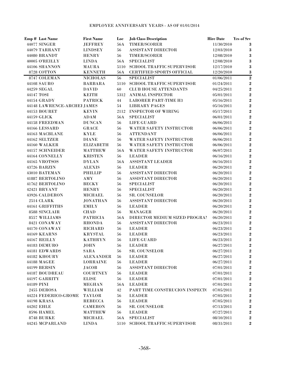|            | Emp # Last Name             | <b>First Name</b> | Loc  | <b>Job Class Description</b>     | <b>Hire Date</b> | <b>Yrs of Srv</b> |
|------------|-----------------------------|-------------------|------|----------------------------------|------------------|-------------------|
|            | 44077 SINGER                | <b>JEFFREY</b>    | 56A  | <b>TIMER/SCORER</b>              | 11/30/2010       | 3                 |
|            | 44079 TARRANT               | <b>LINDSEY</b>    | 56   | <b>ASSISTANT DIRECTOR</b>        | 12/03/2010       | $\bf{3}$          |
|            | 44080 BRANDT                | <b>HENRY</b>      | 56   | <b>TIMER/SCORER</b>              | 12/08/2010       | $\bf 3$           |
|            | 40005 O'REILLY              | <b>LINDA</b>      | 56A  | <b>SPECIALIST</b>                | 12/08/2010       | $\bf 3$           |
|            | 44106 SHANNON               | <b>MAURA</b>      | 5110 | <b>SCHOOL TRAFFIC SUPERVISOR</b> | 12/17/2010       | $\bf 3$           |
|            | 8728 COTTON                 | <b>KENNETH</b>    | 56A  | <b>CERTIFIED SPORTS OFFICIAL</b> | 12/20/2010       | $\bf 3$           |
|            | 8747 COLEMAN                | <b>NICHOLAS</b>   | 56   | <b>SPECIALIST</b>                | 01/06/2011       | $\overline{2}$    |
|            | 44108 SAURO                 | <b>BARBARA</b>    | 5110 | SCHOOL TRAFFIC SUPERVISOR        | 01/24/2011       | $\bf 2$           |
|            | 44259 SEGAL                 | <b>DAVID</b>      | 60   | <b>CLUB HOUSE ATTENDANTS</b>     | 04/25/2011       | $\bf 2$           |
| 44147 TOSI |                             | <b>KEITH</b>      | 5312 | <b>ANIMAL INSPECTOR</b>          | 05/01/2011       | $\bf 2$           |
|            | 44154 GRADY                 | <b>PATRICK</b>    | 44   | <b>LABORER PART-TIME H3</b>      | 05/16/2011       | $\bf 2$           |
|            | 44148 LAWRENCE-ARCHEI JAMES |                   | 54   | <b>LIBRARY PAGES</b>             | 05/16/2011       | $\bf 2$           |
|            | <b>44153 BOURET</b>         | <b>KEVIN</b>      | 2112 | <b>INSPECTOR OF WIRING</b>       | 05/17/2011       | $\bf 2$           |
|            | 44159 GLICK                 | ADAM              | 56A  | <b>SPECIALIST</b>                | 06/01/2011       | $\bf 2$           |
|            | 44158 FREEDMAN              | <b>DUNCAN</b>     | 56   | <b>LIFE GUARD</b>                | 06/06/2011       | $\bf 2$           |
|            | 44166 LESSARD               | <b>GRACE</b>      | 56   | WATER SAFETY INSTRUCTOR          | 06/06/2011       | $\bf 2$           |
|            | 44163 MACBLANE              | <b>KYLE</b>       | 56   | <b>ATTENDANT</b>                 | 06/06/2011       | $\bf 2$           |
|            | 44162 SELTZER               | <b>DIANE</b>      | 56   | <b>WATER SAFETY INSTRUCTOR</b>   | 06/06/2011       | $\bf 2$           |
|            | <b>44160 WALKER</b>         | <b>ELIZABETH</b>  | 56   | <b>WATER SAFETY INSTRUCTOR</b>   | 06/06/2011       | $\bf 2$           |
|            | 44157 SCHNEIDER             | <b>MATTHEW</b>    | 56A  | WATER SAFETY INSTRUCTOR          | 06/07/2011       | $\bf 2$           |
|            | 44164 CONNELLY              | <b>KRISTEN</b>    | 56   | <b>LEADER</b>                    | 06/16/2011       | $\bf 2$           |
|            | <b>44165 VROTSOS</b>        | <b>DYLAN</b>      | 56A  | <b>ASSISTANT LEADER</b>          | 06/16/2011       | $\bf 2$           |
|            | 43726 BARZIN                | <b>ALEXIS</b>     | 56   | <b>LEADER</b>                    | 06/20/2011       | $\bf 2$           |
|            | 43010 BATEMAN               | <b>PHILLIP</b>    | 56   | <b>ASSISTANT DIRECTOR</b>        | 06/20/2011       | $\bf 2$           |
|            | 41887 BERTOLINO             | <b>AMY</b>        | 56   | <b>ASSISTANT DIRECTOR</b>        | 06/20/2011       | $\bf 2$           |
|            | 41762 BERTOLINO             | <b>BECKY</b>      | 56   | <b>SPECIALIST</b>                | 06/20/2011       | $\bf 2$           |
|            | 42421 BRYANT                | <b>HENRY</b>      | 56   | <b>SPECIALIST</b>                | 06/20/2011       | $\bf 2$           |
|            | 43926 CALDERON              | <b>MICHAEL</b>    | 56   | <b>SR. COUNSELOR</b>             | 06/20/2011       | $\bf 2$           |
|            | <b>2514 CLARK</b>           | <b>JONATHAN</b>   | 56   | <b>ASSISTANT DIRECTOR</b>        | 06/20/2011       | $\boldsymbol{2}$  |
|            | 44161 GRIFFITHS             | <b>EMILY</b>      | 56   | <b>LEADER</b>                    | 06/20/2011       | $\boldsymbol{2}$  |
|            | 8588 SINCLAIR               | <b>CHAD</b>       | 56   | <b>MANAGER</b>                   | 06/20/2011       | $\boldsymbol{2}$  |
|            | 8557 WILLIAMS               | <b>PATRICIA</b>   | 56A  | DIRECTOR MEDIUM SIZED PROGRAM    | 06/20/2011       | $\boldsymbol{2}$  |
|            | 8421 CONAWAY                | <b>RHONDA</b>     | 56   | <b>ASSISTANT DIRECTOR</b>        | 06/23/2011       | $\boldsymbol{2}$  |
|            | 44170 CONAWAY               | <b>RICHARD</b>    | 56   | <b>LEADER</b>                    | 06/23/2011       | $\bf 2$           |
|            | <b>44169 KEARNS</b>         | <b>KRYSTAL</b>    | 56   | <b>LEADER</b>                    | 06/23/2011       | $\boldsymbol{2}$  |
|            | 44167 REILLY                | <b>KATHRYN</b>    | 56   | <b>LIFE GUARD</b>                | 06/23/2011       | $\bf{2}$          |
|            | 44183 DEMURO                | <b>JOHN</b>       | 56   | <b>LEADER</b>                    | 06/27/2011       | $\bf{2}$          |
|            | 44181 EDWARDS               | <b>SARA</b>       | 56   | <b>SR. COUNSELOR</b>             | 06/27/2011       | $\boldsymbol{2}$  |
|            | 44182 KHOURY                | <b>ALEXANDER</b>  | 56   | <b>LEADER</b>                    | 06/27/2011       | $\bf 2$           |
|            | <b>44188 MAGEE</b>          | <b>LORRAINE</b>   | 56   | <b>LEADER</b>                    | 06/27/2011       | $\boldsymbol{2}$  |
|            | 44199 BERSIN                | <b>JACOB</b>      | 56   | <b>ASSISTANT DIRECTOR</b>        | 07/01/2011       | $\boldsymbol{2}$  |
|            | 44187 BOUDREAU              | <b>COURTNEY</b>   | 56   | <b>LEADER</b>                    | 07/01/2011       | $\boldsymbol{2}$  |
|            | 44197 GARRITY               | <b>ELISE</b>      | 56   | <b>LEADER</b>                    | 07/01/2011       | $\boldsymbol{2}$  |
| 44189 PINI |                             | <b>MEGHAN</b>     | 56A  | <b>LEADER</b>                    | 07/01/2011       | $\boldsymbol{2}$  |
|            | 2455 DEROSA                 | WILLIAM           | 42   | PART TIME CONSTRUCION INSPECT(   | 07/05/2011       | $\boldsymbol{2}$  |
|            | 44224 FEDERICO-GROME        | <b>TAYLOR</b>     | 56   | <b>LEADER</b>                    | 07/05/2011       | $\boldsymbol{2}$  |
|            | 44198 KRASA                 | <b>REBECCA</b>    | 56   | <b>LEADER</b>                    | 07/05/2011       | $\boldsymbol{2}$  |
|            | 44202 EHLE                  | <b>CAMERON</b>    | 56   | <b>SR. COUNSELOR</b>             | 07/13/2011       | $\boldsymbol{2}$  |
|            | 8596 HAMEL                  | <b>MATTHEW</b>    | 56   | <b>LEADER</b>                    | 07/27/2011       | $\bf 2$           |
|            | <b>8748 BURKE</b>           | <b>MICHAEL</b>    | 56A  | <b>SPECIALIST</b>                | 08/10/2011       | $\bf 2$           |
|            | 44245 MCPARLAND             | <b>LINDA</b>      | 5110 | SCHOOL TRAFFIC SUPERVISOR        | 08/31/2011       | $\bf 2$           |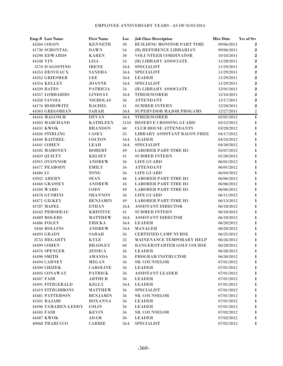| BUILDING MONITOR PART TIME<br>44260 COLON<br><b>KENNETH</b><br>30<br>09/06/2011<br>$\bf{2}$<br>41730 SCHONTAG<br><b>DAWN</b><br>54<br>(H) REFERENCE LIBRARIAN<br>09/06/2011<br>$\bf{2}$<br>44298 EDWARDS<br>30<br>VOLUNTEER CORDINATOR<br>$\overline{2}$<br><b>KAREN</b><br>10/18/2011<br>$\bf 2$<br>54<br>44338 YIN<br><b>LISA</b><br>(H) LIBRARY ASSOCIATE<br>11/28/2011<br>$\bf 2$<br>3570 D'AGOSTINO<br><b>IRENE</b><br>56A<br><b>SPECIALIST</b><br>11/29/2011<br>$\bf 2$<br>44353 DESVEAUX<br><b>SANDRA</b><br>56A<br><b>SPECIALIST</b><br>11/29/2011<br>$\bf 2$<br>44352 GRIESMER<br>LEE<br>56A<br><b>LEADER</b><br>11/29/2011<br>$\bf 2$<br>56A<br><b>SPECIALIST</b><br>44354 KELLEY<br><b>JOANNE</b><br>11/29/2011<br>$\bf 2$<br><b>44339 BATES</b><br>54<br><b>PATRICIA</b><br>(H) LIBRARY ASSOCIATE<br>12/01/2011<br>$\overline{2}$<br>44357 LOMBARDO<br><b>LINDSAY</b><br>56A<br>TIMER/SCORER<br>12/16/2011<br>$\bf 2$<br>56<br>44358 SAVOIA<br><b>NICHOLAS</b><br><b>ATTENDANT</b><br>12/17/2011<br>$\bf 2$<br>44176 HOROWITZ<br><b>RACHEL</b><br>41<br><b>SUMMER INTERN</b><br>12/20/2011<br>$\,2$<br>44363 GREGORIAN<br>SARAH<br>56A<br>12/27/2011<br>SUPERVISOR MAJOR PROGAMS<br>$\mathbf{1}$<br>44416 MALCOLM<br><b>DEVAN</b><br>56A<br><b>TIMER/SCORER</b><br>02/01/2012<br><b>RESERVE CROSSING GUARD</b><br>44403 MARCHAND<br><b>KATHLEEN</b><br>5110<br>03/12/2012<br>1<br><b>CLUB HOUSE ATTENDANTS</b><br>$\mathbf{1}$<br>44431 KWOK<br><b>BRANDON</b><br>60<br>03/28/2012<br>$\mathbf{1}$<br>44426 STIRLING<br><b>CASEY</b><br>55<br>LIBRARY ASSISTANT BACON FREE<br>04/17/2012<br>$\mathbf{1}$<br>44440 RAITHEL<br><b>COLTON</b><br>56A<br><b>LEADER</b><br>04/24/2012<br>44441 COHEN<br>56A<br><b>SPECIALIST</b><br>$\mathbf{1}$<br><b>LEAH</b><br>04/30/2012<br>44185 MAHONEY<br>49<br><b>LABORER PART-TIME H3</b><br>$\mathbf{1}$<br><b>ROBERT</b><br>05/07/2012<br>$\mathbf{1}$<br>44459 QUILTY<br><b>KELSEY</b><br>41<br><b>SUMMER INTERN</b><br>05/30/2012<br>43915 O'CONNOR<br>$\mathbf 1$<br><b>ANDREW</b><br>56<br>LIFE GUARD<br>06/01/2012<br>$\mathbf 1$<br>44477 PEABODY<br><b>EMILY</b><br><b>ATTENDANT</b><br>06/01/2012<br>56<br><b>TONG</b><br><b>LIFE GUARD</b><br>$\mathbf 1$<br>44484 LI<br>56<br>06/04/2012<br><b>LABORER PART-TIME H3</b><br>$\mathbf 1$<br><b>43922 AHERN</b><br><b>SEAN</b><br>46<br>06/06/2012<br><b>LABORER PART-TIME H3</b><br>$\mathbf{1}$<br>44460 GRASSEY<br><b>ANDREW</b><br>44<br>06/06/2012<br>CODY<br><b>LABORER PART-TIME H3</b><br>$\mathbf{1}$<br>44184 WARD<br>49<br>06/06/2012<br>44478 GUSMINI<br><b>LIFE GUARD</b><br>$\mathbf{1}$<br><b>SHANNON</b><br>56<br>06/11/2012<br>44471 GILKEY<br><b>LABORER PART-TIME H3</b><br>$\mathbf 1$<br><b>BENJAMIN</b><br>49<br>06/13/2012<br><b>ETHAN</b><br>ASSISTANT DIRECTOR<br>$\mathbf 1$<br>43787 MAPEL<br>56A<br>06/18/2012<br><b>KRISTINE</b><br><b>SUMMER INTERN</b><br>$\mathbf 1$<br>41642 PERODEAU<br>41<br>06/18/2012<br>44489 ROGERS<br><b>MATTHEW</b><br>ASSISTANT DIRECTOR<br>$\mathbf 1$<br>56A<br>06/18/2012<br>$\mathbf 1$<br>44486 FOLEY<br><b>ERICKA</b><br>56A<br><b>LEADER</b><br>06/20/2012<br>$\mathbf 1$<br>8440 ROLLINS<br><b>ANDREW</b><br>56A<br><b>MANAGER</b><br>06/20/2012<br><b>CERTIFIED CAMP NURSE</b><br>44493 GRADY<br><b>SARAH</b><br>56<br>06/25/2012<br>1<br>22<br>MAINENANCE TEMPORARY HELP<br>8755 HEGARTY<br><b>KYLE</b><br>06/26/2012<br>1<br>44499 COHEN<br><b>BRADLEY</b><br>RANGER/STARTER GOLF COURSE<br>06/28/2012<br>$\bf{l}$<br>60<br>44476 SPENCER<br><b>JESSICA</b><br><b>LEADER</b><br>06/28/2012<br>1<br>56<br>44490 SMITH<br><b>AMANDA</b><br>PROGRAM INSTRUCTOR<br>06/30/2012<br>1<br>56<br>SR. COUNSELOR<br><b>44494 CARNEY</b><br><b>MEGAN</b><br>07/01/2012<br>$\bf{l}$<br>56<br>44500 CHIZEK<br><b>CAROLINE</b><br><b>LEADER</b><br>07/01/2012<br>$\bf{l}$<br>56<br><b>ASSISTANT LEADER</b><br>44495 CONAWAY<br><b>PATRICK</b><br>07/01/2012<br>1<br>56<br>44507 FAIR<br><b>ARTHUR</b><br>56<br><b>LEADER</b><br>07/01/2012<br>$\bf{l}$<br>44491 FITZGERALD<br><b>KELLY</b><br><b>LEADER</b><br>07/01/2012<br>$\bf{l}$<br>56A<br>42419 FITZGIBBONS<br><b>SPECIALIST</b><br><b>MATTHEW</b><br>56<br>07/01/2012<br>$\bf{l}$<br>44481 PATTERSON<br><b>SR. COUNSELOR</b><br>07/01/2012<br>$\bf{l}$<br><b>BENJAMIN</b><br>56<br>45501 RAJABI<br><b>LEADER</b><br>07/01/2012<br>$\bf{l}$<br><b>ROXANNA</b><br>56<br>44496 TAMAREN-LEDDY<br><b>COLIN</b><br>56<br><b>LEADER</b><br>07/01/2012<br>1<br>44505 FAIR<br>56<br><b>SR. COUNSELOR</b><br>07/02/2012<br>1<br><b>KEVIN</b><br>44487 KWOK<br>56<br><b>LEADER</b><br>07/02/2012<br>1<br>$\bf{ADAM}$ | Emp # Last Name | <b>First Name</b> | Loc | <b>Job Class Description</b> | <b>Hire Date</b> | <b>Yrs of Srv</b> |
|----------------------------------------------------------------------------------------------------------------------------------------------------------------------------------------------------------------------------------------------------------------------------------------------------------------------------------------------------------------------------------------------------------------------------------------------------------------------------------------------------------------------------------------------------------------------------------------------------------------------------------------------------------------------------------------------------------------------------------------------------------------------------------------------------------------------------------------------------------------------------------------------------------------------------------------------------------------------------------------------------------------------------------------------------------------------------------------------------------------------------------------------------------------------------------------------------------------------------------------------------------------------------------------------------------------------------------------------------------------------------------------------------------------------------------------------------------------------------------------------------------------------------------------------------------------------------------------------------------------------------------------------------------------------------------------------------------------------------------------------------------------------------------------------------------------------------------------------------------------------------------------------------------------------------------------------------------------------------------------------------------------------------------------------------------------------------------------------------------------------------------------------------------------------------------------------------------------------------------------------------------------------------------------------------------------------------------------------------------------------------------------------------------------------------------------------------------------------------------------------------------------------------------------------------------------------------------------------------------------------------------------------------------------------------------------------------------------------------------------------------------------------------------------------------------------------------------------------------------------------------------------------------------------------------------------------------------------------------------------------------------------------------------------------------------------------------------------------------------------------------------------------------------------------------------------------------------------------------------------------------------------------------------------------------------------------------------------------------------------------------------------------------------------------------------------------------------------------------------------------------------------------------------------------------------------------------------------------------------------------------------------------------------------------------------------------------------------------------------------------------------------------------------------------------------------------------------------------------------------------------------------------------------------------------------------------------------------------------------------------------------------------------------------------------------------------------------------------------------------------------------------------------------------------------------------------------------------------------------------------------------------------------------------------------------------------------------------------------------------------------------------------------------------------------------------------------------------------------------------------------------------------------------------------------------------------------------------------------------------------------------|-----------------|-------------------|-----|------------------------------|------------------|-------------------|
|                                                                                                                                                                                                                                                                                                                                                                                                                                                                                                                                                                                                                                                                                                                                                                                                                                                                                                                                                                                                                                                                                                                                                                                                                                                                                                                                                                                                                                                                                                                                                                                                                                                                                                                                                                                                                                                                                                                                                                                                                                                                                                                                                                                                                                                                                                                                                                                                                                                                                                                                                                                                                                                                                                                                                                                                                                                                                                                                                                                                                                                                                                                                                                                                                                                                                                                                                                                                                                                                                                                                                                                                                                                                                                                                                                                                                                                                                                                                                                                                                                                                                                                                                                                                                                                                                                                                                                                                                                                                                                                                                                                                                                  |                 |                   |     |                              |                  |                   |
|                                                                                                                                                                                                                                                                                                                                                                                                                                                                                                                                                                                                                                                                                                                                                                                                                                                                                                                                                                                                                                                                                                                                                                                                                                                                                                                                                                                                                                                                                                                                                                                                                                                                                                                                                                                                                                                                                                                                                                                                                                                                                                                                                                                                                                                                                                                                                                                                                                                                                                                                                                                                                                                                                                                                                                                                                                                                                                                                                                                                                                                                                                                                                                                                                                                                                                                                                                                                                                                                                                                                                                                                                                                                                                                                                                                                                                                                                                                                                                                                                                                                                                                                                                                                                                                                                                                                                                                                                                                                                                                                                                                                                                  |                 |                   |     |                              |                  |                   |
|                                                                                                                                                                                                                                                                                                                                                                                                                                                                                                                                                                                                                                                                                                                                                                                                                                                                                                                                                                                                                                                                                                                                                                                                                                                                                                                                                                                                                                                                                                                                                                                                                                                                                                                                                                                                                                                                                                                                                                                                                                                                                                                                                                                                                                                                                                                                                                                                                                                                                                                                                                                                                                                                                                                                                                                                                                                                                                                                                                                                                                                                                                                                                                                                                                                                                                                                                                                                                                                                                                                                                                                                                                                                                                                                                                                                                                                                                                                                                                                                                                                                                                                                                                                                                                                                                                                                                                                                                                                                                                                                                                                                                                  |                 |                   |     |                              |                  |                   |
|                                                                                                                                                                                                                                                                                                                                                                                                                                                                                                                                                                                                                                                                                                                                                                                                                                                                                                                                                                                                                                                                                                                                                                                                                                                                                                                                                                                                                                                                                                                                                                                                                                                                                                                                                                                                                                                                                                                                                                                                                                                                                                                                                                                                                                                                                                                                                                                                                                                                                                                                                                                                                                                                                                                                                                                                                                                                                                                                                                                                                                                                                                                                                                                                                                                                                                                                                                                                                                                                                                                                                                                                                                                                                                                                                                                                                                                                                                                                                                                                                                                                                                                                                                                                                                                                                                                                                                                                                                                                                                                                                                                                                                  |                 |                   |     |                              |                  |                   |
|                                                                                                                                                                                                                                                                                                                                                                                                                                                                                                                                                                                                                                                                                                                                                                                                                                                                                                                                                                                                                                                                                                                                                                                                                                                                                                                                                                                                                                                                                                                                                                                                                                                                                                                                                                                                                                                                                                                                                                                                                                                                                                                                                                                                                                                                                                                                                                                                                                                                                                                                                                                                                                                                                                                                                                                                                                                                                                                                                                                                                                                                                                                                                                                                                                                                                                                                                                                                                                                                                                                                                                                                                                                                                                                                                                                                                                                                                                                                                                                                                                                                                                                                                                                                                                                                                                                                                                                                                                                                                                                                                                                                                                  |                 |                   |     |                              |                  |                   |
|                                                                                                                                                                                                                                                                                                                                                                                                                                                                                                                                                                                                                                                                                                                                                                                                                                                                                                                                                                                                                                                                                                                                                                                                                                                                                                                                                                                                                                                                                                                                                                                                                                                                                                                                                                                                                                                                                                                                                                                                                                                                                                                                                                                                                                                                                                                                                                                                                                                                                                                                                                                                                                                                                                                                                                                                                                                                                                                                                                                                                                                                                                                                                                                                                                                                                                                                                                                                                                                                                                                                                                                                                                                                                                                                                                                                                                                                                                                                                                                                                                                                                                                                                                                                                                                                                                                                                                                                                                                                                                                                                                                                                                  |                 |                   |     |                              |                  |                   |
|                                                                                                                                                                                                                                                                                                                                                                                                                                                                                                                                                                                                                                                                                                                                                                                                                                                                                                                                                                                                                                                                                                                                                                                                                                                                                                                                                                                                                                                                                                                                                                                                                                                                                                                                                                                                                                                                                                                                                                                                                                                                                                                                                                                                                                                                                                                                                                                                                                                                                                                                                                                                                                                                                                                                                                                                                                                                                                                                                                                                                                                                                                                                                                                                                                                                                                                                                                                                                                                                                                                                                                                                                                                                                                                                                                                                                                                                                                                                                                                                                                                                                                                                                                                                                                                                                                                                                                                                                                                                                                                                                                                                                                  |                 |                   |     |                              |                  |                   |
|                                                                                                                                                                                                                                                                                                                                                                                                                                                                                                                                                                                                                                                                                                                                                                                                                                                                                                                                                                                                                                                                                                                                                                                                                                                                                                                                                                                                                                                                                                                                                                                                                                                                                                                                                                                                                                                                                                                                                                                                                                                                                                                                                                                                                                                                                                                                                                                                                                                                                                                                                                                                                                                                                                                                                                                                                                                                                                                                                                                                                                                                                                                                                                                                                                                                                                                                                                                                                                                                                                                                                                                                                                                                                                                                                                                                                                                                                                                                                                                                                                                                                                                                                                                                                                                                                                                                                                                                                                                                                                                                                                                                                                  |                 |                   |     |                              |                  |                   |
|                                                                                                                                                                                                                                                                                                                                                                                                                                                                                                                                                                                                                                                                                                                                                                                                                                                                                                                                                                                                                                                                                                                                                                                                                                                                                                                                                                                                                                                                                                                                                                                                                                                                                                                                                                                                                                                                                                                                                                                                                                                                                                                                                                                                                                                                                                                                                                                                                                                                                                                                                                                                                                                                                                                                                                                                                                                                                                                                                                                                                                                                                                                                                                                                                                                                                                                                                                                                                                                                                                                                                                                                                                                                                                                                                                                                                                                                                                                                                                                                                                                                                                                                                                                                                                                                                                                                                                                                                                                                                                                                                                                                                                  |                 |                   |     |                              |                  |                   |
|                                                                                                                                                                                                                                                                                                                                                                                                                                                                                                                                                                                                                                                                                                                                                                                                                                                                                                                                                                                                                                                                                                                                                                                                                                                                                                                                                                                                                                                                                                                                                                                                                                                                                                                                                                                                                                                                                                                                                                                                                                                                                                                                                                                                                                                                                                                                                                                                                                                                                                                                                                                                                                                                                                                                                                                                                                                                                                                                                                                                                                                                                                                                                                                                                                                                                                                                                                                                                                                                                                                                                                                                                                                                                                                                                                                                                                                                                                                                                                                                                                                                                                                                                                                                                                                                                                                                                                                                                                                                                                                                                                                                                                  |                 |                   |     |                              |                  |                   |
|                                                                                                                                                                                                                                                                                                                                                                                                                                                                                                                                                                                                                                                                                                                                                                                                                                                                                                                                                                                                                                                                                                                                                                                                                                                                                                                                                                                                                                                                                                                                                                                                                                                                                                                                                                                                                                                                                                                                                                                                                                                                                                                                                                                                                                                                                                                                                                                                                                                                                                                                                                                                                                                                                                                                                                                                                                                                                                                                                                                                                                                                                                                                                                                                                                                                                                                                                                                                                                                                                                                                                                                                                                                                                                                                                                                                                                                                                                                                                                                                                                                                                                                                                                                                                                                                                                                                                                                                                                                                                                                                                                                                                                  |                 |                   |     |                              |                  |                   |
|                                                                                                                                                                                                                                                                                                                                                                                                                                                                                                                                                                                                                                                                                                                                                                                                                                                                                                                                                                                                                                                                                                                                                                                                                                                                                                                                                                                                                                                                                                                                                                                                                                                                                                                                                                                                                                                                                                                                                                                                                                                                                                                                                                                                                                                                                                                                                                                                                                                                                                                                                                                                                                                                                                                                                                                                                                                                                                                                                                                                                                                                                                                                                                                                                                                                                                                                                                                                                                                                                                                                                                                                                                                                                                                                                                                                                                                                                                                                                                                                                                                                                                                                                                                                                                                                                                                                                                                                                                                                                                                                                                                                                                  |                 |                   |     |                              |                  |                   |
|                                                                                                                                                                                                                                                                                                                                                                                                                                                                                                                                                                                                                                                                                                                                                                                                                                                                                                                                                                                                                                                                                                                                                                                                                                                                                                                                                                                                                                                                                                                                                                                                                                                                                                                                                                                                                                                                                                                                                                                                                                                                                                                                                                                                                                                                                                                                                                                                                                                                                                                                                                                                                                                                                                                                                                                                                                                                                                                                                                                                                                                                                                                                                                                                                                                                                                                                                                                                                                                                                                                                                                                                                                                                                                                                                                                                                                                                                                                                                                                                                                                                                                                                                                                                                                                                                                                                                                                                                                                                                                                                                                                                                                  |                 |                   |     |                              |                  |                   |
|                                                                                                                                                                                                                                                                                                                                                                                                                                                                                                                                                                                                                                                                                                                                                                                                                                                                                                                                                                                                                                                                                                                                                                                                                                                                                                                                                                                                                                                                                                                                                                                                                                                                                                                                                                                                                                                                                                                                                                                                                                                                                                                                                                                                                                                                                                                                                                                                                                                                                                                                                                                                                                                                                                                                                                                                                                                                                                                                                                                                                                                                                                                                                                                                                                                                                                                                                                                                                                                                                                                                                                                                                                                                                                                                                                                                                                                                                                                                                                                                                                                                                                                                                                                                                                                                                                                                                                                                                                                                                                                                                                                                                                  |                 |                   |     |                              |                  |                   |
|                                                                                                                                                                                                                                                                                                                                                                                                                                                                                                                                                                                                                                                                                                                                                                                                                                                                                                                                                                                                                                                                                                                                                                                                                                                                                                                                                                                                                                                                                                                                                                                                                                                                                                                                                                                                                                                                                                                                                                                                                                                                                                                                                                                                                                                                                                                                                                                                                                                                                                                                                                                                                                                                                                                                                                                                                                                                                                                                                                                                                                                                                                                                                                                                                                                                                                                                                                                                                                                                                                                                                                                                                                                                                                                                                                                                                                                                                                                                                                                                                                                                                                                                                                                                                                                                                                                                                                                                                                                                                                                                                                                                                                  |                 |                   |     |                              |                  |                   |
|                                                                                                                                                                                                                                                                                                                                                                                                                                                                                                                                                                                                                                                                                                                                                                                                                                                                                                                                                                                                                                                                                                                                                                                                                                                                                                                                                                                                                                                                                                                                                                                                                                                                                                                                                                                                                                                                                                                                                                                                                                                                                                                                                                                                                                                                                                                                                                                                                                                                                                                                                                                                                                                                                                                                                                                                                                                                                                                                                                                                                                                                                                                                                                                                                                                                                                                                                                                                                                                                                                                                                                                                                                                                                                                                                                                                                                                                                                                                                                                                                                                                                                                                                                                                                                                                                                                                                                                                                                                                                                                                                                                                                                  |                 |                   |     |                              |                  |                   |
|                                                                                                                                                                                                                                                                                                                                                                                                                                                                                                                                                                                                                                                                                                                                                                                                                                                                                                                                                                                                                                                                                                                                                                                                                                                                                                                                                                                                                                                                                                                                                                                                                                                                                                                                                                                                                                                                                                                                                                                                                                                                                                                                                                                                                                                                                                                                                                                                                                                                                                                                                                                                                                                                                                                                                                                                                                                                                                                                                                                                                                                                                                                                                                                                                                                                                                                                                                                                                                                                                                                                                                                                                                                                                                                                                                                                                                                                                                                                                                                                                                                                                                                                                                                                                                                                                                                                                                                                                                                                                                                                                                                                                                  |                 |                   |     |                              |                  |                   |
|                                                                                                                                                                                                                                                                                                                                                                                                                                                                                                                                                                                                                                                                                                                                                                                                                                                                                                                                                                                                                                                                                                                                                                                                                                                                                                                                                                                                                                                                                                                                                                                                                                                                                                                                                                                                                                                                                                                                                                                                                                                                                                                                                                                                                                                                                                                                                                                                                                                                                                                                                                                                                                                                                                                                                                                                                                                                                                                                                                                                                                                                                                                                                                                                                                                                                                                                                                                                                                                                                                                                                                                                                                                                                                                                                                                                                                                                                                                                                                                                                                                                                                                                                                                                                                                                                                                                                                                                                                                                                                                                                                                                                                  |                 |                   |     |                              |                  |                   |
|                                                                                                                                                                                                                                                                                                                                                                                                                                                                                                                                                                                                                                                                                                                                                                                                                                                                                                                                                                                                                                                                                                                                                                                                                                                                                                                                                                                                                                                                                                                                                                                                                                                                                                                                                                                                                                                                                                                                                                                                                                                                                                                                                                                                                                                                                                                                                                                                                                                                                                                                                                                                                                                                                                                                                                                                                                                                                                                                                                                                                                                                                                                                                                                                                                                                                                                                                                                                                                                                                                                                                                                                                                                                                                                                                                                                                                                                                                                                                                                                                                                                                                                                                                                                                                                                                                                                                                                                                                                                                                                                                                                                                                  |                 |                   |     |                              |                  |                   |
|                                                                                                                                                                                                                                                                                                                                                                                                                                                                                                                                                                                                                                                                                                                                                                                                                                                                                                                                                                                                                                                                                                                                                                                                                                                                                                                                                                                                                                                                                                                                                                                                                                                                                                                                                                                                                                                                                                                                                                                                                                                                                                                                                                                                                                                                                                                                                                                                                                                                                                                                                                                                                                                                                                                                                                                                                                                                                                                                                                                                                                                                                                                                                                                                                                                                                                                                                                                                                                                                                                                                                                                                                                                                                                                                                                                                                                                                                                                                                                                                                                                                                                                                                                                                                                                                                                                                                                                                                                                                                                                                                                                                                                  |                 |                   |     |                              |                  |                   |
|                                                                                                                                                                                                                                                                                                                                                                                                                                                                                                                                                                                                                                                                                                                                                                                                                                                                                                                                                                                                                                                                                                                                                                                                                                                                                                                                                                                                                                                                                                                                                                                                                                                                                                                                                                                                                                                                                                                                                                                                                                                                                                                                                                                                                                                                                                                                                                                                                                                                                                                                                                                                                                                                                                                                                                                                                                                                                                                                                                                                                                                                                                                                                                                                                                                                                                                                                                                                                                                                                                                                                                                                                                                                                                                                                                                                                                                                                                                                                                                                                                                                                                                                                                                                                                                                                                                                                                                                                                                                                                                                                                                                                                  |                 |                   |     |                              |                  |                   |
|                                                                                                                                                                                                                                                                                                                                                                                                                                                                                                                                                                                                                                                                                                                                                                                                                                                                                                                                                                                                                                                                                                                                                                                                                                                                                                                                                                                                                                                                                                                                                                                                                                                                                                                                                                                                                                                                                                                                                                                                                                                                                                                                                                                                                                                                                                                                                                                                                                                                                                                                                                                                                                                                                                                                                                                                                                                                                                                                                                                                                                                                                                                                                                                                                                                                                                                                                                                                                                                                                                                                                                                                                                                                                                                                                                                                                                                                                                                                                                                                                                                                                                                                                                                                                                                                                                                                                                                                                                                                                                                                                                                                                                  |                 |                   |     |                              |                  |                   |
|                                                                                                                                                                                                                                                                                                                                                                                                                                                                                                                                                                                                                                                                                                                                                                                                                                                                                                                                                                                                                                                                                                                                                                                                                                                                                                                                                                                                                                                                                                                                                                                                                                                                                                                                                                                                                                                                                                                                                                                                                                                                                                                                                                                                                                                                                                                                                                                                                                                                                                                                                                                                                                                                                                                                                                                                                                                                                                                                                                                                                                                                                                                                                                                                                                                                                                                                                                                                                                                                                                                                                                                                                                                                                                                                                                                                                                                                                                                                                                                                                                                                                                                                                                                                                                                                                                                                                                                                                                                                                                                                                                                                                                  |                 |                   |     |                              |                  |                   |
|                                                                                                                                                                                                                                                                                                                                                                                                                                                                                                                                                                                                                                                                                                                                                                                                                                                                                                                                                                                                                                                                                                                                                                                                                                                                                                                                                                                                                                                                                                                                                                                                                                                                                                                                                                                                                                                                                                                                                                                                                                                                                                                                                                                                                                                                                                                                                                                                                                                                                                                                                                                                                                                                                                                                                                                                                                                                                                                                                                                                                                                                                                                                                                                                                                                                                                                                                                                                                                                                                                                                                                                                                                                                                                                                                                                                                                                                                                                                                                                                                                                                                                                                                                                                                                                                                                                                                                                                                                                                                                                                                                                                                                  |                 |                   |     |                              |                  |                   |
|                                                                                                                                                                                                                                                                                                                                                                                                                                                                                                                                                                                                                                                                                                                                                                                                                                                                                                                                                                                                                                                                                                                                                                                                                                                                                                                                                                                                                                                                                                                                                                                                                                                                                                                                                                                                                                                                                                                                                                                                                                                                                                                                                                                                                                                                                                                                                                                                                                                                                                                                                                                                                                                                                                                                                                                                                                                                                                                                                                                                                                                                                                                                                                                                                                                                                                                                                                                                                                                                                                                                                                                                                                                                                                                                                                                                                                                                                                                                                                                                                                                                                                                                                                                                                                                                                                                                                                                                                                                                                                                                                                                                                                  |                 |                   |     |                              |                  |                   |
|                                                                                                                                                                                                                                                                                                                                                                                                                                                                                                                                                                                                                                                                                                                                                                                                                                                                                                                                                                                                                                                                                                                                                                                                                                                                                                                                                                                                                                                                                                                                                                                                                                                                                                                                                                                                                                                                                                                                                                                                                                                                                                                                                                                                                                                                                                                                                                                                                                                                                                                                                                                                                                                                                                                                                                                                                                                                                                                                                                                                                                                                                                                                                                                                                                                                                                                                                                                                                                                                                                                                                                                                                                                                                                                                                                                                                                                                                                                                                                                                                                                                                                                                                                                                                                                                                                                                                                                                                                                                                                                                                                                                                                  |                 |                   |     |                              |                  |                   |
|                                                                                                                                                                                                                                                                                                                                                                                                                                                                                                                                                                                                                                                                                                                                                                                                                                                                                                                                                                                                                                                                                                                                                                                                                                                                                                                                                                                                                                                                                                                                                                                                                                                                                                                                                                                                                                                                                                                                                                                                                                                                                                                                                                                                                                                                                                                                                                                                                                                                                                                                                                                                                                                                                                                                                                                                                                                                                                                                                                                                                                                                                                                                                                                                                                                                                                                                                                                                                                                                                                                                                                                                                                                                                                                                                                                                                                                                                                                                                                                                                                                                                                                                                                                                                                                                                                                                                                                                                                                                                                                                                                                                                                  |                 |                   |     |                              |                  |                   |
|                                                                                                                                                                                                                                                                                                                                                                                                                                                                                                                                                                                                                                                                                                                                                                                                                                                                                                                                                                                                                                                                                                                                                                                                                                                                                                                                                                                                                                                                                                                                                                                                                                                                                                                                                                                                                                                                                                                                                                                                                                                                                                                                                                                                                                                                                                                                                                                                                                                                                                                                                                                                                                                                                                                                                                                                                                                                                                                                                                                                                                                                                                                                                                                                                                                                                                                                                                                                                                                                                                                                                                                                                                                                                                                                                                                                                                                                                                                                                                                                                                                                                                                                                                                                                                                                                                                                                                                                                                                                                                                                                                                                                                  |                 |                   |     |                              |                  |                   |
|                                                                                                                                                                                                                                                                                                                                                                                                                                                                                                                                                                                                                                                                                                                                                                                                                                                                                                                                                                                                                                                                                                                                                                                                                                                                                                                                                                                                                                                                                                                                                                                                                                                                                                                                                                                                                                                                                                                                                                                                                                                                                                                                                                                                                                                                                                                                                                                                                                                                                                                                                                                                                                                                                                                                                                                                                                                                                                                                                                                                                                                                                                                                                                                                                                                                                                                                                                                                                                                                                                                                                                                                                                                                                                                                                                                                                                                                                                                                                                                                                                                                                                                                                                                                                                                                                                                                                                                                                                                                                                                                                                                                                                  |                 |                   |     |                              |                  |                   |
|                                                                                                                                                                                                                                                                                                                                                                                                                                                                                                                                                                                                                                                                                                                                                                                                                                                                                                                                                                                                                                                                                                                                                                                                                                                                                                                                                                                                                                                                                                                                                                                                                                                                                                                                                                                                                                                                                                                                                                                                                                                                                                                                                                                                                                                                                                                                                                                                                                                                                                                                                                                                                                                                                                                                                                                                                                                                                                                                                                                                                                                                                                                                                                                                                                                                                                                                                                                                                                                                                                                                                                                                                                                                                                                                                                                                                                                                                                                                                                                                                                                                                                                                                                                                                                                                                                                                                                                                                                                                                                                                                                                                                                  |                 |                   |     |                              |                  |                   |
|                                                                                                                                                                                                                                                                                                                                                                                                                                                                                                                                                                                                                                                                                                                                                                                                                                                                                                                                                                                                                                                                                                                                                                                                                                                                                                                                                                                                                                                                                                                                                                                                                                                                                                                                                                                                                                                                                                                                                                                                                                                                                                                                                                                                                                                                                                                                                                                                                                                                                                                                                                                                                                                                                                                                                                                                                                                                                                                                                                                                                                                                                                                                                                                                                                                                                                                                                                                                                                                                                                                                                                                                                                                                                                                                                                                                                                                                                                                                                                                                                                                                                                                                                                                                                                                                                                                                                                                                                                                                                                                                                                                                                                  |                 |                   |     |                              |                  |                   |
|                                                                                                                                                                                                                                                                                                                                                                                                                                                                                                                                                                                                                                                                                                                                                                                                                                                                                                                                                                                                                                                                                                                                                                                                                                                                                                                                                                                                                                                                                                                                                                                                                                                                                                                                                                                                                                                                                                                                                                                                                                                                                                                                                                                                                                                                                                                                                                                                                                                                                                                                                                                                                                                                                                                                                                                                                                                                                                                                                                                                                                                                                                                                                                                                                                                                                                                                                                                                                                                                                                                                                                                                                                                                                                                                                                                                                                                                                                                                                                                                                                                                                                                                                                                                                                                                                                                                                                                                                                                                                                                                                                                                                                  |                 |                   |     |                              |                  |                   |
|                                                                                                                                                                                                                                                                                                                                                                                                                                                                                                                                                                                                                                                                                                                                                                                                                                                                                                                                                                                                                                                                                                                                                                                                                                                                                                                                                                                                                                                                                                                                                                                                                                                                                                                                                                                                                                                                                                                                                                                                                                                                                                                                                                                                                                                                                                                                                                                                                                                                                                                                                                                                                                                                                                                                                                                                                                                                                                                                                                                                                                                                                                                                                                                                                                                                                                                                                                                                                                                                                                                                                                                                                                                                                                                                                                                                                                                                                                                                                                                                                                                                                                                                                                                                                                                                                                                                                                                                                                                                                                                                                                                                                                  |                 |                   |     |                              |                  |                   |
|                                                                                                                                                                                                                                                                                                                                                                                                                                                                                                                                                                                                                                                                                                                                                                                                                                                                                                                                                                                                                                                                                                                                                                                                                                                                                                                                                                                                                                                                                                                                                                                                                                                                                                                                                                                                                                                                                                                                                                                                                                                                                                                                                                                                                                                                                                                                                                                                                                                                                                                                                                                                                                                                                                                                                                                                                                                                                                                                                                                                                                                                                                                                                                                                                                                                                                                                                                                                                                                                                                                                                                                                                                                                                                                                                                                                                                                                                                                                                                                                                                                                                                                                                                                                                                                                                                                                                                                                                                                                                                                                                                                                                                  |                 |                   |     |                              |                  |                   |
|                                                                                                                                                                                                                                                                                                                                                                                                                                                                                                                                                                                                                                                                                                                                                                                                                                                                                                                                                                                                                                                                                                                                                                                                                                                                                                                                                                                                                                                                                                                                                                                                                                                                                                                                                                                                                                                                                                                                                                                                                                                                                                                                                                                                                                                                                                                                                                                                                                                                                                                                                                                                                                                                                                                                                                                                                                                                                                                                                                                                                                                                                                                                                                                                                                                                                                                                                                                                                                                                                                                                                                                                                                                                                                                                                                                                                                                                                                                                                                                                                                                                                                                                                                                                                                                                                                                                                                                                                                                                                                                                                                                                                                  |                 |                   |     |                              |                  |                   |
|                                                                                                                                                                                                                                                                                                                                                                                                                                                                                                                                                                                                                                                                                                                                                                                                                                                                                                                                                                                                                                                                                                                                                                                                                                                                                                                                                                                                                                                                                                                                                                                                                                                                                                                                                                                                                                                                                                                                                                                                                                                                                                                                                                                                                                                                                                                                                                                                                                                                                                                                                                                                                                                                                                                                                                                                                                                                                                                                                                                                                                                                                                                                                                                                                                                                                                                                                                                                                                                                                                                                                                                                                                                                                                                                                                                                                                                                                                                                                                                                                                                                                                                                                                                                                                                                                                                                                                                                                                                                                                                                                                                                                                  |                 |                   |     |                              |                  |                   |
|                                                                                                                                                                                                                                                                                                                                                                                                                                                                                                                                                                                                                                                                                                                                                                                                                                                                                                                                                                                                                                                                                                                                                                                                                                                                                                                                                                                                                                                                                                                                                                                                                                                                                                                                                                                                                                                                                                                                                                                                                                                                                                                                                                                                                                                                                                                                                                                                                                                                                                                                                                                                                                                                                                                                                                                                                                                                                                                                                                                                                                                                                                                                                                                                                                                                                                                                                                                                                                                                                                                                                                                                                                                                                                                                                                                                                                                                                                                                                                                                                                                                                                                                                                                                                                                                                                                                                                                                                                                                                                                                                                                                                                  |                 |                   |     |                              |                  |                   |
|                                                                                                                                                                                                                                                                                                                                                                                                                                                                                                                                                                                                                                                                                                                                                                                                                                                                                                                                                                                                                                                                                                                                                                                                                                                                                                                                                                                                                                                                                                                                                                                                                                                                                                                                                                                                                                                                                                                                                                                                                                                                                                                                                                                                                                                                                                                                                                                                                                                                                                                                                                                                                                                                                                                                                                                                                                                                                                                                                                                                                                                                                                                                                                                                                                                                                                                                                                                                                                                                                                                                                                                                                                                                                                                                                                                                                                                                                                                                                                                                                                                                                                                                                                                                                                                                                                                                                                                                                                                                                                                                                                                                                                  |                 |                   |     |                              |                  |                   |
|                                                                                                                                                                                                                                                                                                                                                                                                                                                                                                                                                                                                                                                                                                                                                                                                                                                                                                                                                                                                                                                                                                                                                                                                                                                                                                                                                                                                                                                                                                                                                                                                                                                                                                                                                                                                                                                                                                                                                                                                                                                                                                                                                                                                                                                                                                                                                                                                                                                                                                                                                                                                                                                                                                                                                                                                                                                                                                                                                                                                                                                                                                                                                                                                                                                                                                                                                                                                                                                                                                                                                                                                                                                                                                                                                                                                                                                                                                                                                                                                                                                                                                                                                                                                                                                                                                                                                                                                                                                                                                                                                                                                                                  |                 |                   |     |                              |                  |                   |
|                                                                                                                                                                                                                                                                                                                                                                                                                                                                                                                                                                                                                                                                                                                                                                                                                                                                                                                                                                                                                                                                                                                                                                                                                                                                                                                                                                                                                                                                                                                                                                                                                                                                                                                                                                                                                                                                                                                                                                                                                                                                                                                                                                                                                                                                                                                                                                                                                                                                                                                                                                                                                                                                                                                                                                                                                                                                                                                                                                                                                                                                                                                                                                                                                                                                                                                                                                                                                                                                                                                                                                                                                                                                                                                                                                                                                                                                                                                                                                                                                                                                                                                                                                                                                                                                                                                                                                                                                                                                                                                                                                                                                                  |                 |                   |     |                              |                  |                   |
|                                                                                                                                                                                                                                                                                                                                                                                                                                                                                                                                                                                                                                                                                                                                                                                                                                                                                                                                                                                                                                                                                                                                                                                                                                                                                                                                                                                                                                                                                                                                                                                                                                                                                                                                                                                                                                                                                                                                                                                                                                                                                                                                                                                                                                                                                                                                                                                                                                                                                                                                                                                                                                                                                                                                                                                                                                                                                                                                                                                                                                                                                                                                                                                                                                                                                                                                                                                                                                                                                                                                                                                                                                                                                                                                                                                                                                                                                                                                                                                                                                                                                                                                                                                                                                                                                                                                                                                                                                                                                                                                                                                                                                  |                 |                   |     |                              |                  |                   |
|                                                                                                                                                                                                                                                                                                                                                                                                                                                                                                                                                                                                                                                                                                                                                                                                                                                                                                                                                                                                                                                                                                                                                                                                                                                                                                                                                                                                                                                                                                                                                                                                                                                                                                                                                                                                                                                                                                                                                                                                                                                                                                                                                                                                                                                                                                                                                                                                                                                                                                                                                                                                                                                                                                                                                                                                                                                                                                                                                                                                                                                                                                                                                                                                                                                                                                                                                                                                                                                                                                                                                                                                                                                                                                                                                                                                                                                                                                                                                                                                                                                                                                                                                                                                                                                                                                                                                                                                                                                                                                                                                                                                                                  |                 |                   |     |                              |                  |                   |
|                                                                                                                                                                                                                                                                                                                                                                                                                                                                                                                                                                                                                                                                                                                                                                                                                                                                                                                                                                                                                                                                                                                                                                                                                                                                                                                                                                                                                                                                                                                                                                                                                                                                                                                                                                                                                                                                                                                                                                                                                                                                                                                                                                                                                                                                                                                                                                                                                                                                                                                                                                                                                                                                                                                                                                                                                                                                                                                                                                                                                                                                                                                                                                                                                                                                                                                                                                                                                                                                                                                                                                                                                                                                                                                                                                                                                                                                                                                                                                                                                                                                                                                                                                                                                                                                                                                                                                                                                                                                                                                                                                                                                                  |                 |                   |     |                              |                  |                   |
|                                                                                                                                                                                                                                                                                                                                                                                                                                                                                                                                                                                                                                                                                                                                                                                                                                                                                                                                                                                                                                                                                                                                                                                                                                                                                                                                                                                                                                                                                                                                                                                                                                                                                                                                                                                                                                                                                                                                                                                                                                                                                                                                                                                                                                                                                                                                                                                                                                                                                                                                                                                                                                                                                                                                                                                                                                                                                                                                                                                                                                                                                                                                                                                                                                                                                                                                                                                                                                                                                                                                                                                                                                                                                                                                                                                                                                                                                                                                                                                                                                                                                                                                                                                                                                                                                                                                                                                                                                                                                                                                                                                                                                  |                 |                   |     |                              |                  |                   |
|                                                                                                                                                                                                                                                                                                                                                                                                                                                                                                                                                                                                                                                                                                                                                                                                                                                                                                                                                                                                                                                                                                                                                                                                                                                                                                                                                                                                                                                                                                                                                                                                                                                                                                                                                                                                                                                                                                                                                                                                                                                                                                                                                                                                                                                                                                                                                                                                                                                                                                                                                                                                                                                                                                                                                                                                                                                                                                                                                                                                                                                                                                                                                                                                                                                                                                                                                                                                                                                                                                                                                                                                                                                                                                                                                                                                                                                                                                                                                                                                                                                                                                                                                                                                                                                                                                                                                                                                                                                                                                                                                                                                                                  |                 |                   |     |                              |                  |                   |
|                                                                                                                                                                                                                                                                                                                                                                                                                                                                                                                                                                                                                                                                                                                                                                                                                                                                                                                                                                                                                                                                                                                                                                                                                                                                                                                                                                                                                                                                                                                                                                                                                                                                                                                                                                                                                                                                                                                                                                                                                                                                                                                                                                                                                                                                                                                                                                                                                                                                                                                                                                                                                                                                                                                                                                                                                                                                                                                                                                                                                                                                                                                                                                                                                                                                                                                                                                                                                                                                                                                                                                                                                                                                                                                                                                                                                                                                                                                                                                                                                                                                                                                                                                                                                                                                                                                                                                                                                                                                                                                                                                                                                                  |                 |                   |     |                              |                  |                   |
|                                                                                                                                                                                                                                                                                                                                                                                                                                                                                                                                                                                                                                                                                                                                                                                                                                                                                                                                                                                                                                                                                                                                                                                                                                                                                                                                                                                                                                                                                                                                                                                                                                                                                                                                                                                                                                                                                                                                                                                                                                                                                                                                                                                                                                                                                                                                                                                                                                                                                                                                                                                                                                                                                                                                                                                                                                                                                                                                                                                                                                                                                                                                                                                                                                                                                                                                                                                                                                                                                                                                                                                                                                                                                                                                                                                                                                                                                                                                                                                                                                                                                                                                                                                                                                                                                                                                                                                                                                                                                                                                                                                                                                  |                 |                   |     |                              |                  |                   |
|                                                                                                                                                                                                                                                                                                                                                                                                                                                                                                                                                                                                                                                                                                                                                                                                                                                                                                                                                                                                                                                                                                                                                                                                                                                                                                                                                                                                                                                                                                                                                                                                                                                                                                                                                                                                                                                                                                                                                                                                                                                                                                                                                                                                                                                                                                                                                                                                                                                                                                                                                                                                                                                                                                                                                                                                                                                                                                                                                                                                                                                                                                                                                                                                                                                                                                                                                                                                                                                                                                                                                                                                                                                                                                                                                                                                                                                                                                                                                                                                                                                                                                                                                                                                                                                                                                                                                                                                                                                                                                                                                                                                                                  |                 |                   |     |                              |                  |                   |
|                                                                                                                                                                                                                                                                                                                                                                                                                                                                                                                                                                                                                                                                                                                                                                                                                                                                                                                                                                                                                                                                                                                                                                                                                                                                                                                                                                                                                                                                                                                                                                                                                                                                                                                                                                                                                                                                                                                                                                                                                                                                                                                                                                                                                                                                                                                                                                                                                                                                                                                                                                                                                                                                                                                                                                                                                                                                                                                                                                                                                                                                                                                                                                                                                                                                                                                                                                                                                                                                                                                                                                                                                                                                                                                                                                                                                                                                                                                                                                                                                                                                                                                                                                                                                                                                                                                                                                                                                                                                                                                                                                                                                                  |                 |                   |     |                              |                  |                   |
| 40068 TRABUCCO<br>56A                                                                                                                                                                                                                                                                                                                                                                                                                                                                                                                                                                                                                                                                                                                                                                                                                                                                                                                                                                                                                                                                                                                                                                                                                                                                                                                                                                                                                                                                                                                                                                                                                                                                                                                                                                                                                                                                                                                                                                                                                                                                                                                                                                                                                                                                                                                                                                                                                                                                                                                                                                                                                                                                                                                                                                                                                                                                                                                                                                                                                                                                                                                                                                                                                                                                                                                                                                                                                                                                                                                                                                                                                                                                                                                                                                                                                                                                                                                                                                                                                                                                                                                                                                                                                                                                                                                                                                                                                                                                                                                                                                                                            |                 | <b>CARRIE</b>     |     | <b>SPECIALIST</b>            | 07/02/2012       | $\mathbf{1}$      |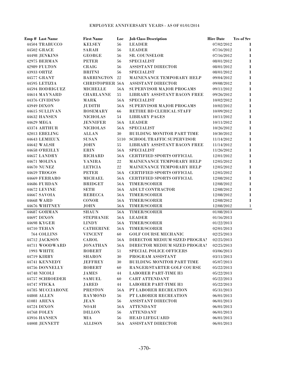| Emp # Last Name                 | <b>First Name</b>                | Loc            | <b>Job Class Description</b>                | <b>Hire Date</b>         | Yrs of Srv   |
|---------------------------------|----------------------------------|----------------|---------------------------------------------|--------------------------|--------------|
| 44504 TRABUCCO                  | <b>KELSEY</b>                    | 56             | <b>LEADER</b>                               | 07/02/2012               | $\bf{l}$     |
| 44502 GRACE                     | SARAH                            | 56             | <b>LEADER</b>                               | 07/16/2012               | $\bf{l}$     |
| 44498 JENKINS                   | <b>GEORGE</b>                    | 56             | SR. COUNSELOR                               | 07/16/2012               | 1            |
| 42975 BERMAN                    | <b>PETER</b>                     | 56             | <b>SPECIALIST</b>                           | 08/01/2012               | $\mathbf 1$  |
| 42989 FULTON                    | <b>CRAIG</b>                     | 56             | <b>ASSISTANT DIRECTOR</b>                   | 08/01/2012               | $\mathbf{1}$ |
| 43933 ORTIZ                     | <b>BRITNI</b>                    | 56             | <b>SPECIALIST</b>                           | 08/01/2012               | $\mathbf 1$  |
| 44577 GRANT                     | <b>BARRINGTON</b>                | 22             | MAINENANCE TEMPORARY HELP                   | 09/04/2012               | $\mathbf{1}$ |
| 44595 LETIZIA                   | <b>CHRISTOPHER 56A</b>           |                | <b>ASSISTANT DIRECTOR</b>                   | 09/08/2012               | $\mathbf{1}$ |
| 44594 RODRIGUEZ                 | <b>MICHELLE</b>                  | <b>56A</b>     | SUPERVISOR MAJOR PROGAMS                    | 09/11/2012               | $\mathbf{1}$ |
| 44614 MAYNARD                   | <b>CHARLANNE</b>                 | 55             | LIBRARY ASSISTANT BACON FREE                | 09/26/2012               | $\mathbf{1}$ |
| 44376 CIVIDINO                  | <b>MARK</b>                      | <b>56A</b>     | <b>SPECIALIST</b>                           | 10/02/2012               | $\mathbf{1}$ |
| 43949 DIXON                     | <b>JUDITH</b>                    | 56A            | SUPERVISOR MAJOR PROGAMS                    | 10/02/2012               | $\mathbf{1}$ |
| 44615 SULLIVAN                  | <b>ROSEMARY</b>                  | 66             | RETIRE BD CLERICAL STAFF                    | 10/09/2012               | $\mathbf{1}$ |
| 44632 HANSEN                    | <b>NICHOLAS</b>                  | 54             | <b>LIBRARY PAGES</b>                        | 10/11/2012               | $\mathbf{1}$ |
| 44629 MEGA                      | <b>JENNIFER</b>                  |                | 56A LEADER                                  | 10/11/2012               | $\mathbf{1}$ |
| 43374 ARTHUR                    | <b>NICHOLAS</b>                  | <b>56A</b>     | <b>SPECIALIST</b>                           | 10/26/2012               | 1            |
| 42013 EBELING                   | <b>ALLAN</b>                     | $30\,$         | BUILDING MONITOR PART TIME                  | 10/30/2012               | $\mathbf{1}$ |
| 44643 LEMIEUX                   | <b>SUSAN</b>                     |                | 5110 SCHOOL TRAFFIC SUPERVISOR              | 11/14/2012               | $\mathbf{1}$ |
| 44642 WALSH                     | <b>JOHN</b>                      | 55             | LIBRARY ASSISTANT BACON FREE                | 11/14/2012               | $\mathbf{1}$ |
| 44658 O'REILLY                  | <b>ERIN</b>                      | 56A            | <b>SPECIALIST</b>                           | 11/26/2012               | $\mathbf{1}$ |
| 44657 LANDRY                    | <b>RICHARD</b>                   | <b>56A</b>     | <b>CERTIFIED SPORTS OFFICIAL</b>            | 12/01/2012               | $\mathbf{1}$ |
| 44671 MOLINA                    | YANIRA                           | 22             | MAINENANCE TEMPORARY HELP                   | 12/05/2012               | $\mathbf{1}$ |
| <b>44670 NUNEZ</b>              | LETICIA                          | 22             | MAINENANCE TEMPORARY HELP                   | 12/05/2012               | $\mathbf{1}$ |
| 44659 TROGOS                    | <b>PETER</b>                     | <b>56A</b>     | <b>CERTIFIED SPORTS OFFICIAL</b>            | 12/05/2012               | $\mathbf{1}$ |
| 44669 FERRARO                   | <b>MICHAEL</b>                   | <b>56A</b>     | <b>CERTIFIED SPORTS OFFICIAL</b>            | 12/08/2012               | $\mathbf{1}$ |
| 44686 FURDAN                    | <b>BRIDGET</b>                   | <b>56A</b>     | <b>TIMER/SCORER</b>                         | 12/08/2012               | $\mathbf{1}$ |
| <b>44672 LEVINE</b>             | <b>SETH</b>                      | <b>56A</b>     | ADULT CONTRACTOR                            | 12/08/2012               | $\mathbf{1}$ |
| 44667 SAVOIA                    | <b>REBECCA</b>                   | <b>56A</b>     | TIMER/SCORER                                | 12/08/2012               | $\mathbf{1}$ |
| 44668 WARD                      | <b>CONOR</b>                     | <b>56A</b>     | TIMER/SCORER                                | 12/08/2012               | $\bf{l}$     |
| 44676 WHITNEY                   | <b>JOHN</b>                      | 56A            | <b>TIMER/SCORER</b>                         | 12/08/2012               | $\bf{l}$     |
| 44687 GORMAN                    | <b>SHAUN</b>                     | 56A            | TIMER/SCORER                                | 01/08/2013               |              |
| 44697 DIXON                     | <b>STEPHANIE</b>                 | 56A            | <b>LEADER</b>                               | 01/16/2013               |              |
| 44698 KYGER                     | <b>LINDY</b>                     | $56\mathrm{A}$ | <b>TIMER/SCORER</b>                         | 01/22/2013               |              |
| <b>44710 TEHAN</b>              | <b>CATHERINE</b>                 | 56A            | TIMER/SCORER<br><b>GOLF COURSE MECHANIC</b> | 02/01/2013               |              |
| 764 COLLINS                     | <b>VINCENT</b>                   | 60             | DIRECTOR MEDIUM SIZED PROGRAI               | 02/25/2013<br>02/25/2013 |              |
| 44712 JACKSON<br>44711 WOODWARD | CAROL                            | 56A            | DIRECTOR MEDIUM SIZED PROGRAM               |                          |              |
| <b>1993 WHITE</b>               | <b>JONATHAN</b><br><b>ROBERT</b> | 56A<br>51      | <b>SPECIAL POLICE OFFICERS</b>              | 02/25/2013<br>03/06/2013 |              |
| 44719 KIRBY                     | <b>SHARON</b>                    | $30\,$         | PROGRAM ASSISTANT                           | 03/11/2013               |              |
| 44741 KENNEDY                   | <b>JEFFREY</b>                   | 30             | <b>BUILDING MONITOR PART TIME</b>           | 05/07/2013               |              |
| 44756 DONNELLY                  | <b>ROBERT</b>                    | 60             | RANGER/STARTER GOLF COURSE                  | 05/22/2013               |              |
| 44748 NICOLI                    | <b>JAMES</b>                     | 44             | <b>LABORER PART-TIME H3</b>                 | 05/22/2013               |              |
| 44757 SCHROEDER                 | <b>SAMUEL</b>                    | 60             | <b>CART ATTENDANT</b>                       | 05/22/2013               |              |
| 44747 STICKA                    | <b>JARED</b>                     | 44             | <b>LABORER PART-TIME H3</b>                 | 05/22/2013               |              |
| 44785 MUCCIARONE                | <b>PRESTON</b>                   | 56A            | PT LABORER RECREATION                       | 05/31/2013               |              |
| <b>44808 ALLEN</b>              | <b>RAYMOND</b>                   | 56             | PT LABORER RECREATION                       | 06/01/2013               |              |
| 41081 ARENA                     | JEAN                             | 56             | <b>ASSISTANT DIRECTOR</b>                   | 06/01/2013               |              |
| 44724 DIXON                     | NOAH                             | <b>56A</b>     | <b>ATTENDANT</b>                            | 06/01/2013               |              |
| <b>44768 FOLEY</b>              | <b>DILLON</b>                    | 56             | <b>ATTENDANT</b>                            | 06/01/2013               |              |
| <b>43916 HANSEN</b>             | MIA                              | 56             | <b>HEAD LIFEGUARD</b>                       | 06/01/2013               |              |
| 44008 JENNETT                   | <b>ALLISON</b>                   | 56A            | ASSISTANT DIRECTOR                          | 06/01/2013               |              |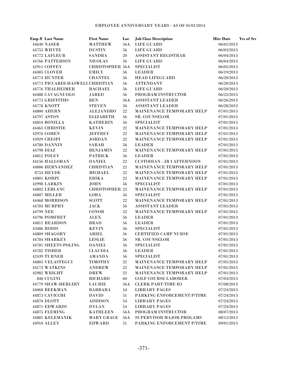## EMPLOYEE ANNIVERSARY YEARS - AS OF 01/01/2014

|           | Emp # Last Name                  | <b>First Name</b>      | Loc    | <b>Job Class Description</b>      | <b>Hire Date</b> | Yrs of Srv |
|-----------|----------------------------------|------------------------|--------|-----------------------------------|------------------|------------|
|           | <b>44630 NASER</b>               | <b>MATTHEW</b>         | 56A    | <b>LIFE GUARD</b>                 | 06/01/2013       |            |
|           | 44755 WHYTE                      | <b>DUSTIN</b>          | 56     | <b>LIFE GUARD</b>                 | 06/03/2013       |            |
|           | 44772 LAFLEUR                    | <b>SANDRA</b>          | 20     | ASSISTANT REGISTRAR               | 06/04/2013       |            |
|           | 44766 PATTERSON                  | <b>NICOLAS</b>         | 56     | LIFE GUARD                        | 06/04/2013       |            |
|           | 42911 COFFEY                     | <b>CHRISTOPHER 56A</b> |        | <b>SPECIALIST</b>                 | 06/05/2013       |            |
|           | 44485 CLOVER                     | <b>EMILY</b>           | 56     | <b>LEADER</b>                     | 06/19/2013       |            |
|           | 44774 HUNTER                     | <b>CHANTEL</b>         | 56     | <b>HEAD LIFEGUARD</b>             | 06/20/2013       |            |
|           | 44773 PICCARDI-HASWELL CHRISTIAN |                        | 56     | <b>ATTENDANT</b>                  | 06/20/2013       |            |
|           | <b>44776 THALHEIMER</b>          | <b>RACHAEL</b>         | 56     | <b>LIFE GUARD</b>                 | 06/20/2013       |            |
|           | 44488 CAVAGNUOLO                 | <b>JARED</b>           | 56     | PROGRAM INSTRUCTOR                | 06/25/2013       |            |
|           | 44775 GRIFFITHS                  | <b>BEN</b>             | 56A    | <b>ASSISTANT LEADER</b>           | 06/26/2013       |            |
|           | 44778 KNOTT                      | <b>STEVEN</b>          | 56     | <b>ASSISTANT LEADER</b>           | 06/28/2013       |            |
|           | 44800 AHERN                      | <b>ALEJANDRO</b>       | 22     | <b>MAINENANCE TEMPORARY HELP</b>  | 07/01/2013       |            |
|           | 44797 ASTON                      | <b>ELIZABETH</b>       | 56     | <b>SR. COUNSELOR</b>              | 07/01/2013       |            |
|           | 44810 BONILLA                    | <b>KATHERIN</b>        | 56     | <b>SPECIALIST</b>                 | 07/01/2013       |            |
|           | 44465 CHRISTIE                   | <b>KEVIN</b>           | $22\,$ | MAINENANCE TEMPORARY HELP         | 07/01/2013       |            |
|           | 42976 COHEN                      | <b>JEFFREY</b>         | $22\,$ | MAINENANCE TEMPORARY HELP         | 07/01/2013       |            |
|           | 43929 CRESPI                     | <b>JORDAN</b>          | $22\,$ | <b>MAINENANCE TEMPORARY HELP</b>  | 07/01/2013       |            |
|           | <b>44780 DANNIN</b>              | <b>SARAH</b>           | 56     | <b>LEADER</b>                     | 07/01/2013       |            |
|           | 44798 DIAZ                       | <b>BENJAMIN</b>        | 22     | MAINENANCE TEMPORARY HELP         | 07/01/2013       |            |
|           | 44812 FOLEY                      | <b>PATRICK</b>         | 56     | <b>LEADER</b>                     | 07/01/2013       |            |
|           | 44156 HALLORAN                   | <b>DANIEL</b>          | $22\,$ | <b>CUSTODIAN - JR I AFTERNOON</b> | 07/01/2013       |            |
|           | <b>44806 HERNANDEZ</b>           | <b>CHRISTIAN</b>       | 22     | MAINENANCE TEMPORARY HELP         | 07/01/2013       |            |
|           | 8754 HEYDE                       | <b>MICHAEL</b>         | 22     | MAINENANCE TEMPORARY HELP         | 07/01/2013       |            |
|           | 44801 KORPI                      | <b>ERIKA</b>           | 22     | MAINENANCE TEMPORARY HELP         | 07/01/2013       |            |
|           | <b>42998 LARKIN</b>              | <b>JOHN</b>            | 56     | <b>SPECIALIST</b>                 | 07/01/2013       |            |
|           | 44802 LEBLANC                    | <b>CHRISTOPHER 22</b>  |        | MAINENANCE TEMPORARY HELP         | 07/01/2013       |            |
|           | 44807 MILLER                     | LORA                   | 56     | <b>SPECIALIST</b>                 | 07/01/2013       |            |
|           | 44468 MORRISON                   | <b>SCOTT</b>           | $22\,$ | MAINENANCE TEMPORARY HELP         | 07/01/2013       |            |
|           | 44783 MURPHY                     | JACK                   | 56     | <b>ASSISTANT LEADER</b>           | 07/01/2013       |            |
| 44799 NEE |                                  | <b>CONOR</b>           | $22\,$ | MAINENANCE TEMPORARY HELP         | 07/01/2013       |            |
|           | 44796 POMFRET                    | <b>ALEX</b>            | 56     | <b>LEADER</b>                     | 07/01/2013       |            |
|           | 44811 REARDON                    | <b>BRAD</b>            | 56     | <b>LEADER</b>                     | 07/01/2013       |            |
|           | 43486 RODIS                      | <b>KEVIN</b>           | 56     | <b>SPECIALIST</b>                 | 07/01/2013       |            |
|           | 44809 SHAGORY                    | <b>ARIEL</b>           | 56     | <b>CERTIFIED CAMP NURSE</b>       | 07/01/2013       |            |
|           | 44784 SHARKEY                    | <b>LESLIE</b>          | 56     | <b>SR. COUNSELOR</b>              | 07/01/2013       |            |
|           | 44781 SHEETS-POLING              | <b>DANIEL</b>          | 56     | <b>SPECIALIST</b>                 | 07/01/2013       |            |
|           | 44782 TISHER                     | <b>CLAUDIA</b>         | 56     | <b>LEADER</b>                     | 07/01/2013       |            |
|           | <b>42439 TURNER</b>              | <b>AMANDA</b>          | 56     | <b>SPECIALIST</b>                 | 07/01/2013       |            |
|           | 44805 VELASTEGUI                 | <b>TIMOTHY</b>         | 22     | <b>MAINENANCE TEMPORARY HELP</b>  | 07/01/2013       |            |
|           | 44173 WATKINS                    | <b>ANDREW</b>          | 22     | MAINENANCE TEMPORARY HELP         | 07/01/2013       |            |
|           | 42982 WRIGHT                     | <b>DREW</b>            | 22     | MAINENANCE TEMPORARY HELP         | 07/01/2013       |            |
|           | 848 CUGINI                       | <b>RICHARD</b>         | 60     | <b>GOLF COURSE LABORER</b>        | 07/03/2013       |            |
|           | 44779 SHAW-HERLIHY               | <b>LAURIE</b>          | 56A    | <b>CLERK PART-TIME H3</b>         | 07/08/2013       |            |
|           | 44068 BEEKMAN                    | <b>BARBARA</b>         | 54     | <b>LIBRARY PAGES</b>              | 07/24/2013       |            |
|           | 44873 CAVICCHI                   | <b>DAVID</b>           | 51     | PARKING ENFORCEMENT P/TIME        | 07/24/2013       |            |
|           | 44870 DLOTT                      | <b>ADDISON</b>         | 54     | <b>LIBRARY PAGES</b>              | 07/24/2013       |            |
|           | 44871 EDWARDS                    | <b>DYLAN</b>           | 54     | <b>LIBRARY PAGES</b>              | 07/24/2013       |            |
|           | 44875 FLEMING                    | <b>KATHLEEN</b>        | 56A    | PROGRAM INSTRUCTOR                | 08/07/2013       |            |
|           | 44881 KELEMANIK                  | <b>MARY GRACE</b>      | 56A    | SUPERVISOR MAJOR PROGAMS          | 08/15/2013       |            |
|           | 44910 ALLEY                      | <b>EDWARD</b>          | 51     | PARKING ENFORCEMENT P/TIME        | 09/01/2013       |            |